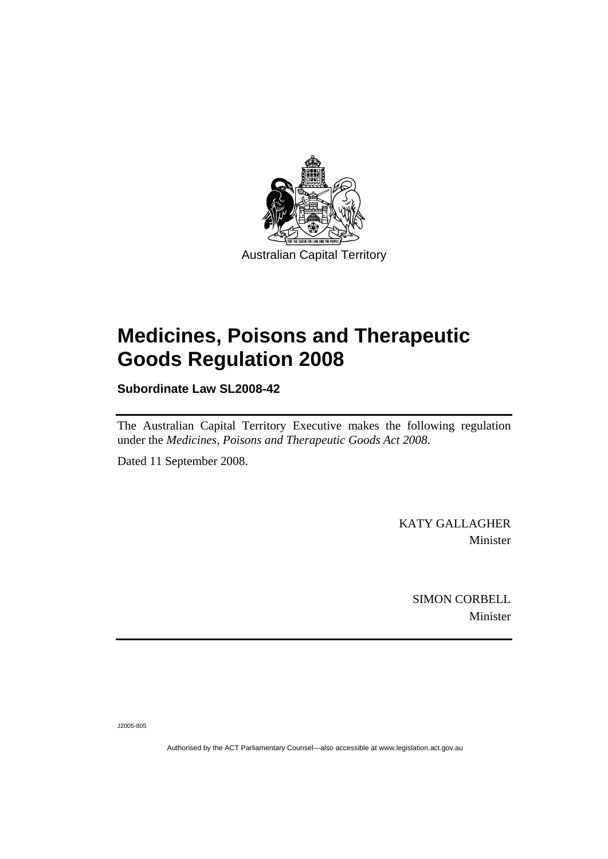

# **[Medicines, Poisons and Therapeutic](#page-2-0)  [Goods Regulation 2008](#page-2-0)**

**Subordinate Law SL2008-42** 

The Australian Capital Territory Executive makes the following regulation under the *[Medicines, Poisons and Therapeutic Goods Act 2008](#page-2-0)*.

Dated 11 September 2008.

KATY GALLAGHER Minister

> SIMON CORBELL Minister

J2005-805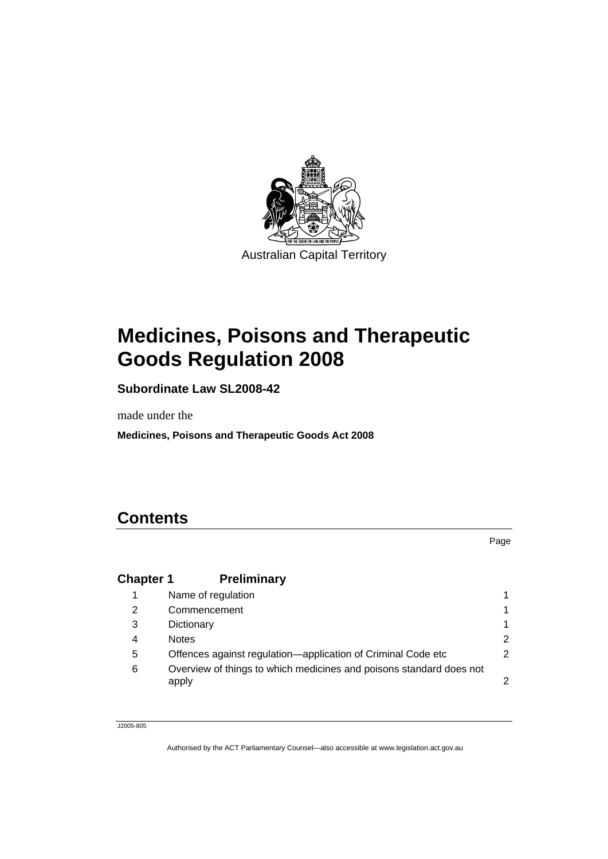<span id="page-2-0"></span>

# **Medicines, Poisons and Therapeutic Goods Regulation 2008**

**Subordinate Law SL2008-42** 

made under the

**Medicines, Poisons and Therapeutic Goods Act 2008** 

## **Contents**

|                  |                                                                              | Page |
|------------------|------------------------------------------------------------------------------|------|
| <b>Chapter 1</b> | <b>Preliminary</b>                                                           |      |
|                  | Name of regulation                                                           |      |
| 2                | Commencement                                                                 |      |
| 3                | Dictionary                                                                   |      |
| 4                | <b>Notes</b>                                                                 | 2    |
| 5                | Offences against regulation—application of Criminal Code etc                 | 2    |
| 6                | Overview of things to which medicines and poisons standard does not<br>apply | 2    |

J2005-805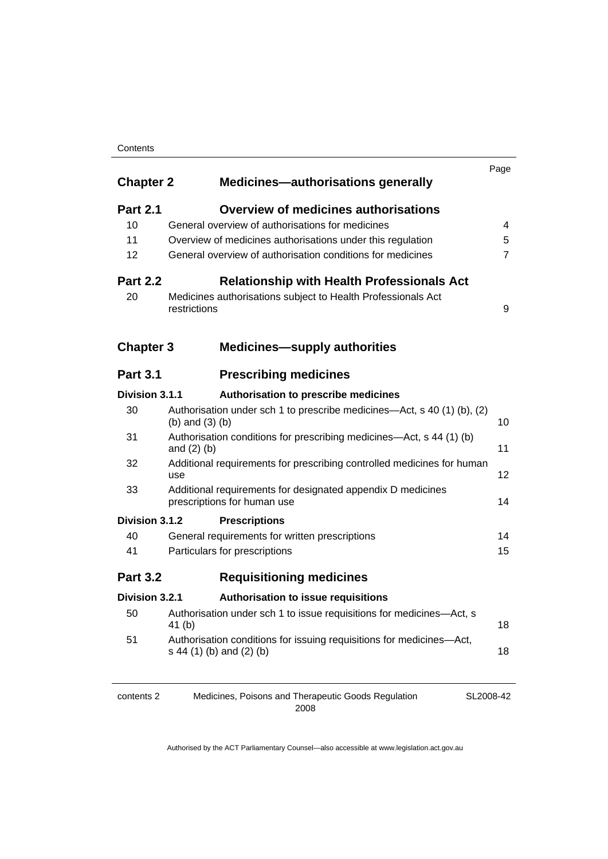#### **Contents**

| <b>Chapter 2</b>                                                     | <b>Medicines-authorisations generally</b>                                                        | Page |  |
|----------------------------------------------------------------------|--------------------------------------------------------------------------------------------------|------|--|
| <b>Part 2.1</b>                                                      | <b>Overview of medicines authorisations</b>                                                      |      |  |
| 10                                                                   | General overview of authorisations for medicines                                                 |      |  |
| 11                                                                   | Overview of medicines authorisations under this regulation                                       | 5    |  |
| 12                                                                   | General overview of authorisation conditions for medicines                                       |      |  |
| <b>Part 2.2</b><br><b>Relationship with Health Professionals Act</b> |                                                                                                  |      |  |
| 20                                                                   | Medicines authorisations subject to Health Professionals Act<br>restrictions                     | 9    |  |
| <b>Chapter 3</b>                                                     | <b>Medicines-supply authorities</b>                                                              |      |  |
| <b>Part 3.1</b>                                                      | <b>Prescribing medicines</b>                                                                     |      |  |
| Division 3.1.1                                                       | Authorisation to prescribe medicines                                                             |      |  |
| 30                                                                   | Authorisation under sch 1 to prescribe medicines—Act, s 40 (1) (b), (2)<br>$(b)$ and $(3)$ $(b)$ | 10   |  |
| 31                                                                   | Authorisation conditions for prescribing medicines—Act, s 44 (1) (b)<br>and $(2)$ $(b)$          | 11   |  |
| 32                                                                   | Additional requirements for prescribing controlled medicines for human<br>use                    | 12   |  |
| 33                                                                   | Additional requirements for designated appendix D medicines<br>prescriptions for human use       | 14   |  |
| Division 3.1.2                                                       | <b>Prescriptions</b>                                                                             |      |  |
| 40                                                                   | General requirements for written prescriptions                                                   | 14   |  |
| 41                                                                   | Particulars for prescriptions                                                                    | 15   |  |
| <b>Part 3.2</b>                                                      | <b>Requisitioning medicines</b>                                                                  |      |  |
| Division 3.2.1                                                       | <b>Authorisation to issue requisitions</b>                                                       |      |  |
| 50                                                                   | Authorisation under sch 1 to issue requisitions for medicines-Act, s<br>41 (b)                   | 18   |  |
| 51                                                                   | Authorisation conditions for issuing requisitions for medicines-Act,<br>s 44 (1) (b) and (2) (b) | 18   |  |
|                                                                      |                                                                                                  |      |  |

SL2008-42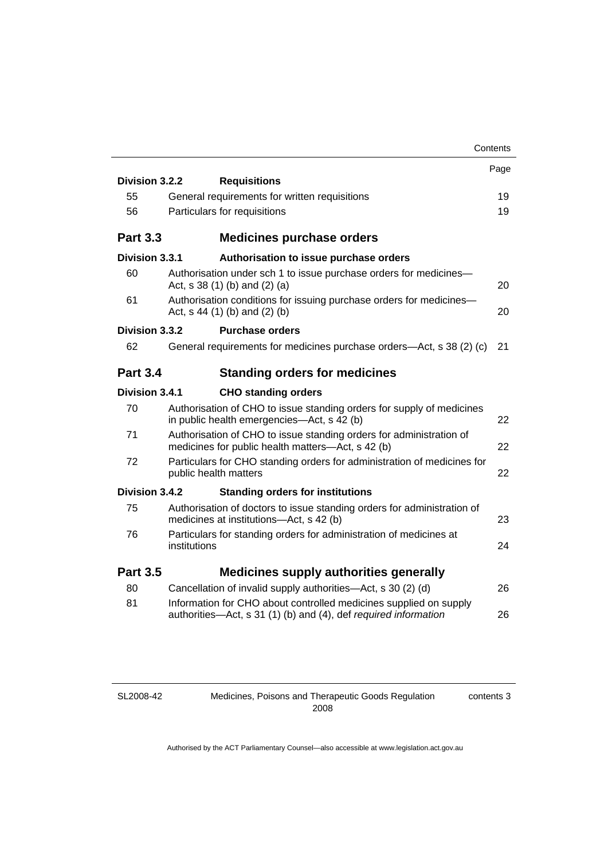|                       |                                                                                                                                      | Contents |
|-----------------------|--------------------------------------------------------------------------------------------------------------------------------------|----------|
|                       |                                                                                                                                      | Page     |
| Division 3.2.2        | <b>Requisitions</b>                                                                                                                  |          |
| 55                    | General requirements for written requisitions                                                                                        | 19       |
| 56                    | Particulars for requisitions                                                                                                         | 19       |
| <b>Part 3.3</b>       | <b>Medicines purchase orders</b>                                                                                                     |          |
| <b>Division 3.3.1</b> | Authorisation to issue purchase orders                                                                                               |          |
| 60                    | Authorisation under sch 1 to issue purchase orders for medicines-<br>Act, $s$ 38 (1) (b) and (2) (a)                                 | 20       |
| 61                    | Authorisation conditions for issuing purchase orders for medicines-<br>Act, $s$ 44 (1) (b) and (2) (b)                               | 20       |
| Division 3.3.2        | <b>Purchase orders</b>                                                                                                               |          |
| 62                    | General requirements for medicines purchase orders-Act, s 38 (2) (c)                                                                 | 21       |
| <b>Part 3.4</b>       | <b>Standing orders for medicines</b>                                                                                                 |          |
| Division 3.4.1        | <b>CHO standing orders</b>                                                                                                           |          |
| 70                    | Authorisation of CHO to issue standing orders for supply of medicines<br>in public health emergencies-Act, s 42 (b)                  | 22       |
| 71                    | Authorisation of CHO to issue standing orders for administration of<br>medicines for public health matters—Act, s 42 (b)             | 22       |
| 72                    | Particulars for CHO standing orders for administration of medicines for<br>public health matters                                     | 22       |
| Division 3.4.2        | <b>Standing orders for institutions</b>                                                                                              |          |
| 75                    | Authorisation of doctors to issue standing orders for administration of<br>medicines at institutions-Act, s 42 (b)                   | 23       |
| 76                    | Particulars for standing orders for administration of medicines at<br>institutions                                                   | 24       |
| <b>Part 3.5</b>       | <b>Medicines supply authorities generally</b>                                                                                        |          |
| 80                    | Cancellation of invalid supply authorities—Act, s 30 (2) (d)                                                                         | 26       |
| 81                    | Information for CHO about controlled medicines supplied on supply<br>authorities-Act, s 31 (1) (b) and (4), def required information | 26       |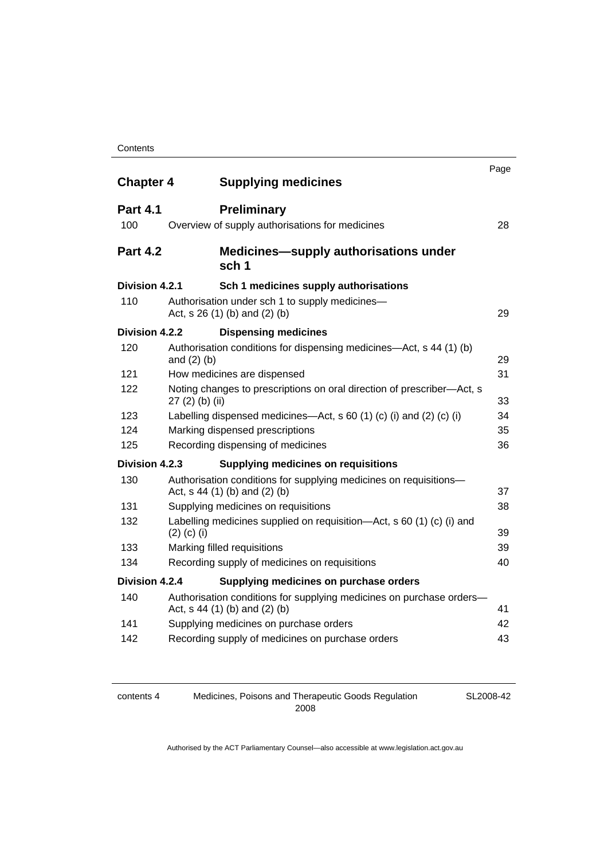| <b>Chapter 4</b> |                 | <b>Supplying medicines</b>                                                                              | Page |
|------------------|-----------------|---------------------------------------------------------------------------------------------------------|------|
| <b>Part 4.1</b>  |                 | <b>Preliminary</b>                                                                                      |      |
| 100              |                 | Overview of supply authorisations for medicines                                                         | 28   |
| <b>Part 4.2</b>  |                 | <b>Medicines—supply authorisations under</b><br>sch <sub>1</sub>                                        |      |
| Division 4.2.1   |                 | Sch 1 medicines supply authorisations                                                                   |      |
| 110              |                 | Authorisation under sch 1 to supply medicines-<br>Act, s 26 (1) (b) and (2) (b)                         | 29   |
| Division 4.2.2   |                 | <b>Dispensing medicines</b>                                                                             |      |
| 120              | and $(2)$ $(b)$ | Authorisation conditions for dispensing medicines—Act, s 44 (1) (b)                                     | 29   |
| 121              |                 | How medicines are dispensed                                                                             | 31   |
| 122              | 27 (2) (b) (ii) | Noting changes to prescriptions on oral direction of prescriber-Act, s                                  | 33   |
| 123              |                 | Labelling dispensed medicines—Act, s 60 (1) (c) (i) and (2) (c) (i)                                     | 34   |
| 124              |                 | Marking dispensed prescriptions                                                                         | 35   |
| 125              |                 | Recording dispensing of medicines                                                                       | 36   |
| Division 4.2.3   |                 | <b>Supplying medicines on requisitions</b>                                                              |      |
| 130              |                 | Authorisation conditions for supplying medicines on requisitions-<br>Act, s 44 (1) (b) and (2) (b)      | 37   |
| 131              |                 | Supplying medicines on requisitions                                                                     | 38   |
| 132              | $(2)$ (c) (i)   | Labelling medicines supplied on requisition—Act, s 60 (1) (c) (i) and                                   | 39   |
| 133              |                 | Marking filled requisitions                                                                             | 39   |
| 134              |                 | Recording supply of medicines on requisitions                                                           | 40   |
| Division 4.2.4   |                 | Supplying medicines on purchase orders                                                                  |      |
| 140              |                 | Authorisation conditions for supplying medicines on purchase orders-<br>Act, $s$ 44 (1) (b) and (2) (b) | 41   |
| 141              |                 | Supplying medicines on purchase orders                                                                  | 42   |
| 142              |                 | Recording supply of medicines on purchase orders                                                        | 43   |

contents 4 Medicines, Poisons and Therapeutic Goods Regulation 2008

SL2008-42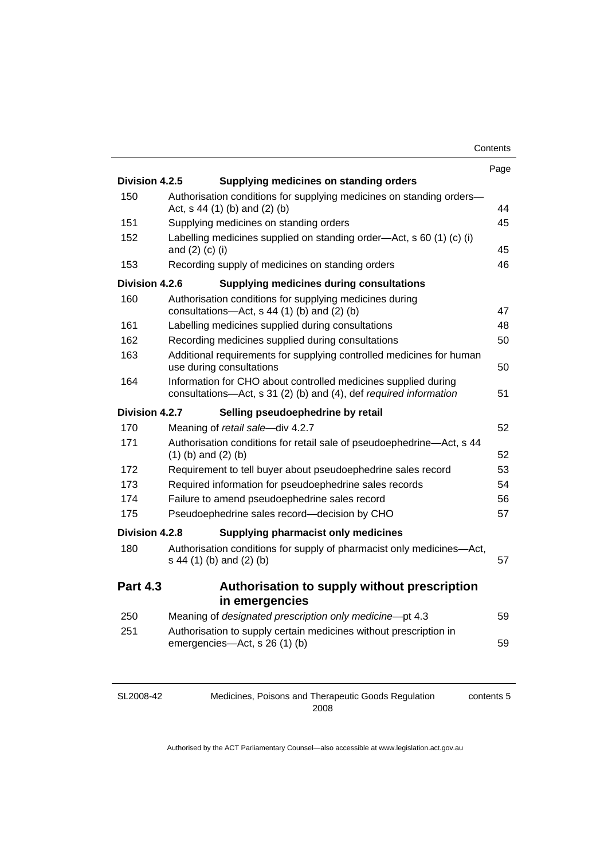contents 5

|                 |                                                                                                                                     | Page |
|-----------------|-------------------------------------------------------------------------------------------------------------------------------------|------|
| Division 4.2.5  | Supplying medicines on standing orders                                                                                              |      |
| 150             | Authorisation conditions for supplying medicines on standing orders-<br>Act, $s$ 44 (1) (b) and (2) (b)                             | 44   |
| 151             | Supplying medicines on standing orders                                                                                              | 45   |
| 152             | Labelling medicines supplied on standing order—Act, s 60 (1) (c) (i)<br>and $(2)$ $(c)$ $(i)$                                       | 45   |
| 153             | Recording supply of medicines on standing orders                                                                                    | 46   |
| Division 4.2.6  | <b>Supplying medicines during consultations</b>                                                                                     |      |
| 160             | Authorisation conditions for supplying medicines during<br>consultations- $-\text{Act}$ , s 44 (1) (b) and (2) (b)                  | 47   |
| 161             | Labelling medicines supplied during consultations                                                                                   | 48   |
| 162             | Recording medicines supplied during consultations                                                                                   | 50   |
| 163             | Additional requirements for supplying controlled medicines for human<br>use during consultations                                    | 50   |
| 164             | Information for CHO about controlled medicines supplied during<br>consultations-Act, s 31 (2) (b) and (4), def required information | 51   |
| Division 4.2.7  | Selling pseudoephedrine by retail                                                                                                   |      |
| 170             | Meaning of retail sale-div 4.2.7                                                                                                    | 52   |
| 171             | Authorisation conditions for retail sale of pseudoephedrine-Act, s 44<br>$(1)$ (b) and $(2)$ (b)                                    | 52   |
| 172             | Requirement to tell buyer about pseudoephedrine sales record                                                                        | 53   |
| 173             | Required information for pseudoephedrine sales records                                                                              | 54   |
| 174             | Failure to amend pseudoephedrine sales record                                                                                       | 56   |
| 175             | Pseudoephedrine sales record-decision by CHO                                                                                        | 57   |
| Division 4.2.8  | Supplying pharmacist only medicines                                                                                                 |      |
| 180             | Authorisation conditions for supply of pharmacist only medicines-Act,<br>s 44 (1) (b) and (2) (b)                                   | 57   |
| <b>Part 4.3</b> | Authorisation to supply without prescription<br>in emergencies                                                                      |      |
| 250             | Meaning of designated prescription only medicine-pt 4.3                                                                             | 59   |
| 251             | Authorisation to supply certain medicines without prescription in<br>emergencies-Act, s 26 (1) (b)                                  | 59   |
|                 |                                                                                                                                     |      |

| SL2008-42 |
|-----------|
|-----------|

Medicines, Poisons and Therapeutic Goods Regulation 2008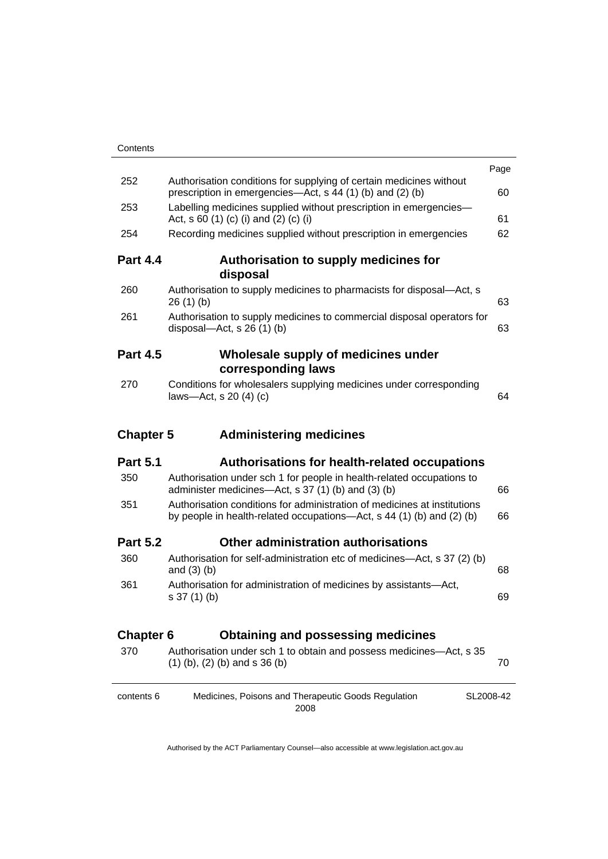|                  |                                                                                                                                                   | Page |
|------------------|---------------------------------------------------------------------------------------------------------------------------------------------------|------|
| 252              | Authorisation conditions for supplying of certain medicines without<br>prescription in emergencies—Act, s 44 (1) (b) and (2) (b)                  | 60   |
| 253              | Labelling medicines supplied without prescription in emergencies-<br>Act, s 60 (1) (c) (i) and (2) (c) (i)                                        | 61   |
| 254              | Recording medicines supplied without prescription in emergencies                                                                                  | 62   |
| <b>Part 4.4</b>  | Authorisation to supply medicines for<br>disposal                                                                                                 |      |
| 260              | Authorisation to supply medicines to pharmacists for disposal—Act, s<br>26(1)(b)                                                                  | 63   |
| 261              | Authorisation to supply medicines to commercial disposal operators for<br>disposal—Act, s $26(1)(b)$                                              | 63   |
| <b>Part 4.5</b>  | Wholesale supply of medicines under<br>corresponding laws                                                                                         |      |
| 270              | Conditions for wholesalers supplying medicines under corresponding<br>laws-Act, s $20(4)(c)$                                                      | 64   |
|                  |                                                                                                                                                   |      |
| <b>Chapter 5</b> | <b>Administering medicines</b>                                                                                                                    |      |
| <b>Part 5.1</b>  | <b>Authorisations for health-related occupations</b>                                                                                              |      |
| 350              | Authorisation under sch 1 for people in health-related occupations to<br>administer medicines—Act, s 37 (1) (b) and (3) (b)                       | 66   |
| 351              | Authorisation conditions for administration of medicines at institutions<br>by people in health-related occupations—Act, s 44 (1) (b) and (2) (b) | 66   |
| <b>Part 5.2</b>  | Other administration authorisations                                                                                                               |      |
| 360              | Authorisation for self-administration etc of medicines—Act, s 37 (2) (b)<br>and $(3)$ $(b)$                                                       | 68   |
| 361              | Authorisation for administration of medicines by assistants-Act,<br>s 37 (1) (b)                                                                  | 69   |
| <b>Chapter 6</b> | <b>Obtaining and possessing medicines</b>                                                                                                         |      |
| 370              | Authorisation under sch 1 to obtain and possess medicines-Act, s 35<br>$(1)$ (b), $(2)$ (b) and s 36 (b)                                          | 70   |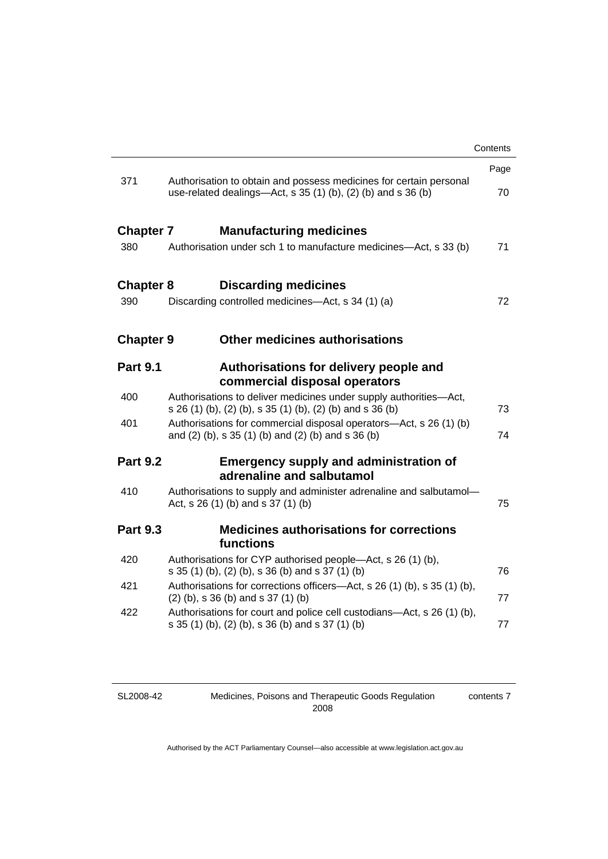|                  |                                                                                                                                    | Contents |
|------------------|------------------------------------------------------------------------------------------------------------------------------------|----------|
|                  |                                                                                                                                    | Page     |
| 371              | Authorisation to obtain and possess medicines for certain personal<br>use-related dealings—Act, s 35 (1) (b), (2) (b) and s 36 (b) | 70       |
| <b>Chapter 7</b> | <b>Manufacturing medicines</b>                                                                                                     |          |
| 380              | Authorisation under sch 1 to manufacture medicines-Act, s 33 (b)                                                                   | 71       |
| <b>Chapter 8</b> | <b>Discarding medicines</b>                                                                                                        |          |
| 390              | Discarding controlled medicines—Act, s 34 (1) (a)                                                                                  | 72       |
| <b>Chapter 9</b> | <b>Other medicines authorisations</b>                                                                                              |          |
| <b>Part 9.1</b>  | Authorisations for delivery people and<br>commercial disposal operators                                                            |          |
| 400              | Authorisations to deliver medicines under supply authorities-Act,<br>s 26 (1) (b), (2) (b), s 35 (1) (b), (2) (b) and s 36 (b)     | 73       |
| 401              | Authorisations for commercial disposal operators—Act, s 26 (1) (b)<br>and (2) (b), s 35 (1) (b) and (2) (b) and s 36 (b)           | 74       |
| <b>Part 9.2</b>  | <b>Emergency supply and administration of</b><br>adrenaline and salbutamol                                                         |          |
| 410              | Authorisations to supply and administer adrenaline and salbutamol-<br>Act, s 26 (1) (b) and s 37 (1) (b)                           | 75       |
| <b>Part 9.3</b>  | <b>Medicines authorisations for corrections</b><br>functions                                                                       |          |
| 420              | Authorisations for CYP authorised people-Act, s 26 (1) (b),<br>s 35 (1) (b), (2) (b), s 36 (b) and s 37 (1) (b)                    | 76       |
| 421              | Authorisations for corrections officers—Act, s 26 (1) (b), s 35 (1) (b),<br>$(2)$ (b), s 36 (b) and s 37 (1) (b)                   | 77       |
| 422              | Authorisations for court and police cell custodians—Act, s 26 (1) (b),<br>s 35 (1) (b), (2) (b), s 36 (b) and s 37 (1) (b)         | 77       |
|                  |                                                                                                                                    |          |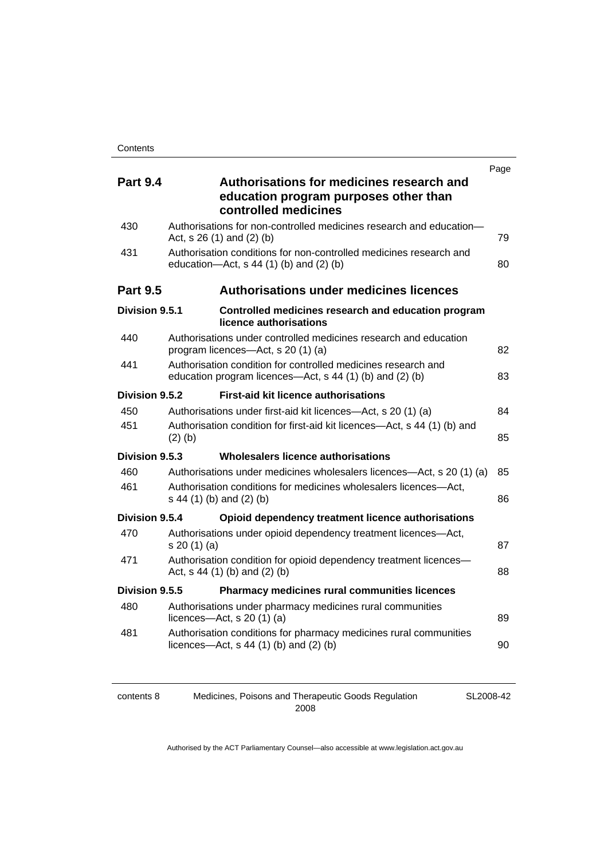|                 |                                                                                                                           | Page |
|-----------------|---------------------------------------------------------------------------------------------------------------------------|------|
| <b>Part 9.4</b> | Authorisations for medicines research and<br>education program purposes other than<br>controlled medicines                |      |
| 430             | Authorisations for non-controlled medicines research and education-<br>Act, s 26 (1) and (2) (b)                          | 79   |
| 431             | Authorisation conditions for non-controlled medicines research and<br>education-Act, s 44 (1) (b) and (2) (b)             | 80   |
| <b>Part 9.5</b> | <b>Authorisations under medicines licences</b>                                                                            |      |
| Division 9.5.1  | Controlled medicines research and education program<br>licence authorisations                                             |      |
| 440             | Authorisations under controlled medicines research and education<br>program licences-Act, s 20 (1) (a)                    | 82   |
| 441             | Authorisation condition for controlled medicines research and<br>education program licences—Act, s 44 (1) (b) and (2) (b) | 83   |
| Division 9.5.2  | <b>First-aid kit licence authorisations</b>                                                                               |      |
| 450             | Authorisations under first-aid kit licences—Act, s 20 (1) (a)                                                             | 84   |
| 451             | Authorisation condition for first-aid kit licences—Act, s 44 (1) (b) and<br>$(2)$ $(b)$                                   | 85   |
| Division 9.5.3  | Wholesalers licence authorisations                                                                                        |      |
| 460             | Authorisations under medicines wholesalers licences—Act, s 20 (1) (a)                                                     | 85   |
| 461             | Authorisation conditions for medicines wholesalers licences-Act,<br>s 44 (1) (b) and (2) (b)                              | 86   |
| Division 9.5.4  | Opioid dependency treatment licence authorisations                                                                        |      |
| 470             | Authorisations under opioid dependency treatment licences-Act,<br>s 20(1)(a)                                              | 87   |
| 471             | Authorisation condition for opioid dependency treatment licences-<br>Act, $s$ 44 (1) (b) and (2) (b)                      | 88   |
| Division 9.5.5  | Pharmacy medicines rural communities licences                                                                             |      |
| 480             | Authorisations under pharmacy medicines rural communities<br>licences- $-\text{Act}$ , s 20 (1) (a)                       | 89   |
| 481             | Authorisation conditions for pharmacy medicines rural communities<br>licences- $-\text{Act}$ , s 44 (1) (b) and (2) (b)   | 90   |
|                 |                                                                                                                           |      |

contents 8 Medicines, Poisons and Therapeutic Goods Regulation 2008

SL2008-42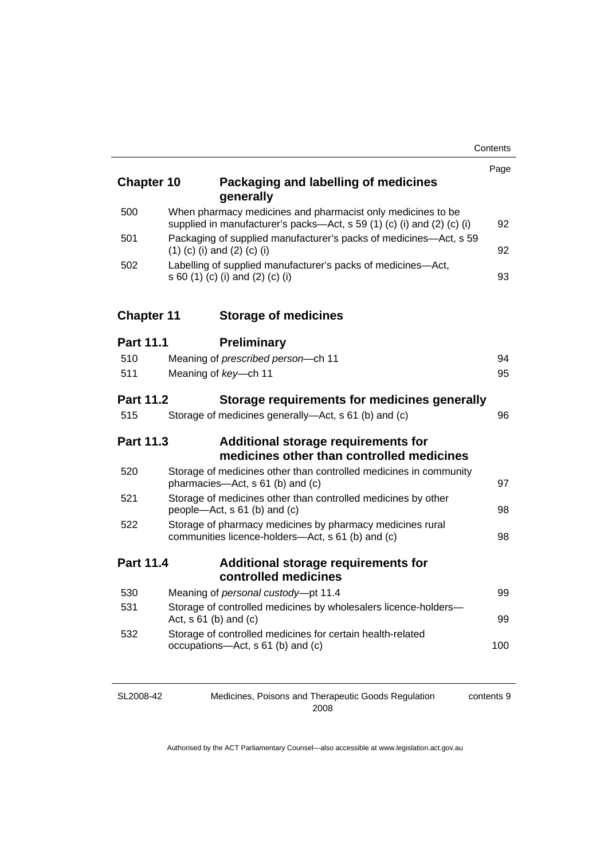| <b>Chapter 10</b> |                                  | Packaging and labelling of medicines<br>generally                                                                                     | Page |
|-------------------|----------------------------------|---------------------------------------------------------------------------------------------------------------------------------------|------|
| 500               |                                  | When pharmacy medicines and pharmacist only medicines to be<br>supplied in manufacturer's packs-Act, s 59 (1) (c) (i) and (2) (c) (i) | 92   |
| 501               | $(1)$ (c) (i) and (2) (c) (i)    | Packaging of supplied manufacturer's packs of medicines-Act, s 59                                                                     | 92   |
| 502               | s 60 (1) (c) (i) and (2) (c) (i) | Labelling of supplied manufacturer's packs of medicines-Act,                                                                          | 93   |
| <b>Chapter 11</b> |                                  | <b>Storage of medicines</b>                                                                                                           |      |
| <b>Part 11.1</b>  |                                  | <b>Preliminary</b>                                                                                                                    |      |
| 510               |                                  | Meaning of prescribed person-ch 11                                                                                                    | 94   |
| 511               | Meaning of key-ch 11             |                                                                                                                                       | 95   |
| <b>Part 11.2</b>  |                                  | Storage requirements for medicines generally                                                                                          |      |
| 515               |                                  | Storage of medicines generally—Act, s 61 (b) and (c)                                                                                  | 96   |
| Part 11.3         |                                  | Additional storage requirements for<br>medicines other than controlled medicines                                                      |      |
| 520               |                                  | Storage of medicines other than controlled medicines in community<br>pharmacies-Act, s 61 (b) and (c)                                 | 97   |
| 521               |                                  | Storage of medicines other than controlled medicines by other<br>people-Act, s 61 (b) and (c)                                         | 98   |
| 522               |                                  | Storage of pharmacy medicines by pharmacy medicines rural<br>communities licence-holders-Act, s 61 (b) and (c)                        | 98   |
| <b>Part 11.4</b>  |                                  | <b>Additional storage requirements for</b>                                                                                            |      |
| 530               |                                  | controlled medicines<br>Meaning of personal custody-pt 11.4                                                                           | 99   |
| 531               |                                  | Storage of controlled medicines by wholesalers licence-holders-                                                                       |      |
|                   | Act, $s$ 61 (b) and (c)          |                                                                                                                                       | 99   |
| 532               |                                  | Storage of controlled medicines for certain health-related<br>occupations-Act, s 61 (b) and (c)                                       | 100  |

SL2008-42

Medicines, Poisons and Therapeutic Goods Regulation 2008

contents 9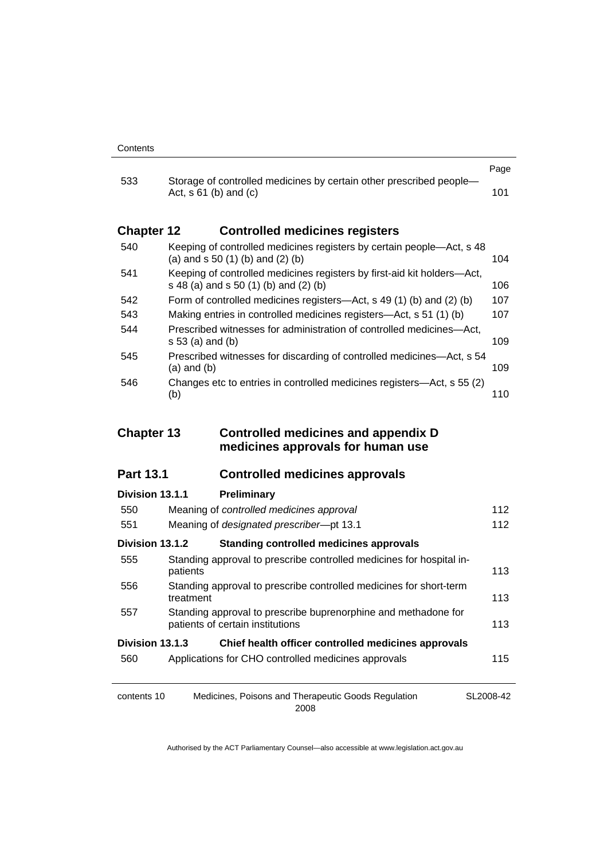|                   |                                                                                                                  | Page |
|-------------------|------------------------------------------------------------------------------------------------------------------|------|
| 533               | Storage of controlled medicines by certain other prescribed people-<br>Act, $s 61$ (b) and (c)                   | 101  |
| <b>Chapter 12</b> | <b>Controlled medicines registers</b>                                                                            |      |
| 540               | Keeping of controlled medicines registers by certain people—Act, s 48<br>(a) and $s$ 50 (1) (b) and (2) (b)      | 104  |
| 541               | Keeping of controlled medicines registers by first-aid kit holders—Act,<br>s 48 (a) and s 50 (1) (b) and (2) (b) | 106  |
| 542               | Form of controlled medicines registers—Act, s 49 (1) (b) and (2) (b)                                             | 107  |
| 543               | Making entries in controlled medicines registers—Act, s 51 (1) (b)                                               | 107  |
| 544               | Prescribed witnesses for administration of controlled medicines—Act.<br>s 53 (a) and (b)                         | 109  |
| 545               | Prescribed witnesses for discarding of controlled medicines—Act, s 54<br>(a) and (b)                             | 109  |
| 546               | Changes etc to entries in controlled medicines registers—Act, s 55 (2)<br>(b)                                    | 110  |

### **Chapter 13 Controlled medicines and appendix D medicines approvals for human use**

## **Part 13.1 Controlled medicines approvals**

| Division 13.1.1 | <b>Preliminary</b>                                                                                 |           |
|-----------------|----------------------------------------------------------------------------------------------------|-----------|
| 550             | Meaning of controlled medicines approval                                                           | 112       |
| 551             | Meaning of designated prescriber-pt 13.1                                                           | 112       |
| Division 13.1.2 | <b>Standing controlled medicines approvals</b>                                                     |           |
| 555             | Standing approval to prescribe controlled medicines for hospital in-<br>patients                   | 113       |
| 556             | Standing approval to prescribe controlled medicines for short-term<br>treatment                    | 113       |
| 557             | Standing approval to prescribe buprenorphine and methadone for<br>patients of certain institutions | 113       |
| Division 13.1.3 | Chief health officer controlled medicines approvals                                                |           |
| 560             | Applications for CHO controlled medicines approvals                                                | 115       |
|                 |                                                                                                    |           |
| contents 10     | Medicines, Poisons and Therapeutic Goods Regulation                                                | SL2008-42 |

2008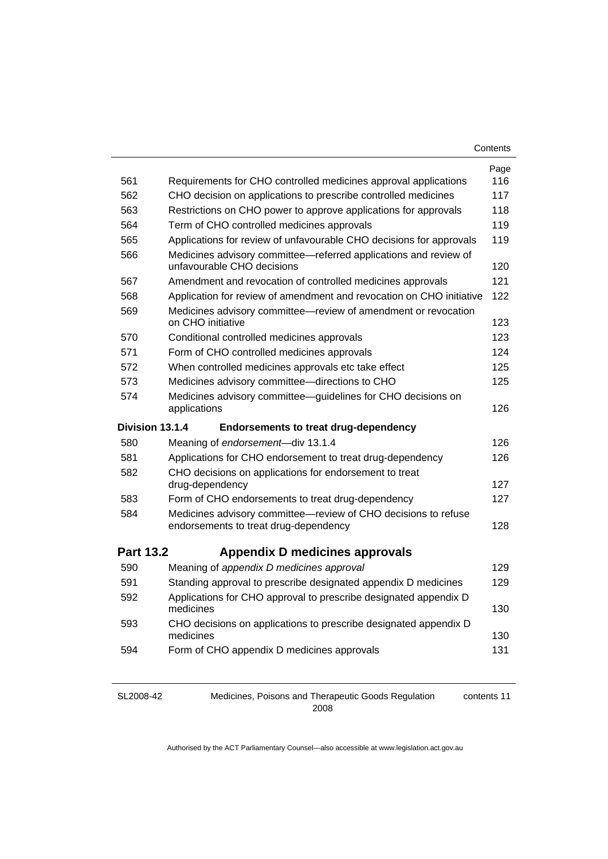| Contents |  |
|----------|--|
|----------|--|

|                  |                                                                                                                                                 | Page |
|------------------|-------------------------------------------------------------------------------------------------------------------------------------------------|------|
| 561              | Requirements for CHO controlled medicines approval applications                                                                                 | 116  |
| 562              | CHO decision on applications to prescribe controlled medicines                                                                                  | 117  |
| 563              | Restrictions on CHO power to approve applications for approvals                                                                                 | 118  |
| 564              | Term of CHO controlled medicines approvals                                                                                                      | 119  |
| 565              | Applications for review of unfavourable CHO decisions for approvals                                                                             | 119  |
| 566              | Medicines advisory committee-referred applications and review of<br>unfavourable CHO decisions                                                  | 120  |
| 567              | Amendment and revocation of controlled medicines approvals                                                                                      | 121  |
| 568              | Application for review of amendment and revocation on CHO initiative                                                                            | 122  |
| 569              | Medicines advisory committee-review of amendment or revocation<br>on CHO initiative                                                             | 123  |
| 570              | Conditional controlled medicines approvals                                                                                                      | 123  |
| 571              | Form of CHO controlled medicines approvals                                                                                                      | 124  |
| 572              | When controlled medicines approvals etc take effect                                                                                             | 125  |
| 573              | Medicines advisory committee-directions to CHO                                                                                                  | 125  |
| 574              | Medicines advisory committee-guidelines for CHO decisions on<br>applications                                                                    | 126  |
| Division 13.1.4  | <b>Endorsements to treat drug-dependency</b>                                                                                                    |      |
|                  |                                                                                                                                                 |      |
| 580              | Meaning of endorsement-div 13.1.4                                                                                                               | 126  |
| 581              |                                                                                                                                                 | 126  |
| 582              | Applications for CHO endorsement to treat drug-dependency<br>CHO decisions on applications for endorsement to treat                             |      |
|                  | drug-dependency                                                                                                                                 | 127  |
| 583              | Form of CHO endorsements to treat drug-dependency                                                                                               | 127  |
| 584              | Medicines advisory committee-review of CHO decisions to refuse<br>endorsements to treat drug-dependency                                         | 128  |
| <b>Part 13.2</b> |                                                                                                                                                 |      |
| 590              | Appendix D medicines approvals                                                                                                                  | 129  |
| 591              | Meaning of appendix D medicines approval                                                                                                        | 129  |
| 592              | Standing approval to prescribe designated appendix D medicines<br>Applications for CHO approval to prescribe designated appendix D<br>medicines | 130  |
| 593              | CHO decisions on applications to prescribe designated appendix D<br>medicines                                                                   | 130  |
| 594              | Form of CHO appendix D medicines approvals                                                                                                      | 131  |

SL2008-42

Medicines, Poisons and Therapeutic Goods Regulation 

contents 11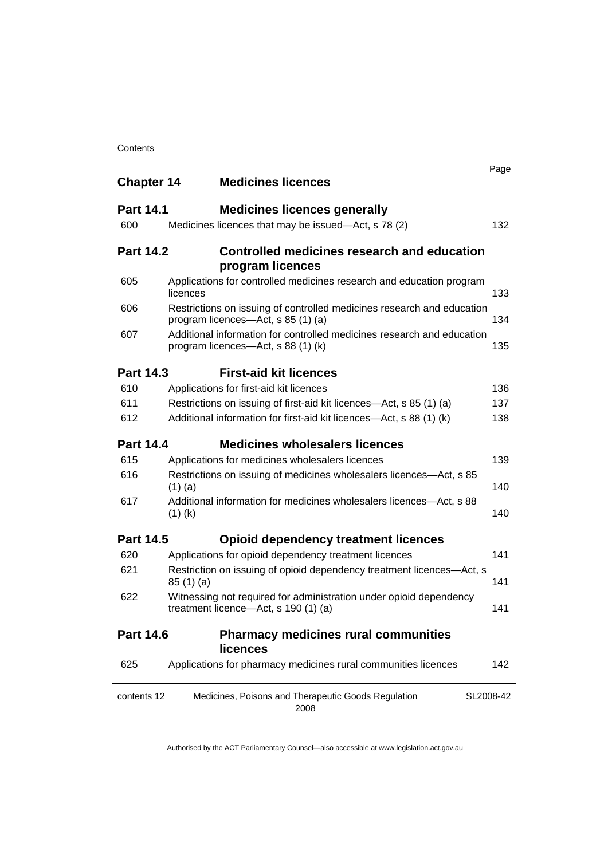| <b>Chapter 14</b> | <b>Medicines licences</b>                                                                                    | Page      |
|-------------------|--------------------------------------------------------------------------------------------------------------|-----------|
| <b>Part 14.1</b>  | <b>Medicines licences generally</b>                                                                          |           |
| 600               | Medicines licences that may be issued-Act, s 78 (2)                                                          | 132       |
| <b>Part 14.2</b>  | Controlled medicines research and education<br>program licences                                              |           |
| 605               | Applications for controlled medicines research and education program<br>licences                             | 133       |
| 606               | Restrictions on issuing of controlled medicines research and education<br>program licences-Act, s 85 (1) (a) | 134       |
| 607               | Additional information for controlled medicines research and education<br>program licences—Act, s 88 (1) (k) | 135       |
| <b>Part 14.3</b>  | <b>First-aid kit licences</b>                                                                                |           |
| 610               | Applications for first-aid kit licences                                                                      | 136       |
| 611               | Restrictions on issuing of first-aid kit licences-Act, s 85 (1) (a)                                          | 137       |
| 612               | Additional information for first-aid kit licences—Act, s 88 (1) (k)                                          | 138       |
| <b>Part 14.4</b>  | <b>Medicines wholesalers licences</b>                                                                        |           |
| 615               | Applications for medicines wholesalers licences                                                              | 139       |
| 616               | Restrictions on issuing of medicines wholesalers licences—Act, s 85<br>$(1)$ (a)                             | 140       |
| 617               | Additional information for medicines wholesalers licences—Act, s 88<br>$(1)$ (k)                             | 140       |
| <b>Part 14.5</b>  | <b>Opioid dependency treatment licences</b>                                                                  |           |
| 620               | Applications for opioid dependency treatment licences                                                        | 141       |
| 621               | Restriction on issuing of opioid dependency treatment licences-Act, s<br>85(1)(a)                            | 141       |
| 622               | Witnessing not required for administration under opioid dependency<br>treatment licence—Act, s 190 (1) (a)   | 141       |
| <b>Part 14.6</b>  | <b>Pharmacy medicines rural communities</b><br><b>licences</b>                                               |           |
| 625               | Applications for pharmacy medicines rural communities licences                                               | 142       |
| contents 12       | Medicines, Poisons and Therapeutic Goods Regulation<br>2008                                                  | SL2008-42 |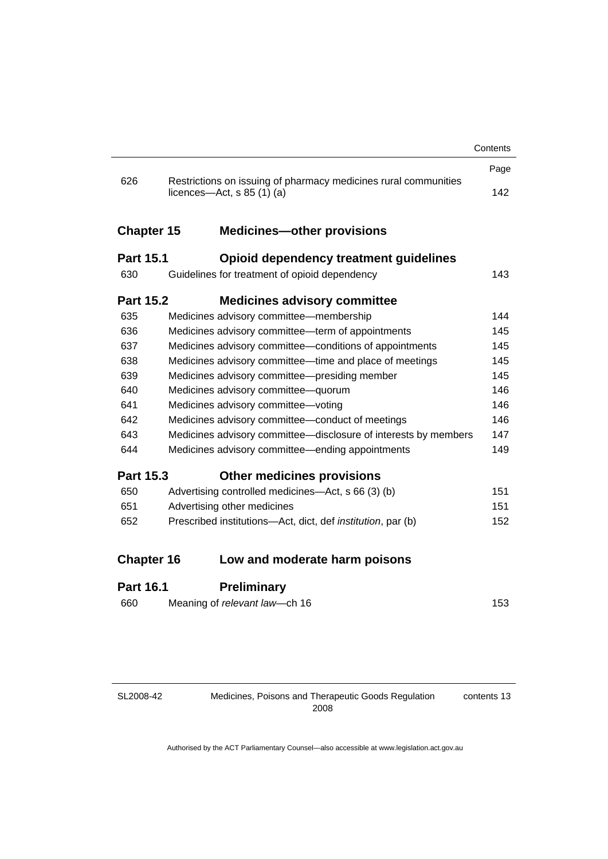|                   |                                                                                                 | Contents |
|-------------------|-------------------------------------------------------------------------------------------------|----------|
|                   |                                                                                                 | Page     |
| 626               | Restrictions on issuing of pharmacy medicines rural communities<br>licences—Act, $s$ 85 (1) (a) | 142      |
| <b>Chapter 15</b> | <b>Medicines-other provisions</b>                                                               |          |
| <b>Part 15.1</b>  | Opioid dependency treatment guidelines                                                          |          |
| 630               | Guidelines for treatment of opioid dependency                                                   | 143      |
| <b>Part 15.2</b>  | <b>Medicines advisory committee</b>                                                             |          |
| 635               | Medicines advisory committee-membership                                                         | 144      |
| 636               | Medicines advisory committee-term of appointments                                               | 145      |
| 637               | Medicines advisory committee-conditions of appointments                                         | 145      |
| 638               | Medicines advisory committee-time and place of meetings                                         | 145      |
| 639               | Medicines advisory committee—presiding member                                                   | 145      |
| 640               | Medicines advisory committee-quorum                                                             | 146      |
| 641               | Medicines advisory committee-voting                                                             | 146      |
| 642               | Medicines advisory committee-conduct of meetings                                                | 146      |
| 643               | Medicines advisory committee-disclosure of interests by members                                 | 147      |
| 644               | Medicines advisory committee—ending appointments                                                | 149      |
| <b>Part 15.3</b>  | <b>Other medicines provisions</b>                                                               |          |
| 650               | Advertising controlled medicines-Act, s 66 (3) (b)                                              | 151      |
| 651               | Advertising other medicines                                                                     | 151      |
| 652               | Prescribed institutions-Act, dict, def <i>institution</i> , par (b)                             | 152      |
| <b>Chapter 16</b> | Low and moderate harm poisons                                                                   |          |
| <b>Part 16.1</b>  | <b>Preliminary</b>                                                                              |          |
| 660               | Meaning of relevant law-ch 16                                                                   | 153      |

SL2008-42

contents 13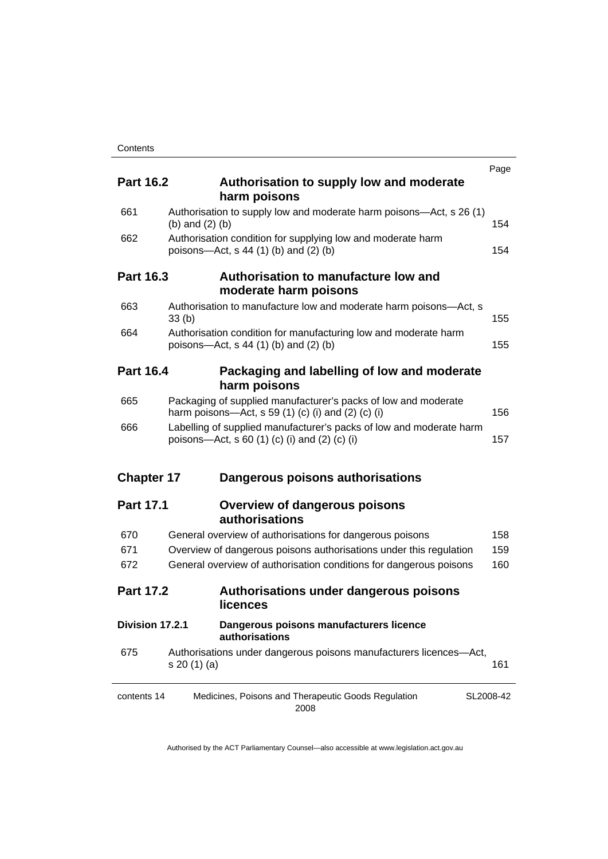|                   |                                                                                                                      | Page |
|-------------------|----------------------------------------------------------------------------------------------------------------------|------|
| <b>Part 16.2</b>  | Authorisation to supply low and moderate<br>harm poisons                                                             |      |
| 661               | Authorisation to supply low and moderate harm poisons-Act, s 26 (1)<br>(b) and $(2)$ (b)                             | 154  |
| 662               | Authorisation condition for supplying low and moderate harm<br>poisons-Act, $s$ 44 (1) (b) and (2) (b)               | 154  |
| <b>Part 16.3</b>  | Authorisation to manufacture low and<br>moderate harm poisons                                                        |      |
| 663               | Authorisation to manufacture low and moderate harm poisons-Act, s<br>33 <sub>(b)</sub>                               | 155  |
| 664               | Authorisation condition for manufacturing low and moderate harm<br>poisons-Act, $s$ 44 (1) (b) and (2) (b)           | 155  |
| <b>Part 16.4</b>  | Packaging and labelling of low and moderate<br>harm poisons                                                          |      |
| 665               | Packaging of supplied manufacturer's packs of low and moderate<br>harm poisons—Act, s 59 (1) (c) (i) and (2) (c) (i) | 156  |
| 666               | Labelling of supplied manufacturer's packs of low and moderate harm<br>poisons—Act, s 60 (1) (c) (i) and (2) (c) (i) | 157  |
| <b>Chapter 17</b> | Dangerous poisons authorisations                                                                                     |      |
| <b>Part 17.1</b>  | <b>Overview of dangerous poisons</b><br>authorisations                                                               |      |
| 670               | General overview of authorisations for dangerous poisons                                                             | 158  |
| 671               | Overview of dangerous poisons authorisations under this regulation                                                   | 159  |
| 672               | General overview of authorisation conditions for dangerous poisons                                                   | 160  |
| <b>Part 17.2</b>  | Authorisations under dangerous poisons<br>licences                                                                   |      |
| Division 17.2.1   | Dangerous poisons manufacturers licence<br>authorisations                                                            |      |
| 675               | Authorisations under dangerous poisons manufacturers licences-Act,<br>s 20 (1) (a)                                   | 161  |
| contents 14       | Medicines, Poisons and Therapeutic Goods Regulation<br>SL2008-42<br>2008                                             |      |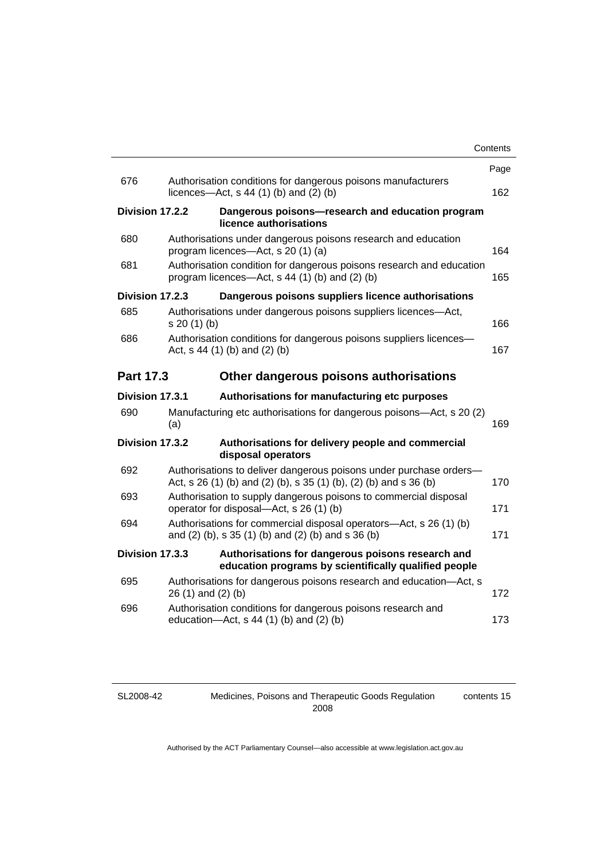|                  |                                                                                                                                         | Contents |
|------------------|-----------------------------------------------------------------------------------------------------------------------------------------|----------|
|                  |                                                                                                                                         | Page     |
| 676              | Authorisation conditions for dangerous poisons manufacturers<br>licences- $-\text{Act}$ , s 44 (1) (b) and (2) (b)                      | 162      |
| Division 17.2.2  | Dangerous poisons-research and education program<br>licence authorisations                                                              |          |
| 680              | Authorisations under dangerous poisons research and education<br>program licences—Act, s 20 (1) (a)                                     | 164      |
| 681              | Authorisation condition for dangerous poisons research and education<br>program licences—Act, $s$ 44 (1) (b) and (2) (b)                |          |
| Division 17.2.3  | Dangerous poisons suppliers licence authorisations                                                                                      |          |
| 685              | Authorisations under dangerous poisons suppliers licences-Act,<br>s 20(1)(b)                                                            | 166      |
| 686              | Authorisation conditions for dangerous poisons suppliers licences-<br>Act, $s$ 44 (1) (b) and (2) (b)                                   |          |
| <b>Part 17.3</b> | Other dangerous poisons authorisations                                                                                                  |          |
| Division 17.3.1  | Authorisations for manufacturing etc purposes                                                                                           |          |
| 690              | Manufacturing etc authorisations for dangerous poisons-Act, s 20 (2)<br>(a)                                                             | 169      |
| Division 17.3.2  | Authorisations for delivery people and commercial<br>disposal operators                                                                 |          |
| 692              | Authorisations to deliver dangerous poisons under purchase orders-<br>Act, s 26 (1) (b) and (2) (b), s 35 (1) (b), (2) (b) and s 36 (b) | 170      |
| 693              | Authorisation to supply dangerous poisons to commercial disposal<br>operator for disposal—Act, s 26 (1) (b)                             |          |
| 694              | Authorisations for commercial disposal operators-Act, s 26 (1) (b)<br>and (2) (b), s 35 (1) (b) and (2) (b) and s 36 (b)                |          |
| Division 17.3.3  | Authorisations for dangerous poisons research and<br>education programs by scientifically qualified people                              |          |
| 695              | Authorisations for dangerous poisons research and education-Act, s<br>$26(1)$ and $(2)(b)$                                              | 172      |
| 696              | Authorisation conditions for dangerous poisons research and<br>education- $Act$ , s 44 (1) (b) and (2) (b)                              | 173      |
|                  |                                                                                                                                         |          |

SL2008-42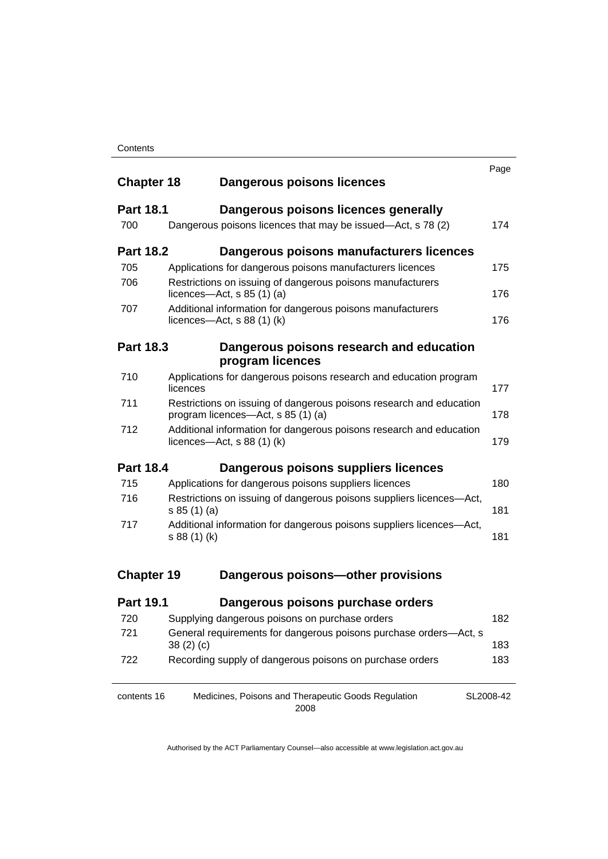|                   |                                                                                                           | Page      |  |  |
|-------------------|-----------------------------------------------------------------------------------------------------------|-----------|--|--|
| <b>Chapter 18</b> | <b>Dangerous poisons licences</b>                                                                         |           |  |  |
| <b>Part 18.1</b>  | Dangerous poisons licences generally                                                                      |           |  |  |
| 700               | Dangerous poisons licences that may be issued-Act, s 78 (2)                                               | 174       |  |  |
| <b>Part 18.2</b>  | Dangerous poisons manufacturers licences                                                                  |           |  |  |
| 705               | Applications for dangerous poisons manufacturers licences                                                 | 175       |  |  |
| 706               | Restrictions on issuing of dangerous poisons manufacturers<br>licences—Act, $s$ 85 (1) (a)                | 176       |  |  |
| 707               | Additional information for dangerous poisons manufacturers<br>licences—Act, $s$ 88 (1) (k)                |           |  |  |
| <b>Part 18.3</b>  | Dangerous poisons research and education<br>program licences                                              |           |  |  |
| 710               | Applications for dangerous poisons research and education program<br>licences                             | 177       |  |  |
| 711               | Restrictions on issuing of dangerous poisons research and education<br>program licences—Act, s 85 (1) (a) |           |  |  |
| 712               | Additional information for dangerous poisons research and education<br>licences—Act, $s$ 88 (1) (k)       |           |  |  |
| <b>Part 18.4</b>  | Dangerous poisons suppliers licences                                                                      |           |  |  |
| 715               | Applications for dangerous poisons suppliers licences                                                     | 180       |  |  |
| 716               | Restrictions on issuing of dangerous poisons suppliers licences-Act,<br>s 85 (1) (a)                      | 181       |  |  |
| 717               | Additional information for dangerous poisons suppliers licences-Act,<br>s 88 (1) (k)                      | 181       |  |  |
| <b>Chapter 19</b> | Dangerous poisons-other provisions                                                                        |           |  |  |
| <b>Part 19.1</b>  | Dangerous poisons purchase orders                                                                         |           |  |  |
| 720               | Supplying dangerous poisons on purchase orders                                                            | 182       |  |  |
| 721               | General requirements for dangerous poisons purchase orders-Act, s<br>38(2)(c)                             | 183       |  |  |
| 722               | Recording supply of dangerous poisons on purchase orders                                                  | 183       |  |  |
| contents 16       | Medicines, Poisons and Therapeutic Goods Regulation                                                       | SL2008-42 |  |  |

2008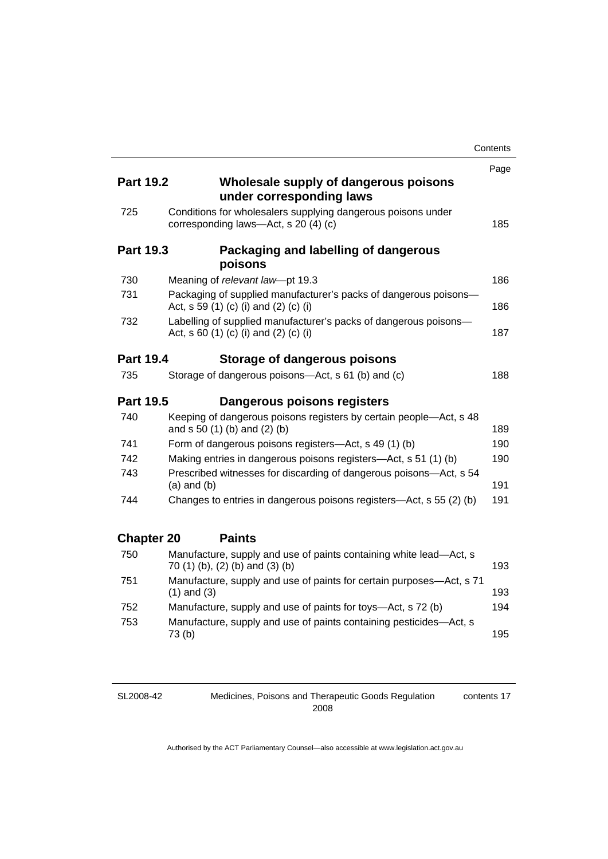|                   |                                                                                                           | Contents |
|-------------------|-----------------------------------------------------------------------------------------------------------|----------|
|                   |                                                                                                           | Page     |
| <b>Part 19.2</b>  | Wholesale supply of dangerous poisons<br>under corresponding laws                                         |          |
| 725               | Conditions for wholesalers supplying dangerous poisons under<br>corresponding laws-Act, s 20 (4) (c)      | 185      |
| <b>Part 19.3</b>  | Packaging and labelling of dangerous<br>poisons                                                           |          |
| 730               | Meaning of relevant law-pt 19.3                                                                           | 186      |
| 731               | Packaging of supplied manufacturer's packs of dangerous poisons-<br>Act, s 59 (1) (c) (i) and (2) (c) (i) | 186      |
| 732               | Labelling of supplied manufacturer's packs of dangerous poisons-<br>Act, s 60 (1) (c) (i) and (2) (c) (i) | 187      |
| <b>Part 19.4</b>  | Storage of dangerous poisons                                                                              |          |
| 735               | Storage of dangerous poisons-Act, s 61 (b) and (c)                                                        | 188      |
| <b>Part 19.5</b>  | Dangerous poisons registers                                                                               |          |
| 740               | Keeping of dangerous poisons registers by certain people-Act, s 48<br>and s 50 (1) (b) and (2) (b)        | 189      |
| 741               | Form of dangerous poisons registers-Act, s 49 (1) (b)                                                     | 190      |
| 742               | Making entries in dangerous poisons registers-Act, s 51 (1) (b)                                           | 190      |
| 743               | Prescribed witnesses for discarding of dangerous poisons-Act, s 54<br>$(a)$ and $(b)$                     | 191      |
| 744               | Changes to entries in dangerous poisons registers—Act, s 55 (2) (b)                                       | 191      |
| <b>Chapter 20</b> | <b>Paints</b>                                                                                             |          |
| 750               | Manufacture, supply and use of paints containing white lead-Act, s<br>70 (1) (b), (2) (b) and (3) (b)     | 193      |
| 751               | Manufacture, supply and use of paints for certain purposes-Act, s 71<br>$(1)$ and $(3)$                   | 193      |
| 752               | Manufacture, supply and use of paints for toys-Act, s 72 (b)                                              | 194      |
| 753               | Manufacture, supply and use of paints containing pesticides-Act, s<br>73(b)                               | 195      |

SL2008-42

Medicines, Poisons and Therapeutic Goods Regulation 2008 contents 17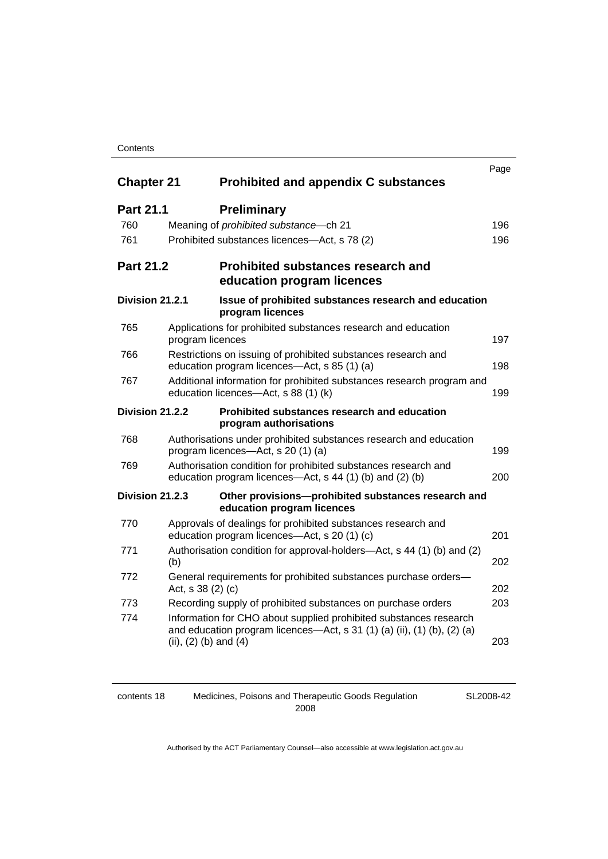#### **Contents**

| <b>Chapter 21</b> | <b>Prohibited and appendix C substances</b>                                                                                                                               |  | Page |
|-------------------|---------------------------------------------------------------------------------------------------------------------------------------------------------------------------|--|------|
|                   |                                                                                                                                                                           |  |      |
| <b>Part 21.1</b>  | <b>Preliminary</b>                                                                                                                                                        |  |      |
| 760               | Meaning of prohibited substance-ch 21                                                                                                                                     |  | 196  |
| 761               | Prohibited substances licences-Act, s 78 (2)                                                                                                                              |  | 196  |
| <b>Part 21.2</b>  | <b>Prohibited substances research and</b><br>education program licences                                                                                                   |  |      |
| Division 21.2.1   | Issue of prohibited substances research and education<br>program licences                                                                                                 |  |      |
| 765               | Applications for prohibited substances research and education<br>program licences                                                                                         |  | 197  |
| 766               | Restrictions on issuing of prohibited substances research and<br>education program licences-Act, s 85 (1) (a)                                                             |  |      |
| 767               | Additional information for prohibited substances research program and<br>education licences-Act, s 88 (1) (k)                                                             |  |      |
| Division 21.2.2   | Prohibited substances research and education<br>program authorisations                                                                                                    |  |      |
| 768               | Authorisations under prohibited substances research and education<br>program licences—Act, s 20 (1) (a)                                                                   |  | 199  |
| 769               | Authorisation condition for prohibited substances research and<br>education program licences—Act, s 44 (1) (b) and (2) (b)                                                |  | 200  |
| Division 21.2.3   | Other provisions-prohibited substances research and<br>education program licences                                                                                         |  |      |
| 770               | Approvals of dealings for prohibited substances research and<br>education program licences—Act, s 20 (1) (c)                                                              |  | 201  |
| 771               | Authorisation condition for approval-holders—Act, s 44 (1) (b) and (2)<br>(b)                                                                                             |  | 202  |
| 772               | General requirements for prohibited substances purchase orders-<br>Act, s 38 (2) (c)                                                                                      |  | 202  |
| 773               | Recording supply of prohibited substances on purchase orders                                                                                                              |  | 203  |
| 774               | Information for CHO about supplied prohibited substances research<br>and education program licences—Act, s 31 (1) (a) (ii), (1) (b), (2) (a)<br>(ii), $(2)$ (b) and $(4)$ |  | 203  |

contents 18 Medicines, Poisons and Therapeutic Goods Regulation 2008

SL2008-42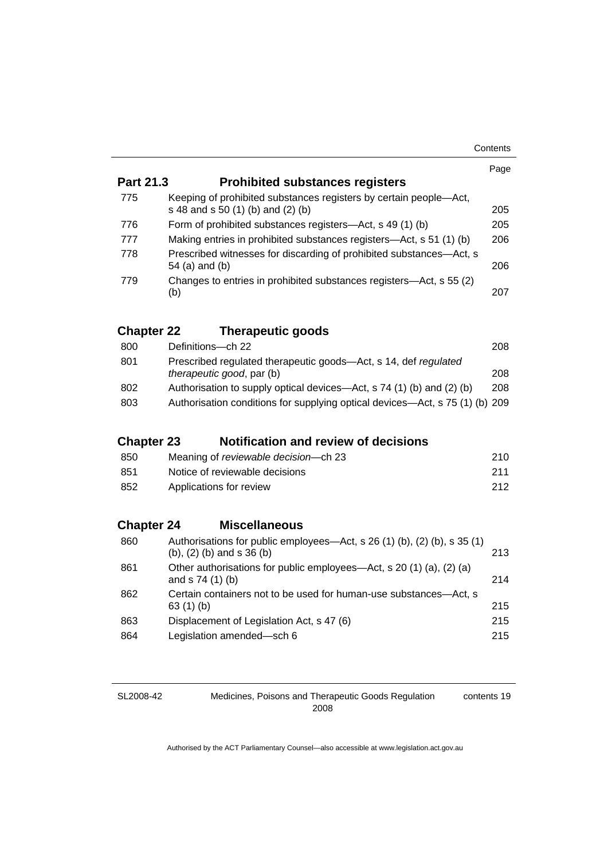| Contents |
|----------|
|----------|

|                   |                                                                                                                | Page |  |
|-------------------|----------------------------------------------------------------------------------------------------------------|------|--|
| <b>Part 21.3</b>  | <b>Prohibited substances registers</b>                                                                         |      |  |
| 775               | Keeping of prohibited substances registers by certain people-Act,<br>s 48 and s 50 (1) (b) and (2) (b)         | 205  |  |
| 776               | Form of prohibited substances registers-Act, s 49 (1) (b)                                                      | 205  |  |
| 777               | Making entries in prohibited substances registers-Act, s 51 (1) (b)                                            | 206  |  |
| 778               | Prescribed witnesses for discarding of prohibited substances—Act, s<br>54 (a) and (b)                          | 206  |  |
| 779               | Changes to entries in prohibited substances registers—Act, s 55 (2)<br>(b)                                     | 207  |  |
| <b>Chapter 22</b> | <b>Therapeutic goods</b>                                                                                       |      |  |
| 800               | Definitions-ch 22                                                                                              | 208  |  |
| 801               | Prescribed regulated therapeutic goods-Act, s 14, def regulated<br>therapeutic good, par (b)                   | 208  |  |
| 802               | Authorisation to supply optical devices—Act, s 74 (1) (b) and (2) (b)                                          | 208  |  |
| 803               | Authorisation conditions for supplying optical devices—Act, s 75 (1) (b) 209                                   |      |  |
| <b>Chapter 23</b> | <b>Notification and review of decisions</b>                                                                    |      |  |
| 850               | Meaning of reviewable decision-ch 23                                                                           | 210  |  |
| 851               | Notice of reviewable decisions                                                                                 | 211  |  |
| 852               | Applications for review                                                                                        |      |  |
| <b>Chapter 24</b> | <b>Miscellaneous</b>                                                                                           |      |  |
| 860               | Authorisations for public employees-Act, s 26 (1) (b), (2) (b), s 35 (1)<br>$(b)$ , $(2)$ $(b)$ and s 36 $(b)$ | 213  |  |
| 861               | Other authorisations for public employees—Act, s 20 (1) (a), (2) (a)<br>and s 74 (1) (b)                       | 214  |  |
| 862               | Certain containers not to be used for human-use substances-Act, s<br>63(1)(b)                                  | 215  |  |
| 863               | Displacement of Legislation Act, s 47 (6)                                                                      | 215  |  |
| 864               | Legislation amended-sch 6                                                                                      | 215  |  |

Medicines, Poisons and Therapeutic Goods Regulation 2008

contents 19

SL2008-42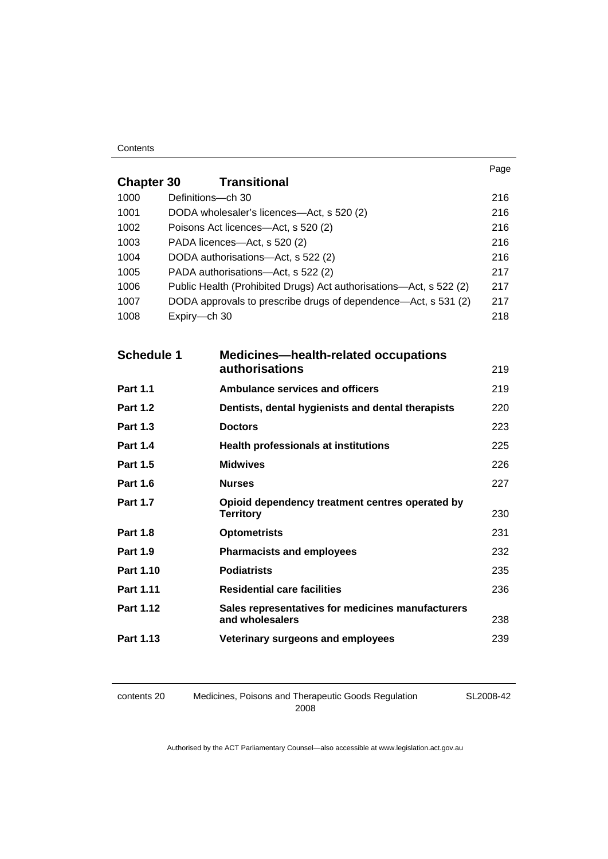#### **Contents**

|                   |                   |                                                                      | Page |
|-------------------|-------------------|----------------------------------------------------------------------|------|
| <b>Chapter 30</b> |                   | <b>Transitional</b>                                                  |      |
| 1000              | Definitions-ch 30 |                                                                      | 216  |
| 1001              |                   | DODA wholesaler's licences-Act, s 520 (2)                            | 216  |
| 1002              |                   | Poisons Act licences-Act, s 520 (2)                                  | 216  |
| 1003              |                   | PADA licences-Act, s 520 (2)                                         | 216  |
| 1004              |                   | DODA authorisations-Act, s 522 (2)                                   | 216  |
| 1005              |                   | PADA authorisations-Act, s 522 (2)                                   | 217  |
| 1006              |                   | Public Health (Prohibited Drugs) Act authorisations-Act, s 522 (2)   | 217  |
| 1007              |                   | DODA approvals to prescribe drugs of dependence—Act, s 531 (2)       | 217  |
| 1008              | Expiry-ch 30      |                                                                      | 218  |
|                   |                   |                                                                      |      |
| <b>Schedule 1</b> |                   | <b>Medicines—health-related occupations</b>                          |      |
|                   |                   | authorisations                                                       | 219  |
| <b>Part 1.1</b>   |                   | <b>Ambulance services and officers</b>                               | 219  |
| <b>Part 1.2</b>   |                   | Dentists, dental hygienists and dental therapists                    | 220  |
| <b>Part 1.3</b>   |                   | <b>Doctors</b>                                                       | 223  |
| <b>Part 1.4</b>   |                   | <b>Health professionals at institutions</b>                          | 225  |
| <b>Part 1.5</b>   |                   | <b>Midwives</b>                                                      | 226  |
| <b>Part 1.6</b>   |                   | <b>Nurses</b>                                                        | 227  |
| <b>Part 1.7</b>   |                   | Opioid dependency treatment centres operated by<br><b>Territory</b>  | 230  |
| <b>Part 1.8</b>   |                   | <b>Optometrists</b>                                                  | 231  |
| <b>Part 1.9</b>   |                   | <b>Pharmacists and employees</b>                                     | 232  |
| Part 1.10         |                   | <b>Podiatrists</b>                                                   | 235  |
| Part 1.11         |                   | <b>Residential care facilities</b>                                   | 236  |
| Part 1.12         |                   | Sales representatives for medicines manufacturers<br>and wholesalers | 238  |
| Part 1.13         |                   | Veterinary surgeons and employees                                    | 239  |

contents 20 Medicines, Poisons and Therapeutic Goods Regulation 2008

SL2008-42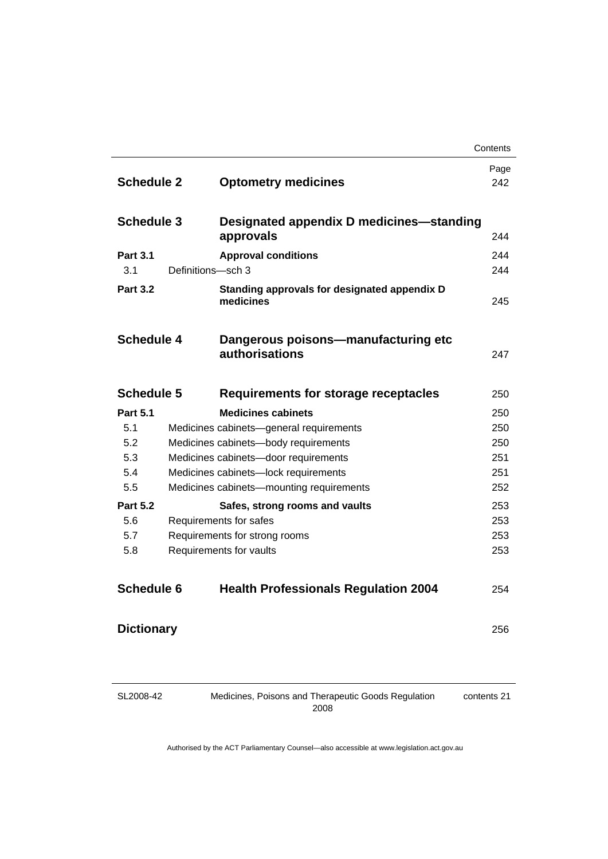|                        |                   |                                                           | Contents    |
|------------------------|-------------------|-----------------------------------------------------------|-------------|
| <b>Schedule 2</b>      |                   | <b>Optometry medicines</b>                                | Page<br>242 |
|                        |                   |                                                           |             |
| <b>Schedule 3</b>      |                   | Designated appendix D medicines-standing<br>approvals     | 244         |
| <b>Part 3.1</b>        |                   | <b>Approval conditions</b>                                | 244         |
| 3.1                    | Definitions-sch 3 |                                                           | 244         |
| <b>Part 3.2</b>        |                   | Standing approvals for designated appendix D<br>medicines | 245         |
| <b>Schedule 4</b>      |                   | Dangerous poisons-manufacturing etc<br>authorisations     | 247         |
| <b>Schedule 5</b>      |                   | <b>Requirements for storage receptacles</b>               | 250         |
| <b>Part 5.1</b>        |                   | <b>Medicines cabinets</b>                                 | 250         |
| 5.1                    |                   | Medicines cabinets-general requirements                   | 250         |
| 5.2                    |                   | Medicines cabinets-body requirements                      | 250         |
| 5.3                    |                   | Medicines cabinets-door requirements                      | 251         |
| 5.4<br>5.5             |                   | Medicines cabinets-lock requirements                      | 251<br>252  |
|                        |                   | Medicines cabinets-mounting requirements                  |             |
| <b>Part 5.2</b><br>5.6 |                   | Safes, strong rooms and vaults                            | 253<br>253  |
| 5.7                    |                   | Requirements for safes<br>Requirements for strong rooms   | 253         |
| 5.8                    |                   | Requirements for vaults                                   | 253         |
|                        |                   |                                                           |             |
| <b>Schedule 6</b>      |                   | <b>Health Professionals Regulation 2004</b>               | 254         |
| <b>Dictionary</b>      |                   |                                                           | 256         |
|                        |                   |                                                           |             |

SL2008-42

Medicines, Poisons and Therapeutic Goods Regulation 2008

contents 21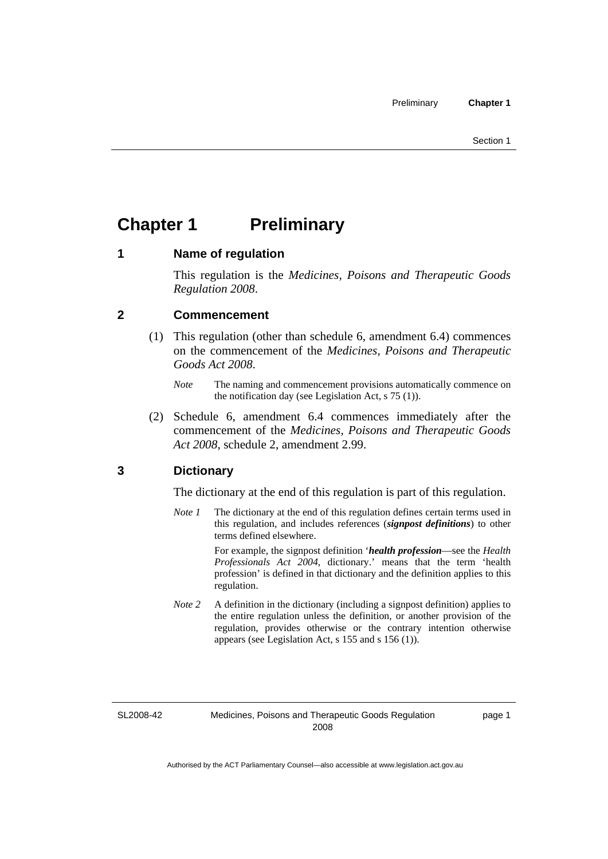## <span id="page-24-0"></span>**Chapter 1** Preliminary

#### **1 Name of regulation**

This regulation is the *Medicines, Poisons and Therapeutic Goods Regulation 2008*.

### **2 Commencement**

- (1) This regulation (other than schedule 6, amendment 6.4) commences on the commencement of the *Medicines, Poisons and Therapeutic Goods Act 2008*.
	- *Note* The naming and commencement provisions automatically commence on the notification day (see Legislation Act, s 75 (1)).
- (2) Schedule 6, amendment 6.4 commences immediately after the commencement of the *Medicines, Poisons and Therapeutic Goods Act 2008*, schedule 2, amendment 2.99.

### **3 Dictionary**

The dictionary at the end of this regulation is part of this regulation.

*Note 1* The dictionary at the end of this regulation defines certain terms used in this regulation, and includes references (*signpost definitions*) to other terms defined elsewhere.

> For example, the signpost definition '*health profession*—see the *Health Professionals Act 2004*, dictionary.' means that the term 'health profession' is defined in that dictionary and the definition applies to this regulation.

*Note 2* A definition in the dictionary (including a signpost definition) applies to the entire regulation unless the definition, or another provision of the regulation, provides otherwise or the contrary intention otherwise appears (see Legislation Act, s 155 and s 156 (1)).

SL2008-42

page 1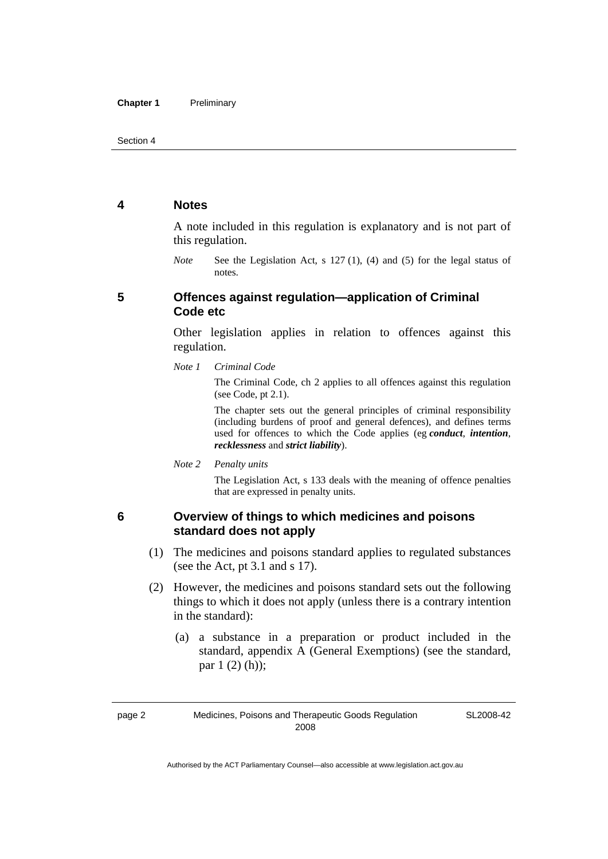#### <span id="page-25-0"></span>**4 Notes**

A note included in this regulation is explanatory and is not part of this regulation.

*Note* See the Legislation Act, s 127 (1), (4) and (5) for the legal status of notes.

### **5 Offences against regulation—application of Criminal Code etc**

Other legislation applies in relation to offences against this regulation.

*Note 1 Criminal Code*

The Criminal Code, ch 2 applies to all offences against this regulation (see Code, pt 2.1).

The chapter sets out the general principles of criminal responsibility (including burdens of proof and general defences), and defines terms used for offences to which the Code applies (eg *conduct*, *intention*, *recklessness* and *strict liability*).

*Note 2 Penalty units* 

The Legislation Act, s 133 deals with the meaning of offence penalties that are expressed in penalty units.

#### **6 Overview of things to which medicines and poisons standard does not apply**

- (1) The medicines and poisons standard applies to regulated substances (see the Act, pt 3.1 and s 17).
- (2) However, the medicines and poisons standard sets out the following things to which it does not apply (unless there is a contrary intention in the standard):
	- (a) a substance in a preparation or product included in the standard, appendix A (General Exemptions) (see the standard, par 1 (2) (h));

SL2008-42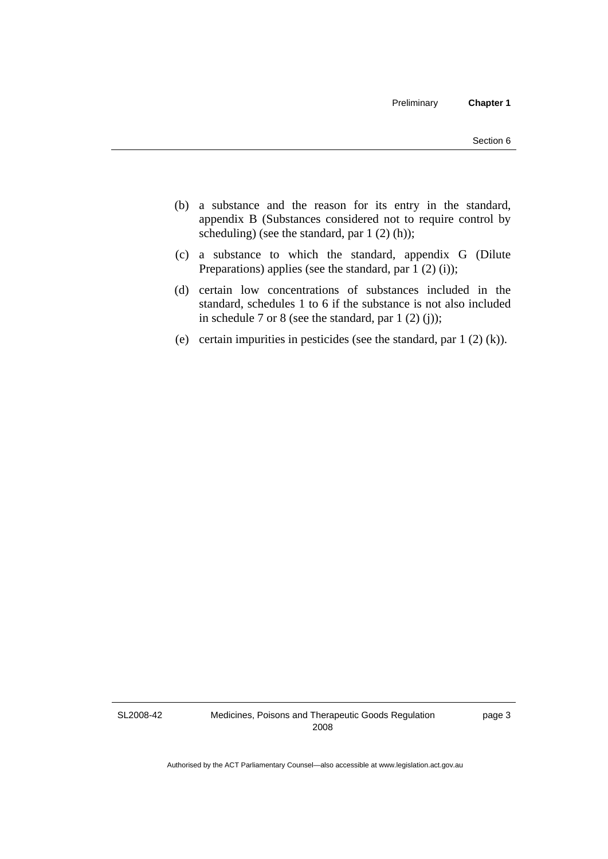- (b) a substance and the reason for its entry in the standard, appendix B (Substances considered not to require control by scheduling) (see the standard, par  $1(2)(h)$ );
- (c) a substance to which the standard, appendix G (Dilute Preparations) applies (see the standard, par  $1(2)(i)$ );
- (d) certain low concentrations of substances included in the standard, schedules 1 to 6 if the substance is not also included in schedule 7 or 8 (see the standard, par  $1(2)(i)$ );
- (e) certain impurities in pesticides (see the standard, par  $1(2)(k)$ ).

SL2008-42

Medicines, Poisons and Therapeutic Goods Regulation 2008

page 3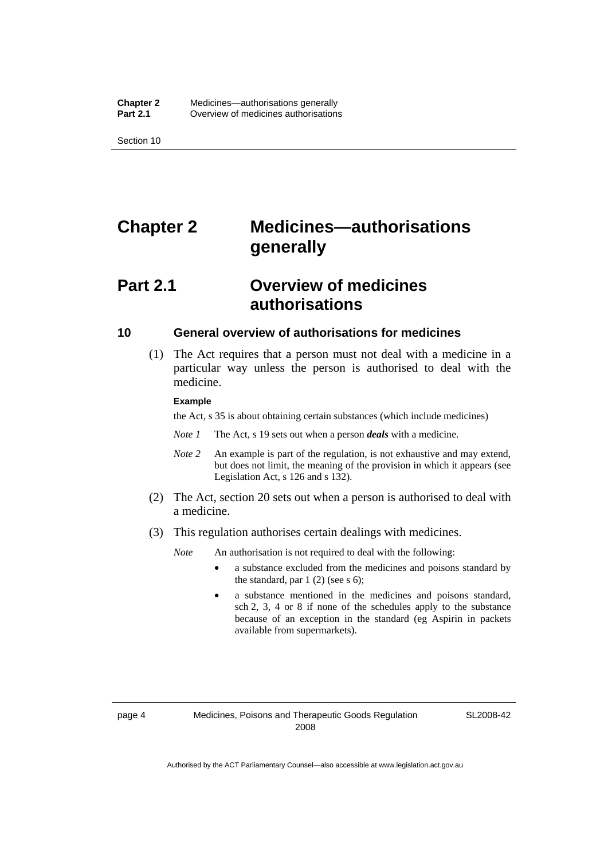<span id="page-27-0"></span>Section 10

## **Chapter 2 Medicines—authorisations generally**

## **Part 2.1 Overview of medicines authorisations**

#### **10 General overview of authorisations for medicines**

 (1) The Act requires that a person must not deal with a medicine in a particular way unless the person is authorised to deal with the medicine.

#### **Example**

the Act, s 35 is about obtaining certain substances (which include medicines)

- *Note 1* The Act, s 19 sets out when a person *deals* with a medicine.
- *Note 2* An example is part of the regulation, is not exhaustive and may extend, but does not limit, the meaning of the provision in which it appears (see Legislation Act, s 126 and s 132).
- (2) The Act, section 20 sets out when a person is authorised to deal with a medicine.
- (3) This regulation authorises certain dealings with medicines.

*Note* An authorisation is not required to deal with the following:

- a substance excluded from the medicines and poisons standard by the standard, par  $1(2)$  (see s 6);
- a substance mentioned in the medicines and poisons standard, sch 2, 3, 4 or 8 if none of the schedules apply to the substance because of an exception in the standard (eg Aspirin in packets available from supermarkets).

SL2008-42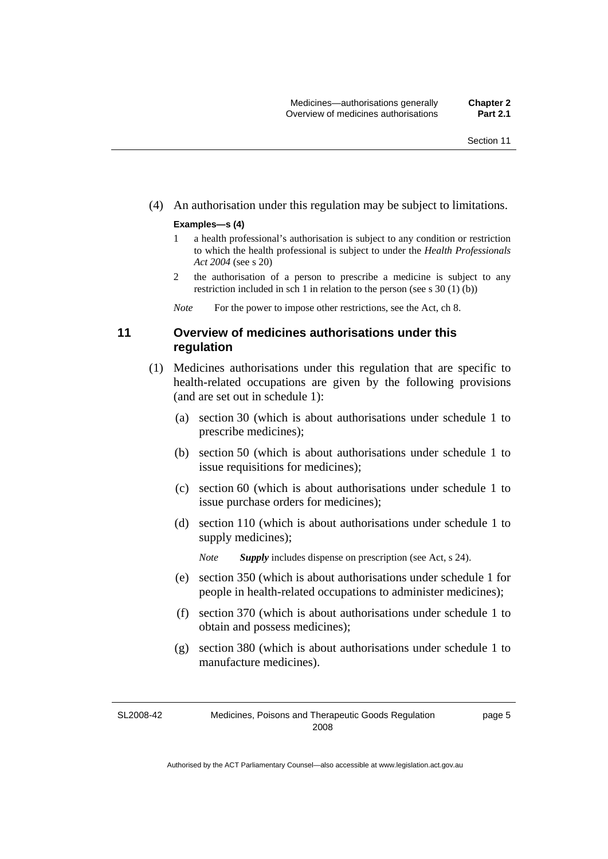#### <span id="page-28-0"></span>(4) An authorisation under this regulation may be subject to limitations.

#### **Examples—s (4)**

- 1 a health professional's authorisation is subject to any condition or restriction to which the health professional is subject to under the *Health Professionals Act 2004* (see s 20)
- 2 the authorisation of a person to prescribe a medicine is subject to any restriction included in sch 1 in relation to the person (see s 30 (1) (b))

*Note* For the power to impose other restrictions, see the Act, ch 8.

### **11 Overview of medicines authorisations under this regulation**

- (1) Medicines authorisations under this regulation that are specific to health-related occupations are given by the following provisions (and are set out in schedule 1):
	- (a) section 30 (which is about authorisations under schedule 1 to prescribe medicines);
	- (b) section 50 (which is about authorisations under schedule 1 to issue requisitions for medicines);
	- (c) section 60 (which is about authorisations under schedule 1 to issue purchase orders for medicines);
	- (d) section 110 (which is about authorisations under schedule 1 to supply medicines);

*Note Supply* includes dispense on prescription (see Act, s 24).

- (e) section 350 (which is about authorisations under schedule 1 for people in health-related occupations to administer medicines);
- (f) section 370 (which is about authorisations under schedule 1 to obtain and possess medicines);
- (g) section 380 (which is about authorisations under schedule 1 to manufacture medicines).

SL2008-42

page 5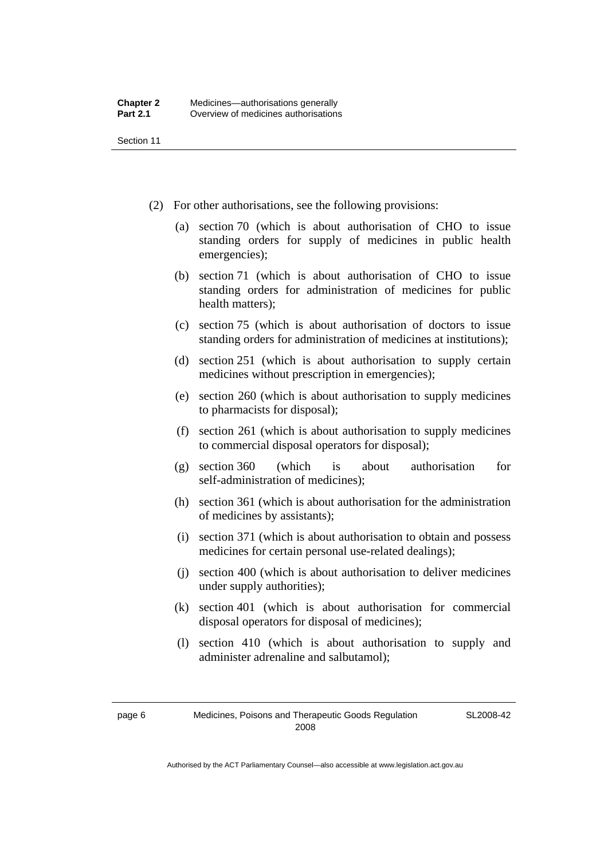Section 11

- (2) For other authorisations, see the following provisions:
	- (a) section 70 (which is about authorisation of CHO to issue standing orders for supply of medicines in public health emergencies);
	- (b) section 71 (which is about authorisation of CHO to issue standing orders for administration of medicines for public health matters);
	- (c) section 75 (which is about authorisation of doctors to issue standing orders for administration of medicines at institutions);
	- (d) section 251 (which is about authorisation to supply certain medicines without prescription in emergencies);
	- (e) section 260 (which is about authorisation to supply medicines to pharmacists for disposal);
	- (f) section 261 (which is about authorisation to supply medicines to commercial disposal operators for disposal);
	- (g) section 360 (which is about authorisation for self-administration of medicines);
	- (h) section 361 (which is about authorisation for the administration of medicines by assistants);
	- (i) section 371 (which is about authorisation to obtain and possess medicines for certain personal use-related dealings);
	- (j) section 400 (which is about authorisation to deliver medicines under supply authorities);
	- (k) section 401 (which is about authorisation for commercial disposal operators for disposal of medicines);
	- (l) section 410 (which is about authorisation to supply and administer adrenaline and salbutamol);

SL2008-42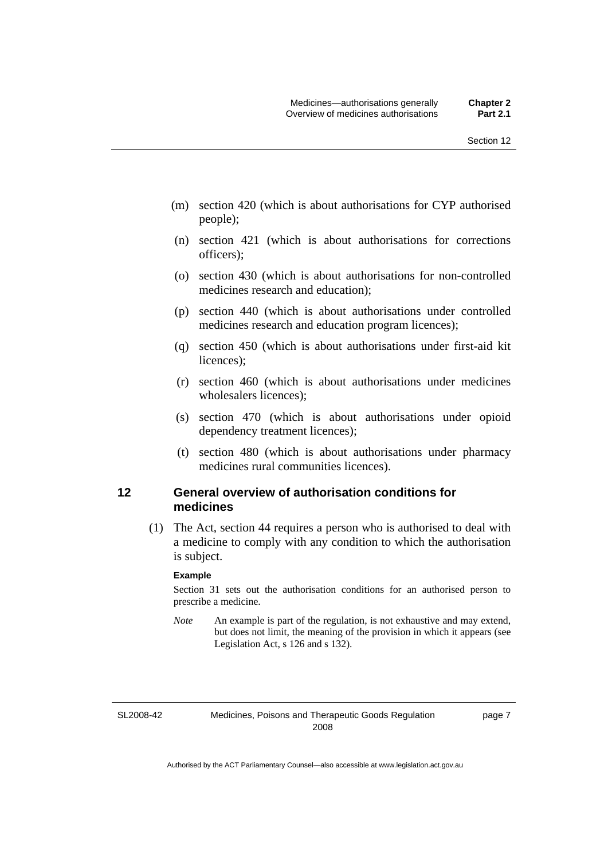- <span id="page-30-0"></span> (m) section 420 (which is about authorisations for CYP authorised people);
- (n) section 421 (which is about authorisations for corrections officers);
- (o) section 430 (which is about authorisations for non-controlled medicines research and education);
- (p) section 440 (which is about authorisations under controlled medicines research and education program licences);
- (q) section 450 (which is about authorisations under first-aid kit licences);
- (r) section 460 (which is about authorisations under medicines wholesalers licences);
- (s) section 470 (which is about authorisations under opioid dependency treatment licences);
- (t) section 480 (which is about authorisations under pharmacy medicines rural communities licences).

### **12 General overview of authorisation conditions for medicines**

 (1) The Act, section 44 requires a person who is authorised to deal with a medicine to comply with any condition to which the authorisation is subject.

#### **Example**

Section 31 sets out the authorisation conditions for an authorised person to prescribe a medicine.

*Note* An example is part of the regulation, is not exhaustive and may extend, but does not limit, the meaning of the provision in which it appears (see Legislation Act, s 126 and s 132).

SL2008-42

page 7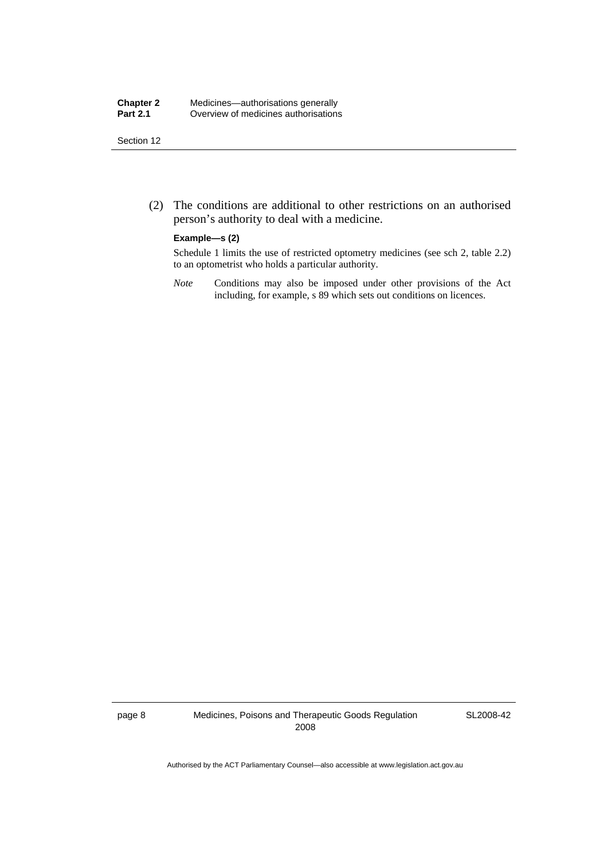#### **Chapter 2** Medicines—authorisations generally<br>**Part 2.1** Overview of medicines authorisations **Part 2.1** Overview of medicines authorisations

Section 12

 (2) The conditions are additional to other restrictions on an authorised person's authority to deal with a medicine.

#### **Example—s (2)**

Schedule 1 limits the use of restricted optometry medicines (see sch 2, table 2.2) to an optometrist who holds a particular authority.

*Note* Conditions may also be imposed under other provisions of the Act including, for example, s 89 which sets out conditions on licences.

page 8 Medicines, Poisons and Therapeutic Goods Regulation 2008

SL2008-42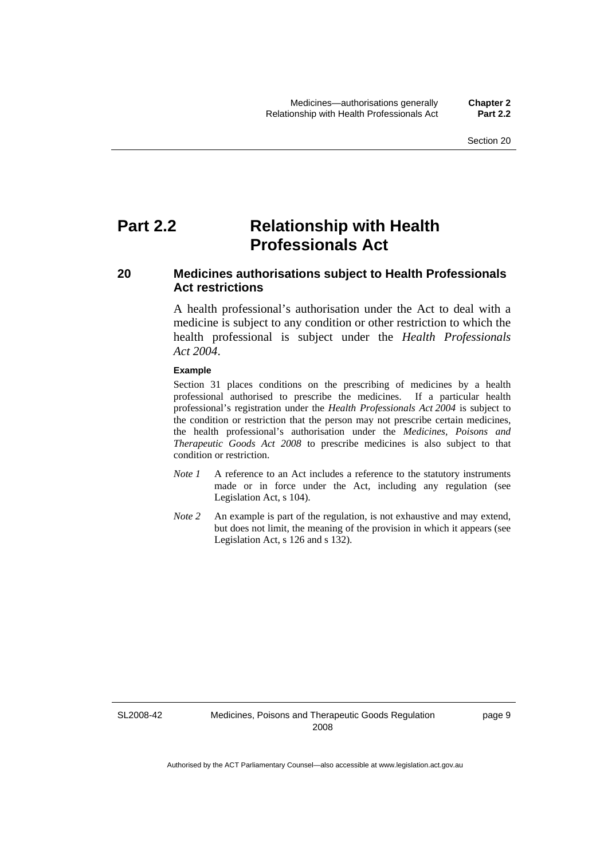## <span id="page-32-0"></span>**Part 2.2 Relationship with Health Professionals Act**

### **20 Medicines authorisations subject to Health Professionals Act restrictions**

A health professional's authorisation under the Act to deal with a medicine is subject to any condition or other restriction to which the health professional is subject under the *Health Professionals Act 2004*.

#### **Example**

Section 31 places conditions on the prescribing of medicines by a health professional authorised to prescribe the medicines. If a particular health professional's registration under the *Health Professionals Act 2004* is subject to the condition or restriction that the person may not prescribe certain medicines, the health professional's authorisation under the *Medicines, Poisons and Therapeutic Goods Act 2008* to prescribe medicines is also subject to that condition or restriction.

- *Note 1* A reference to an Act includes a reference to the statutory instruments made or in force under the Act, including any regulation (see Legislation Act, s 104).
- *Note 2* An example is part of the regulation, is not exhaustive and may extend, but does not limit, the meaning of the provision in which it appears (see Legislation Act, s 126 and s 132).

SL2008-42

page 9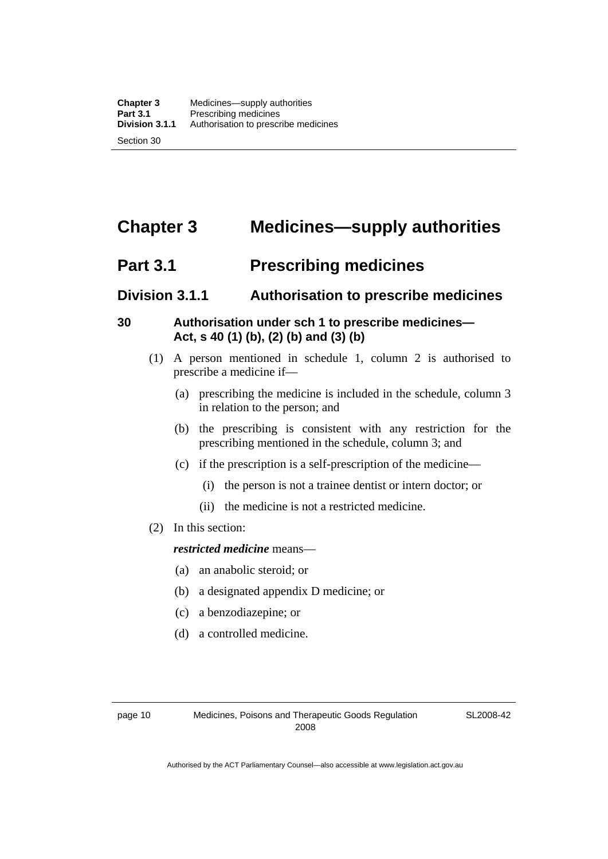## <span id="page-33-0"></span>**Chapter 3 Medicines—supply authorities**

## **Part 3.1** Prescribing medicines

## **Division 3.1.1 Authorisation to prescribe medicines**

## **30 Authorisation under sch 1 to prescribe medicines— Act, s 40 (1) (b), (2) (b) and (3) (b)**

- (1) A person mentioned in schedule 1, column 2 is authorised to prescribe a medicine if—
	- (a) prescribing the medicine is included in the schedule, column 3 in relation to the person; and
	- (b) the prescribing is consistent with any restriction for the prescribing mentioned in the schedule, column 3; and
	- (c) if the prescription is a self-prescription of the medicine—
		- (i) the person is not a trainee dentist or intern doctor; or
		- (ii) the medicine is not a restricted medicine.
- (2) In this section:

#### *restricted medicine* means—

- (a) an anabolic steroid; or
- (b) a designated appendix D medicine; or
- (c) a benzodiazepine; or
- (d) a controlled medicine.

SL2008-42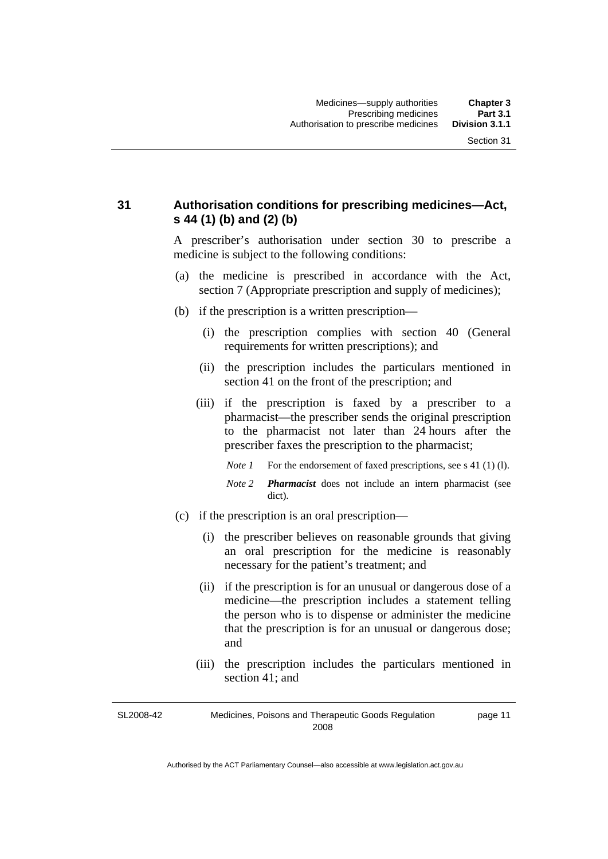### <span id="page-34-0"></span>**31 Authorisation conditions for prescribing medicines—Act, s 44 (1) (b) and (2) (b)**

A prescriber's authorisation under section 30 to prescribe a medicine is subject to the following conditions:

- (a) the medicine is prescribed in accordance with the Act, section 7 (Appropriate prescription and supply of medicines);
- (b) if the prescription is a written prescription—
	- (i) the prescription complies with section 40 (General requirements for written prescriptions); and
	- (ii) the prescription includes the particulars mentioned in section 41 on the front of the prescription; and
	- (iii) if the prescription is faxed by a prescriber to a pharmacist—the prescriber sends the original prescription to the pharmacist not later than 24 hours after the prescriber faxes the prescription to the pharmacist;
		- *Note 1* For the endorsement of faxed prescriptions, see s 41 (1) (1).
		- *Note 2 Pharmacist* does not include an intern pharmacist (see dict).
- (c) if the prescription is an oral prescription—
	- (i) the prescriber believes on reasonable grounds that giving an oral prescription for the medicine is reasonably necessary for the patient's treatment; and
	- (ii) if the prescription is for an unusual or dangerous dose of a medicine—the prescription includes a statement telling the person who is to dispense or administer the medicine that the prescription is for an unusual or dangerous dose; and
	- (iii) the prescription includes the particulars mentioned in section 41; and

SL2008-42 Medicines, Poisons and Therapeutic Goods Regulation 2008 page 11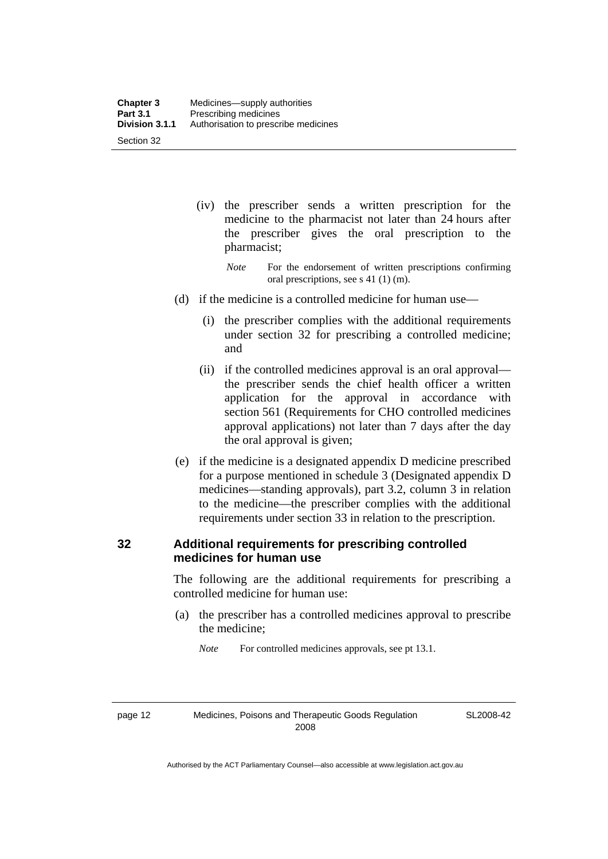- <span id="page-35-0"></span> (iv) the prescriber sends a written prescription for the medicine to the pharmacist not later than 24 hours after the prescriber gives the oral prescription to the pharmacist;
	- *Note* For the endorsement of written prescriptions confirming oral prescriptions, see s 41 (1) (m).
- (d) if the medicine is a controlled medicine for human use—
	- (i) the prescriber complies with the additional requirements under section 32 for prescribing a controlled medicine; and
	- (ii) if the controlled medicines approval is an oral approval the prescriber sends the chief health officer a written application for the approval in accordance with section 561 (Requirements for CHO controlled medicines approval applications) not later than 7 days after the day the oral approval is given;
- (e) if the medicine is a designated appendix D medicine prescribed for a purpose mentioned in schedule 3 (Designated appendix D medicines—standing approvals), part 3.2, column 3 in relation to the medicine—the prescriber complies with the additional requirements under section 33 in relation to the prescription.

### **32 Additional requirements for prescribing controlled medicines for human use**

The following are the additional requirements for prescribing a controlled medicine for human use:

 (a) the prescriber has a controlled medicines approval to prescribe the medicine;

*Note* For controlled medicines approvals, see pt 13.1.

page 12 Medicines, Poisons and Therapeutic Goods Regulation 2008

SL2008-42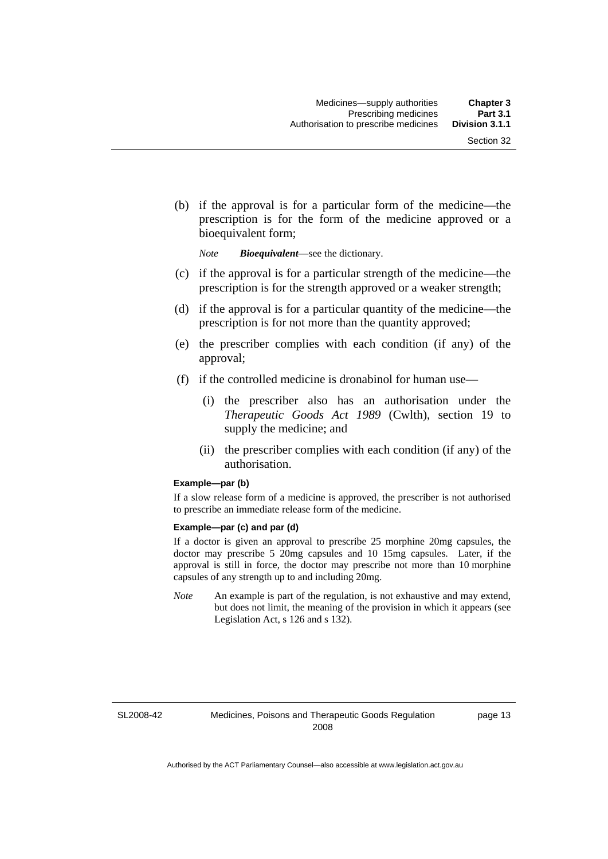(b) if the approval is for a particular form of the medicine—the prescription is for the form of the medicine approved or a bioequivalent form;

*Note Bioequivalent*—see the dictionary.

- (c) if the approval is for a particular strength of the medicine—the prescription is for the strength approved or a weaker strength;
- (d) if the approval is for a particular quantity of the medicine—the prescription is for not more than the quantity approved;
- (e) the prescriber complies with each condition (if any) of the approval;
- (f) if the controlled medicine is dronabinol for human use—
	- (i) the prescriber also has an authorisation under the *Therapeutic Goods Act 1989* (Cwlth), section 19 to supply the medicine; and
	- (ii) the prescriber complies with each condition (if any) of the authorisation.

#### **Example—par (b)**

If a slow release form of a medicine is approved, the prescriber is not authorised to prescribe an immediate release form of the medicine.

#### **Example—par (c) and par (d)**

If a doctor is given an approval to prescribe 25 morphine 20mg capsules, the doctor may prescribe 5 20mg capsules and 10 15mg capsules. Later, if the approval is still in force, the doctor may prescribe not more than 10 morphine capsules of any strength up to and including 20mg.

*Note* An example is part of the regulation, is not exhaustive and may extend, but does not limit, the meaning of the provision in which it appears (see Legislation Act, s 126 and s 132).

SL2008-42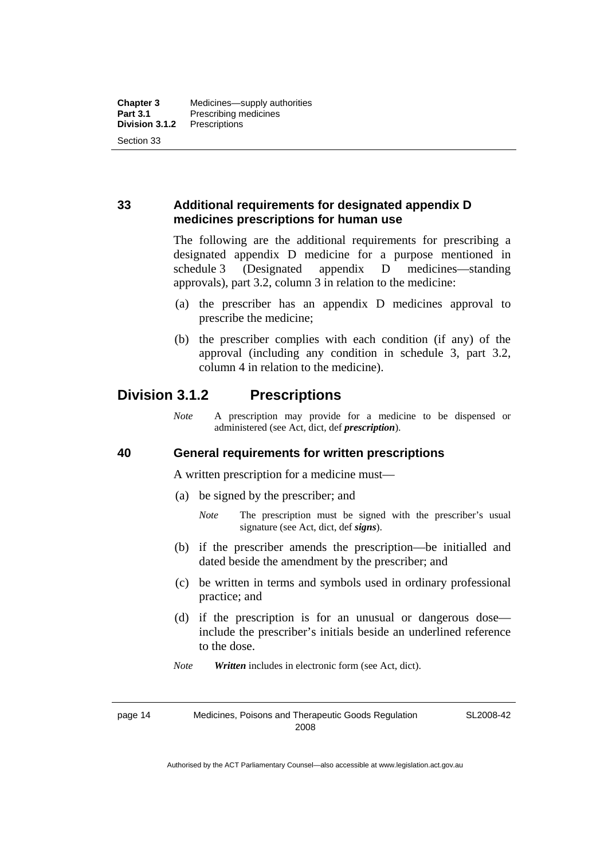### **33 Additional requirements for designated appendix D medicines prescriptions for human use**

The following are the additional requirements for prescribing a designated appendix D medicine for a purpose mentioned in schedule 3 (Designated appendix D medicines—standing approvals), part 3.2, column 3 in relation to the medicine:

- (a) the prescriber has an appendix D medicines approval to prescribe the medicine;
- (b) the prescriber complies with each condition (if any) of the approval (including any condition in schedule 3, part 3.2, column 4 in relation to the medicine).

## **Division 3.1.2 Prescriptions**

*Note* A prescription may provide for a medicine to be dispensed or administered (see Act, dict, def *prescription*).

### **40 General requirements for written prescriptions**

A written prescription for a medicine must—

- (a) be signed by the prescriber; and
	- *Note* The prescription must be signed with the prescriber's usual signature (see Act, dict, def *signs*).
- (b) if the prescriber amends the prescription—be initialled and dated beside the amendment by the prescriber; and
- (c) be written in terms and symbols used in ordinary professional practice; and
- (d) if the prescription is for an unusual or dangerous dose include the prescriber's initials beside an underlined reference to the dose.
- *Note Written* includes in electronic form (see Act, dict).

page 14 Medicines, Poisons and Therapeutic Goods Regulation 2008

SL2008-42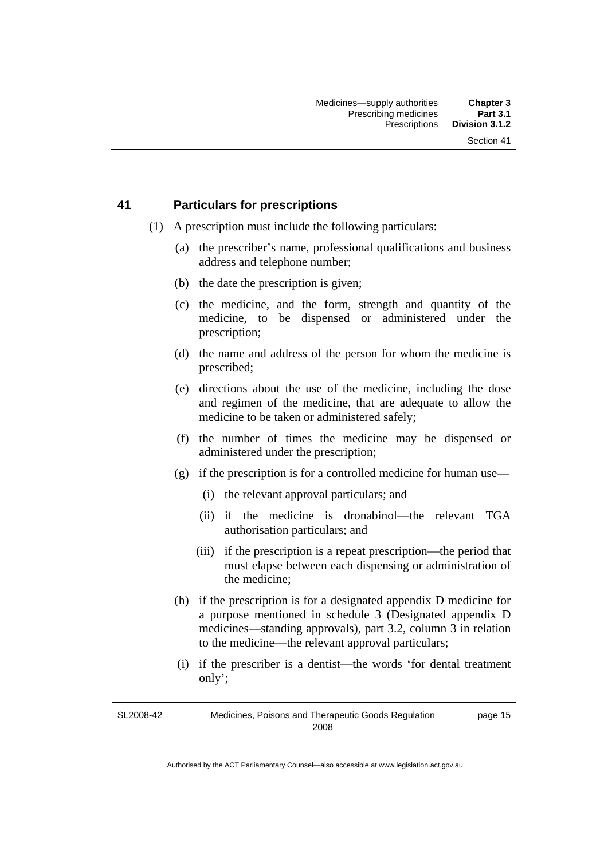### **41 Particulars for prescriptions**

- (1) A prescription must include the following particulars:
	- (a) the prescriber's name, professional qualifications and business address and telephone number;
	- (b) the date the prescription is given;
	- (c) the medicine, and the form, strength and quantity of the medicine, to be dispensed or administered under the prescription;
	- (d) the name and address of the person for whom the medicine is prescribed;
	- (e) directions about the use of the medicine, including the dose and regimen of the medicine, that are adequate to allow the medicine to be taken or administered safely;
	- (f) the number of times the medicine may be dispensed or administered under the prescription;
	- (g) if the prescription is for a controlled medicine for human use—
		- (i) the relevant approval particulars; and
		- (ii) if the medicine is dronabinol—the relevant TGA authorisation particulars; and
		- (iii) if the prescription is a repeat prescription—the period that must elapse between each dispensing or administration of the medicine;
	- (h) if the prescription is for a designated appendix D medicine for a purpose mentioned in schedule 3 (Designated appendix D medicines—standing approvals), part 3.2, column 3 in relation to the medicine—the relevant approval particulars;
	- (i) if the prescriber is a dentist—the words 'for dental treatment only';

SL2008-42 Medicines, Poisons and Therapeutic Goods Regulation 2008 page 15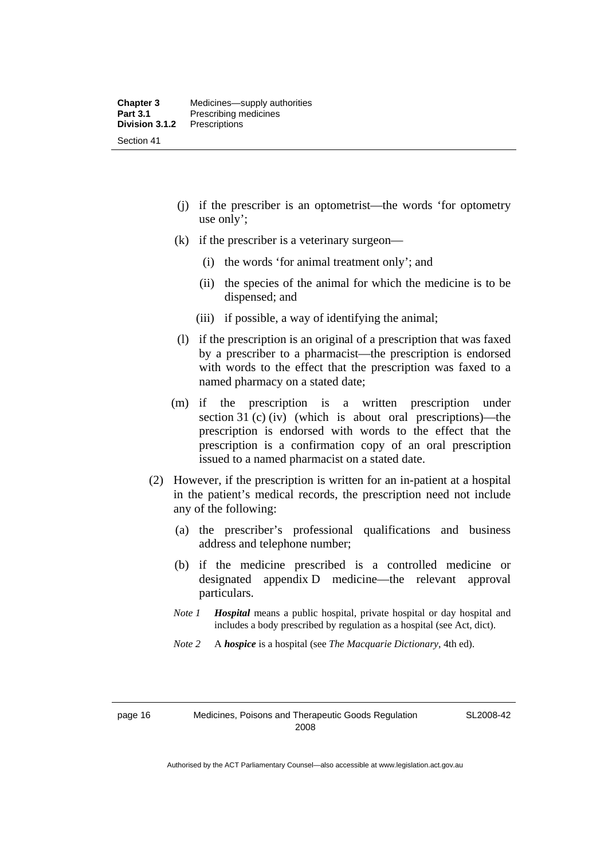- (j) if the prescriber is an optometrist—the words 'for optometry use only';
- (k) if the prescriber is a veterinary surgeon—
	- (i) the words 'for animal treatment only'; and
	- (ii) the species of the animal for which the medicine is to be dispensed; and
	- (iii) if possible, a way of identifying the animal;
- (l) if the prescription is an original of a prescription that was faxed by a prescriber to a pharmacist—the prescription is endorsed with words to the effect that the prescription was faxed to a named pharmacy on a stated date;
- (m) if the prescription is a written prescription under section 31 (c) (iv) (which is about oral prescriptions)—the prescription is endorsed with words to the effect that the prescription is a confirmation copy of an oral prescription issued to a named pharmacist on a stated date.
- (2) However, if the prescription is written for an in-patient at a hospital in the patient's medical records, the prescription need not include any of the following:
	- (a) the prescriber's professional qualifications and business address and telephone number;
	- (b) if the medicine prescribed is a controlled medicine or designated appendix D medicine—the relevant approval particulars.
	- *Note 1 Hospital* means a public hospital, private hospital or day hospital and includes a body prescribed by regulation as a hospital (see Act, dict).
	- *Note 2* A *hospice* is a hospital (see *The Macquarie Dictionary*, 4th ed).

SL2008-42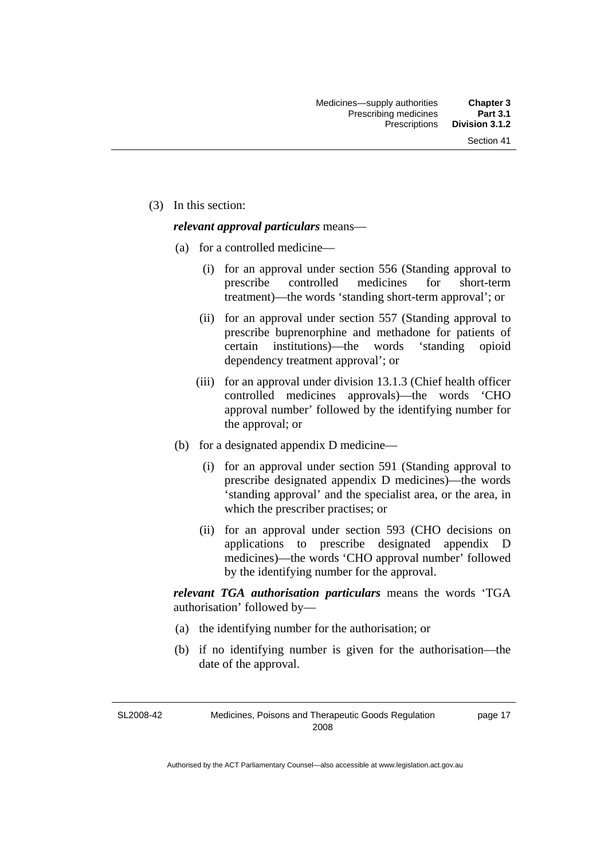page 17

(3) In this section:

#### *relevant approval particulars* means—

- (a) for a controlled medicine—
	- (i) for an approval under section 556 (Standing approval to prescribe controlled medicines for short-term treatment)—the words 'standing short-term approval'; or
	- (ii) for an approval under section 557 (Standing approval to prescribe buprenorphine and methadone for patients of certain institutions)—the words 'standing opioid dependency treatment approval'; or
	- (iii) for an approval under division 13.1.3 (Chief health officer controlled medicines approvals)—the words 'CHO approval number' followed by the identifying number for the approval; or
- (b) for a designated appendix D medicine—
	- (i) for an approval under section 591 (Standing approval to prescribe designated appendix D medicines)—the words 'standing approval' and the specialist area, or the area, in which the prescriber practises; or
	- (ii) for an approval under section 593 (CHO decisions on applications to prescribe designated appendix D medicines)—the words 'CHO approval number' followed by the identifying number for the approval.

*relevant TGA authorisation particulars* means the words 'TGA authorisation' followed by—

- (a) the identifying number for the authorisation; or
- (b) if no identifying number is given for the authorisation—the date of the approval.

SL2008-42 Medicines, Poisons and Therapeutic Goods Regulation 2008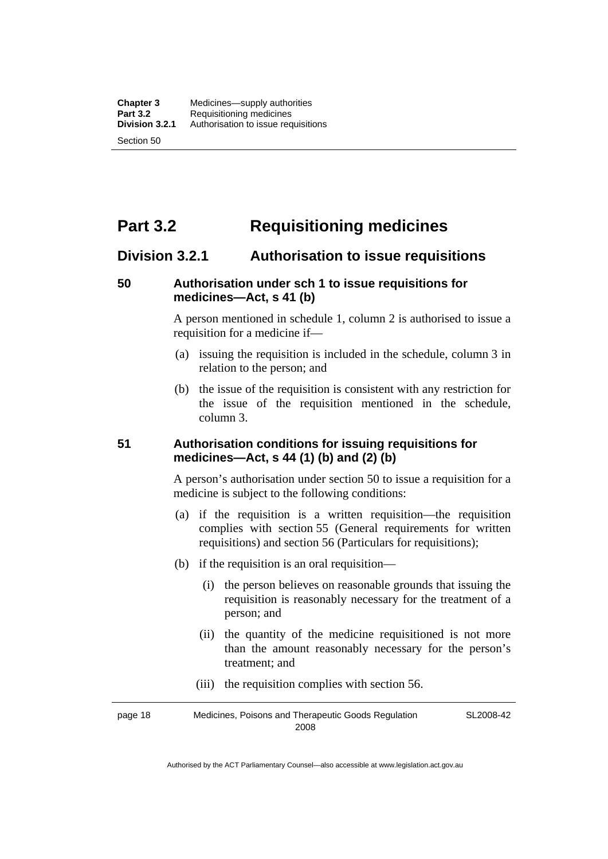# **Part 3.2 Requisitioning medicines**

### **Division 3.2.1 Authorisation to issue requisitions**

### **50 Authorisation under sch 1 to issue requisitions for medicines—Act, s 41 (b)**

A person mentioned in schedule 1, column 2 is authorised to issue a requisition for a medicine if—

- (a) issuing the requisition is included in the schedule, column 3 in relation to the person; and
- (b) the issue of the requisition is consistent with any restriction for the issue of the requisition mentioned in the schedule, column 3.

### **51 Authorisation conditions for issuing requisitions for medicines—Act, s 44 (1) (b) and (2) (b)**

A person's authorisation under section 50 to issue a requisition for a medicine is subject to the following conditions:

- (a) if the requisition is a written requisition—the requisition complies with section 55 (General requirements for written requisitions) and section 56 (Particulars for requisitions);
- (b) if the requisition is an oral requisition—
	- (i) the person believes on reasonable grounds that issuing the requisition is reasonably necessary for the treatment of a person; and
	- (ii) the quantity of the medicine requisitioned is not more than the amount reasonably necessary for the person's treatment; and
	- (iii) the requisition complies with section 56.

page 18 Medicines, Poisons and Therapeutic Goods Regulation 2008 SL2008-42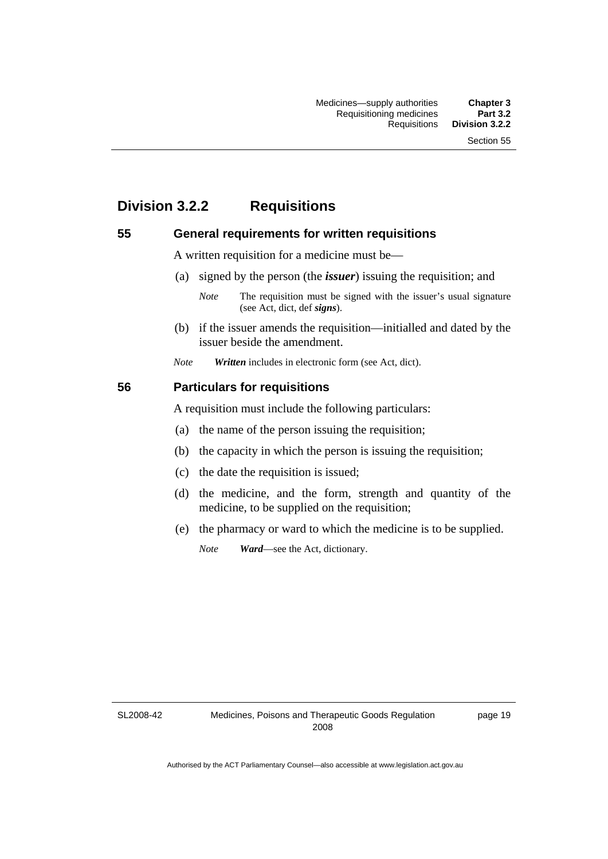# **Division 3.2.2 Requisitions**

### **55 General requirements for written requisitions**

A written requisition for a medicine must be—

(a) signed by the person (the *issuer*) issuing the requisition; and

 (b) if the issuer amends the requisition—initialled and dated by the issuer beside the amendment.

*Note Written* includes in electronic form (see Act, dict).

#### **56 Particulars for requisitions**

A requisition must include the following particulars:

- (a) the name of the person issuing the requisition;
- (b) the capacity in which the person is issuing the requisition;
- (c) the date the requisition is issued;
- (d) the medicine, and the form, strength and quantity of the medicine, to be supplied on the requisition;
- (e) the pharmacy or ward to which the medicine is to be supplied.

*Note Ward*—see the Act, dictionary.

SL2008-42

page 19

*Note* The requisition must be signed with the issuer's usual signature (see Act, dict, def *signs*).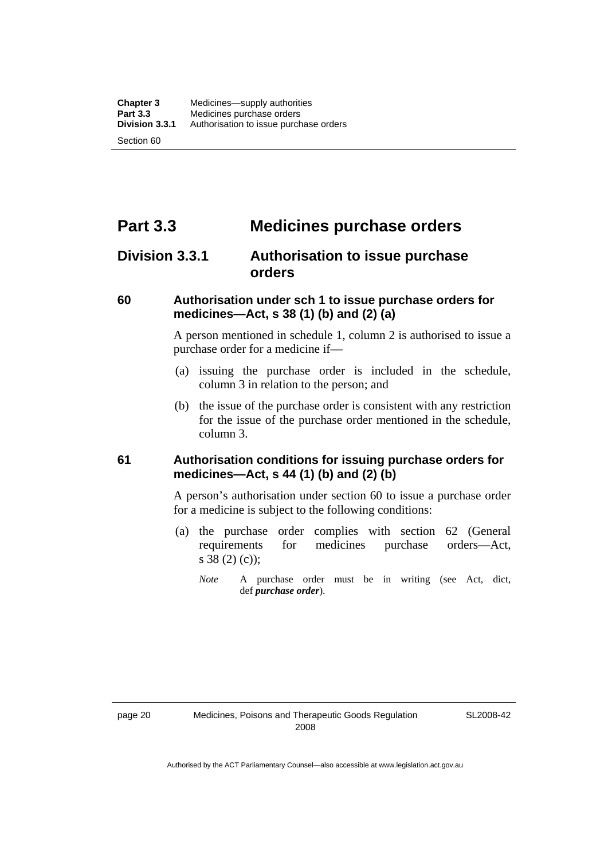# **Part 3.3 Medicines purchase orders**

### **Division 3.3.1 Authorisation to issue purchase orders**

### **60 Authorisation under sch 1 to issue purchase orders for medicines—Act, s 38 (1) (b) and (2) (a)**

A person mentioned in schedule 1, column 2 is authorised to issue a purchase order for a medicine if—

- (a) issuing the purchase order is included in the schedule, column 3 in relation to the person; and
- (b) the issue of the purchase order is consistent with any restriction for the issue of the purchase order mentioned in the schedule, column 3.

### **61 Authorisation conditions for issuing purchase orders for medicines—Act, s 44 (1) (b) and (2) (b)**

A person's authorisation under section 60 to issue a purchase order for a medicine is subject to the following conditions:

- (a) the purchase order complies with section 62 (General requirements for medicines purchase orders—Act, s 38 (2) (c));
	- *Note* A purchase order must be in writing (see Act, dict, def *purchase order*).

SL2008-42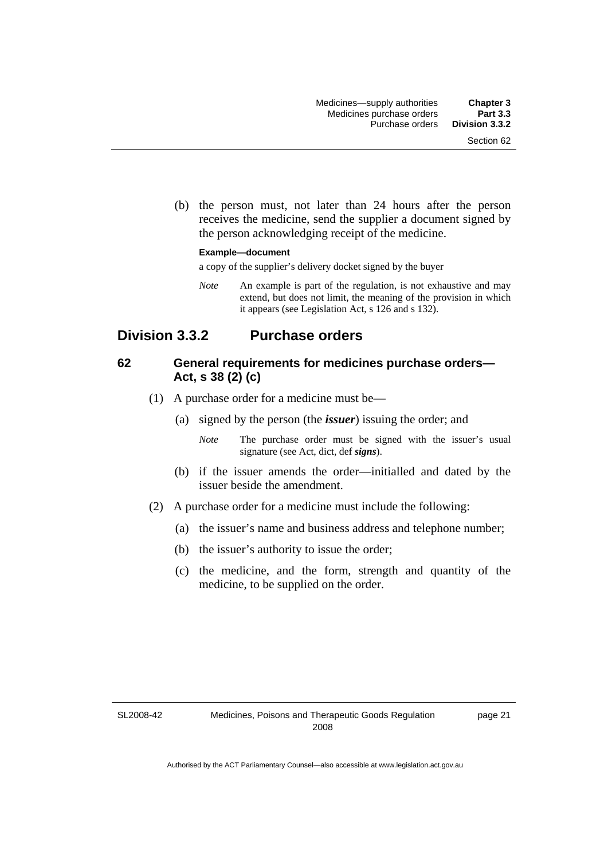(b) the person must, not later than 24 hours after the person receives the medicine, send the supplier a document signed by the person acknowledging receipt of the medicine.

#### **Example—document**

a copy of the supplier's delivery docket signed by the buyer

*Note* An example is part of the regulation, is not exhaustive and may extend, but does not limit, the meaning of the provision in which it appears (see Legislation Act, s 126 and s 132).

### **Division 3.3.2 Purchase orders**

### **62 General requirements for medicines purchase orders— Act, s 38 (2) (c)**

- (1) A purchase order for a medicine must be—
	- (a) signed by the person (the *issuer*) issuing the order; and
		- *Note* The purchase order must be signed with the issuer's usual signature (see Act, dict, def *signs*).
	- (b) if the issuer amends the order—initialled and dated by the issuer beside the amendment.
- (2) A purchase order for a medicine must include the following:
	- (a) the issuer's name and business address and telephone number;
	- (b) the issuer's authority to issue the order;
	- (c) the medicine, and the form, strength and quantity of the medicine, to be supplied on the order.

SL2008-42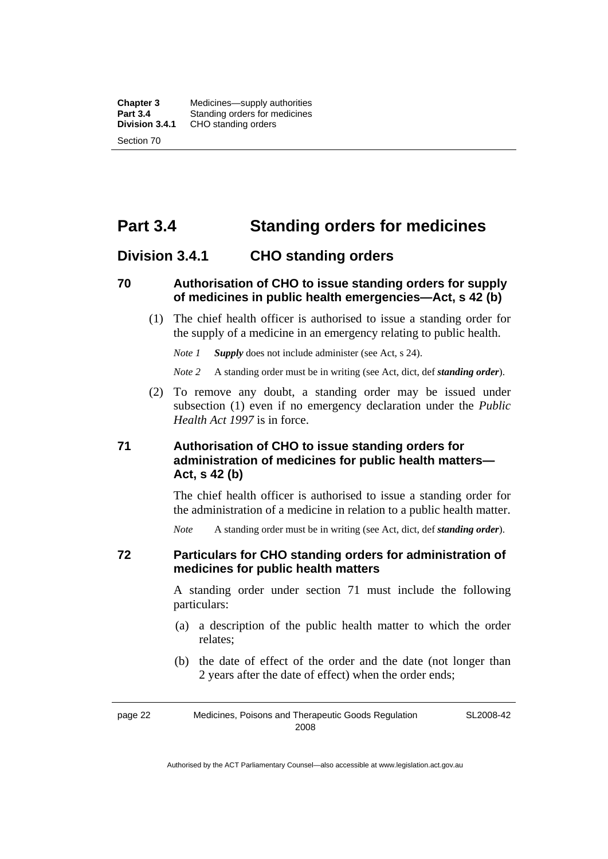# **Part 3.4 Standing orders for medicines**

### **Division 3.4.1 CHO standing orders**

### **70 Authorisation of CHO to issue standing orders for supply of medicines in public health emergencies—Act, s 42 (b)**

 (1) The chief health officer is authorised to issue a standing order for the supply of a medicine in an emergency relating to public health.

*Note 1 Supply* does not include administer (see Act, s 24).

*Note 2* A standing order must be in writing (see Act, dict, def *standing order*).

 (2) To remove any doubt, a standing order may be issued under subsection (1) even if no emergency declaration under the *Public Health Act 1997* is in force.

### **71 Authorisation of CHO to issue standing orders for administration of medicines for public health matters— Act, s 42 (b)**

The chief health officer is authorised to issue a standing order for the administration of a medicine in relation to a public health matter.

*Note* A standing order must be in writing (see Act, dict, def *standing order*).

### **72 Particulars for CHO standing orders for administration of medicines for public health matters**

A standing order under section 71 must include the following particulars:

- (a) a description of the public health matter to which the order relates;
- (b) the date of effect of the order and the date (not longer than 2 years after the date of effect) when the order ends;

page 22 Medicines, Poisons and Therapeutic Goods Regulation 2008 SL2008-42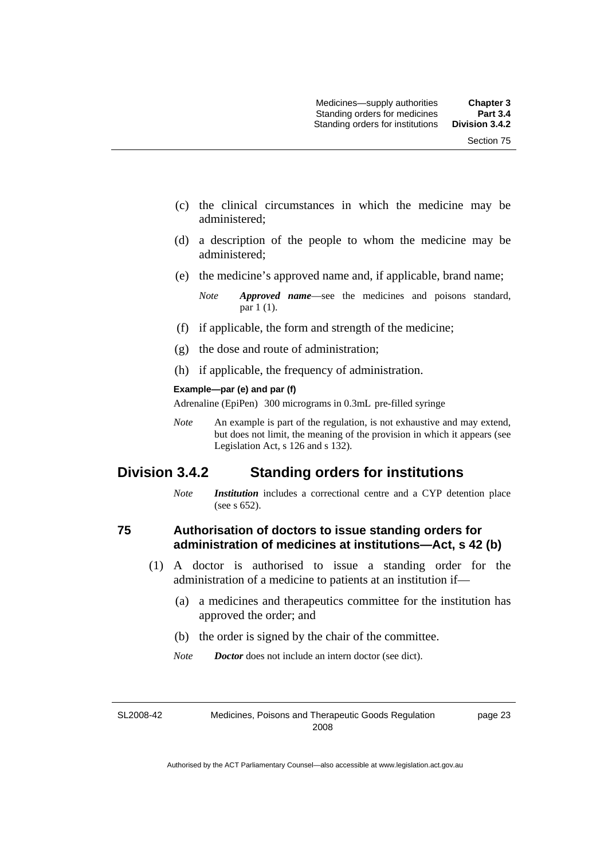- (c) the clinical circumstances in which the medicine may be administered;
- (d) a description of the people to whom the medicine may be administered;
- (e) the medicine's approved name and, if applicable, brand name;

- (f) if applicable, the form and strength of the medicine;
- (g) the dose and route of administration;
- (h) if applicable, the frequency of administration.

#### **Example—par (e) and par (f)**

Adrenaline (EpiPen) 300 micrograms in 0.3mL pre-filled syringe

*Note* An example is part of the regulation, is not exhaustive and may extend, but does not limit, the meaning of the provision in which it appears (see Legislation Act, s 126 and s 132).

### **Division 3.4.2 Standing orders for institutions**

*Note Institution* includes a correctional centre and a CYP detention place (see s 652).

### **75 Authorisation of doctors to issue standing orders for administration of medicines at institutions—Act, s 42 (b)**

- (1) A doctor is authorised to issue a standing order for the administration of a medicine to patients at an institution if—
	- (a) a medicines and therapeutics committee for the institution has approved the order; and
	- (b) the order is signed by the chair of the committee.
	- *Note Doctor* does not include an intern doctor (see dict).

SL2008-42

Medicines, Poisons and Therapeutic Goods Regulation 2008

*Note Approved name*—see the medicines and poisons standard, par 1 (1).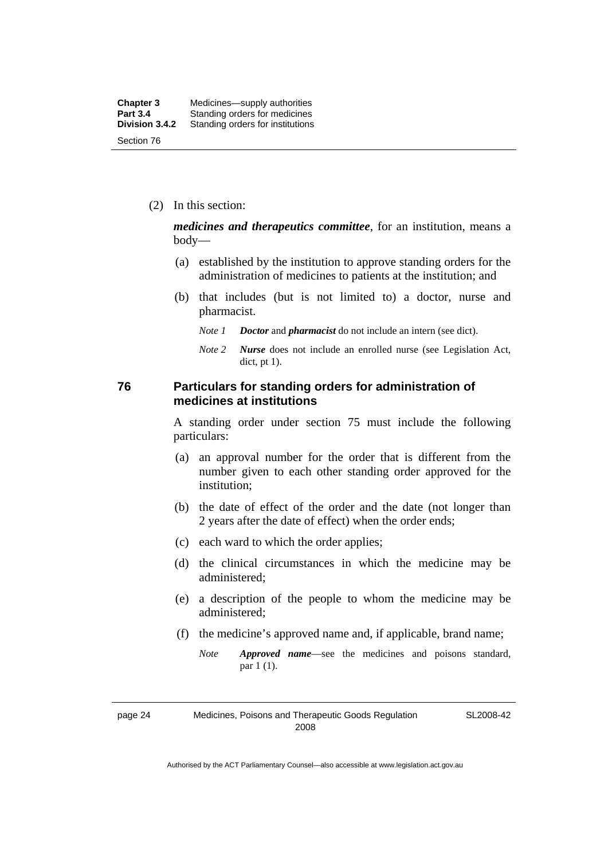| <b>Chapter 3</b> | Medicines—supply authorities     |
|------------------|----------------------------------|
| <b>Part 3.4</b>  | Standing orders for medicines    |
| Division 3.4.2   | Standing orders for institutions |
| Section 76       |                                  |

(2) In this section:

*medicines and therapeutics committee*, for an institution, means a body—

- (a) established by the institution to approve standing orders for the administration of medicines to patients at the institution; and
- (b) that includes (but is not limited to) a doctor, nurse and pharmacist.
	- *Note 1 Doctor* and *pharmacist* do not include an intern (see dict).
	- *Note 2 Nurse* does not include an enrolled nurse (see Legislation Act, dict, pt 1).

### **76 Particulars for standing orders for administration of medicines at institutions**

A standing order under section 75 must include the following particulars:

- (a) an approval number for the order that is different from the number given to each other standing order approved for the institution;
- (b) the date of effect of the order and the date (not longer than 2 years after the date of effect) when the order ends;
- (c) each ward to which the order applies;
- (d) the clinical circumstances in which the medicine may be administered;
- (e) a description of the people to whom the medicine may be administered;
- (f) the medicine's approved name and, if applicable, brand name;
	- *Note Approved name*—see the medicines and poisons standard, par 1 (1).

page 24 Medicines, Poisons and Therapeutic Goods Regulation 2008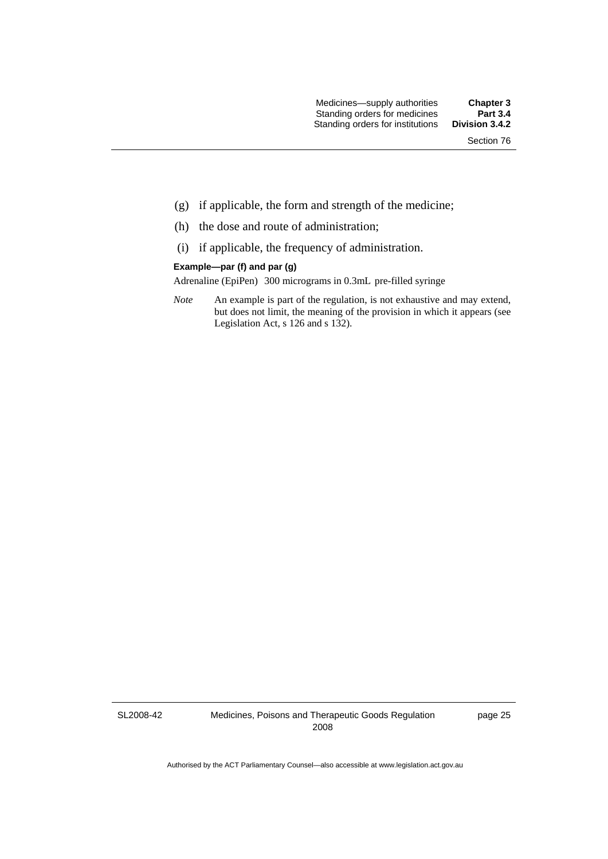Section 76

- (g) if applicable, the form and strength of the medicine;
- (h) the dose and route of administration;
- (i) if applicable, the frequency of administration.

#### **Example—par (f) and par (g)**

Adrenaline (EpiPen) 300 micrograms in 0.3mL pre-filled syringe

*Note* An example is part of the regulation, is not exhaustive and may extend, but does not limit, the meaning of the provision in which it appears (see Legislation Act, s 126 and s 132).

SL2008-42

Medicines, Poisons and Therapeutic Goods Regulation 2008

page 25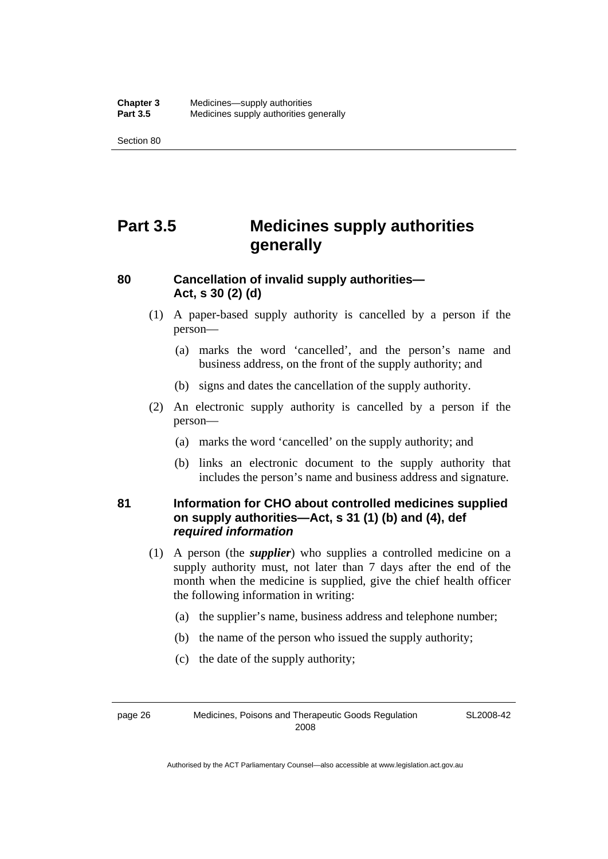Section 80

# **Part 3.5 Medicines supply authorities generally**

### **80 Cancellation of invalid supply authorities— Act, s 30 (2) (d)**

- (1) A paper-based supply authority is cancelled by a person if the person—
	- (a) marks the word 'cancelled', and the person's name and business address, on the front of the supply authority; and
	- (b) signs and dates the cancellation of the supply authority.
- (2) An electronic supply authority is cancelled by a person if the person—
	- (a) marks the word 'cancelled' on the supply authority; and
	- (b) links an electronic document to the supply authority that includes the person's name and business address and signature.

### **81 Information for CHO about controlled medicines supplied on supply authorities—Act, s 31 (1) (b) and (4), def**  *required information*

- (1) A person (the *supplier*) who supplies a controlled medicine on a supply authority must, not later than 7 days after the end of the month when the medicine is supplied, give the chief health officer the following information in writing:
	- (a) the supplier's name, business address and telephone number;
	- (b) the name of the person who issued the supply authority;
	- (c) the date of the supply authority;

page 26 Medicines, Poisons and Therapeutic Goods Regulation 2008

SL2008-42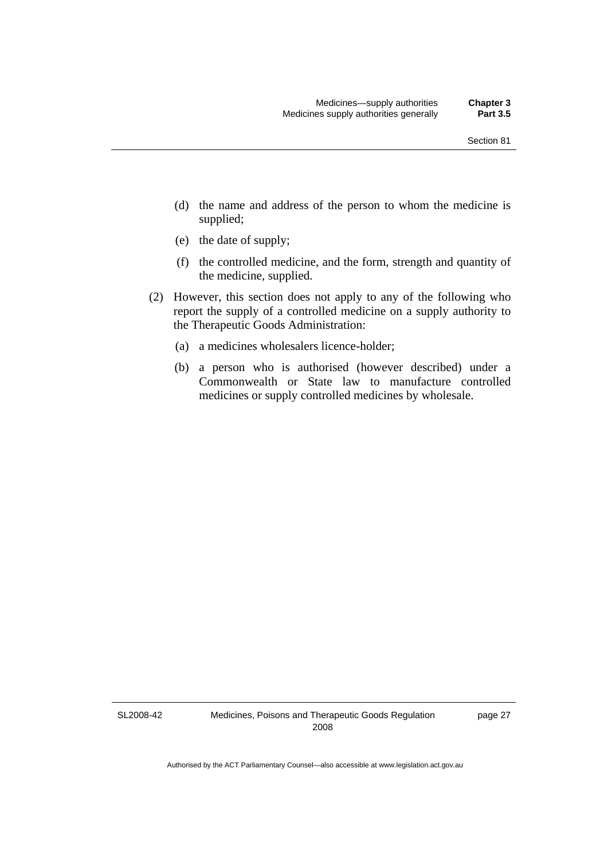- (d) the name and address of the person to whom the medicine is supplied;
- (e) the date of supply;
- (f) the controlled medicine, and the form, strength and quantity of the medicine, supplied.
- (2) However, this section does not apply to any of the following who report the supply of a controlled medicine on a supply authority to the Therapeutic Goods Administration:
	- (a) a medicines wholesalers licence-holder;
	- (b) a person who is authorised (however described) under a Commonwealth or State law to manufacture controlled medicines or supply controlled medicines by wholesale.

SL2008-42

page 27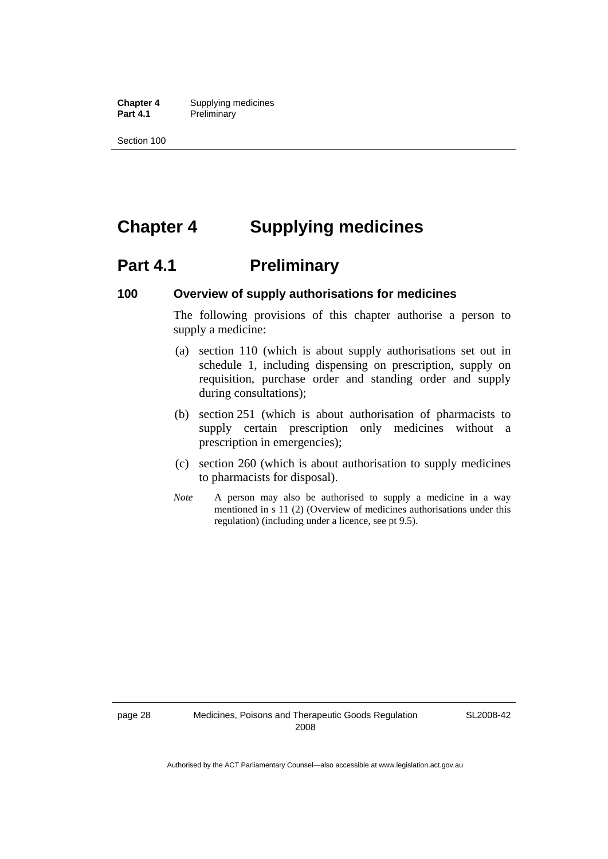**Chapter 4** Supplying medicines Part 4.1 Preliminary

Section 100

# **Chapter 4 Supplying medicines**

# **Part 4.1** Preliminary

### **100 Overview of supply authorisations for medicines**

The following provisions of this chapter authorise a person to supply a medicine:

- (a) section 110 (which is about supply authorisations set out in schedule 1, including dispensing on prescription, supply on requisition, purchase order and standing order and supply during consultations);
- (b) section 251 (which is about authorisation of pharmacists to supply certain prescription only medicines without a prescription in emergencies);
- (c) section 260 (which is about authorisation to supply medicines to pharmacists for disposal).
- *Note* A person may also be authorised to supply a medicine in a way mentioned in s 11 (2) (Overview of medicines authorisations under this regulation) (including under a licence, see pt 9.5).

SL2008-42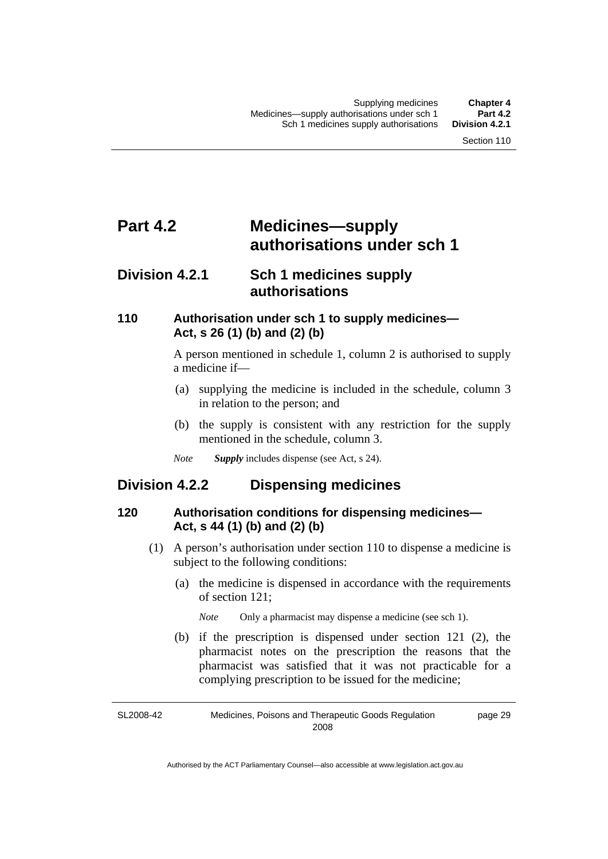# **Part 4.2 Medicines—supply authorisations under sch 1**

### **Division 4.2.1 Sch 1 medicines supply authorisations**

### **110 Authorisation under sch 1 to supply medicines— Act, s 26 (1) (b) and (2) (b)**

A person mentioned in schedule 1, column 2 is authorised to supply a medicine if—

- (a) supplying the medicine is included in the schedule, column 3 in relation to the person; and
- (b) the supply is consistent with any restriction for the supply mentioned in the schedule, column 3.
- *Note Supply* includes dispense (see Act, s 24).

### **Division 4.2.2 Dispensing medicines**

### **120 Authorisation conditions for dispensing medicines— Act, s 44 (1) (b) and (2) (b)**

- (1) A person's authorisation under section 110 to dispense a medicine is subject to the following conditions:
	- (a) the medicine is dispensed in accordance with the requirements of section 121;

*Note* Only a pharmacist may dispense a medicine (see sch 1).

 (b) if the prescription is dispensed under section 121 (2), the pharmacist notes on the prescription the reasons that the pharmacist was satisfied that it was not practicable for a complying prescription to be issued for the medicine;

SL2008-42 Medicines, Poisons and Therapeutic Goods Regulation 2008 page 29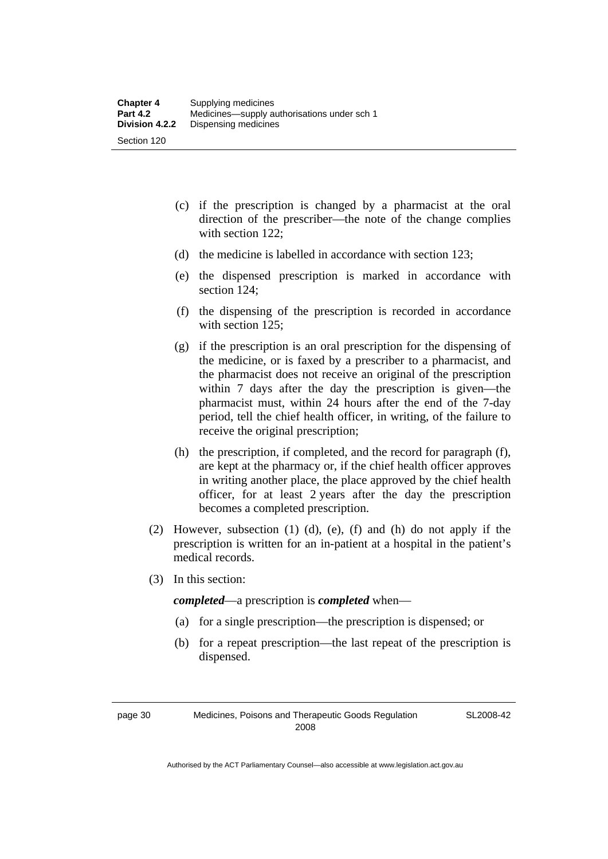- (c) if the prescription is changed by a pharmacist at the oral direction of the prescriber—the note of the change complies with section 122;
- (d) the medicine is labelled in accordance with section 123;
- (e) the dispensed prescription is marked in accordance with section 124;
- (f) the dispensing of the prescription is recorded in accordance with section 125:
- (g) if the prescription is an oral prescription for the dispensing of the medicine, or is faxed by a prescriber to a pharmacist, and the pharmacist does not receive an original of the prescription within 7 days after the day the prescription is given—the pharmacist must, within 24 hours after the end of the 7-day period, tell the chief health officer, in writing, of the failure to receive the original prescription;
- (h) the prescription, if completed, and the record for paragraph (f), are kept at the pharmacy or, if the chief health officer approves in writing another place, the place approved by the chief health officer, for at least 2 years after the day the prescription becomes a completed prescription.
- (2) However, subsection (1) (d), (e), (f) and (h) do not apply if the prescription is written for an in-patient at a hospital in the patient's medical records.
- (3) In this section:

*completed*—a prescription is *completed* when—

- (a) for a single prescription—the prescription is dispensed; or
- (b) for a repeat prescription—the last repeat of the prescription is dispensed.

page 30 Medicines, Poisons and Therapeutic Goods Regulation 2008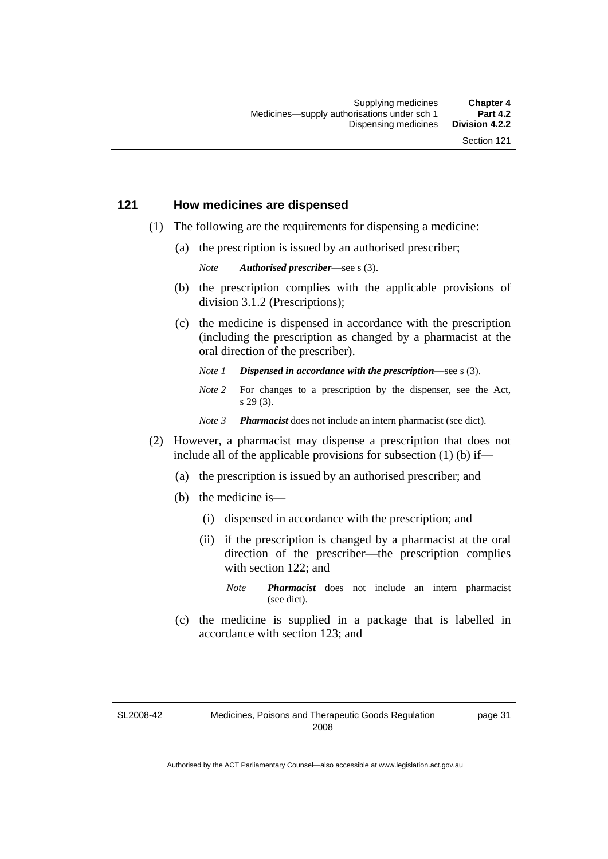### **121 How medicines are dispensed**

- (1) The following are the requirements for dispensing a medicine:
	- (a) the prescription is issued by an authorised prescriber;

*Note Authorised prescriber*—see s (3).

- (b) the prescription complies with the applicable provisions of division 3.1.2 (Prescriptions);
- (c) the medicine is dispensed in accordance with the prescription (including the prescription as changed by a pharmacist at the oral direction of the prescriber).
	- *Note 1 Dispensed in accordance with the prescription*—see s (3).
	- *Note* 2 For changes to a prescription by the dispenser, see the Act, s 29 (3).
	- *Note 3 Pharmacist* does not include an intern pharmacist (see dict).
- (2) However, a pharmacist may dispense a prescription that does not include all of the applicable provisions for subsection (1) (b) if—
	- (a) the prescription is issued by an authorised prescriber; and
	- (b) the medicine is—
		- (i) dispensed in accordance with the prescription; and
		- (ii) if the prescription is changed by a pharmacist at the oral direction of the prescriber—the prescription complies with section 122; and
			- *Note Pharmacist* does not include an intern pharmacist (see dict).
	- (c) the medicine is supplied in a package that is labelled in accordance with section 123; and

SL2008-42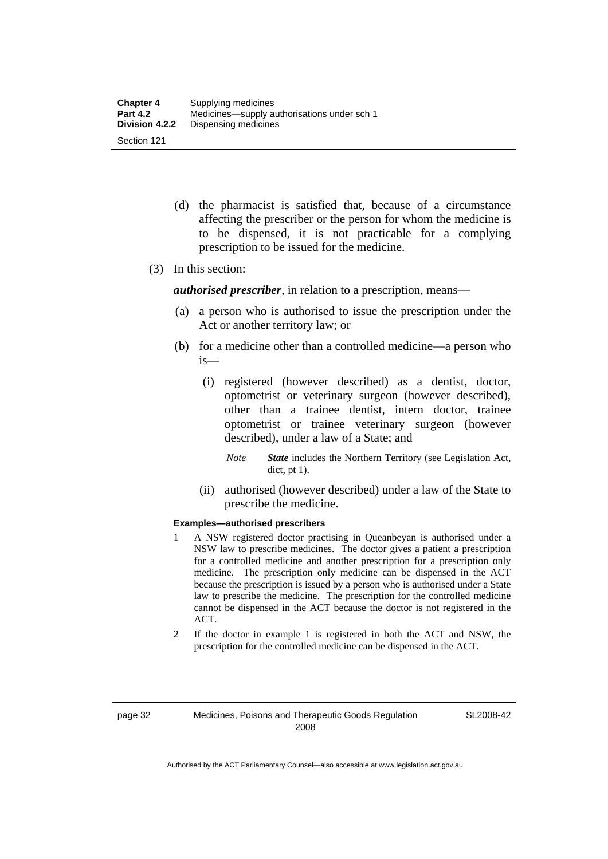- (d) the pharmacist is satisfied that, because of a circumstance affecting the prescriber or the person for whom the medicine is to be dispensed, it is not practicable for a complying prescription to be issued for the medicine.
- (3) In this section:

*authorised prescriber*, in relation to a prescription, means—

- (a) a person who is authorised to issue the prescription under the Act or another territory law; or
- (b) for a medicine other than a controlled medicine—a person who is—
	- (i) registered (however described) as a dentist, doctor, optometrist or veterinary surgeon (however described), other than a trainee dentist, intern doctor, trainee optometrist or trainee veterinary surgeon (however described), under a law of a State; and
		- *Note State* includes the Northern Territory (see Legislation Act, dict, pt 1).
	- (ii) authorised (however described) under a law of the State to prescribe the medicine.

#### **Examples—authorised prescribers**

- 1 A NSW registered doctor practising in Queanbeyan is authorised under a NSW law to prescribe medicines. The doctor gives a patient a prescription for a controlled medicine and another prescription for a prescription only medicine. The prescription only medicine can be dispensed in the ACT because the prescription is issued by a person who is authorised under a State law to prescribe the medicine. The prescription for the controlled medicine cannot be dispensed in the ACT because the doctor is not registered in the ACT.
- 2 If the doctor in example 1 is registered in both the ACT and NSW, the prescription for the controlled medicine can be dispensed in the ACT.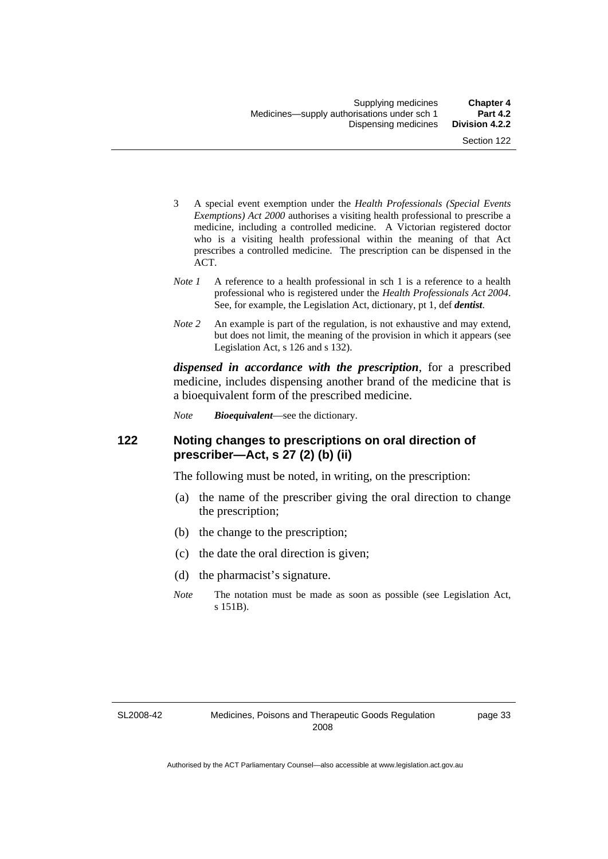- 3 A special event exemption under the *Health Professionals (Special Events Exemptions) Act 2000* authorises a visiting health professional to prescribe a medicine, including a controlled medicine. A Victorian registered doctor who is a visiting health professional within the meaning of that Act prescribes a controlled medicine. The prescription can be dispensed in the ACT.
- *Note 1* A reference to a health professional in sch 1 is a reference to a health professional who is registered under the *Health Professionals Act 2004*. See, for example, the Legislation Act, dictionary, pt 1, def *dentist*.
- *Note 2* An example is part of the regulation, is not exhaustive and may extend, but does not limit, the meaning of the provision in which it appears (see Legislation Act, s 126 and s 132).

*dispensed in accordance with the prescription*, for a prescribed medicine, includes dispensing another brand of the medicine that is a bioequivalent form of the prescribed medicine.

*Note Bioequivalent*—see the dictionary.

### **122 Noting changes to prescriptions on oral direction of prescriber—Act, s 27 (2) (b) (ii)**

The following must be noted, in writing, on the prescription:

- (a) the name of the prescriber giving the oral direction to change the prescription;
- (b) the change to the prescription;
- (c) the date the oral direction is given;
- (d) the pharmacist's signature.
- *Note* The notation must be made as soon as possible (see Legislation Act, s 151B).

SL2008-42

page 33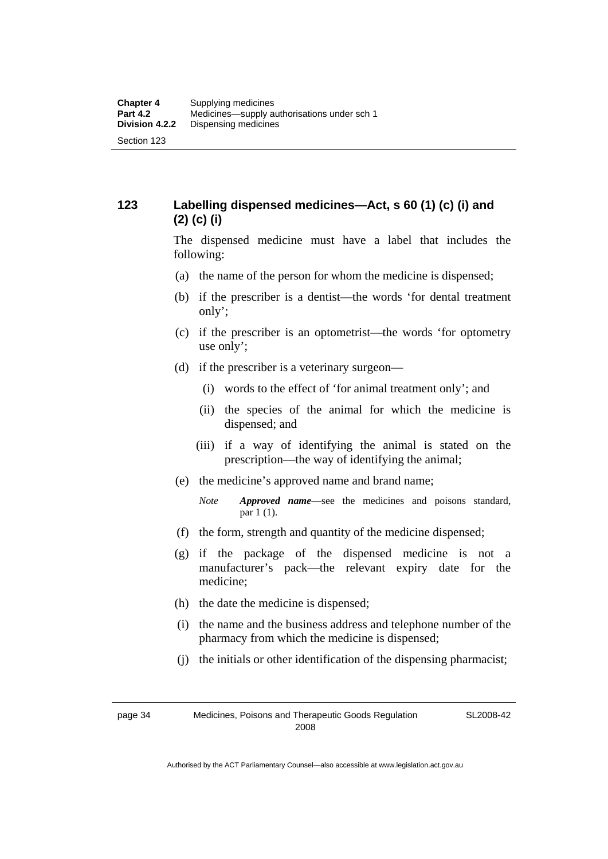### **123 Labelling dispensed medicines—Act, s 60 (1) (c) (i) and (2) (c) (i)**

The dispensed medicine must have a label that includes the following:

- (a) the name of the person for whom the medicine is dispensed;
- (b) if the prescriber is a dentist—the words 'for dental treatment only';
- (c) if the prescriber is an optometrist—the words 'for optometry use only';
- (d) if the prescriber is a veterinary surgeon—
	- (i) words to the effect of 'for animal treatment only'; and
	- (ii) the species of the animal for which the medicine is dispensed; and
	- (iii) if a way of identifying the animal is stated on the prescription—the way of identifying the animal;
- (e) the medicine's approved name and brand name;
	- *Note Approved name*—see the medicines and poisons standard, par 1 (1).
- (f) the form, strength and quantity of the medicine dispensed;
- (g) if the package of the dispensed medicine is not a manufacturer's pack—the relevant expiry date for the medicine;
- (h) the date the medicine is dispensed;
- (i) the name and the business address and telephone number of the pharmacy from which the medicine is dispensed;
- (j) the initials or other identification of the dispensing pharmacist;

page 34 Medicines, Poisons and Therapeutic Goods Regulation 2008

SL2008-42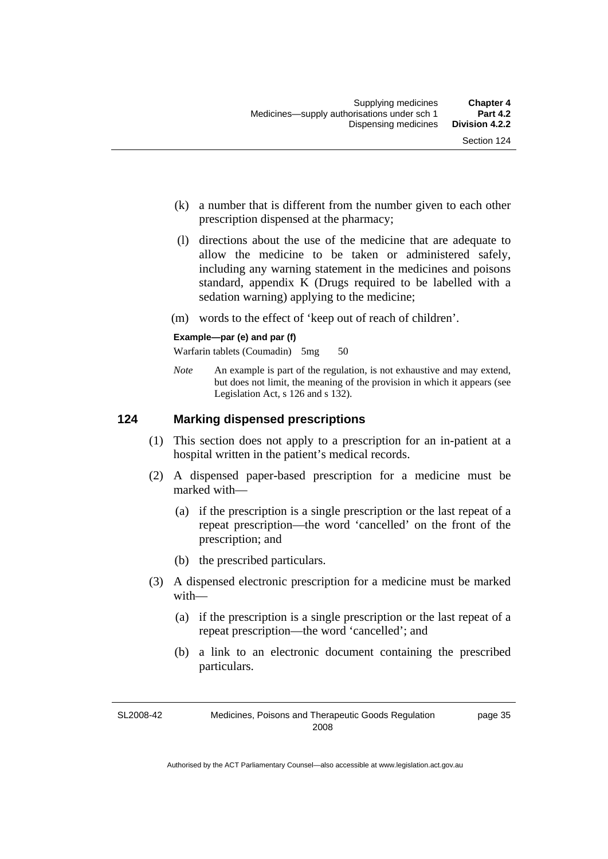- (k) a number that is different from the number given to each other prescription dispensed at the pharmacy;
- (l) directions about the use of the medicine that are adequate to allow the medicine to be taken or administered safely, including any warning statement in the medicines and poisons standard, appendix K (Drugs required to be labelled with a sedation warning) applying to the medicine;
- (m) words to the effect of 'keep out of reach of children'.

#### **Example—par (e) and par (f)**

Warfarin tablets (Coumadin) 5mg 50

*Note* An example is part of the regulation, is not exhaustive and may extend, but does not limit, the meaning of the provision in which it appears (see Legislation Act, s 126 and s 132).

### **124 Marking dispensed prescriptions**

- (1) This section does not apply to a prescription for an in-patient at a hospital written in the patient's medical records.
- (2) A dispensed paper-based prescription for a medicine must be marked with—
	- (a) if the prescription is a single prescription or the last repeat of a repeat prescription—the word 'cancelled' on the front of the prescription; and
	- (b) the prescribed particulars.
- (3) A dispensed electronic prescription for a medicine must be marked with—
	- (a) if the prescription is a single prescription or the last repeat of a repeat prescription—the word 'cancelled'; and
	- (b) a link to an electronic document containing the prescribed particulars.

SL2008-42 Medicines, Poisons and Therapeutic Goods Regulation 2008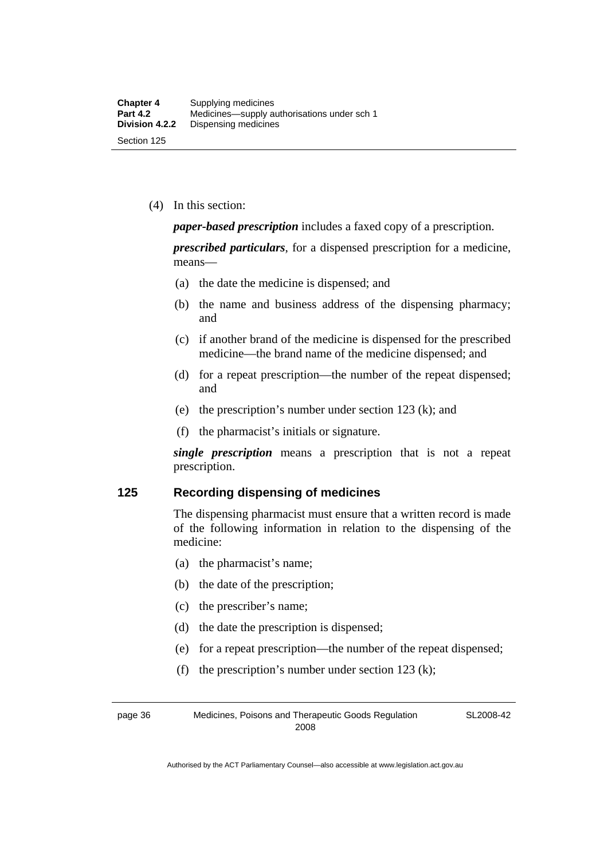(4) In this section:

*paper-based prescription* includes a faxed copy of a prescription.

*prescribed particulars*, for a dispensed prescription for a medicine, means—

- (a) the date the medicine is dispensed; and
- (b) the name and business address of the dispensing pharmacy; and
- (c) if another brand of the medicine is dispensed for the prescribed medicine—the brand name of the medicine dispensed; and
- (d) for a repeat prescription—the number of the repeat dispensed; and
- (e) the prescription's number under section 123 (k); and
- (f) the pharmacist's initials or signature.

*single prescription* means a prescription that is not a repeat prescription.

### **125 Recording dispensing of medicines**

The dispensing pharmacist must ensure that a written record is made of the following information in relation to the dispensing of the medicine:

- (a) the pharmacist's name;
- (b) the date of the prescription;
- (c) the prescriber's name;
- (d) the date the prescription is dispensed;
- (e) for a repeat prescription—the number of the repeat dispensed;
- (f) the prescription's number under section 123 (k);

page 36 Medicines, Poisons and Therapeutic Goods Regulation 2008

SL2008-42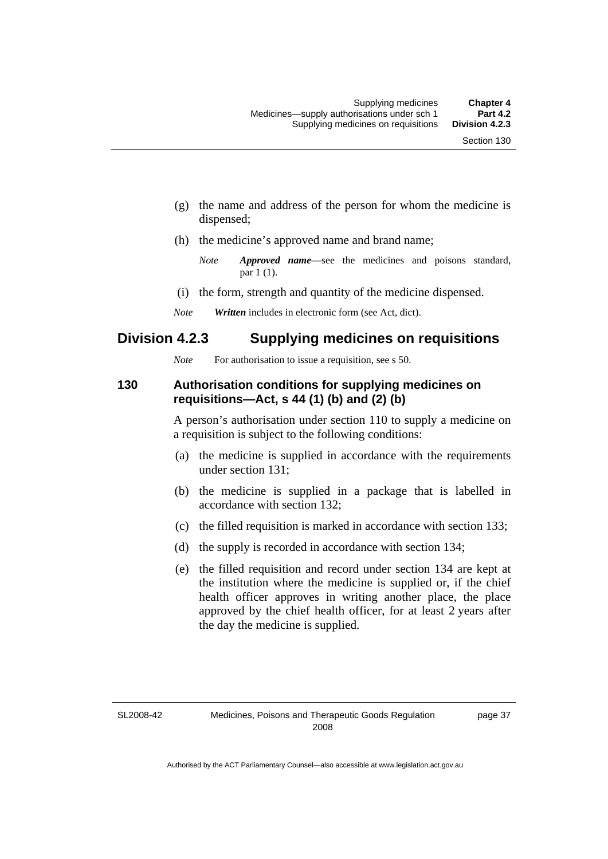- (g) the name and address of the person for whom the medicine is dispensed;
- (h) the medicine's approved name and brand name;
	- *Note Approved name*—see the medicines and poisons standard, par 1 (1).
- (i) the form, strength and quantity of the medicine dispensed.
- *Note Written* includes in electronic form (see Act, dict).

### **Division 4.2.3 Supplying medicines on requisitions**

*Note* For authorisation to issue a requisition, see s 50.

### **130 Authorisation conditions for supplying medicines on requisitions—Act, s 44 (1) (b) and (2) (b)**

A person's authorisation under section 110 to supply a medicine on a requisition is subject to the following conditions:

- (a) the medicine is supplied in accordance with the requirements under section 131;
- (b) the medicine is supplied in a package that is labelled in accordance with section 132;
- (c) the filled requisition is marked in accordance with section 133;
- (d) the supply is recorded in accordance with section 134;
- (e) the filled requisition and record under section 134 are kept at the institution where the medicine is supplied or, if the chief health officer approves in writing another place, the place approved by the chief health officer, for at least 2 years after the day the medicine is supplied.

SL2008-42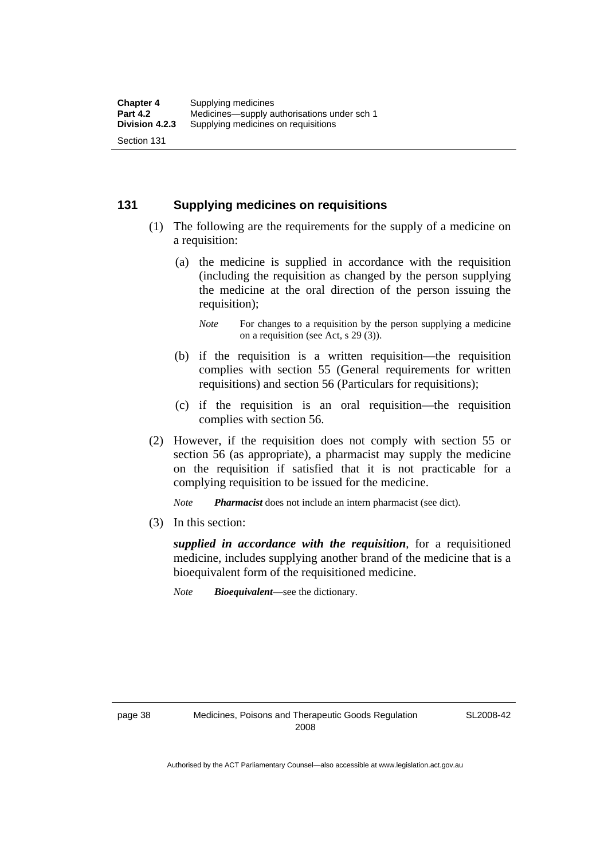### **131 Supplying medicines on requisitions**

- (1) The following are the requirements for the supply of a medicine on a requisition:
	- (a) the medicine is supplied in accordance with the requisition (including the requisition as changed by the person supplying the medicine at the oral direction of the person issuing the requisition);

- (b) if the requisition is a written requisition—the requisition complies with section 55 (General requirements for written requisitions) and section 56 (Particulars for requisitions);
- (c) if the requisition is an oral requisition—the requisition complies with section 56.
- (2) However, if the requisition does not comply with section 55 or section 56 (as appropriate), a pharmacist may supply the medicine on the requisition if satisfied that it is not practicable for a complying requisition to be issued for the medicine.

*Note Pharmacist* does not include an intern pharmacist (see dict).

(3) In this section:

*supplied in accordance with the requisition*, for a requisitioned medicine, includes supplying another brand of the medicine that is a bioequivalent form of the requisitioned medicine.

*Note Bioequivalent*—see the dictionary.

*Note* For changes to a requisition by the person supplying a medicine on a requisition (see Act, s 29 (3)).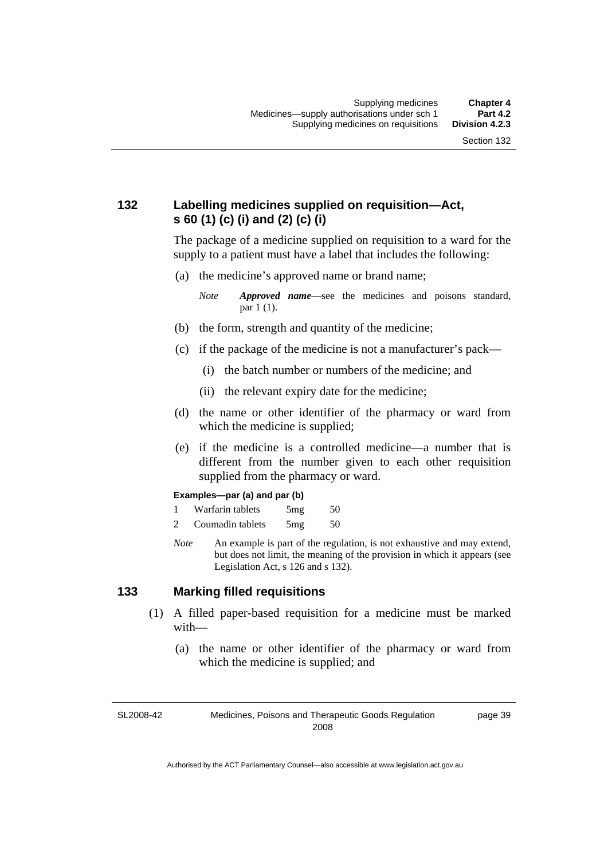### **132 Labelling medicines supplied on requisition—Act, s 60 (1) (c) (i) and (2) (c) (i)**

The package of a medicine supplied on requisition to a ward for the supply to a patient must have a label that includes the following:

(a) the medicine's approved name or brand name;

*Note Approved name*—see the medicines and poisons standard, par 1 (1).

- (b) the form, strength and quantity of the medicine;
- (c) if the package of the medicine is not a manufacturer's pack—
	- (i) the batch number or numbers of the medicine; and
	- (ii) the relevant expiry date for the medicine;
- (d) the name or other identifier of the pharmacy or ward from which the medicine is supplied;
- (e) if the medicine is a controlled medicine—a number that is different from the number given to each other requisition supplied from the pharmacy or ward.

#### **Examples—par (a) and par (b)**

- 1 Warfarin tablets 5mg 50
- 2 Coumadin tablets 5mg 50
- *Note* An example is part of the regulation, is not exhaustive and may extend, but does not limit, the meaning of the provision in which it appears (see Legislation Act, s 126 and s 132).

### **133 Marking filled requisitions**

- (1) A filled paper-based requisition for a medicine must be marked with—
	- (a) the name or other identifier of the pharmacy or ward from which the medicine is supplied; and

SL2008-42

Medicines, Poisons and Therapeutic Goods Regulation 2008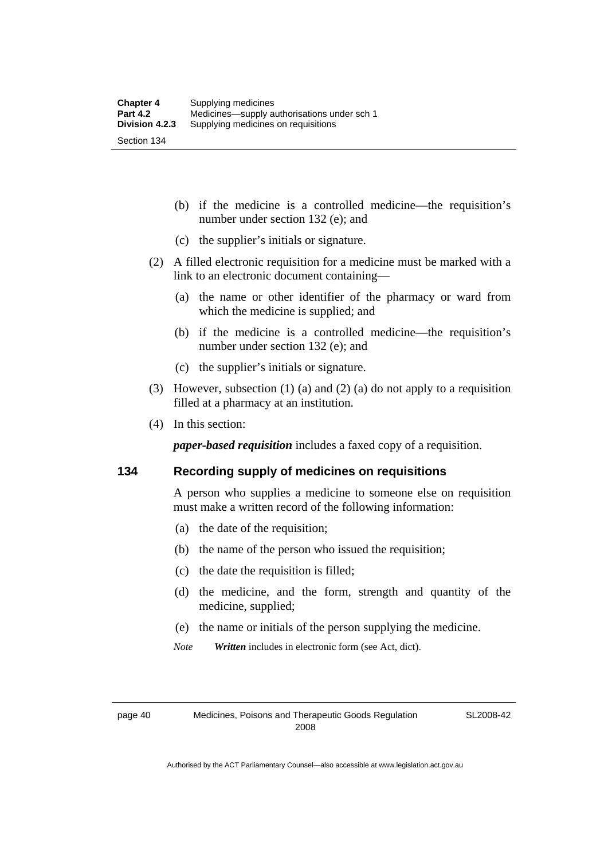- (b) if the medicine is a controlled medicine—the requisition's number under section 132 (e); and
- (c) the supplier's initials or signature.
- (2) A filled electronic requisition for a medicine must be marked with a link to an electronic document containing—
	- (a) the name or other identifier of the pharmacy or ward from which the medicine is supplied; and
	- (b) if the medicine is a controlled medicine—the requisition's number under section 132 (e); and
	- (c) the supplier's initials or signature.
- (3) However, subsection (1) (a) and (2) (a) do not apply to a requisition filled at a pharmacy at an institution.
- (4) In this section:

*paper-based requisition* includes a faxed copy of a requisition.

### **134 Recording supply of medicines on requisitions**

A person who supplies a medicine to someone else on requisition must make a written record of the following information:

- (a) the date of the requisition;
- (b) the name of the person who issued the requisition;
- (c) the date the requisition is filled;
- (d) the medicine, and the form, strength and quantity of the medicine, supplied;
- (e) the name or initials of the person supplying the medicine.
- *Note Written* includes in electronic form (see Act, dict).

page 40 Medicines, Poisons and Therapeutic Goods Regulation 2008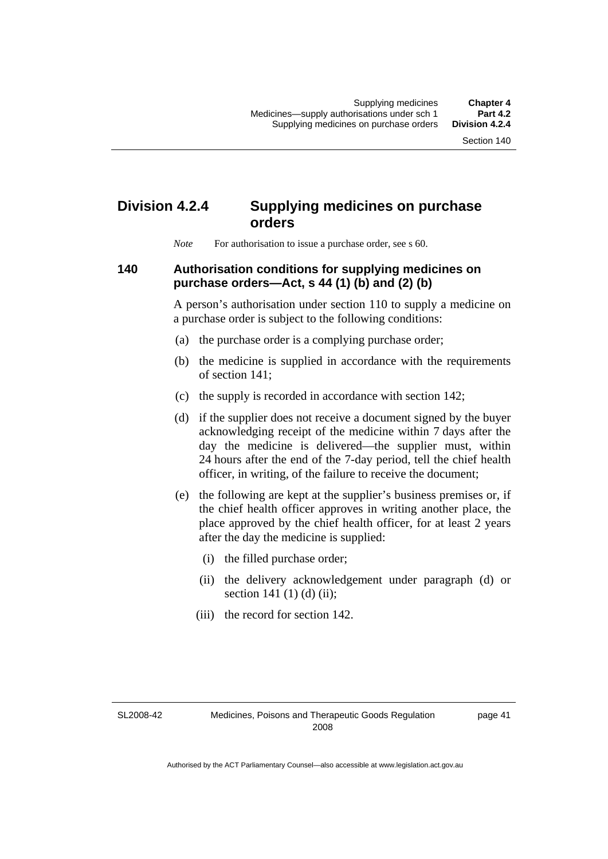# **Division 4.2.4 Supplying medicines on purchase orders**

*Note* For authorisation to issue a purchase order, see s 60.

### **140 Authorisation conditions for supplying medicines on purchase orders—Act, s 44 (1) (b) and (2) (b)**

A person's authorisation under section 110 to supply a medicine on a purchase order is subject to the following conditions:

- (a) the purchase order is a complying purchase order;
- (b) the medicine is supplied in accordance with the requirements of section 141;
- (c) the supply is recorded in accordance with section 142;
- (d) if the supplier does not receive a document signed by the buyer acknowledging receipt of the medicine within 7 days after the day the medicine is delivered—the supplier must, within 24 hours after the end of the 7-day period, tell the chief health officer, in writing, of the failure to receive the document;
- (e) the following are kept at the supplier's business premises or, if the chief health officer approves in writing another place, the place approved by the chief health officer, for at least 2 years after the day the medicine is supplied:
	- (i) the filled purchase order;
	- (ii) the delivery acknowledgement under paragraph (d) or section 141 $(1)$  $(d)$  $(ii)$ ;
	- (iii) the record for section 142.

SL2008-42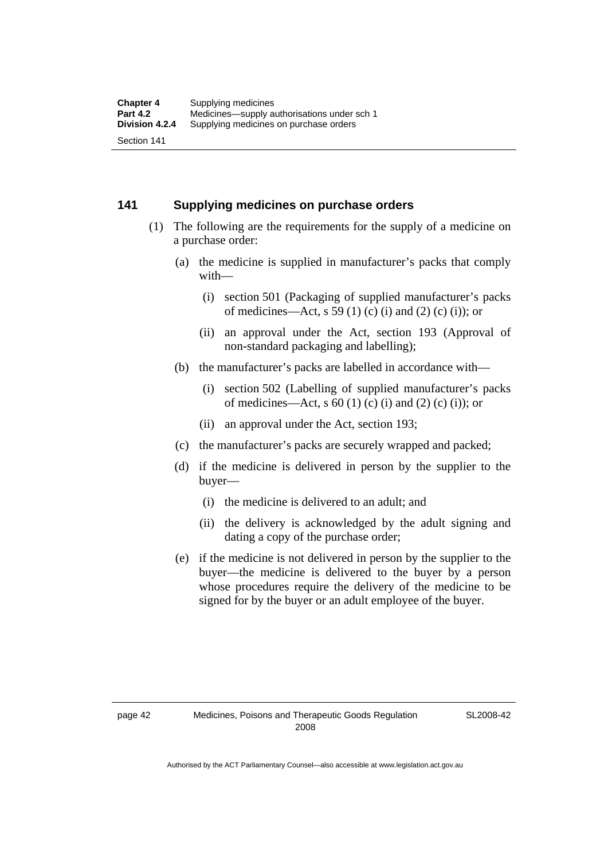### **141 Supplying medicines on purchase orders**

- (1) The following are the requirements for the supply of a medicine on a purchase order:
	- (a) the medicine is supplied in manufacturer's packs that comply with—
		- (i) section 501 (Packaging of supplied manufacturer's packs of medicines—Act, s 59 (1) (c) (i) and (2) (c) (i)); or
		- (ii) an approval under the Act, section 193 (Approval of non-standard packaging and labelling);
	- (b) the manufacturer's packs are labelled in accordance with—
		- (i) section 502 (Labelling of supplied manufacturer's packs of medicines—Act, s  $60$  (1) (c) (i) and (2) (c) (i)); or
		- (ii) an approval under the Act, section 193;
	- (c) the manufacturer's packs are securely wrapped and packed;
	- (d) if the medicine is delivered in person by the supplier to the buyer—
		- (i) the medicine is delivered to an adult; and
		- (ii) the delivery is acknowledged by the adult signing and dating a copy of the purchase order;
	- (e) if the medicine is not delivered in person by the supplier to the buyer—the medicine is delivered to the buyer by a person whose procedures require the delivery of the medicine to be signed for by the buyer or an adult employee of the buyer.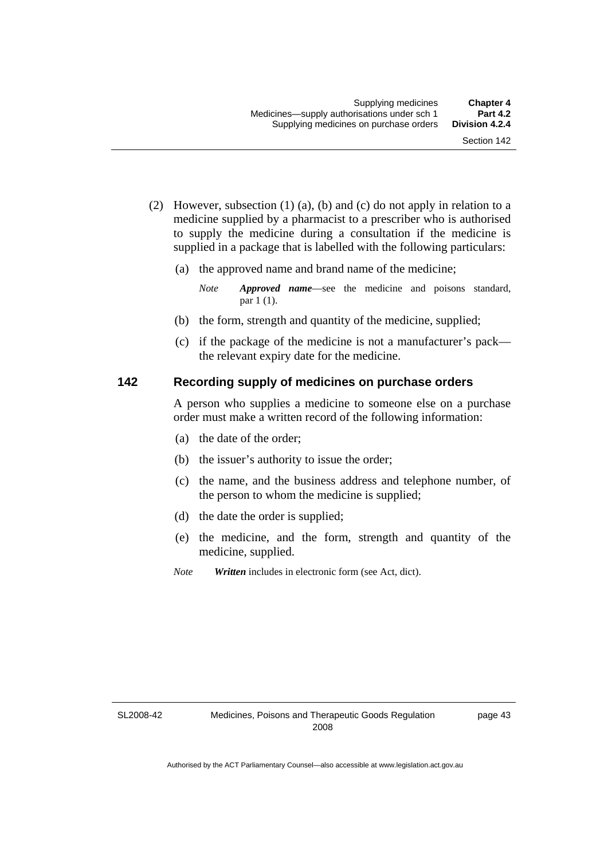- (2) However, subsection (1) (a), (b) and (c) do not apply in relation to a medicine supplied by a pharmacist to a prescriber who is authorised to supply the medicine during a consultation if the medicine is supplied in a package that is labelled with the following particulars:
	- (a) the approved name and brand name of the medicine;

*Note Approved name*—see the medicine and poisons standard, par 1 (1).

- (b) the form, strength and quantity of the medicine, supplied;
- (c) if the package of the medicine is not a manufacturer's pack the relevant expiry date for the medicine.

### **142 Recording supply of medicines on purchase orders**

A person who supplies a medicine to someone else on a purchase order must make a written record of the following information:

- (a) the date of the order;
- (b) the issuer's authority to issue the order;
- (c) the name, and the business address and telephone number, of the person to whom the medicine is supplied;
- (d) the date the order is supplied;
- (e) the medicine, and the form, strength and quantity of the medicine, supplied.
- *Note Written* includes in electronic form (see Act, dict).

SL2008-42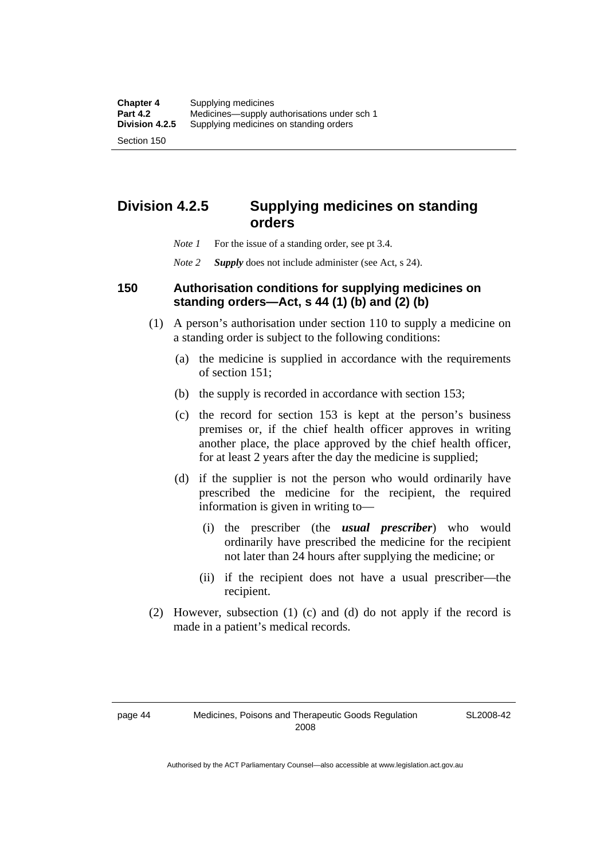# **Division 4.2.5 Supplying medicines on standing orders**

- *Note 1* For the issue of a standing order, see pt 3.4.
- *Note 2 Supply* does not include administer (see Act, s 24).

### **150 Authorisation conditions for supplying medicines on standing orders—Act, s 44 (1) (b) and (2) (b)**

- (1) A person's authorisation under section 110 to supply a medicine on a standing order is subject to the following conditions:
	- (a) the medicine is supplied in accordance with the requirements of section 151;
	- (b) the supply is recorded in accordance with section 153;
	- (c) the record for section 153 is kept at the person's business premises or, if the chief health officer approves in writing another place, the place approved by the chief health officer, for at least 2 years after the day the medicine is supplied;
	- (d) if the supplier is not the person who would ordinarily have prescribed the medicine for the recipient, the required information is given in writing to—
		- (i) the prescriber (the *usual prescriber*) who would ordinarily have prescribed the medicine for the recipient not later than 24 hours after supplying the medicine; or
		- (ii) if the recipient does not have a usual prescriber—the recipient.
- (2) However, subsection (1) (c) and (d) do not apply if the record is made in a patient's medical records.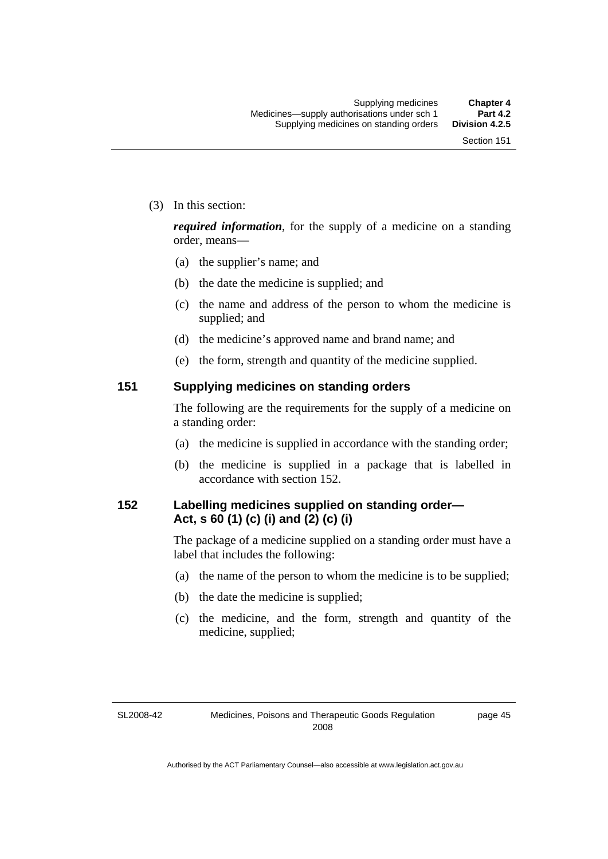(3) In this section:

*required information*, for the supply of a medicine on a standing order, means—

- (a) the supplier's name; and
- (b) the date the medicine is supplied; and
- (c) the name and address of the person to whom the medicine is supplied; and
- (d) the medicine's approved name and brand name; and
- (e) the form, strength and quantity of the medicine supplied.

### **151 Supplying medicines on standing orders**

The following are the requirements for the supply of a medicine on a standing order:

- (a) the medicine is supplied in accordance with the standing order;
- (b) the medicine is supplied in a package that is labelled in accordance with section 152.

### **152 Labelling medicines supplied on standing order— Act, s 60 (1) (c) (i) and (2) (c) (i)**

The package of a medicine supplied on a standing order must have a label that includes the following:

- (a) the name of the person to whom the medicine is to be supplied;
- (b) the date the medicine is supplied;
- (c) the medicine, and the form, strength and quantity of the medicine, supplied;

#### SL2008-42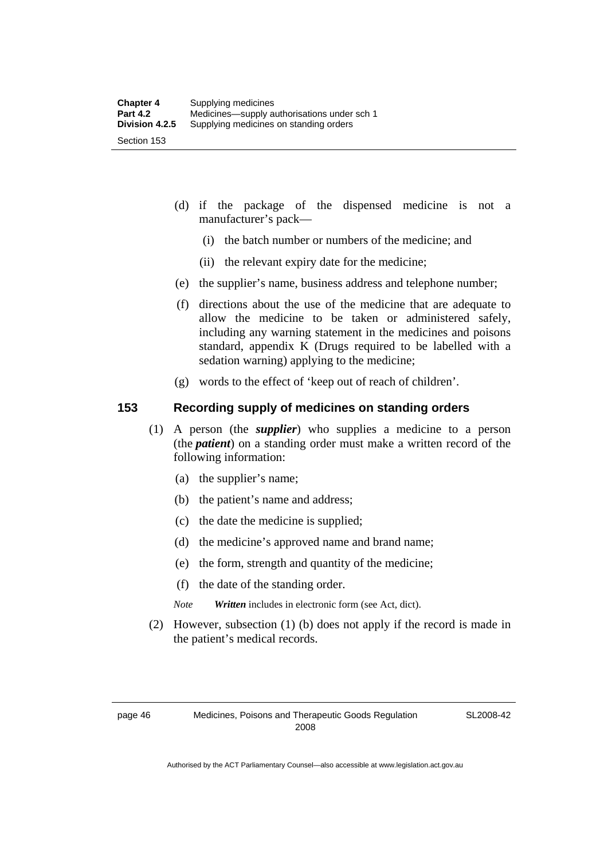- (d) if the package of the dispensed medicine is not a manufacturer's pack—
	- (i) the batch number or numbers of the medicine; and
	- (ii) the relevant expiry date for the medicine;
- (e) the supplier's name, business address and telephone number;
- (f) directions about the use of the medicine that are adequate to allow the medicine to be taken or administered safely, including any warning statement in the medicines and poisons standard, appendix K (Drugs required to be labelled with a sedation warning) applying to the medicine;
- (g) words to the effect of 'keep out of reach of children'.

### **153 Recording supply of medicines on standing orders**

- (1) A person (the *supplier*) who supplies a medicine to a person (the *patient*) on a standing order must make a written record of the following information:
	- (a) the supplier's name;
	- (b) the patient's name and address;
	- (c) the date the medicine is supplied;
	- (d) the medicine's approved name and brand name;
	- (e) the form, strength and quantity of the medicine;
	- (f) the date of the standing order.
	- *Note Written* includes in electronic form (see Act, dict).
- (2) However, subsection (1) (b) does not apply if the record is made in the patient's medical records.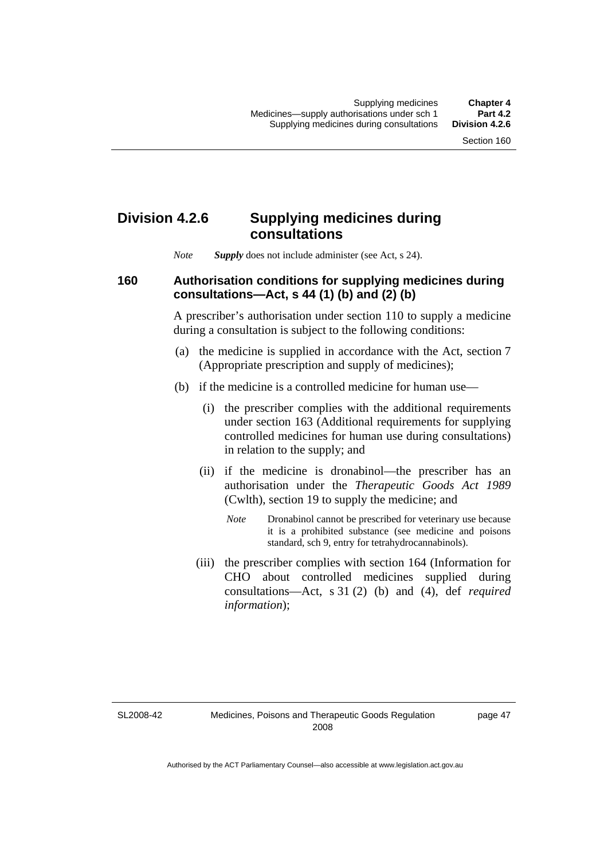# **Division 4.2.6 Supplying medicines during consultations**

*Note Supply* does not include administer (see Act, s 24).

### **160 Authorisation conditions for supplying medicines during consultations—Act, s 44 (1) (b) and (2) (b)**

A prescriber's authorisation under section 110 to supply a medicine during a consultation is subject to the following conditions:

- (a) the medicine is supplied in accordance with the Act, section 7 (Appropriate prescription and supply of medicines);
- (b) if the medicine is a controlled medicine for human use—
	- (i) the prescriber complies with the additional requirements under section 163 (Additional requirements for supplying controlled medicines for human use during consultations) in relation to the supply; and
	- (ii) if the medicine is dronabinol—the prescriber has an authorisation under the *Therapeutic Goods Act 1989* (Cwlth), section 19 to supply the medicine; and
		- *Note* Dronabinol cannot be prescribed for veterinary use because it is a prohibited substance (see medicine and poisons standard, sch 9, entry for tetrahydrocannabinols).
	- (iii) the prescriber complies with section 164 (Information for CHO about controlled medicines supplied during consultations—Act, s 31 (2) (b) and (4), def *required information*);

SL2008-42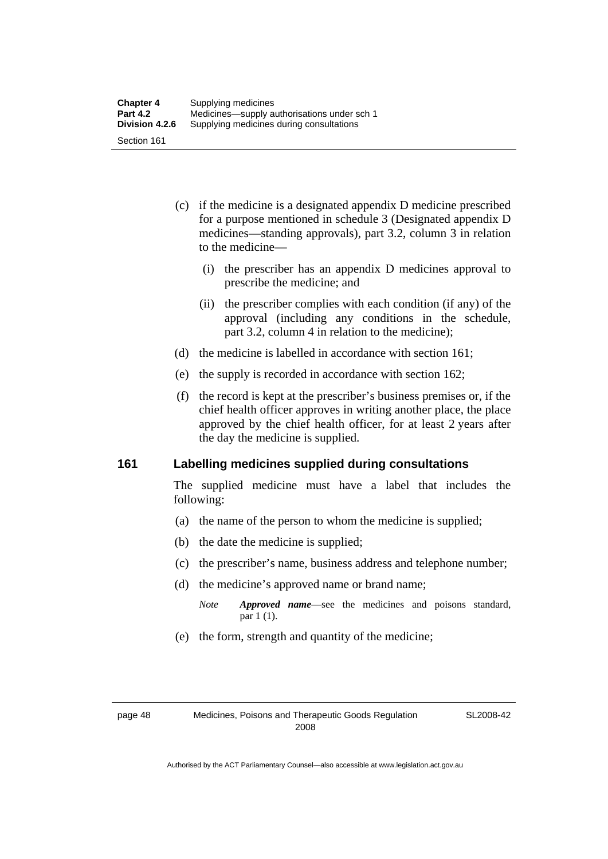- (c) if the medicine is a designated appendix D medicine prescribed for a purpose mentioned in schedule 3 (Designated appendix D medicines—standing approvals), part 3.2, column 3 in relation to the medicine—
	- (i) the prescriber has an appendix D medicines approval to prescribe the medicine; and
	- (ii) the prescriber complies with each condition (if any) of the approval (including any conditions in the schedule, part 3.2, column 4 in relation to the medicine);
- (d) the medicine is labelled in accordance with section 161;
- (e) the supply is recorded in accordance with section 162;
- (f) the record is kept at the prescriber's business premises or, if the chief health officer approves in writing another place, the place approved by the chief health officer, for at least 2 years after the day the medicine is supplied.

### **161 Labelling medicines supplied during consultations**

The supplied medicine must have a label that includes the following:

- (a) the name of the person to whom the medicine is supplied;
- (b) the date the medicine is supplied;
- (c) the prescriber's name, business address and telephone number;
- (d) the medicine's approved name or brand name;
	- *Note Approved name*—see the medicines and poisons standard, par 1 (1).
- (e) the form, strength and quantity of the medicine;

SL2008-42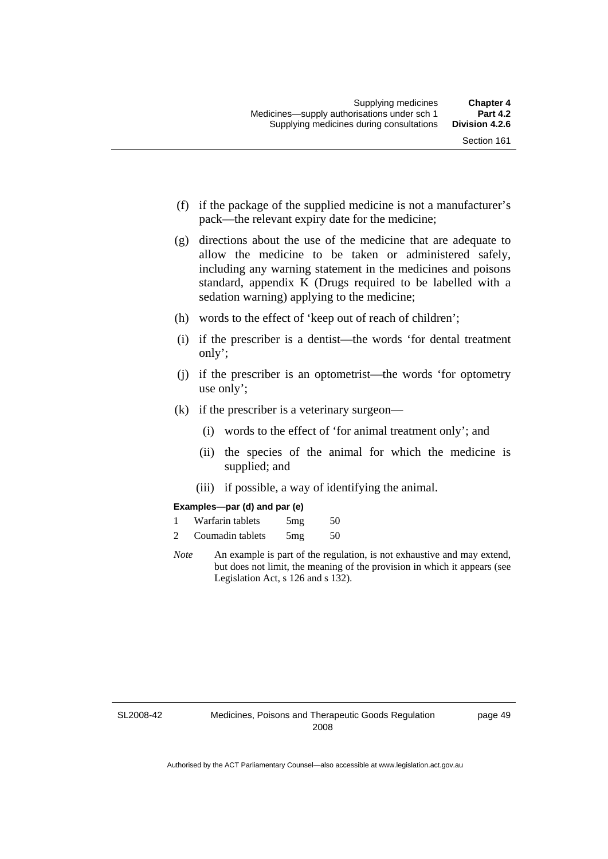- (f) if the package of the supplied medicine is not a manufacturer's pack—the relevant expiry date for the medicine;
- (g) directions about the use of the medicine that are adequate to allow the medicine to be taken or administered safely, including any warning statement in the medicines and poisons standard, appendix K (Drugs required to be labelled with a sedation warning) applying to the medicine;
- (h) words to the effect of 'keep out of reach of children';
- (i) if the prescriber is a dentist—the words 'for dental treatment only';
- (j) if the prescriber is an optometrist—the words 'for optometry use only';
- (k) if the prescriber is a veterinary surgeon—
	- (i) words to the effect of 'for animal treatment only'; and
	- (ii) the species of the animal for which the medicine is supplied; and
	- (iii) if possible, a way of identifying the animal.

#### **Examples—par (d) and par (e)**

| Warfarin tablets | 5mg | 50 |
|------------------|-----|----|
| Coumadin tablets | 5mg | 50 |

*Note* An example is part of the regulation, is not exhaustive and may extend, but does not limit, the meaning of the provision in which it appears (see Legislation Act, s 126 and s 132).

SL2008-42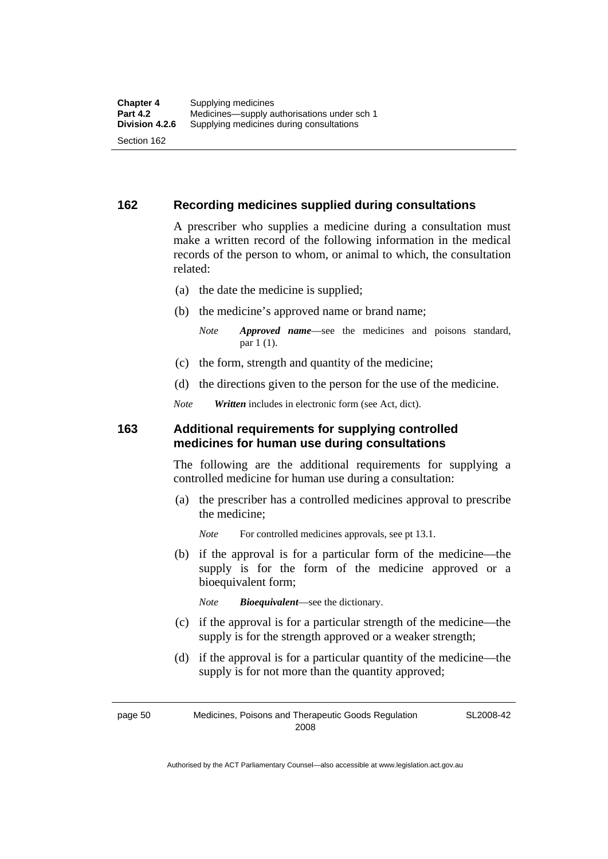#### **162 Recording medicines supplied during consultations**

A prescriber who supplies a medicine during a consultation must make a written record of the following information in the medical records of the person to whom, or animal to which, the consultation related:

- (a) the date the medicine is supplied;
- (b) the medicine's approved name or brand name;

*Note Approved name*—see the medicines and poisons standard, par 1 (1).

- (c) the form, strength and quantity of the medicine;
- (d) the directions given to the person for the use of the medicine.

*Note Written* includes in electronic form (see Act, dict).

#### **163 Additional requirements for supplying controlled medicines for human use during consultations**

The following are the additional requirements for supplying a controlled medicine for human use during a consultation:

- (a) the prescriber has a controlled medicines approval to prescribe the medicine;
	- *Note* For controlled medicines approvals, see pt 13.1.
- (b) if the approval is for a particular form of the medicine—the supply is for the form of the medicine approved or a bioequivalent form;

*Note Bioequivalent*—see the dictionary.

- (c) if the approval is for a particular strength of the medicine—the supply is for the strength approved or a weaker strength;
- (d) if the approval is for a particular quantity of the medicine—the supply is for not more than the quantity approved;

SL2008-42

page 50 Medicines, Poisons and Therapeutic Goods Regulation 2008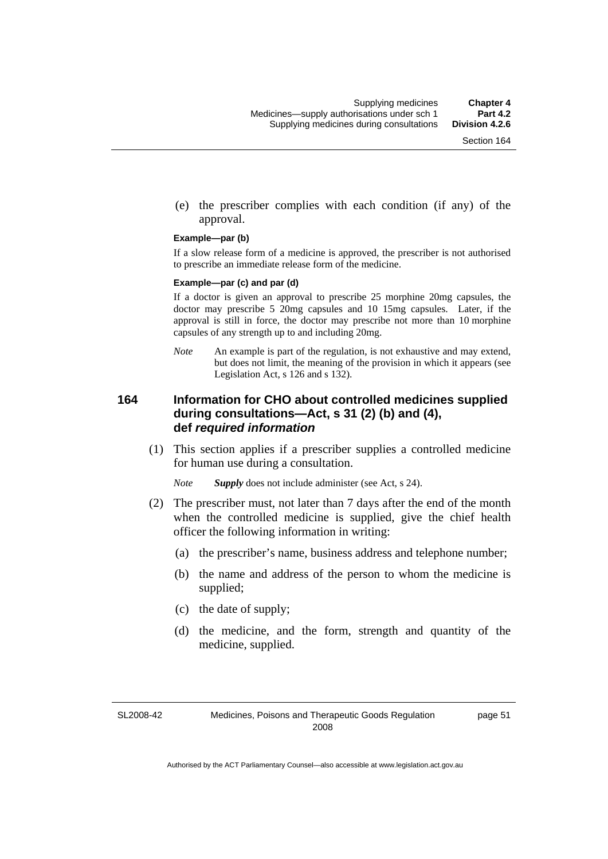(e) the prescriber complies with each condition (if any) of the approval.

#### **Example—par (b)**

If a slow release form of a medicine is approved, the prescriber is not authorised to prescribe an immediate release form of the medicine.

#### **Example—par (c) and par (d)**

If a doctor is given an approval to prescribe 25 morphine 20mg capsules, the doctor may prescribe 5 20mg capsules and 10 15mg capsules. Later, if the approval is still in force, the doctor may prescribe not more than 10 morphine capsules of any strength up to and including 20mg.

*Note* An example is part of the regulation, is not exhaustive and may extend, but does not limit, the meaning of the provision in which it appears (see Legislation Act, s 126 and s 132).

#### **164 Information for CHO about controlled medicines supplied during consultations—Act, s 31 (2) (b) and (4), def** *required information*

 (1) This section applies if a prescriber supplies a controlled medicine for human use during a consultation.

*Note Supply* does not include administer (see Act, s 24).

- (2) The prescriber must, not later than 7 days after the end of the month when the controlled medicine is supplied, give the chief health officer the following information in writing:
	- (a) the prescriber's name, business address and telephone number;
	- (b) the name and address of the person to whom the medicine is supplied;
	- (c) the date of supply;
	- (d) the medicine, and the form, strength and quantity of the medicine, supplied.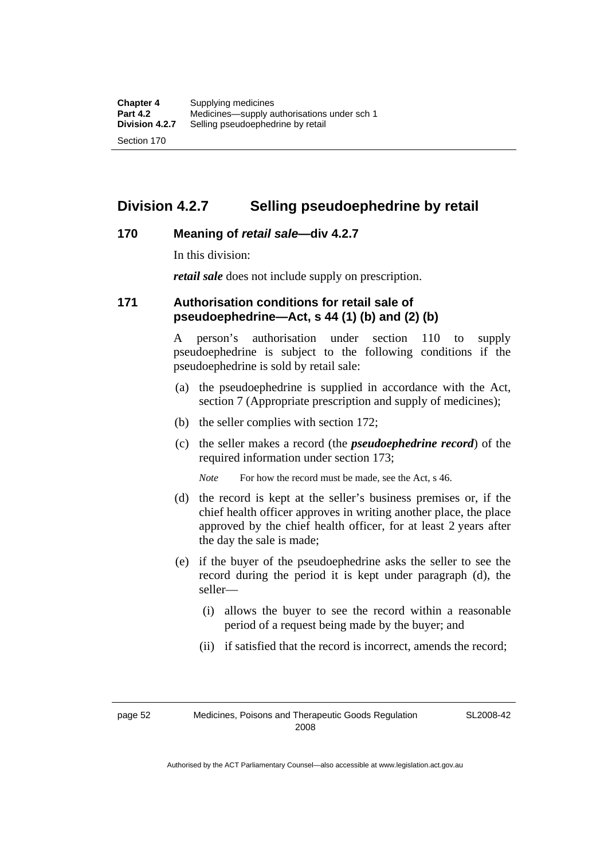### **Division 4.2.7 Selling pseudoephedrine by retail**

#### **170 Meaning of** *retail sale***—div 4.2.7**

In this division:

*retail sale* does not include supply on prescription.

#### **171 Authorisation conditions for retail sale of pseudoephedrine—Act, s 44 (1) (b) and (2) (b)**

A person's authorisation under section 110 to supply pseudoephedrine is subject to the following conditions if the pseudoephedrine is sold by retail sale:

- (a) the pseudoephedrine is supplied in accordance with the Act, section 7 (Appropriate prescription and supply of medicines);
- (b) the seller complies with section 172;
- (c) the seller makes a record (the *pseudoephedrine record*) of the required information under section 173;

*Note* For how the record must be made, see the Act, s 46.

- (d) the record is kept at the seller's business premises or, if the chief health officer approves in writing another place, the place approved by the chief health officer, for at least 2 years after the day the sale is made;
- (e) if the buyer of the pseudoephedrine asks the seller to see the record during the period it is kept under paragraph (d), the seller—
	- (i) allows the buyer to see the record within a reasonable period of a request being made by the buyer; and
	- (ii) if satisfied that the record is incorrect, amends the record;

SL2008-42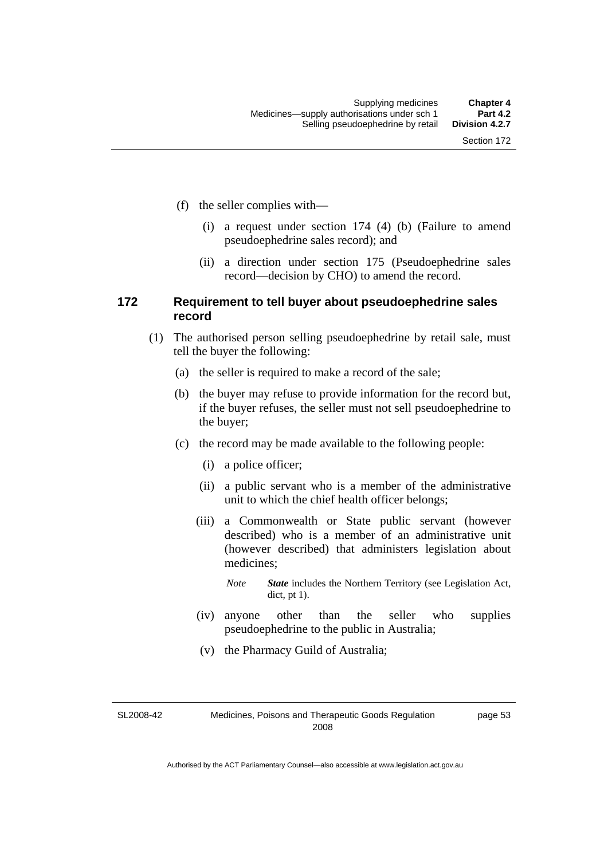- (f) the seller complies with—
	- (i) a request under section 174 (4) (b) (Failure to amend pseudoephedrine sales record); and
	- (ii) a direction under section 175 (Pseudoephedrine sales record—decision by CHO) to amend the record.

#### **172 Requirement to tell buyer about pseudoephedrine sales record**

- (1) The authorised person selling pseudoephedrine by retail sale, must tell the buyer the following:
	- (a) the seller is required to make a record of the sale;
	- (b) the buyer may refuse to provide information for the record but, if the buyer refuses, the seller must not sell pseudoephedrine to the buyer;
	- (c) the record may be made available to the following people:
		- (i) a police officer;
		- (ii) a public servant who is a member of the administrative unit to which the chief health officer belongs;
		- (iii) a Commonwealth or State public servant (however described) who is a member of an administrative unit (however described) that administers legislation about medicines;
			- *Note State* includes the Northern Territory (see Legislation Act, dict, pt 1).
		- (iv) anyone other than the seller who supplies pseudoephedrine to the public in Australia;
		- (v) the Pharmacy Guild of Australia;

SL2008-42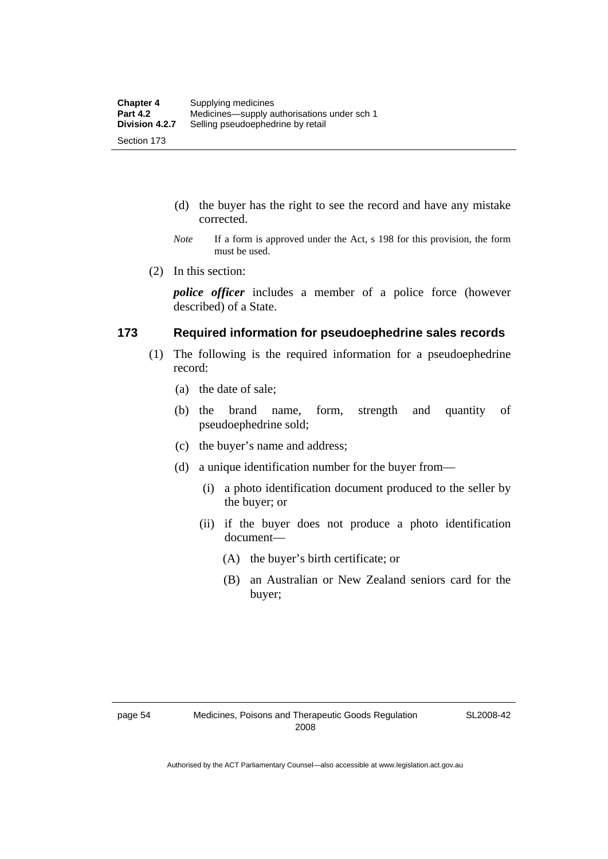- (d) the buyer has the right to see the record and have any mistake corrected.
- *Note* If a form is approved under the Act, s 198 for this provision, the form must be used.
- (2) In this section:

*police officer* includes a member of a police force (however described) of a State.

#### **173 Required information for pseudoephedrine sales records**

- (1) The following is the required information for a pseudoephedrine record:
	- (a) the date of sale;
	- (b) the brand name, form, strength and quantity of pseudoephedrine sold;
	- (c) the buyer's name and address;
	- (d) a unique identification number for the buyer from—
		- (i) a photo identification document produced to the seller by the buyer; or
		- (ii) if the buyer does not produce a photo identification document—
			- (A) the buyer's birth certificate; or
			- (B) an Australian or New Zealand seniors card for the buyer;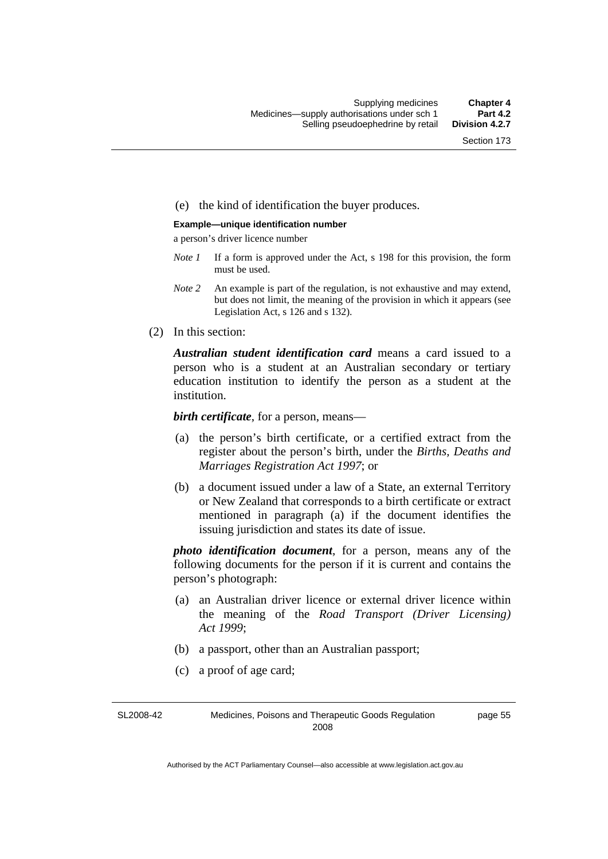#### (e) the kind of identification the buyer produces.

#### **Example—unique identification number**

a person's driver licence number

- *Note 1* If a form is approved under the Act, s 198 for this provision, the form must be used.
- *Note 2* An example is part of the regulation, is not exhaustive and may extend, but does not limit, the meaning of the provision in which it appears (see Legislation Act, s 126 and s 132).
- (2) In this section:

*Australian student identification card* means a card issued to a person who is a student at an Australian secondary or tertiary education institution to identify the person as a student at the institution.

*birth certificate*, for a person, means—

- (a) the person's birth certificate, or a certified extract from the register about the person's birth, under the *Births, Deaths and Marriages Registration Act 1997*; or
- (b) a document issued under a law of a State, an external Territory or New Zealand that corresponds to a birth certificate or extract mentioned in paragraph (a) if the document identifies the issuing jurisdiction and states its date of issue.

*photo identification document*, for a person, means any of the following documents for the person if it is current and contains the person's photograph:

- (a) an Australian driver licence or external driver licence within the meaning of the *Road Transport (Driver Licensing) Act 1999*;
- (b) a passport, other than an Australian passport;
- (c) a proof of age card;

SL2008-42 Medicines, Poisons and Therapeutic Goods Regulation 2008 page 55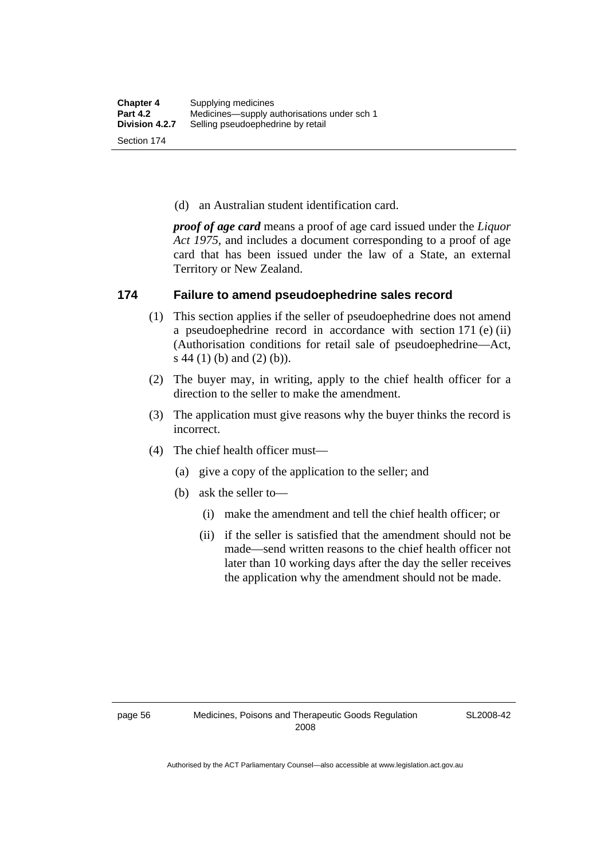(d) an Australian student identification card.

*proof of age card* means a proof of age card issued under the *Liquor Act 1975*, and includes a document corresponding to a proof of age card that has been issued under the law of a State, an external Territory or New Zealand.

#### **174 Failure to amend pseudoephedrine sales record**

- (1) This section applies if the seller of pseudoephedrine does not amend a pseudoephedrine record in accordance with section 171 (e) (ii) (Authorisation conditions for retail sale of pseudoephedrine—Act, s 44 (1) (b) and (2) (b)).
- (2) The buyer may, in writing, apply to the chief health officer for a direction to the seller to make the amendment.
- (3) The application must give reasons why the buyer thinks the record is incorrect.
- (4) The chief health officer must—
	- (a) give a copy of the application to the seller; and
	- (b) ask the seller to—
		- (i) make the amendment and tell the chief health officer; or
		- (ii) if the seller is satisfied that the amendment should not be made—send written reasons to the chief health officer not later than 10 working days after the day the seller receives the application why the amendment should not be made.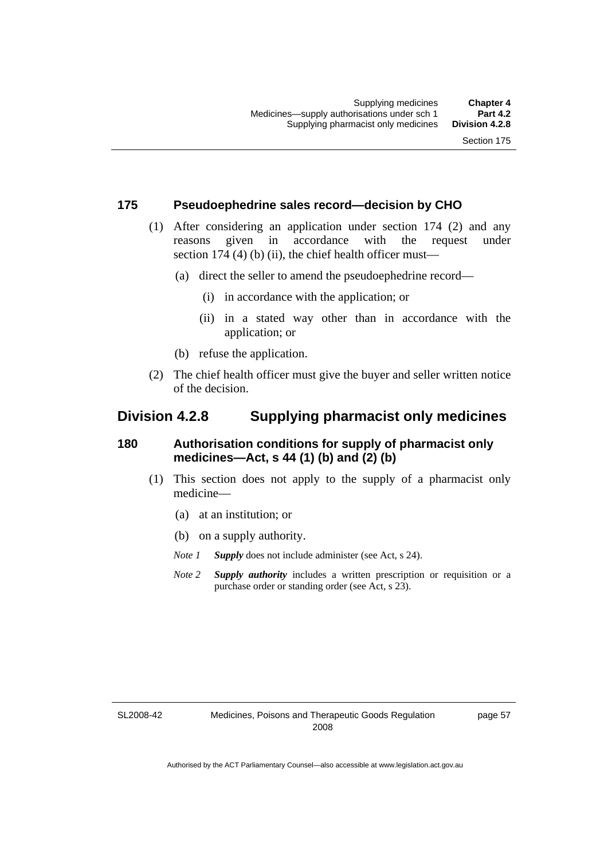#### **175 Pseudoephedrine sales record—decision by CHO**

- (1) After considering an application under section 174 (2) and any reasons given in accordance with the request under section 174  $(4)$  (b)  $(ii)$ , the chief health officer must—
	- (a) direct the seller to amend the pseudoephedrine record—
		- (i) in accordance with the application; or
		- (ii) in a stated way other than in accordance with the application; or
	- (b) refuse the application.
- (2) The chief health officer must give the buyer and seller written notice of the decision.

### **Division 4.2.8 Supplying pharmacist only medicines**

#### **180 Authorisation conditions for supply of pharmacist only medicines—Act, s 44 (1) (b) and (2) (b)**

- (1) This section does not apply to the supply of a pharmacist only medicine—
	- (a) at an institution; or
	- (b) on a supply authority.
	- *Note 1 Supply* does not include administer (see Act, s 24).
	- *Note 2 Supply authority* includes a written prescription or requisition or a purchase order or standing order (see Act, s 23).

SL2008-42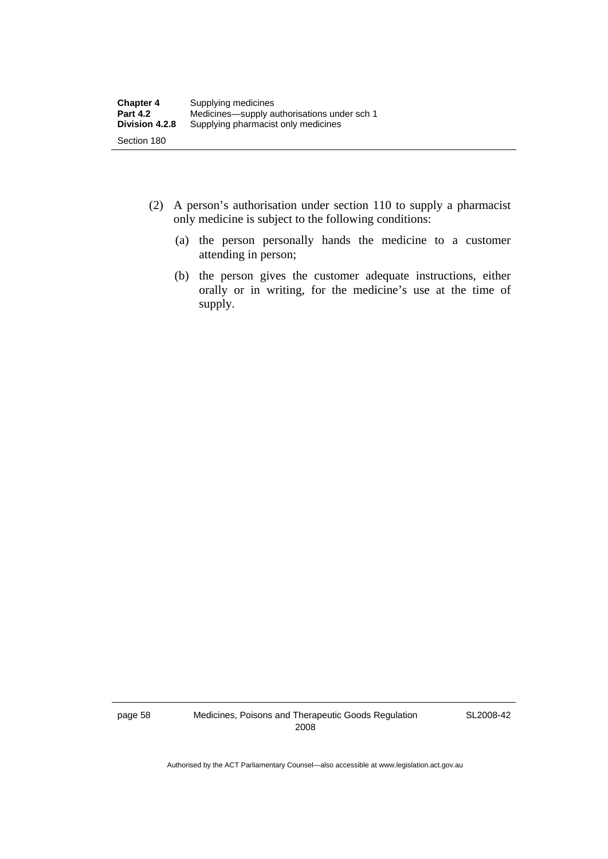| <b>Chapter 4</b> | Supplying medicines                         |
|------------------|---------------------------------------------|
| <b>Part 4.2</b>  | Medicines—supply authorisations under sch 1 |
| Division 4.2.8   | Supplying pharmacist only medicines         |
| Section 180      |                                             |

- (2) A person's authorisation under section 110 to supply a pharmacist only medicine is subject to the following conditions:
	- (a) the person personally hands the medicine to a customer attending in person;
	- (b) the person gives the customer adequate instructions, either orally or in writing, for the medicine's use at the time of supply.

page 58 Medicines, Poisons and Therapeutic Goods Regulation 2008

SL2008-42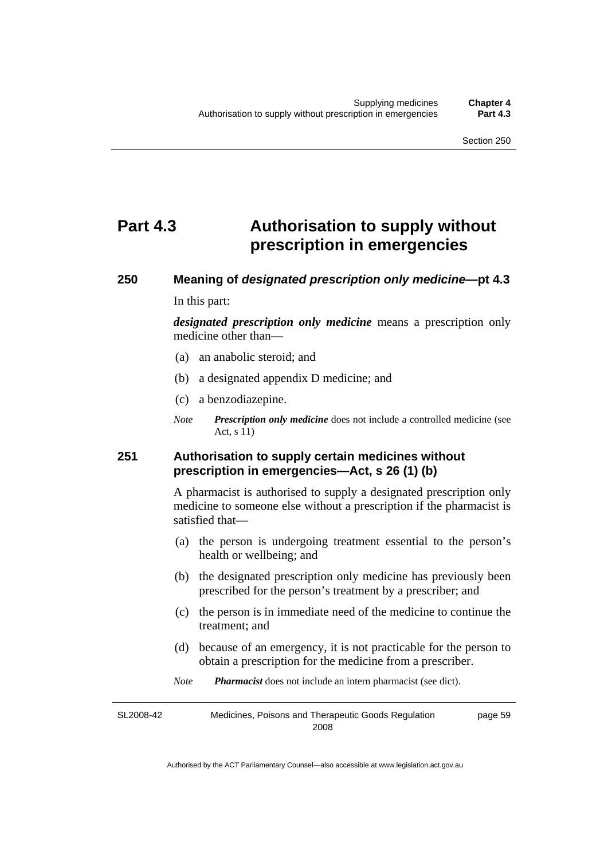# **Part 4.3 Authorisation to supply without prescription in emergencies**

# **250 Meaning of** *designated prescription only medicine***—pt 4.3**

In this part:

*designated prescription only medicine* means a prescription only medicine other than—

- (a) an anabolic steroid; and
- (b) a designated appendix D medicine; and
- (c) a benzodiazepine.
- *Note Prescription only medicine* does not include a controlled medicine (see Act, s 11)

#### **251 Authorisation to supply certain medicines without prescription in emergencies—Act, s 26 (1) (b)**

A pharmacist is authorised to supply a designated prescription only medicine to someone else without a prescription if the pharmacist is satisfied that—

- (a) the person is undergoing treatment essential to the person's health or wellbeing; and
- (b) the designated prescription only medicine has previously been prescribed for the person's treatment by a prescriber; and
- (c) the person is in immediate need of the medicine to continue the treatment; and
- (d) because of an emergency, it is not practicable for the person to obtain a prescription for the medicine from a prescriber.
- *Note Pharmacist* does not include an intern pharmacist (see dict).

SL2008-42 Medicines, Poisons and Therapeutic Goods Regulation 2008 page 59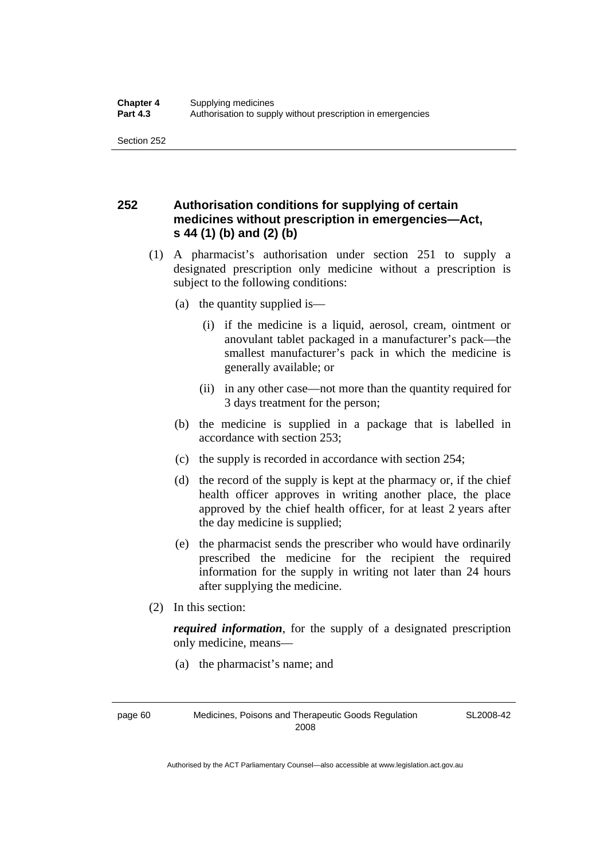Section 252

### **252 Authorisation conditions for supplying of certain medicines without prescription in emergencies—Act, s 44 (1) (b) and (2) (b)**

- (1) A pharmacist's authorisation under section 251 to supply a designated prescription only medicine without a prescription is subject to the following conditions:
	- (a) the quantity supplied is—
		- (i) if the medicine is a liquid, aerosol, cream, ointment or anovulant tablet packaged in a manufacturer's pack—the smallest manufacturer's pack in which the medicine is generally available; or
		- (ii) in any other case—not more than the quantity required for 3 days treatment for the person;
	- (b) the medicine is supplied in a package that is labelled in accordance with section 253;
	- (c) the supply is recorded in accordance with section 254;
	- (d) the record of the supply is kept at the pharmacy or, if the chief health officer approves in writing another place, the place approved by the chief health officer, for at least 2 years after the day medicine is supplied;
	- (e) the pharmacist sends the prescriber who would have ordinarily prescribed the medicine for the recipient the required information for the supply in writing not later than 24 hours after supplying the medicine.
- (2) In this section:

*required information*, for the supply of a designated prescription only medicine, means—

(a) the pharmacist's name; and

page 60 Medicines, Poisons and Therapeutic Goods Regulation 2008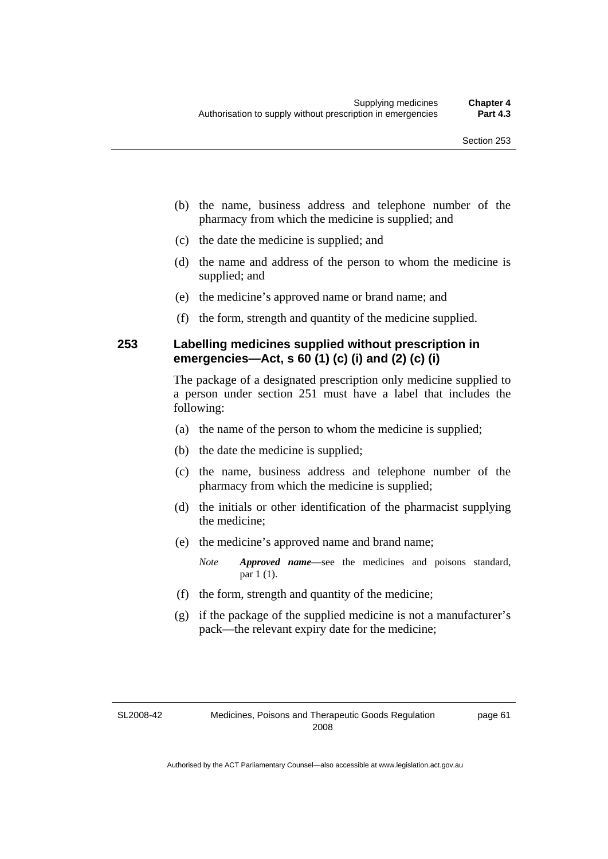- (b) the name, business address and telephone number of the pharmacy from which the medicine is supplied; and
- (c) the date the medicine is supplied; and
- (d) the name and address of the person to whom the medicine is supplied; and
- (e) the medicine's approved name or brand name; and
- (f) the form, strength and quantity of the medicine supplied.

#### **253 Labelling medicines supplied without prescription in emergencies—Act, s 60 (1) (c) (i) and (2) (c) (i)**

The package of a designated prescription only medicine supplied to a person under section 251 must have a label that includes the following:

- (a) the name of the person to whom the medicine is supplied;
- (b) the date the medicine is supplied;
- (c) the name, business address and telephone number of the pharmacy from which the medicine is supplied;
- (d) the initials or other identification of the pharmacist supplying the medicine;
- (e) the medicine's approved name and brand name;

*Note Approved name*—see the medicines and poisons standard, par 1 (1).

- (f) the form, strength and quantity of the medicine;
- (g) if the package of the supplied medicine is not a manufacturer's pack—the relevant expiry date for the medicine;

SL2008-42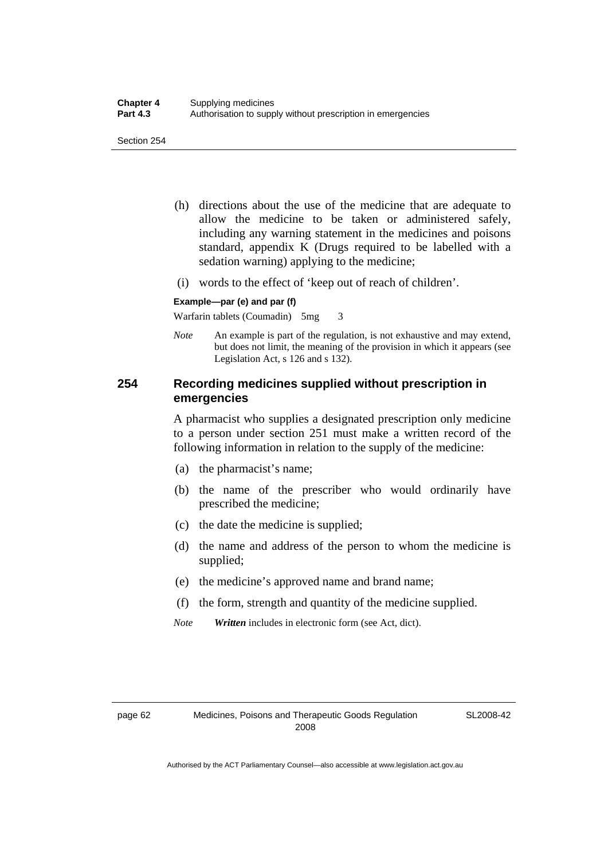- (h) directions about the use of the medicine that are adequate to allow the medicine to be taken or administered safely, including any warning statement in the medicines and poisons standard, appendix K (Drugs required to be labelled with a sedation warning) applying to the medicine;
- (i) words to the effect of 'keep out of reach of children'.

#### **Example—par (e) and par (f)**

Warfarin tablets (Coumadin) 5mg 3

*Note* An example is part of the regulation, is not exhaustive and may extend, but does not limit, the meaning of the provision in which it appears (see Legislation Act, s 126 and s 132).

#### **254 Recording medicines supplied without prescription in emergencies**

A pharmacist who supplies a designated prescription only medicine to a person under section 251 must make a written record of the following information in relation to the supply of the medicine:

- (a) the pharmacist's name;
- (b) the name of the prescriber who would ordinarily have prescribed the medicine;
- (c) the date the medicine is supplied;
- (d) the name and address of the person to whom the medicine is supplied;
- (e) the medicine's approved name and brand name;
- (f) the form, strength and quantity of the medicine supplied.
- *Note Written* includes in electronic form (see Act, dict).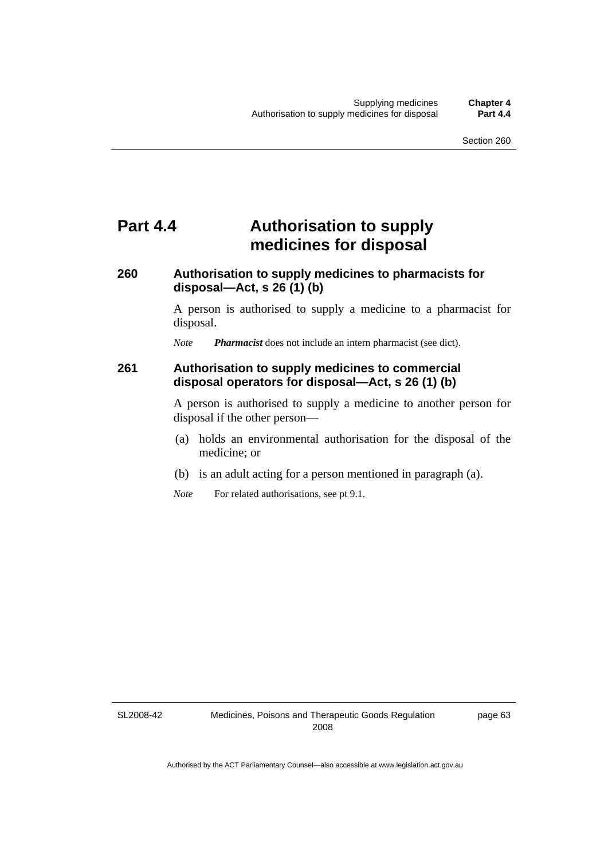# **Part 4.4 Authorisation to supply medicines for disposal**

### **260 Authorisation to supply medicines to pharmacists for disposal—Act, s 26 (1) (b)**

A person is authorised to supply a medicine to a pharmacist for disposal.

*Note Pharmacist* does not include an intern pharmacist (see dict).

#### **261 Authorisation to supply medicines to commercial disposal operators for disposal—Act, s 26 (1) (b)**

A person is authorised to supply a medicine to another person for disposal if the other person—

- (a) holds an environmental authorisation for the disposal of the medicine; or
- (b) is an adult acting for a person mentioned in paragraph (a).
- *Note* For related authorisations, see pt 9.1.

SL2008-42

page 63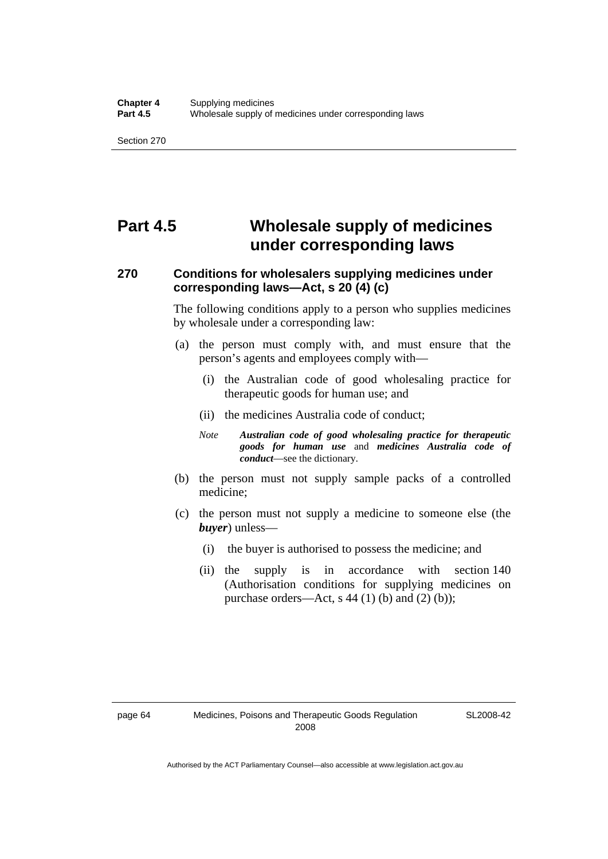Section 270

# **Part 4.5 Wholesale supply of medicines under corresponding laws**

### **270 Conditions for wholesalers supplying medicines under corresponding laws—Act, s 20 (4) (c)**

The following conditions apply to a person who supplies medicines by wholesale under a corresponding law:

- (a) the person must comply with, and must ensure that the person's agents and employees comply with—
	- (i) the Australian code of good wholesaling practice for therapeutic goods for human use; and
	- (ii) the medicines Australia code of conduct;
	- *Note Australian code of good wholesaling practice for therapeutic goods for human use* and *medicines Australia code of conduct*—see the dictionary.
- (b) the person must not supply sample packs of a controlled medicine;
- (c) the person must not supply a medicine to someone else (the *buyer*) unless—
	- (i) the buyer is authorised to possess the medicine; and
	- (ii) the supply is in accordance with section 140 (Authorisation conditions for supplying medicines on purchase orders—Act, s  $44$  (1) (b) and (2) (b));

SL2008-42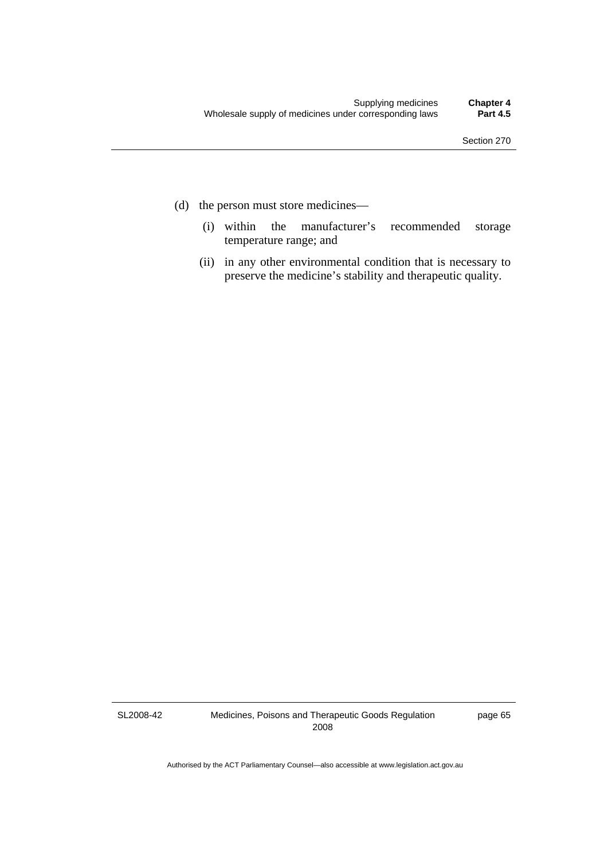- (d) the person must store medicines—
	- (i) within the manufacturer's recommended storage temperature range; and
	- (ii) in any other environmental condition that is necessary to preserve the medicine's stability and therapeutic quality.

SL2008-42

Medicines, Poisons and Therapeutic Goods Regulation 2008

page 65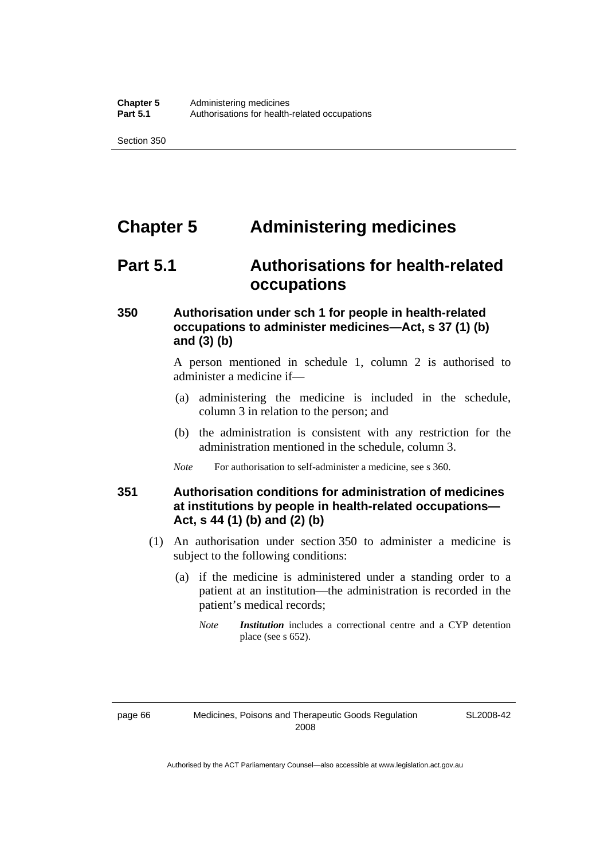# **Chapter 5 Administering medicines**

### **Part 5.1 Authorisations for health-related occupations**

#### **350 Authorisation under sch 1 for people in health-related occupations to administer medicines—Act, s 37 (1) (b) and (3) (b)**

A person mentioned in schedule 1, column 2 is authorised to administer a medicine if—

- (a) administering the medicine is included in the schedule, column 3 in relation to the person; and
- (b) the administration is consistent with any restriction for the administration mentioned in the schedule, column 3.
- *Note* For authorisation to self-administer a medicine, see s 360.

### **351 Authorisation conditions for administration of medicines at institutions by people in health-related occupations— Act, s 44 (1) (b) and (2) (b)**

- (1) An authorisation under section 350 to administer a medicine is subject to the following conditions:
	- (a) if the medicine is administered under a standing order to a patient at an institution—the administration is recorded in the patient's medical records;
		- *Note Institution* includes a correctional centre and a CYP detention place (see s 652).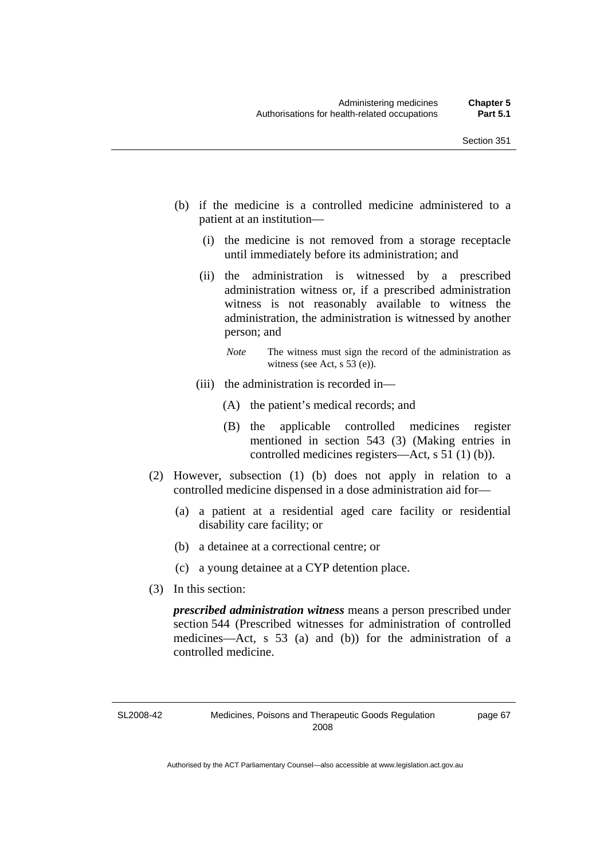- (b) if the medicine is a controlled medicine administered to a patient at an institution—
	- (i) the medicine is not removed from a storage receptacle until immediately before its administration; and
	- (ii) the administration is witnessed by a prescribed administration witness or, if a prescribed administration witness is not reasonably available to witness the administration, the administration is witnessed by another person; and
		- *Note* The witness must sign the record of the administration as witness (see Act, s 53 (e)).
	- (iii) the administration is recorded in—
		- (A) the patient's medical records; and
		- (B) the applicable controlled medicines register mentioned in section 543 (3) (Making entries in controlled medicines registers—Act, s 51 (1) (b)).
- (2) However, subsection (1) (b) does not apply in relation to a controlled medicine dispensed in a dose administration aid for—
	- (a) a patient at a residential aged care facility or residential disability care facility; or
	- (b) a detainee at a correctional centre; or
	- (c) a young detainee at a CYP detention place.
- (3) In this section:

*prescribed administration witness* means a person prescribed under section 544 (Prescribed witnesses for administration of controlled medicines—Act, s 53 (a) and (b)) for the administration of a controlled medicine.

SL2008-42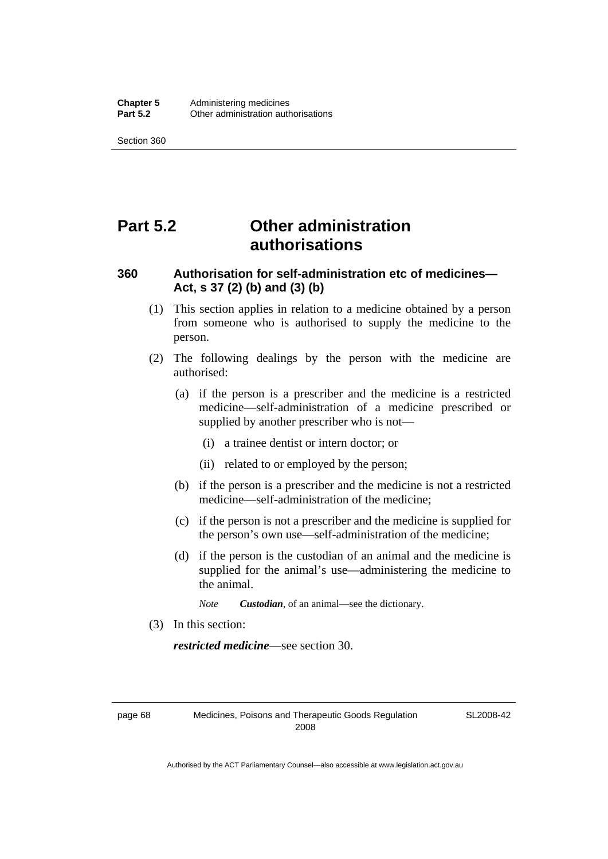Section 360

# **Part 5.2 Other administration authorisations**

### **360 Authorisation for self-administration etc of medicines— Act, s 37 (2) (b) and (3) (b)**

- (1) This section applies in relation to a medicine obtained by a person from someone who is authorised to supply the medicine to the person.
- (2) The following dealings by the person with the medicine are authorised:
	- (a) if the person is a prescriber and the medicine is a restricted medicine—self-administration of a medicine prescribed or supplied by another prescriber who is not—
		- (i) a trainee dentist or intern doctor; or
		- (ii) related to or employed by the person;
	- (b) if the person is a prescriber and the medicine is not a restricted medicine—self-administration of the medicine;
	- (c) if the person is not a prescriber and the medicine is supplied for the person's own use—self-administration of the medicine;
	- (d) if the person is the custodian of an animal and the medicine is supplied for the animal's use—administering the medicine to the animal.
		- *Note Custodian*, of an animal—see the dictionary.
- (3) In this section:

*restricted medicine*—see section 30.

page 68 Medicines, Poisons and Therapeutic Goods Regulation 2008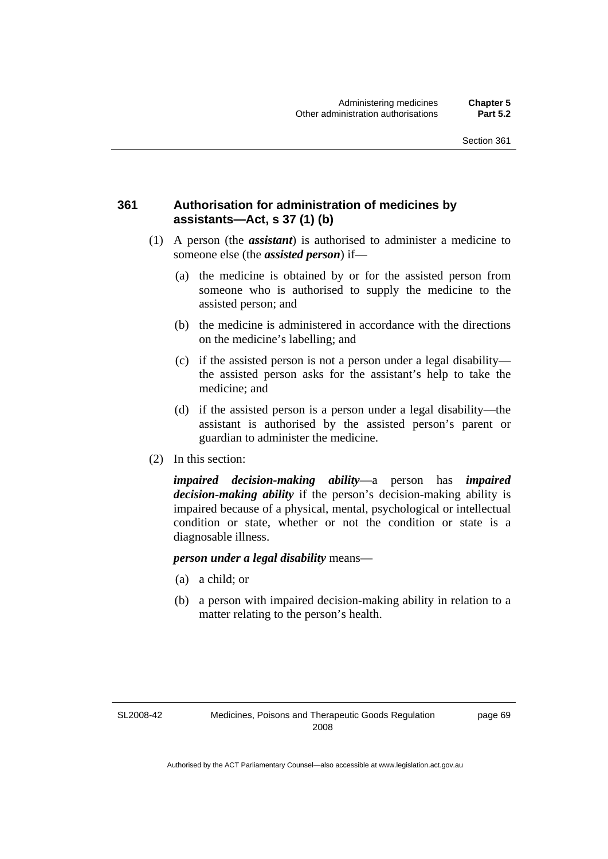#### **361 Authorisation for administration of medicines by assistants—Act, s 37 (1) (b)**

- (1) A person (the *assistant*) is authorised to administer a medicine to someone else (the *assisted person*) if—
	- (a) the medicine is obtained by or for the assisted person from someone who is authorised to supply the medicine to the assisted person; and
	- (b) the medicine is administered in accordance with the directions on the medicine's labelling; and
	- (c) if the assisted person is not a person under a legal disability the assisted person asks for the assistant's help to take the medicine; and
	- (d) if the assisted person is a person under a legal disability—the assistant is authorised by the assisted person's parent or guardian to administer the medicine.
- (2) In this section:

*impaired decision-making ability*—a person has *impaired decision-making ability* if the person's decision-making ability is impaired because of a physical, mental, psychological or intellectual condition or state, whether or not the condition or state is a diagnosable illness.

*person under a legal disability* means—

- (a) a child; or
- (b) a person with impaired decision-making ability in relation to a matter relating to the person's health.

SL2008-42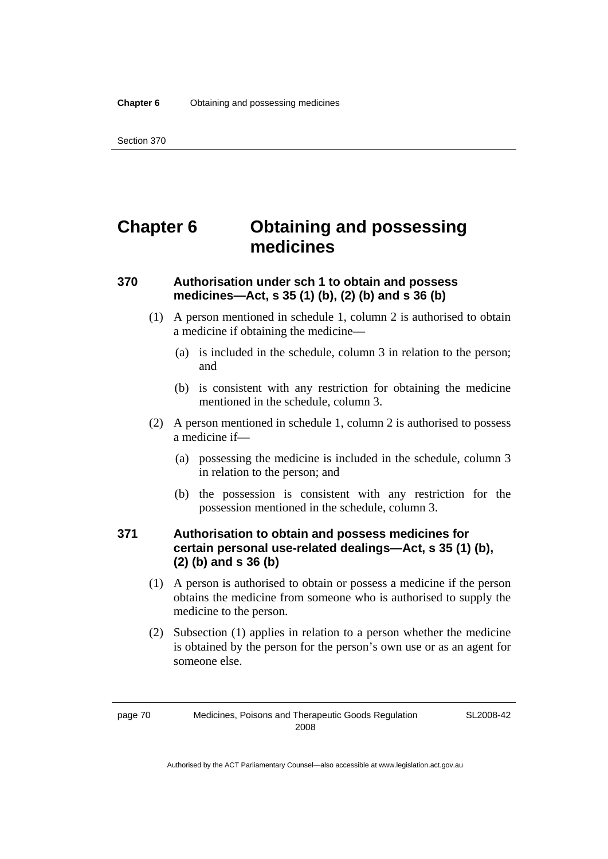# **Chapter 6 Obtaining and possessing medicines**

#### **370 Authorisation under sch 1 to obtain and possess medicines—Act, s 35 (1) (b), (2) (b) and s 36 (b)**

- (1) A person mentioned in schedule 1, column 2 is authorised to obtain a medicine if obtaining the medicine—
	- (a) is included in the schedule, column 3 in relation to the person; and
	- (b) is consistent with any restriction for obtaining the medicine mentioned in the schedule, column 3.
- (2) A person mentioned in schedule 1, column 2 is authorised to possess a medicine if—
	- (a) possessing the medicine is included in the schedule, column 3 in relation to the person; and
	- (b) the possession is consistent with any restriction for the possession mentioned in the schedule, column 3.

### **371 Authorisation to obtain and possess medicines for certain personal use-related dealings—Act, s 35 (1) (b), (2) (b) and s 36 (b)**

- (1) A person is authorised to obtain or possess a medicine if the person obtains the medicine from someone who is authorised to supply the medicine to the person.
- (2) Subsection (1) applies in relation to a person whether the medicine is obtained by the person for the person's own use or as an agent for someone else.

page 70 Medicines, Poisons and Therapeutic Goods Regulation 2008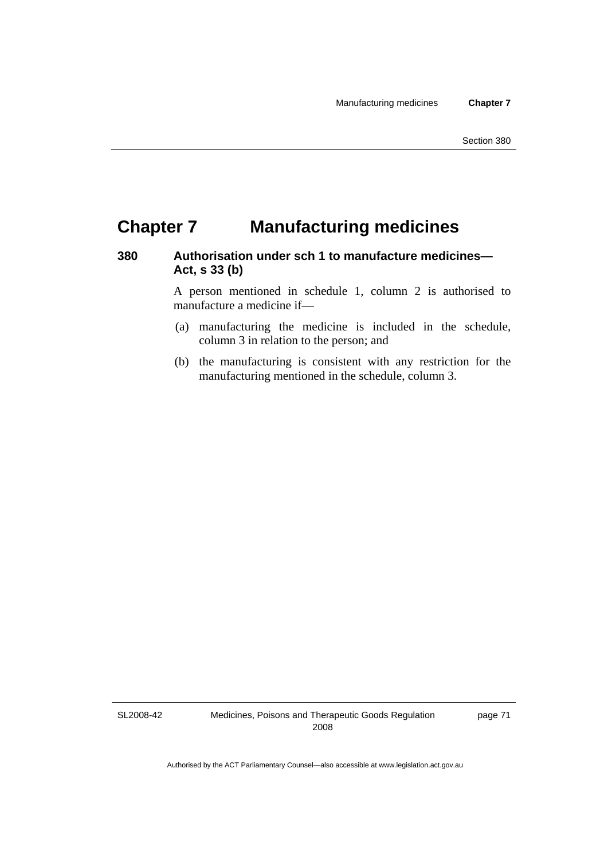# **Chapter 7 Manufacturing medicines**

### **380 Authorisation under sch 1 to manufacture medicines— Act, s 33 (b)**

A person mentioned in schedule 1, column 2 is authorised to manufacture a medicine if—

- (a) manufacturing the medicine is included in the schedule, column 3 in relation to the person; and
- (b) the manufacturing is consistent with any restriction for the manufacturing mentioned in the schedule, column 3.

SL2008-42

Medicines, Poisons and Therapeutic Goods Regulation 2008

page 71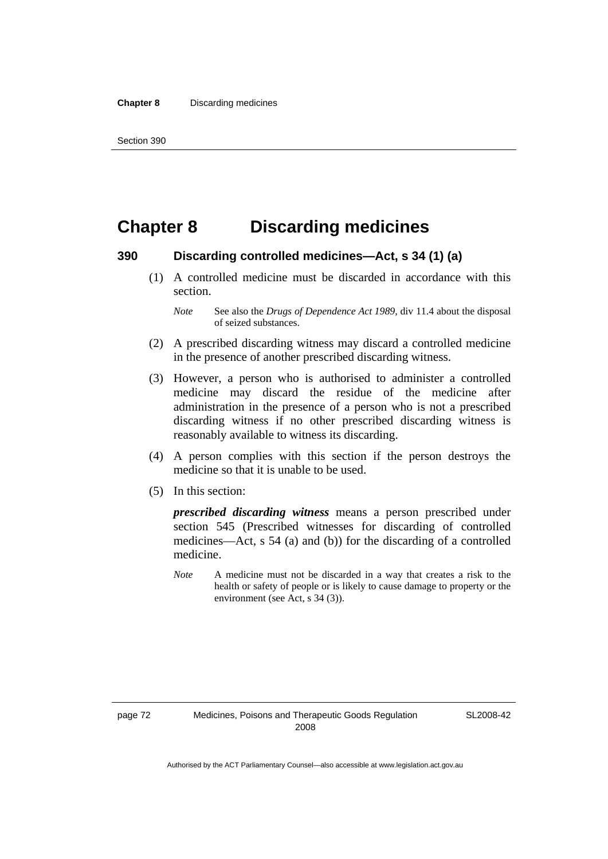### **Chapter 8 Discarding medicines**

#### **390 Discarding controlled medicines—Act, s 34 (1) (a)**

 (1) A controlled medicine must be discarded in accordance with this section.

- (2) A prescribed discarding witness may discard a controlled medicine in the presence of another prescribed discarding witness.
- (3) However, a person who is authorised to administer a controlled medicine may discard the residue of the medicine after administration in the presence of a person who is not a prescribed discarding witness if no other prescribed discarding witness is reasonably available to witness its discarding.
- (4) A person complies with this section if the person destroys the medicine so that it is unable to be used.
- (5) In this section:

*prescribed discarding witness* means a person prescribed under section 545 (Prescribed witnesses for discarding of controlled medicines—Act, s 54 (a) and (b)) for the discarding of a controlled medicine.

*Note* A medicine must not be discarded in a way that creates a risk to the health or safety of people or is likely to cause damage to property or the environment (see Act, s 34 (3)).

*Note* See also the *Drugs of Dependence Act 1989*, div 11.4 about the disposal of seized substances.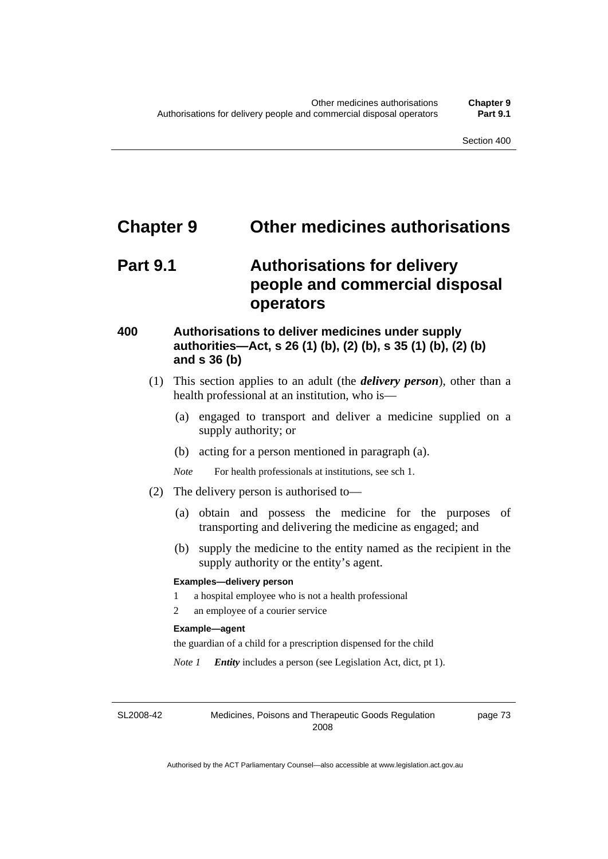### **Chapter 9 Other medicines authorisations**

### **Part 9.1 Authorisations for delivery people and commercial disposal operators**

#### **400 Authorisations to deliver medicines under supply authorities—Act, s 26 (1) (b), (2) (b), s 35 (1) (b), (2) (b) and s 36 (b)**

- (1) This section applies to an adult (the *delivery person*), other than a health professional at an institution, who is—
	- (a) engaged to transport and deliver a medicine supplied on a supply authority; or
	- (b) acting for a person mentioned in paragraph (a).
	- *Note* For health professionals at institutions, see sch 1.
- (2) The delivery person is authorised to—
	- (a) obtain and possess the medicine for the purposes of transporting and delivering the medicine as engaged; and
	- (b) supply the medicine to the entity named as the recipient in the supply authority or the entity's agent.

#### **Examples—delivery person**

- 1 a hospital employee who is not a health professional
- 2 an employee of a courier service

#### **Example—agent**

the guardian of a child for a prescription dispensed for the child

*Note 1 Entity* includes a person (see Legislation Act, dict, pt 1).

SL2008-42

Medicines, Poisons and Therapeutic Goods Regulation 2008

page 73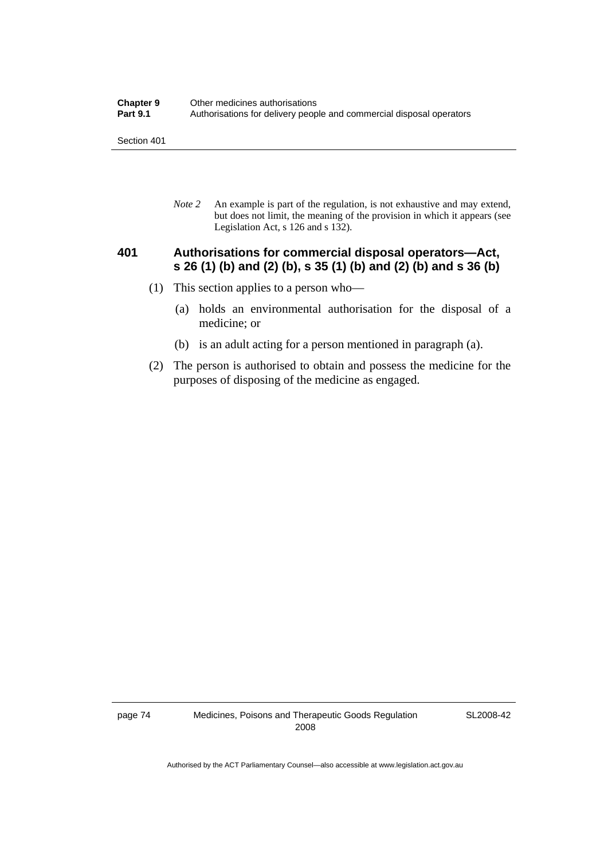Section 401

*Note 2* An example is part of the regulation, is not exhaustive and may extend, but does not limit, the meaning of the provision in which it appears (see Legislation Act, s 126 and s 132).

#### **401 Authorisations for commercial disposal operators—Act, s 26 (1) (b) and (2) (b), s 35 (1) (b) and (2) (b) and s 36 (b)**

- (1) This section applies to a person who—
	- (a) holds an environmental authorisation for the disposal of a medicine; or
	- (b) is an adult acting for a person mentioned in paragraph (a).
- (2) The person is authorised to obtain and possess the medicine for the purposes of disposing of the medicine as engaged.

page 74 Medicines, Poisons and Therapeutic Goods Regulation 2008

SL2008-42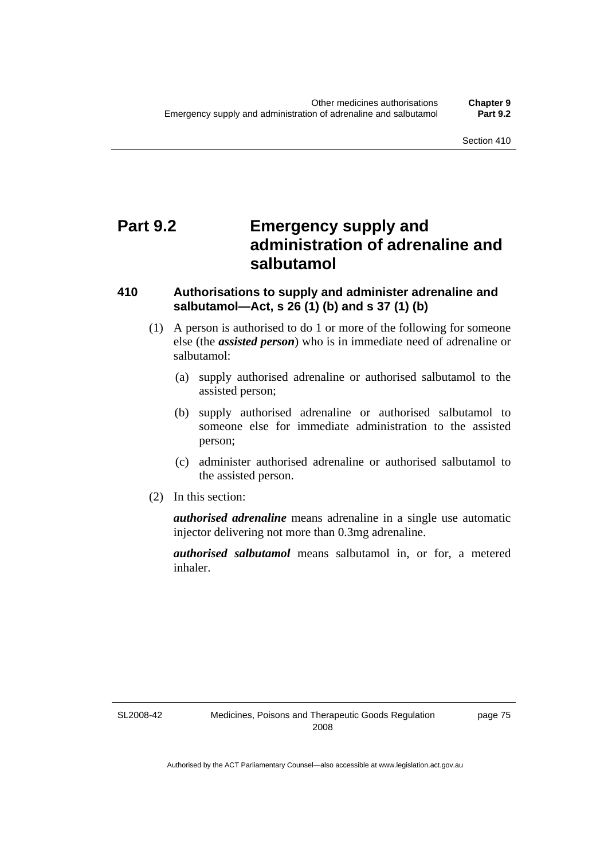# **Part 9.2 Emergency supply and administration of adrenaline and salbutamol**

#### **410 Authorisations to supply and administer adrenaline and salbutamol—Act, s 26 (1) (b) and s 37 (1) (b)**

- (1) A person is authorised to do 1 or more of the following for someone else (the *assisted person*) who is in immediate need of adrenaline or salbutamol:
	- (a) supply authorised adrenaline or authorised salbutamol to the assisted person;
	- (b) supply authorised adrenaline or authorised salbutamol to someone else for immediate administration to the assisted person;
	- (c) administer authorised adrenaline or authorised salbutamol to the assisted person.
- (2) In this section:

*authorised adrenaline* means adrenaline in a single use automatic injector delivering not more than 0.3mg adrenaline.

*authorised salbutamol* means salbutamol in, or for, a metered inhaler.

SL2008-42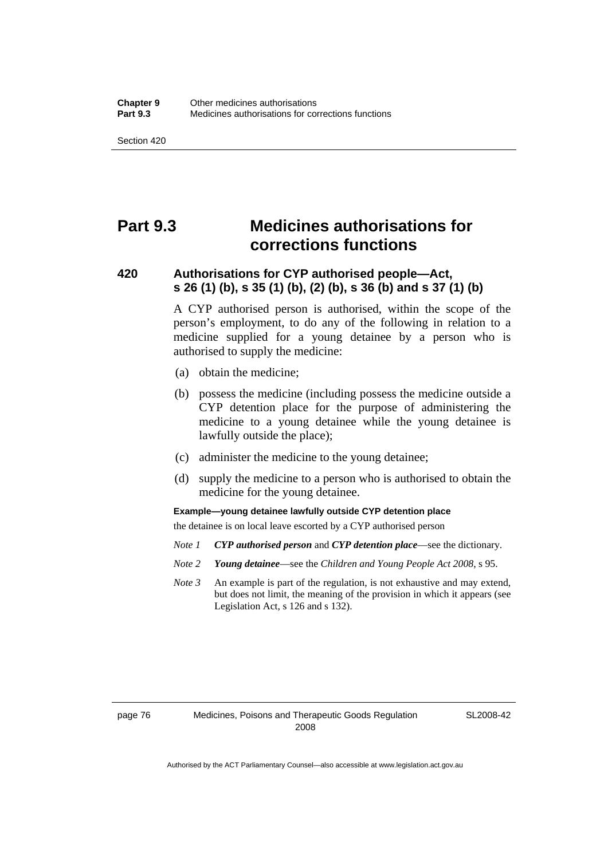Section 420

# **Part 9.3 Medicines authorisations for corrections functions**

### **420 Authorisations for CYP authorised people—Act, s 26 (1) (b), s 35 (1) (b), (2) (b), s 36 (b) and s 37 (1) (b)**

A CYP authorised person is authorised, within the scope of the person's employment, to do any of the following in relation to a medicine supplied for a young detainee by a person who is authorised to supply the medicine:

- (a) obtain the medicine;
- (b) possess the medicine (including possess the medicine outside a CYP detention place for the purpose of administering the medicine to a young detainee while the young detainee is lawfully outside the place);
- (c) administer the medicine to the young detainee;
- (d) supply the medicine to a person who is authorised to obtain the medicine for the young detainee.

**Example—young detainee lawfully outside CYP detention place** 

the detainee is on local leave escorted by a CYP authorised person

- *Note 1 CYP authorised person* and *CYP detention place*—see the dictionary.
- *Note 2 Young detainee*—see the *Children and Young People Act 2008*, s 95.
- *Note 3* An example is part of the regulation, is not exhaustive and may extend, but does not limit, the meaning of the provision in which it appears (see Legislation Act, s 126 and s 132).

SL2008-42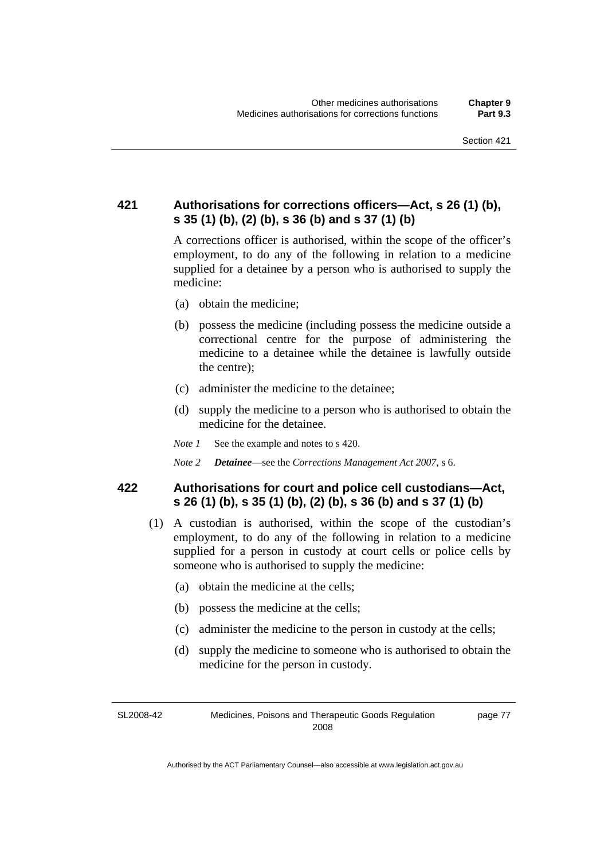### **421 Authorisations for corrections officers—Act, s 26 (1) (b), s 35 (1) (b), (2) (b), s 36 (b) and s 37 (1) (b)**

A corrections officer is authorised, within the scope of the officer's employment, to do any of the following in relation to a medicine supplied for a detainee by a person who is authorised to supply the medicine:

- (a) obtain the medicine;
- (b) possess the medicine (including possess the medicine outside a correctional centre for the purpose of administering the medicine to a detainee while the detainee is lawfully outside the centre);
- (c) administer the medicine to the detainee;
- (d) supply the medicine to a person who is authorised to obtain the medicine for the detainee.
- *Note 1* See the example and notes to s 420.
- *Note 2 Detainee*—see the *Corrections Management Act 2007*, s 6.

#### **422 Authorisations for court and police cell custodians—Act, s 26 (1) (b), s 35 (1) (b), (2) (b), s 36 (b) and s 37 (1) (b)**

- (1) A custodian is authorised, within the scope of the custodian's employment, to do any of the following in relation to a medicine supplied for a person in custody at court cells or police cells by someone who is authorised to supply the medicine:
	- (a) obtain the medicine at the cells;
	- (b) possess the medicine at the cells;
	- (c) administer the medicine to the person in custody at the cells;
	- (d) supply the medicine to someone who is authorised to obtain the medicine for the person in custody.

SL2008-42 Medicines, Poisons and Therapeutic Goods Regulation 2008 page 77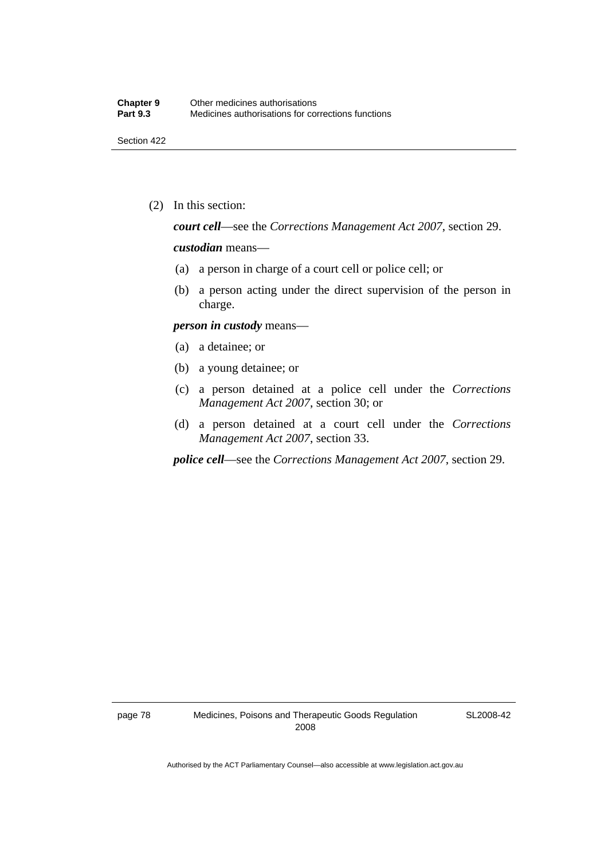Section 422

(2) In this section:

*court cell*—see the *Corrections Management Act 2007*, section 29.

#### *custodian* means—

- (a) a person in charge of a court cell or police cell; or
- (b) a person acting under the direct supervision of the person in charge.

#### *person in custody* means—

- (a) a detainee; or
- (b) a young detainee; or
- (c) a person detained at a police cell under the *Corrections Management Act 2007*, section 30; or
- (d) a person detained at a court cell under the *Corrections Management Act 2007*, section 33.

*police cell*—see the *Corrections Management Act 2007*, section 29.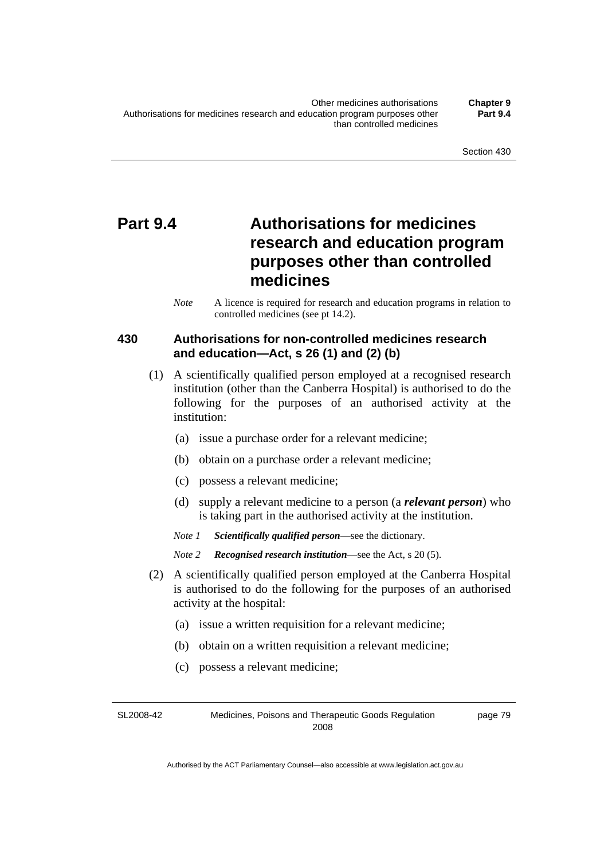# **Part 9.4 Authorisations for medicines research and education program purposes other than controlled medicines**

*Note* A licence is required for research and education programs in relation to controlled medicines (see pt 14.2).

### **430 Authorisations for non-controlled medicines research and education—Act, s 26 (1) and (2) (b)**

- (1) A scientifically qualified person employed at a recognised research institution (other than the Canberra Hospital) is authorised to do the following for the purposes of an authorised activity at the institution:
	- (a) issue a purchase order for a relevant medicine;
	- (b) obtain on a purchase order a relevant medicine;
	- (c) possess a relevant medicine;
	- (d) supply a relevant medicine to a person (a *relevant person*) who is taking part in the authorised activity at the institution.
	- *Note 1 Scientifically qualified person*—see the dictionary.

*Note 2 Recognised research institution*—see the Act, s 20 (5).

- (2) A scientifically qualified person employed at the Canberra Hospital is authorised to do the following for the purposes of an authorised activity at the hospital:
	- (a) issue a written requisition for a relevant medicine;
	- (b) obtain on a written requisition a relevant medicine;
	- (c) possess a relevant medicine;

SL2008-42 Medicines, Poisons and Therapeutic Goods Regulation 2008 page 79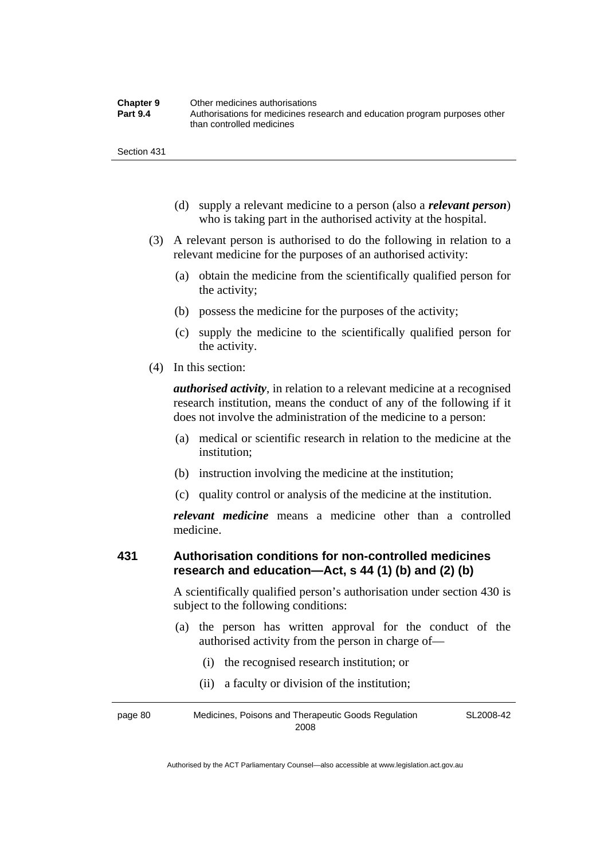| <b>Chapter 9</b> | Other medicines authorisations                                             |
|------------------|----------------------------------------------------------------------------|
| <b>Part 9.4</b>  | Authorisations for medicines research and education program purposes other |
|                  | than controlled medicines                                                  |

Section 431

- (d) supply a relevant medicine to a person (also a *relevant person*) who is taking part in the authorised activity at the hospital.
- (3) A relevant person is authorised to do the following in relation to a relevant medicine for the purposes of an authorised activity:
	- (a) obtain the medicine from the scientifically qualified person for the activity;
	- (b) possess the medicine for the purposes of the activity;
	- (c) supply the medicine to the scientifically qualified person for the activity.
- (4) In this section:

*authorised activity*, in relation to a relevant medicine at a recognised research institution, means the conduct of any of the following if it does not involve the administration of the medicine to a person:

- (a) medical or scientific research in relation to the medicine at the institution;
- (b) instruction involving the medicine at the institution;
- (c) quality control or analysis of the medicine at the institution.

*relevant medicine* means a medicine other than a controlled medicine.

#### **431 Authorisation conditions for non-controlled medicines research and education—Act, s 44 (1) (b) and (2) (b)**

A scientifically qualified person's authorisation under section 430 is subject to the following conditions:

- (a) the person has written approval for the conduct of the authorised activity from the person in charge of—
	- (i) the recognised research institution; or
	- (ii) a faculty or division of the institution;

page 80 Medicines, Poisons and Therapeutic Goods Regulation 2008 SL2008-42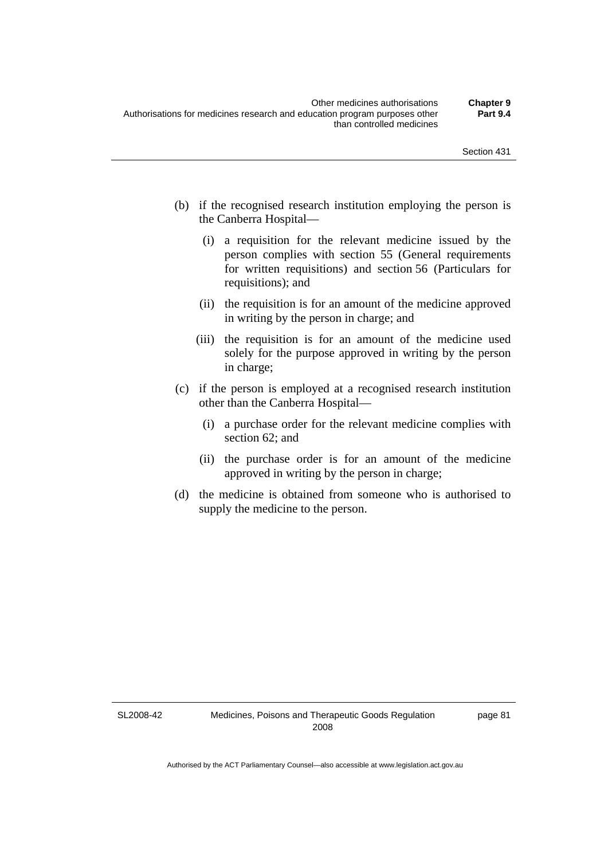- (b) if the recognised research institution employing the person is the Canberra Hospital—
	- (i) a requisition for the relevant medicine issued by the person complies with section 55 (General requirements for written requisitions) and section 56 (Particulars for requisitions); and
	- (ii) the requisition is for an amount of the medicine approved in writing by the person in charge; and
	- (iii) the requisition is for an amount of the medicine used solely for the purpose approved in writing by the person in charge;
- (c) if the person is employed at a recognised research institution other than the Canberra Hospital—
	- (i) a purchase order for the relevant medicine complies with section 62; and
	- (ii) the purchase order is for an amount of the medicine approved in writing by the person in charge;
- (d) the medicine is obtained from someone who is authorised to supply the medicine to the person.

SL2008-42

page 81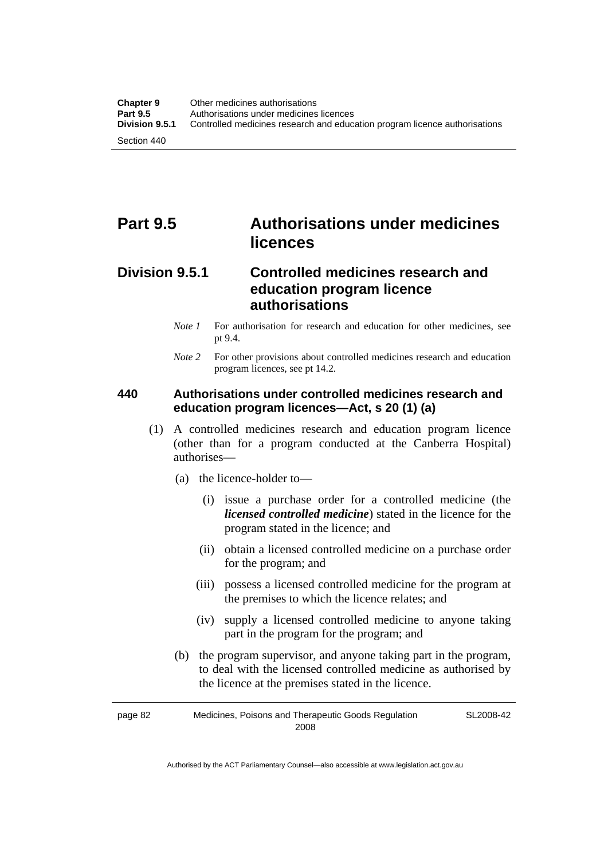# **Part 9.5 Authorisations under medicines licences**

### **Division 9.5.1 Controlled medicines research and education program licence authorisations**

- *Note 1* For authorisation for research and education for other medicines, see pt 9.4.
- *Note* 2 For other provisions about controlled medicines research and education program licences, see pt 14.2.

#### **440 Authorisations under controlled medicines research and education program licences—Act, s 20 (1) (a)**

- (1) A controlled medicines research and education program licence (other than for a program conducted at the Canberra Hospital) authorises—
	- (a) the licence-holder to—
		- (i) issue a purchase order for a controlled medicine (the *licensed controlled medicine*) stated in the licence for the program stated in the licence; and
		- (ii) obtain a licensed controlled medicine on a purchase order for the program; and
		- (iii) possess a licensed controlled medicine for the program at the premises to which the licence relates; and
		- (iv) supply a licensed controlled medicine to anyone taking part in the program for the program; and
	- (b) the program supervisor, and anyone taking part in the program, to deal with the licensed controlled medicine as authorised by the licence at the premises stated in the licence.

page 82 Medicines, Poisons and Therapeutic Goods Regulation 2008 SL2008-42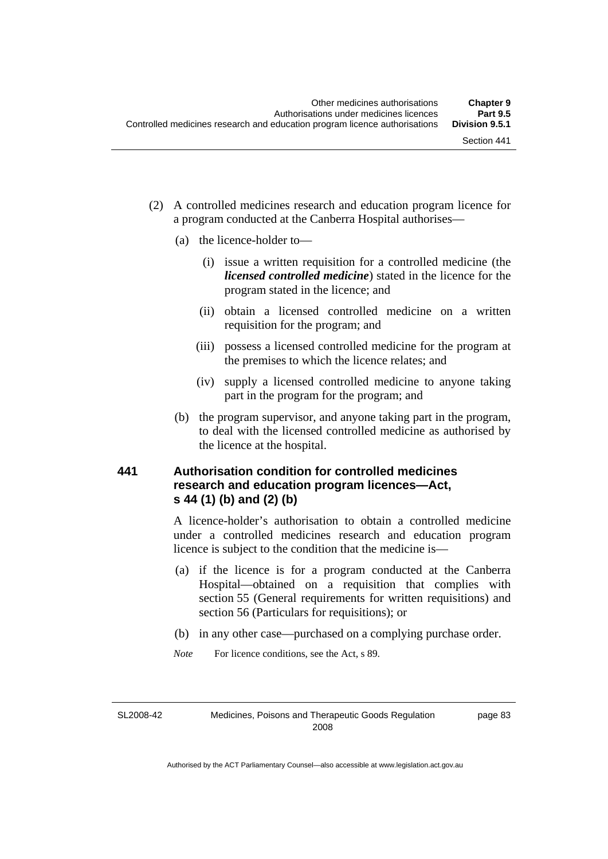- (2) A controlled medicines research and education program licence for a program conducted at the Canberra Hospital authorises—
	- (a) the licence-holder to—
		- (i) issue a written requisition for a controlled medicine (the *licensed controlled medicine*) stated in the licence for the program stated in the licence; and
		- (ii) obtain a licensed controlled medicine on a written requisition for the program; and
		- (iii) possess a licensed controlled medicine for the program at the premises to which the licence relates; and
		- (iv) supply a licensed controlled medicine to anyone taking part in the program for the program; and
	- (b) the program supervisor, and anyone taking part in the program, to deal with the licensed controlled medicine as authorised by the licence at the hospital.

### **441 Authorisation condition for controlled medicines research and education program licences—Act, s 44 (1) (b) and (2) (b)**

A licence-holder's authorisation to obtain a controlled medicine under a controlled medicines research and education program licence is subject to the condition that the medicine is—

- (a) if the licence is for a program conducted at the Canberra Hospital—obtained on a requisition that complies with section 55 (General requirements for written requisitions) and section 56 (Particulars for requisitions); or
- (b) in any other case—purchased on a complying purchase order.
- *Note* For licence conditions, see the Act, s 89.

SL2008-42

Medicines, Poisons and Therapeutic Goods Regulation 2008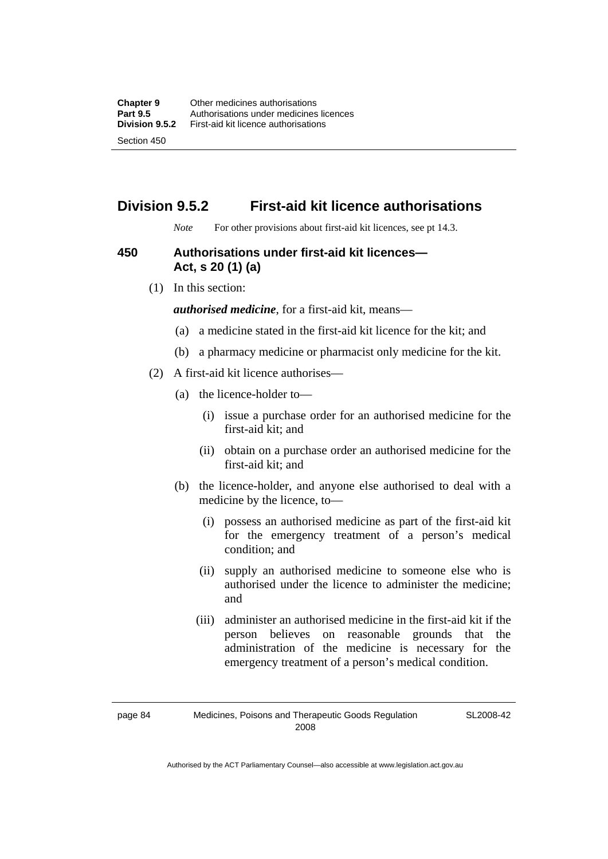### **Division 9.5.2 First-aid kit licence authorisations**

*Note* For other provisions about first-aid kit licences, see pt 14.3.

#### **450 Authorisations under first-aid kit licences— Act, s 20 (1) (a)**

(1) In this section:

*authorised medicine*, for a first-aid kit, means—

- (a) a medicine stated in the first-aid kit licence for the kit; and
- (b) a pharmacy medicine or pharmacist only medicine for the kit.
- (2) A first-aid kit licence authorises—
	- (a) the licence-holder to—
		- (i) issue a purchase order for an authorised medicine for the first-aid kit; and
		- (ii) obtain on a purchase order an authorised medicine for the first-aid kit; and
	- (b) the licence-holder, and anyone else authorised to deal with a medicine by the licence, to—
		- (i) possess an authorised medicine as part of the first-aid kit for the emergency treatment of a person's medical condition; and
		- (ii) supply an authorised medicine to someone else who is authorised under the licence to administer the medicine; and
		- (iii) administer an authorised medicine in the first-aid kit if the person believes on reasonable grounds that the administration of the medicine is necessary for the emergency treatment of a person's medical condition.

SL2008-42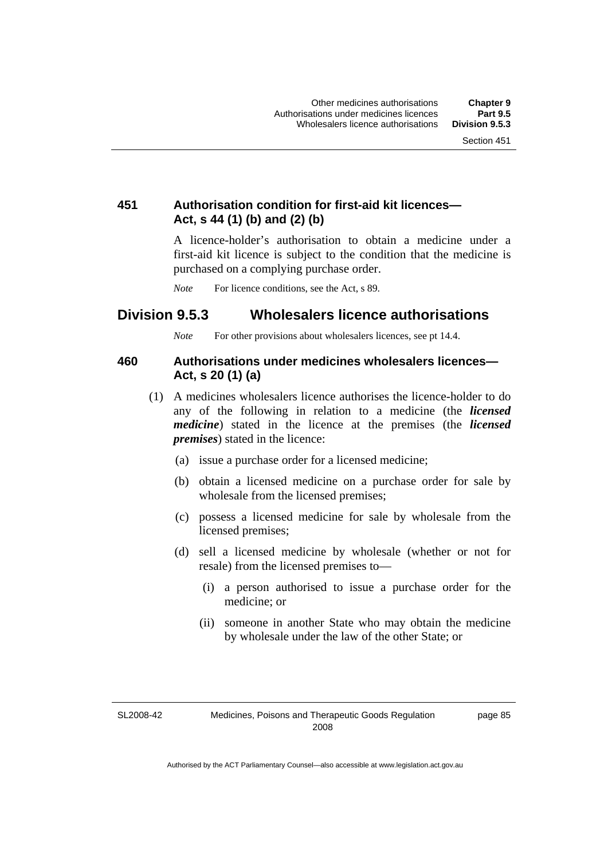### **451 Authorisation condition for first-aid kit licences— Act, s 44 (1) (b) and (2) (b)**

A licence-holder's authorisation to obtain a medicine under a first-aid kit licence is subject to the condition that the medicine is purchased on a complying purchase order.

*Note* For licence conditions, see the Act, s 89.

### **Division 9.5.3 Wholesalers licence authorisations**

*Note* For other provisions about wholesalers licences, see pt 14.4.

#### **460 Authorisations under medicines wholesalers licences— Act, s 20 (1) (a)**

- (1) A medicines wholesalers licence authorises the licence-holder to do any of the following in relation to a medicine (the *licensed medicine*) stated in the licence at the premises (the *licensed premises*) stated in the licence:
	- (a) issue a purchase order for a licensed medicine;
	- (b) obtain a licensed medicine on a purchase order for sale by wholesale from the licensed premises;
	- (c) possess a licensed medicine for sale by wholesale from the licensed premises;
	- (d) sell a licensed medicine by wholesale (whether or not for resale) from the licensed premises to—
		- (i) a person authorised to issue a purchase order for the medicine; or
		- (ii) someone in another State who may obtain the medicine by wholesale under the law of the other State; or

SL2008-42

page 85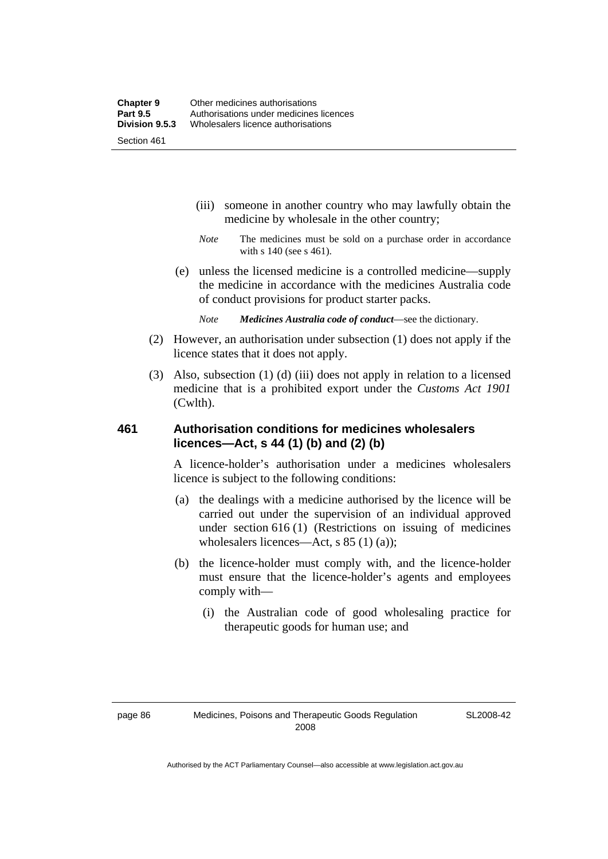- (iii) someone in another country who may lawfully obtain the medicine by wholesale in the other country;
- *Note* The medicines must be sold on a purchase order in accordance with s 140 (see s 461).
- (e) unless the licensed medicine is a controlled medicine—supply the medicine in accordance with the medicines Australia code of conduct provisions for product starter packs.
	- *Note Medicines Australia code of conduct*—see the dictionary.
- (2) However, an authorisation under subsection (1) does not apply if the licence states that it does not apply.
- (3) Also, subsection (1) (d) (iii) does not apply in relation to a licensed medicine that is a prohibited export under the *Customs Act 1901* (Cwlth).

#### **461 Authorisation conditions for medicines wholesalers licences—Act, s 44 (1) (b) and (2) (b)**

A licence-holder's authorisation under a medicines wholesalers licence is subject to the following conditions:

- (a) the dealings with a medicine authorised by the licence will be carried out under the supervision of an individual approved under section 616 (1) (Restrictions on issuing of medicines wholesalers licences—Act, s 85 (1) (a));
- (b) the licence-holder must comply with, and the licence-holder must ensure that the licence-holder's agents and employees comply with—
	- (i) the Australian code of good wholesaling practice for therapeutic goods for human use; and

SL2008-42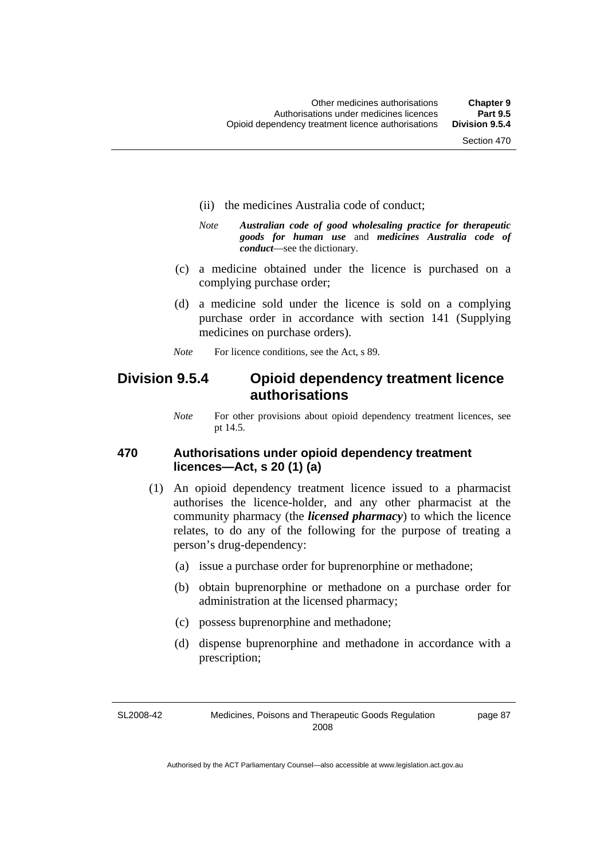- (ii) the medicines Australia code of conduct;
- *Note Australian code of good wholesaling practice for therapeutic goods for human use* and *medicines Australia code of conduct*—see the dictionary.
- (c) a medicine obtained under the licence is purchased on a complying purchase order;
- (d) a medicine sold under the licence is sold on a complying purchase order in accordance with section 141 (Supplying medicines on purchase orders).
- *Note* For licence conditions, see the Act, s 89.

### **Division 9.5.4 Opioid dependency treatment licence authorisations**

*Note* For other provisions about opioid dependency treatment licences, see pt 14.5.

#### **470 Authorisations under opioid dependency treatment licences—Act, s 20 (1) (a)**

- (1) An opioid dependency treatment licence issued to a pharmacist authorises the licence-holder, and any other pharmacist at the community pharmacy (the *licensed pharmacy*) to which the licence relates, to do any of the following for the purpose of treating a person's drug-dependency:
	- (a) issue a purchase order for buprenorphine or methadone;
	- (b) obtain buprenorphine or methadone on a purchase order for administration at the licensed pharmacy;
	- (c) possess buprenorphine and methadone;
	- (d) dispense buprenorphine and methadone in accordance with a prescription;

SL2008-42 Medicines, Poisons and Therapeutic Goods Regulation 2008

page 87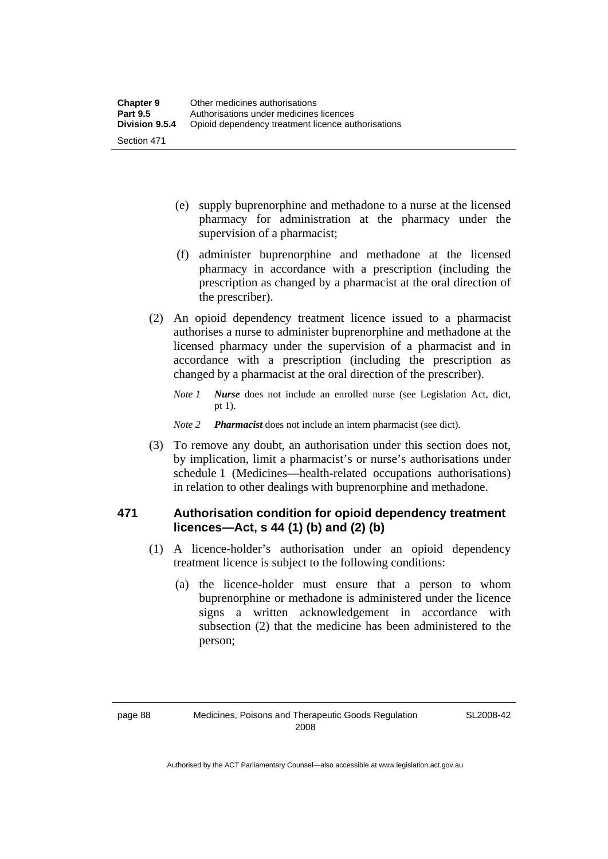- (e) supply buprenorphine and methadone to a nurse at the licensed pharmacy for administration at the pharmacy under the supervision of a pharmacist;
- (f) administer buprenorphine and methadone at the licensed pharmacy in accordance with a prescription (including the prescription as changed by a pharmacist at the oral direction of the prescriber).
- (2) An opioid dependency treatment licence issued to a pharmacist authorises a nurse to administer buprenorphine and methadone at the licensed pharmacy under the supervision of a pharmacist and in accordance with a prescription (including the prescription as changed by a pharmacist at the oral direction of the prescriber).
	- *Note 1 Nurse* does not include an enrolled nurse (see Legislation Act, dict, pt 1).
	- *Note 2 Pharmacist* does not include an intern pharmacist (see dict).
- (3) To remove any doubt, an authorisation under this section does not, by implication, limit a pharmacist's or nurse's authorisations under schedule 1 (Medicines—health-related occupations authorisations) in relation to other dealings with buprenorphine and methadone.

### **471 Authorisation condition for opioid dependency treatment licences—Act, s 44 (1) (b) and (2) (b)**

- (1) A licence-holder's authorisation under an opioid dependency treatment licence is subject to the following conditions:
	- (a) the licence-holder must ensure that a person to whom buprenorphine or methadone is administered under the licence signs a written acknowledgement in accordance with subsection (2) that the medicine has been administered to the person;

SL2008-42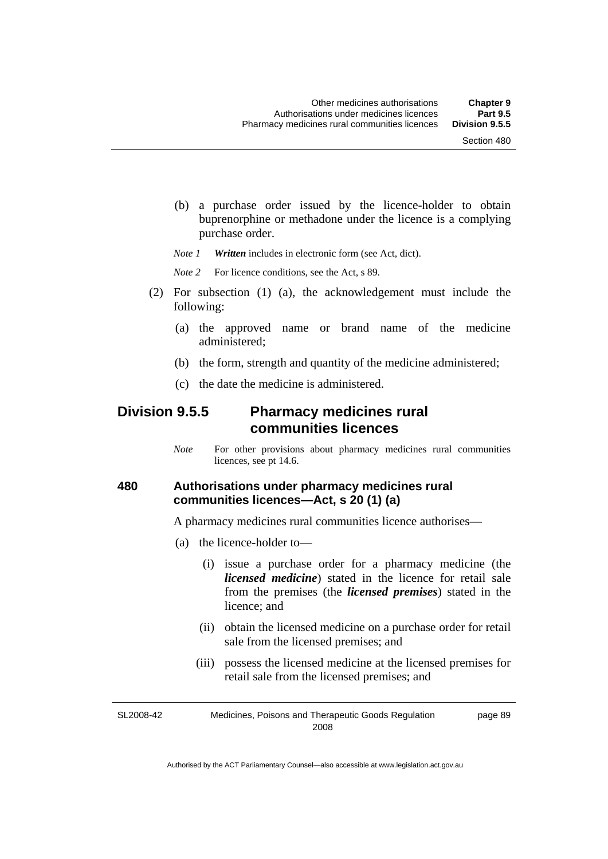(b) a purchase order issued by the licence-holder to obtain buprenorphine or methadone under the licence is a complying purchase order.

*Note 1 Written* includes in electronic form (see Act, dict).

*Note* 2 For licence conditions, see the Act, s 89.

- (2) For subsection (1) (a), the acknowledgement must include the following:
	- (a) the approved name or brand name of the medicine administered;
	- (b) the form, strength and quantity of the medicine administered;
	- (c) the date the medicine is administered.

### **Division 9.5.5 Pharmacy medicines rural communities licences**

*Note* For other provisions about pharmacy medicines rural communities licences, see pt 14.6.

#### **480 Authorisations under pharmacy medicines rural communities licences—Act, s 20 (1) (a)**

A pharmacy medicines rural communities licence authorises—

- (a) the licence-holder to—
	- (i) issue a purchase order for a pharmacy medicine (the *licensed medicine*) stated in the licence for retail sale from the premises (the *licensed premises*) stated in the licence; and
	- (ii) obtain the licensed medicine on a purchase order for retail sale from the licensed premises; and
	- (iii) possess the licensed medicine at the licensed premises for retail sale from the licensed premises; and

SL2008-42 Medicines, Poisons and Therapeutic Goods Regulation 2008 page 89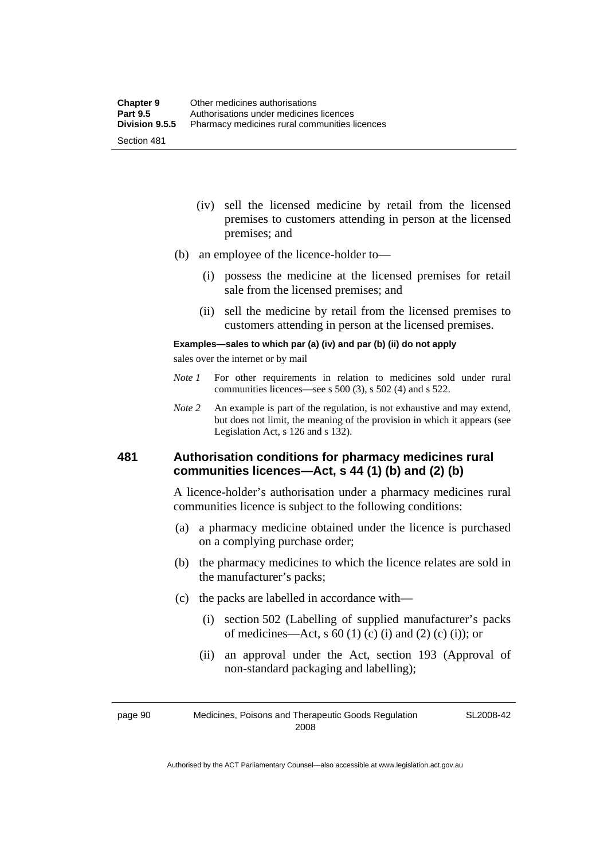- (iv) sell the licensed medicine by retail from the licensed premises to customers attending in person at the licensed premises; and
- (b) an employee of the licence-holder to—
	- (i) possess the medicine at the licensed premises for retail sale from the licensed premises; and
	- (ii) sell the medicine by retail from the licensed premises to customers attending in person at the licensed premises.

#### **Examples—sales to which par (a) (iv) and par (b) (ii) do not apply**

sales over the internet or by mail

- *Note 1* For other requirements in relation to medicines sold under rural communities licences—see s 500 (3), s 502 (4) and s 522.
- *Note 2* An example is part of the regulation, is not exhaustive and may extend, but does not limit, the meaning of the provision in which it appears (see Legislation Act, s 126 and s 132).

#### **481 Authorisation conditions for pharmacy medicines rural communities licences—Act, s 44 (1) (b) and (2) (b)**

A licence-holder's authorisation under a pharmacy medicines rural communities licence is subject to the following conditions:

- (a) a pharmacy medicine obtained under the licence is purchased on a complying purchase order;
- (b) the pharmacy medicines to which the licence relates are sold in the manufacturer's packs;
- (c) the packs are labelled in accordance with—
	- (i) section 502 (Labelling of supplied manufacturer's packs of medicines—Act, s  $60(1)$  (c) (i) and (2) (c) (i)); or
	- (ii) an approval under the Act, section 193 (Approval of non-standard packaging and labelling);

page 90 Medicines, Poisons and Therapeutic Goods Regulation 2008

SL2008-42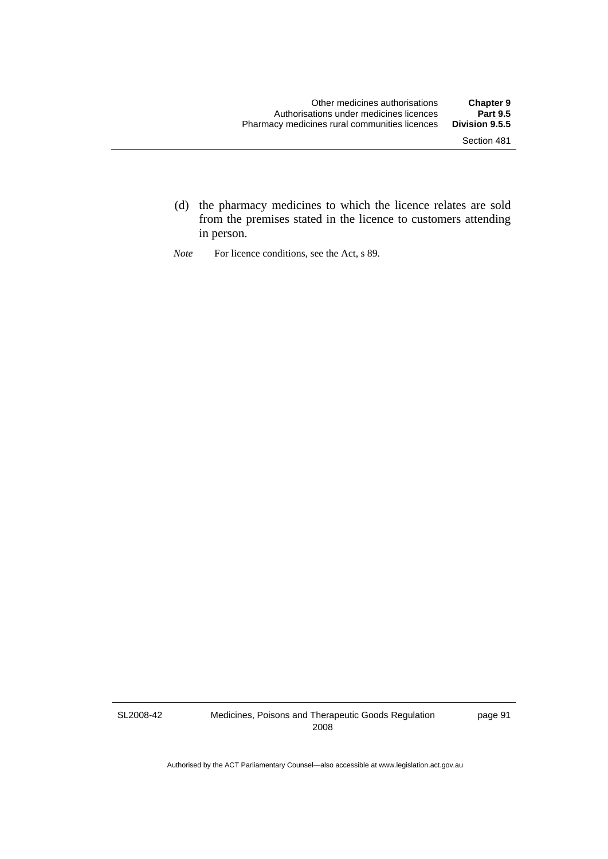- (d) the pharmacy medicines to which the licence relates are sold from the premises stated in the licence to customers attending in person.
- *Note* For licence conditions, see the Act, s 89.

SL2008-42

Medicines, Poisons and Therapeutic Goods Regulation 2008

page 91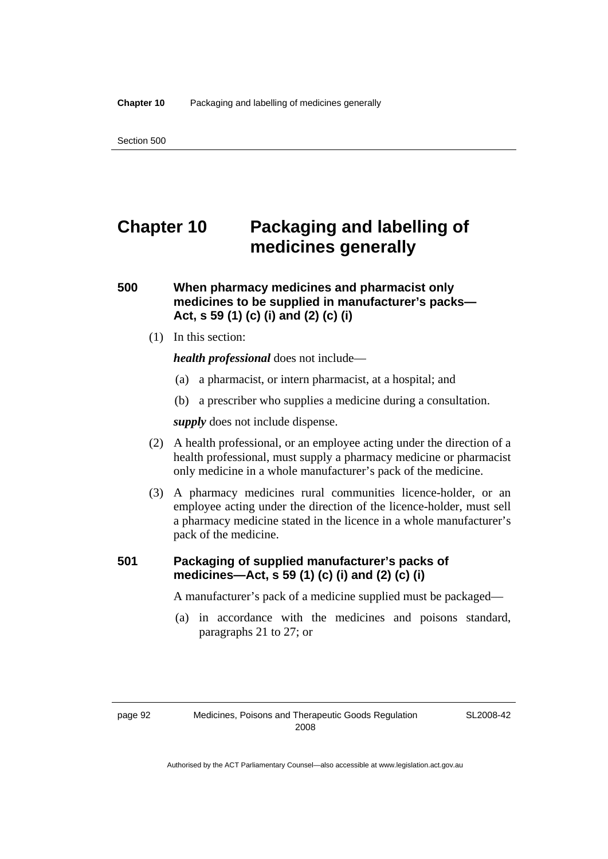# **Chapter 10 Packaging and labelling of medicines generally**

#### **500 When pharmacy medicines and pharmacist only medicines to be supplied in manufacturer's packs— Act, s 59 (1) (c) (i) and (2) (c) (i)**

(1) In this section:

*health professional* does not include—

- (a) a pharmacist, or intern pharmacist, at a hospital; and
- (b) a prescriber who supplies a medicine during a consultation.

*supply* does not include dispense.

- (2) A health professional, or an employee acting under the direction of a health professional, must supply a pharmacy medicine or pharmacist only medicine in a whole manufacturer's pack of the medicine.
- (3) A pharmacy medicines rural communities licence-holder, or an employee acting under the direction of the licence-holder, must sell a pharmacy medicine stated in the licence in a whole manufacturer's pack of the medicine.

#### **501 Packaging of supplied manufacturer's packs of medicines—Act, s 59 (1) (c) (i) and (2) (c) (i)**

A manufacturer's pack of a medicine supplied must be packaged—

 (a) in accordance with the medicines and poisons standard, paragraphs 21 to 27; or

SL2008-42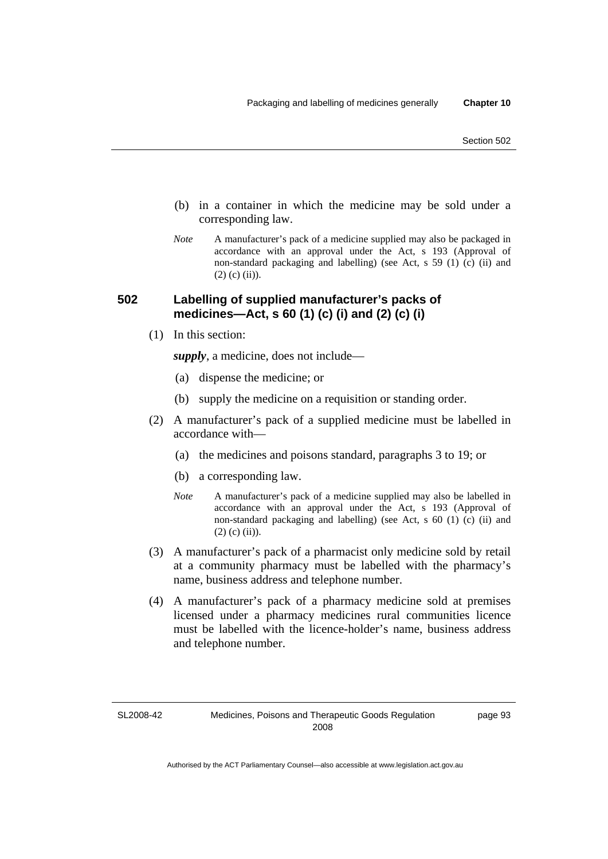- (b) in a container in which the medicine may be sold under a corresponding law.
- *Note* A manufacturer's pack of a medicine supplied may also be packaged in accordance with an approval under the Act, s 193 (Approval of non-standard packaging and labelling) (see Act, s 59 (1) (c) (ii) and  $(2)$  (c) (ii)).

#### **502 Labelling of supplied manufacturer's packs of medicines—Act, s 60 (1) (c) (i) and (2) (c) (i)**

(1) In this section:

*supply*, a medicine, does not include—

- (a) dispense the medicine; or
- (b) supply the medicine on a requisition or standing order.
- (2) A manufacturer's pack of a supplied medicine must be labelled in accordance with—
	- (a) the medicines and poisons standard, paragraphs 3 to 19; or
	- (b) a corresponding law.
	- *Note* A manufacturer's pack of a medicine supplied may also be labelled in accordance with an approval under the Act, s 193 (Approval of non-standard packaging and labelling) (see Act, s 60 (1) (c) (ii) and  $(2)$  (c) (ii)).
- (3) A manufacturer's pack of a pharmacist only medicine sold by retail at a community pharmacy must be labelled with the pharmacy's name, business address and telephone number.
- (4) A manufacturer's pack of a pharmacy medicine sold at premises licensed under a pharmacy medicines rural communities licence must be labelled with the licence-holder's name, business address and telephone number.

SL2008-42

page 93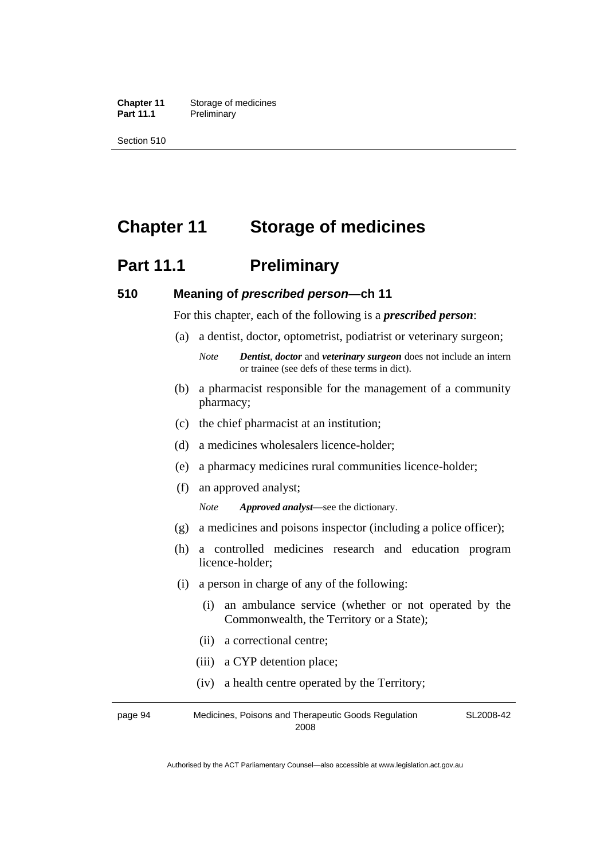**Chapter 11** Storage of medicines Part 11.1 Preliminary

Section 510

# **Chapter 11 Storage of medicines**

# **Part 11.1** Preliminary

#### **510 Meaning of** *prescribed person***—ch 11**

For this chapter, each of the following is a *prescribed person*:

- (a) a dentist, doctor, optometrist, podiatrist or veterinary surgeon;
	- *Note Dentist*, *doctor* and *veterinary surgeon* does not include an intern or trainee (see defs of these terms in dict).
- (b) a pharmacist responsible for the management of a community pharmacy;
- (c) the chief pharmacist at an institution;
- (d) a medicines wholesalers licence-holder;
- (e) a pharmacy medicines rural communities licence-holder;
- (f) an approved analyst;

*Note Approved analyst*—see the dictionary.

- (g) a medicines and poisons inspector (including a police officer);
- (h) a controlled medicines research and education program licence-holder;
- (i) a person in charge of any of the following:
	- (i) an ambulance service (whether or not operated by the Commonwealth, the Territory or a State);
	- (ii) a correctional centre;
	- (iii) a CYP detention place;
	- (iv) a health centre operated by the Territory;

page 94 Medicines, Poisons and Therapeutic Goods Regulation 2008 SL2008-42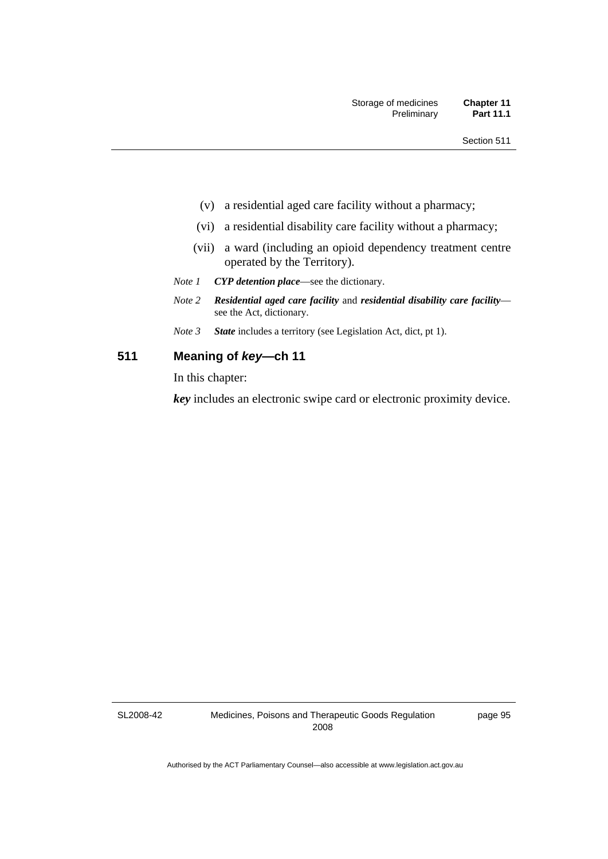- (v) a residential aged care facility without a pharmacy;
- (vi) a residential disability care facility without a pharmacy;
- (vii) a ward (including an opioid dependency treatment centre operated by the Territory).
- *Note 1 CYP detention place*—see the dictionary.
- *Note 2 Residential aged care facility* and *residential disability care facility* see the Act, dictionary.
- *Note 3 State* includes a territory (see Legislation Act, dict, pt 1).

#### **511 Meaning of** *key***—ch 11**

In this chapter:

*key* includes an electronic swipe card or electronic proximity device.

SL2008-42

page 95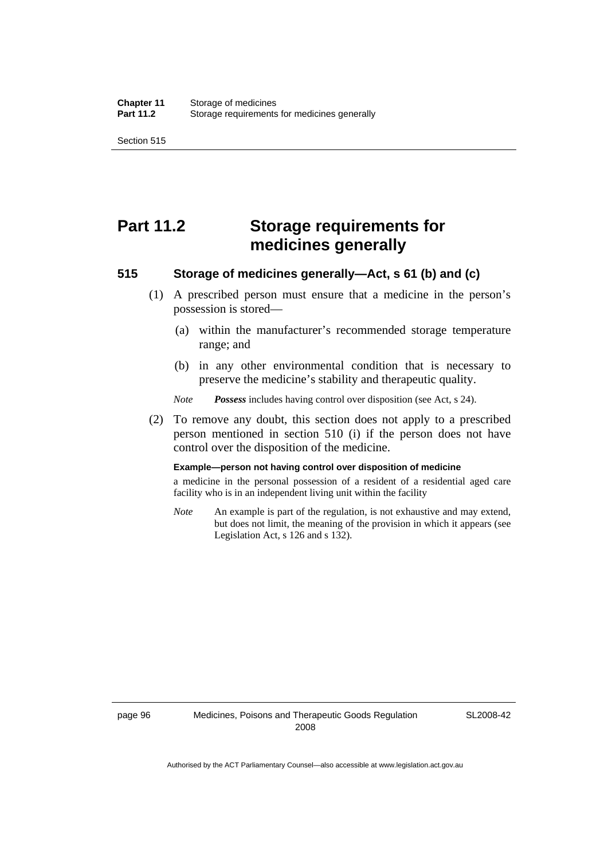Section 515

# **Part 11.2 Storage requirements for medicines generally**

#### **515 Storage of medicines generally—Act, s 61 (b) and (c)**

- (1) A prescribed person must ensure that a medicine in the person's possession is stored—
	- (a) within the manufacturer's recommended storage temperature range; and
	- (b) in any other environmental condition that is necessary to preserve the medicine's stability and therapeutic quality.

*Note Possess* includes having control over disposition (see Act, s 24).

 (2) To remove any doubt, this section does not apply to a prescribed person mentioned in section 510 (i) if the person does not have control over the disposition of the medicine.

#### **Example—person not having control over disposition of medicine**

a medicine in the personal possession of a resident of a residential aged care facility who is in an independent living unit within the facility

*Note* An example is part of the regulation, is not exhaustive and may extend, but does not limit, the meaning of the provision in which it appears (see Legislation Act, s 126 and s 132).

SL2008-42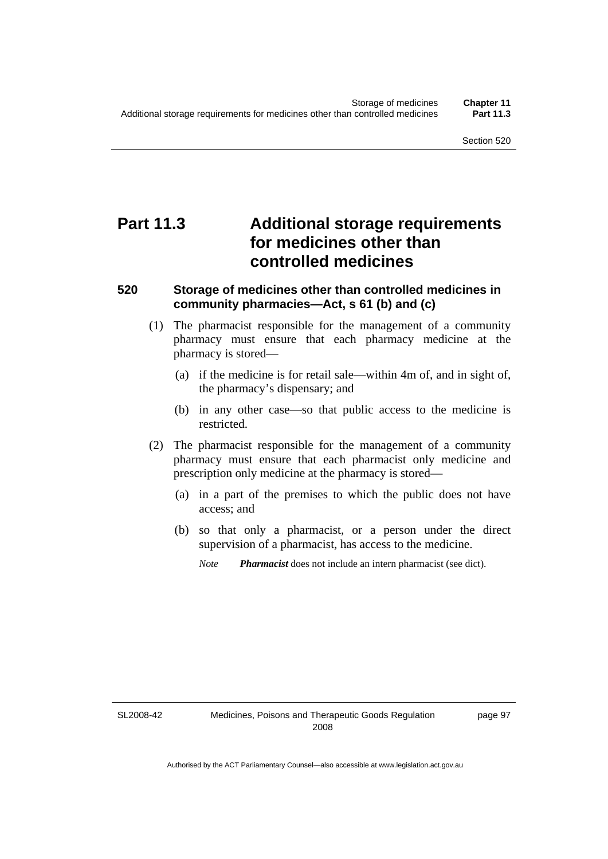# **Part 11.3 Additional storage requirements for medicines other than controlled medicines**

#### **520 Storage of medicines other than controlled medicines in community pharmacies—Act, s 61 (b) and (c)**

- (1) The pharmacist responsible for the management of a community pharmacy must ensure that each pharmacy medicine at the pharmacy is stored—
	- (a) if the medicine is for retail sale—within 4m of, and in sight of, the pharmacy's dispensary; and
	- (b) in any other case—so that public access to the medicine is restricted.
- (2) The pharmacist responsible for the management of a community pharmacy must ensure that each pharmacist only medicine and prescription only medicine at the pharmacy is stored—
	- (a) in a part of the premises to which the public does not have access; and
	- (b) so that only a pharmacist, or a person under the direct supervision of a pharmacist, has access to the medicine.
		- *Note Pharmacist* does not include an intern pharmacist (see dict).

SL2008-42

page 97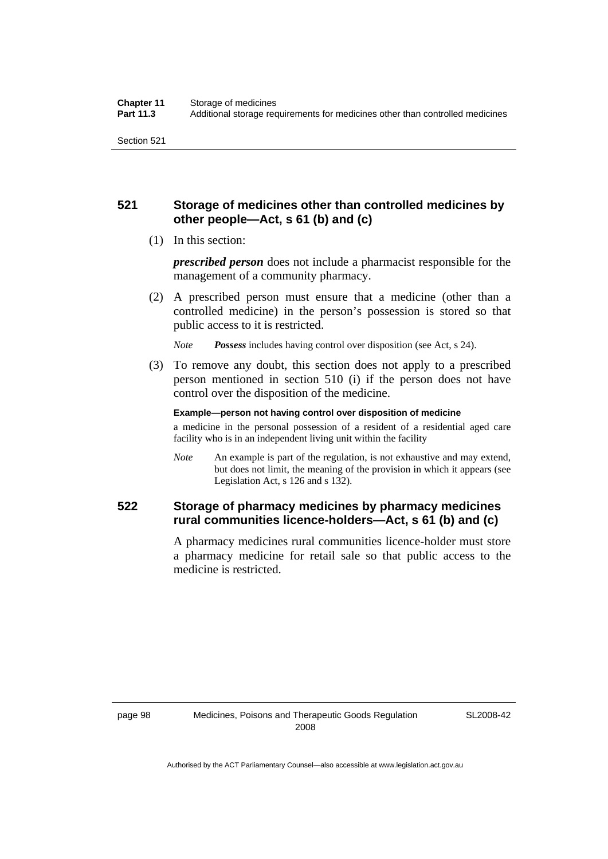#### **521 Storage of medicines other than controlled medicines by other people—Act, s 61 (b) and (c)**

(1) In this section:

*prescribed person* does not include a pharmacist responsible for the management of a community pharmacy.

 (2) A prescribed person must ensure that a medicine (other than a controlled medicine) in the person's possession is stored so that public access to it is restricted.

*Note Possess* includes having control over disposition (see Act, s 24).

 (3) To remove any doubt, this section does not apply to a prescribed person mentioned in section 510 (i) if the person does not have control over the disposition of the medicine.

**Example—person not having control over disposition of medicine** 

a medicine in the personal possession of a resident of a residential aged care facility who is in an independent living unit within the facility

*Note* An example is part of the regulation, is not exhaustive and may extend, but does not limit, the meaning of the provision in which it appears (see Legislation Act, s 126 and s 132).

#### **522 Storage of pharmacy medicines by pharmacy medicines rural communities licence-holders—Act, s 61 (b) and (c)**

A pharmacy medicines rural communities licence-holder must store a pharmacy medicine for retail sale so that public access to the medicine is restricted.

SL2008-42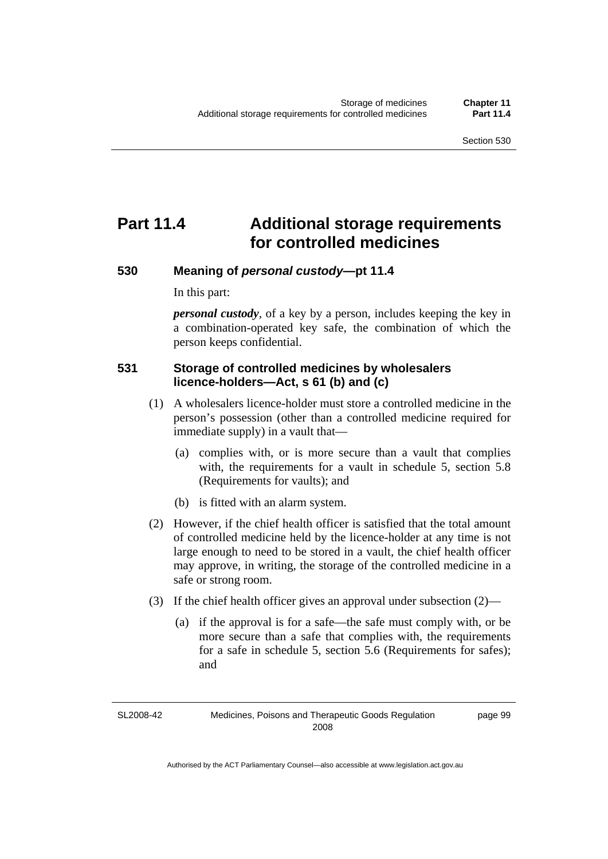# **Part 11.4 Additional storage requirements for controlled medicines**

#### **530 Meaning of** *personal custody***—pt 11.4**

In this part:

*personal custody*, of a key by a person, includes keeping the key in a combination-operated key safe, the combination of which the person keeps confidential.

#### **531 Storage of controlled medicines by wholesalers licence-holders—Act, s 61 (b) and (c)**

- (1) A wholesalers licence-holder must store a controlled medicine in the person's possession (other than a controlled medicine required for immediate supply) in a vault that—
	- (a) complies with, or is more secure than a vault that complies with, the requirements for a vault in schedule 5, section 5.8 (Requirements for vaults); and
	- (b) is fitted with an alarm system.
- (2) However, if the chief health officer is satisfied that the total amount of controlled medicine held by the licence-holder at any time is not large enough to need to be stored in a vault, the chief health officer may approve, in writing, the storage of the controlled medicine in a safe or strong room.
- (3) If the chief health officer gives an approval under subsection (2)—
	- (a) if the approval is for a safe—the safe must comply with, or be more secure than a safe that complies with, the requirements for a safe in schedule 5, section 5.6 (Requirements for safes); and

SL2008-42 Medicines, Poisons and Therapeutic Goods Regulation 2008

page 99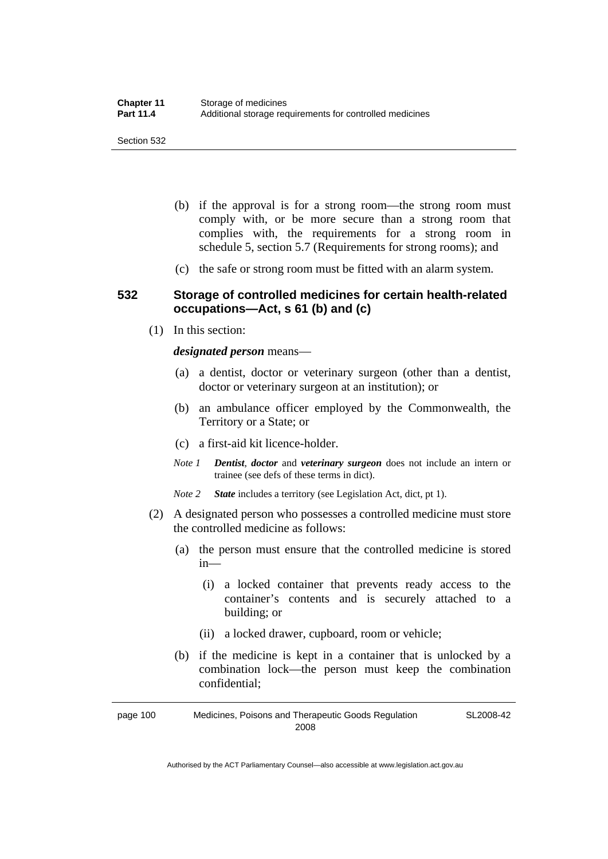- (b) if the approval is for a strong room—the strong room must comply with, or be more secure than a strong room that complies with, the requirements for a strong room in schedule 5, section 5.7 (Requirements for strong rooms); and
- (c) the safe or strong room must be fitted with an alarm system.

#### **532 Storage of controlled medicines for certain health-related occupations—Act, s 61 (b) and (c)**

(1) In this section:

*designated person* means—

- (a) a dentist, doctor or veterinary surgeon (other than a dentist, doctor or veterinary surgeon at an institution); or
- (b) an ambulance officer employed by the Commonwealth, the Territory or a State; or
- (c) a first-aid kit licence-holder.
- *Note 1 Dentist*, *doctor* and *veterinary surgeon* does not include an intern or trainee (see defs of these terms in dict).
- *Note 2 State* includes a territory (see Legislation Act, dict, pt 1).
- (2) A designated person who possesses a controlled medicine must store the controlled medicine as follows:
	- (a) the person must ensure that the controlled medicine is stored in—
		- (i) a locked container that prevents ready access to the container's contents and is securely attached to a building; or
		- (ii) a locked drawer, cupboard, room or vehicle;
	- (b) if the medicine is kept in a container that is unlocked by a combination lock—the person must keep the combination confidential;

page 100 Medicines, Poisons and Therapeutic Goods Regulation 2008 SL2008-42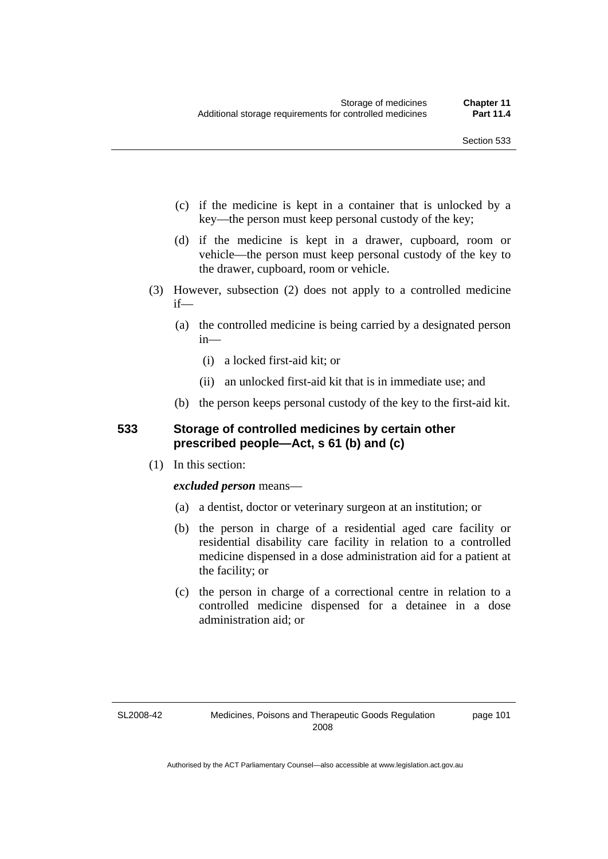- (c) if the medicine is kept in a container that is unlocked by a key—the person must keep personal custody of the key;
- (d) if the medicine is kept in a drawer, cupboard, room or vehicle—the person must keep personal custody of the key to the drawer, cupboard, room or vehicle.
- (3) However, subsection (2) does not apply to a controlled medicine if—
	- (a) the controlled medicine is being carried by a designated person in—
		- (i) a locked first-aid kit; or
		- (ii) an unlocked first-aid kit that is in immediate use; and
	- (b) the person keeps personal custody of the key to the first-aid kit.

#### **533 Storage of controlled medicines by certain other prescribed people—Act, s 61 (b) and (c)**

(1) In this section:

#### *excluded person* means—

- (a) a dentist, doctor or veterinary surgeon at an institution; or
- (b) the person in charge of a residential aged care facility or residential disability care facility in relation to a controlled medicine dispensed in a dose administration aid for a patient at the facility; or
- (c) the person in charge of a correctional centre in relation to a controlled medicine dispensed for a detainee in a dose administration aid; or

#### SL2008-42

page 101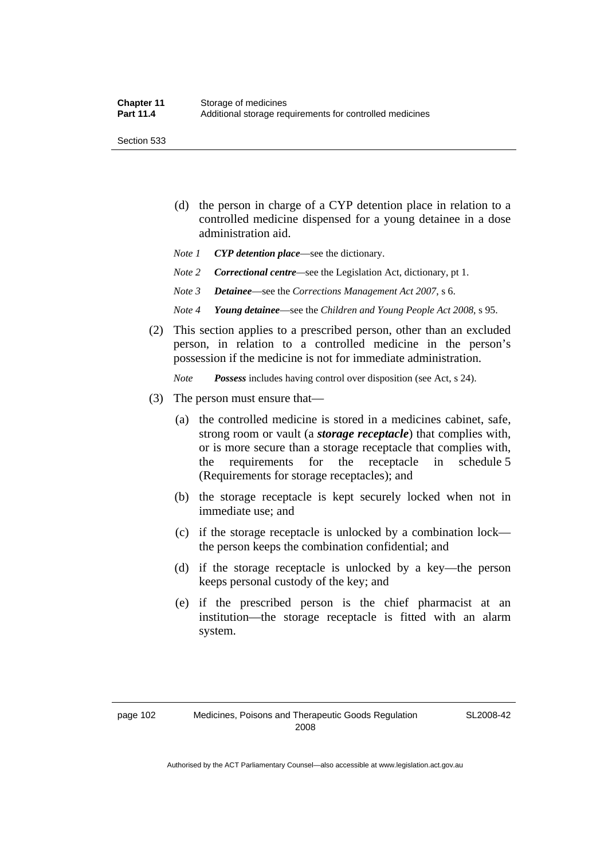Section 533

- (d) the person in charge of a CYP detention place in relation to a controlled medicine dispensed for a young detainee in a dose administration aid.
- *Note 1 CYP detention place*—see the dictionary.
- *Note 2 Correctional centre—see the Legislation Act, dictionary, pt 1.*
- *Note 3 Detainee*—see the *Corrections Management Act 2007*, s 6.
- *Note 4 Young detainee*—see the *Children and Young People Act 2008*, s 95.
- (2) This section applies to a prescribed person, other than an excluded person, in relation to a controlled medicine in the person's possession if the medicine is not for immediate administration.

*Note Possess* includes having control over disposition (see Act, s 24).

- (3) The person must ensure that—
	- (a) the controlled medicine is stored in a medicines cabinet, safe, strong room or vault (a *storage receptacle*) that complies with, or is more secure than a storage receptacle that complies with, the requirements for the receptacle in schedule 5 (Requirements for storage receptacles); and
	- (b) the storage receptacle is kept securely locked when not in immediate use; and
	- (c) if the storage receptacle is unlocked by a combination lock the person keeps the combination confidential; and
	- (d) if the storage receptacle is unlocked by a key—the person keeps personal custody of the key; and
	- (e) if the prescribed person is the chief pharmacist at an institution—the storage receptacle is fitted with an alarm system.

SL2008-42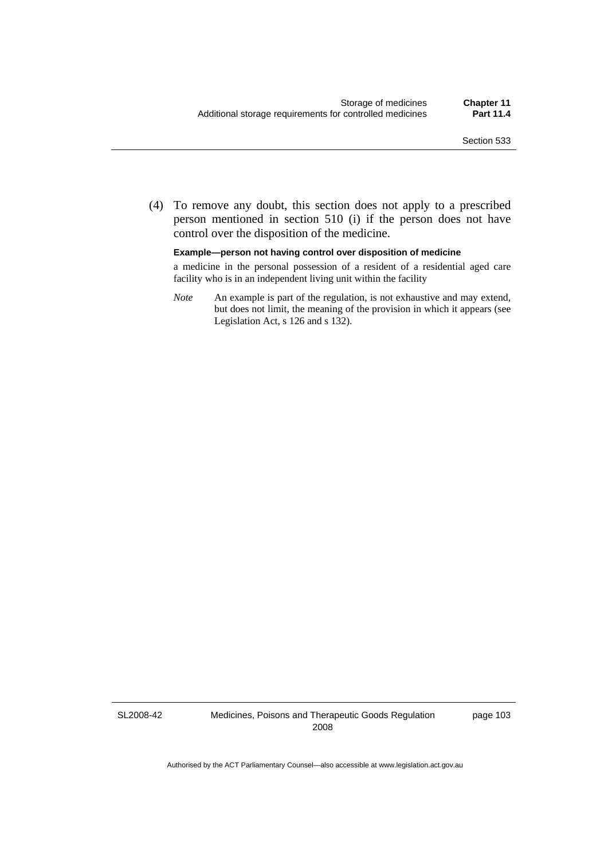(4) To remove any doubt, this section does not apply to a prescribed person mentioned in section 510 (i) if the person does not have control over the disposition of the medicine.

**Example—person not having control over disposition of medicine** 

a medicine in the personal possession of a resident of a residential aged care facility who is in an independent living unit within the facility

*Note* An example is part of the regulation, is not exhaustive and may extend, but does not limit, the meaning of the provision in which it appears (see Legislation Act, s 126 and s 132).

SL2008-42

Medicines, Poisons and Therapeutic Goods Regulation 2008

page 103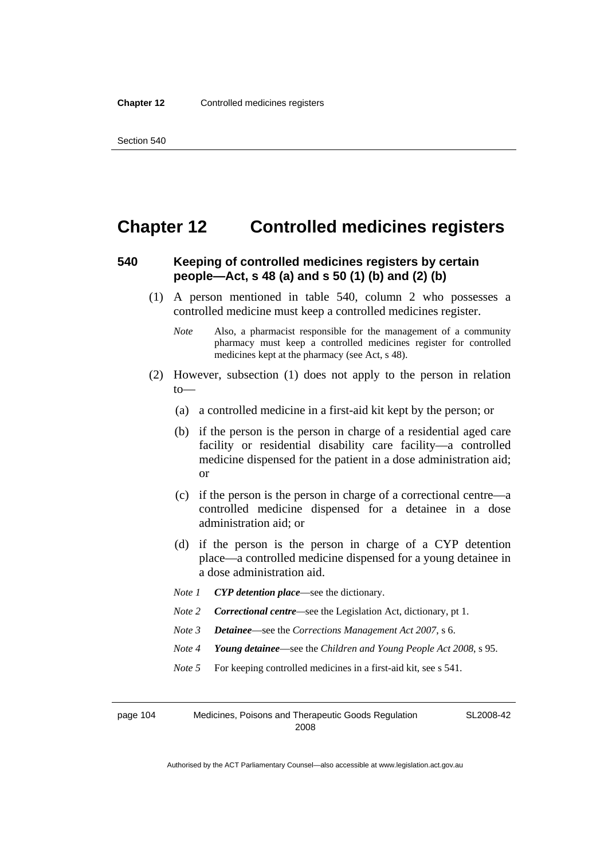### **Chapter 12 Controlled medicines registers**

#### **540 Keeping of controlled medicines registers by certain people—Act, s 48 (a) and s 50 (1) (b) and (2) (b)**

- (1) A person mentioned in table 540, column 2 who possesses a controlled medicine must keep a controlled medicines register.
	- *Note* Also, a pharmacist responsible for the management of a community pharmacy must keep a controlled medicines register for controlled medicines kept at the pharmacy (see Act, s 48).
- (2) However, subsection (1) does not apply to the person in relation to—
	- (a) a controlled medicine in a first-aid kit kept by the person; or
	- (b) if the person is the person in charge of a residential aged care facility or residential disability care facility—a controlled medicine dispensed for the patient in a dose administration aid; or
	- (c) if the person is the person in charge of a correctional centre—a controlled medicine dispensed for a detainee in a dose administration aid; or
	- (d) if the person is the person in charge of a CYP detention place—a controlled medicine dispensed for a young detainee in a dose administration aid.
	- *Note 1 CYP detention place*—see the dictionary.
	- *Note 2 Correctional centre*—see the Legislation Act, dictionary, pt 1.
	- *Note 3 Detainee*—see the *Corrections Management Act 2007*, s 6.
	- *Note 4 Young detainee*—see the *Children and Young People Act 2008*, s 95.
	- *Note* 5 For keeping controlled medicines in a first-aid kit, see s 541.

page 104 Medicines, Poisons and Therapeutic Goods Regulation 2008

SL2008-42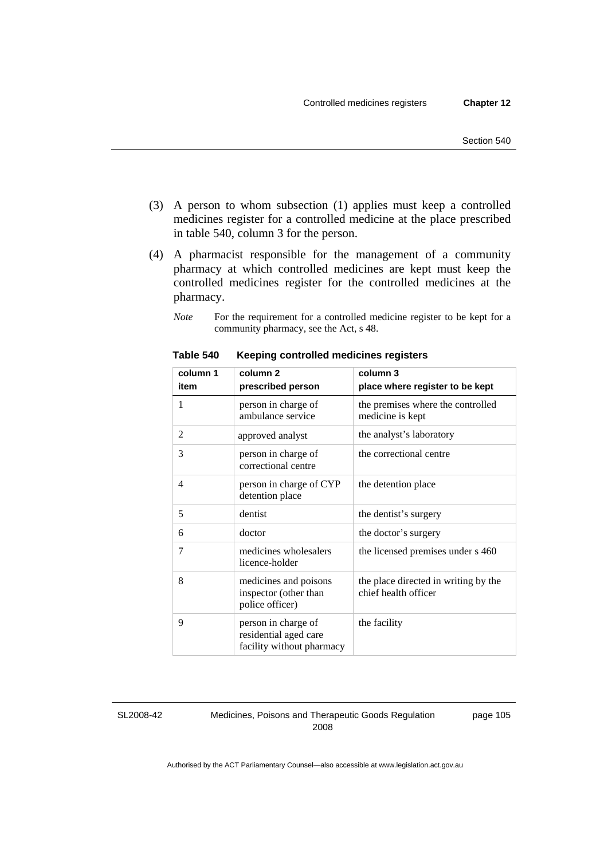- (3) A person to whom subsection (1) applies must keep a controlled medicines register for a controlled medicine at the place prescribed in table 540, column 3 for the person.
- (4) A pharmacist responsible for the management of a community pharmacy at which controlled medicines are kept must keep the controlled medicines register for the controlled medicines at the pharmacy.
	- *Note* For the requirement for a controlled medicine register to be kept for a community pharmacy, see the Act, s 48.

| column 1<br>item | column <sub>2</sub><br>prescribed person                                  | column 3<br>place where register to be kept                  |
|------------------|---------------------------------------------------------------------------|--------------------------------------------------------------|
| 1                | person in charge of<br>ambulance service                                  | the premises where the controlled<br>medicine is kept        |
| 2                | approved analyst                                                          | the analyst's laboratory                                     |
| 3                | person in charge of<br>correctional centre                                | the correctional centre                                      |
| $\overline{4}$   | person in charge of CYP<br>detention place                                | the detention place                                          |
| 5                | dentist                                                                   | the dentist's surgery                                        |
| 6                | doctor                                                                    | the doctor's surgery                                         |
| 7                | medicines wholesalers<br>licence-holder                                   | the licensed premises under s 460                            |
| 8                | medicines and poisons<br>inspector (other than<br>police officer)         | the place directed in writing by the<br>chief health officer |
| 9                | person in charge of<br>residential aged care<br>facility without pharmacy | the facility                                                 |

**Table 540 Keeping controlled medicines registers** 

SL2008-42

Medicines, Poisons and Therapeutic Goods Regulation 2008

page 105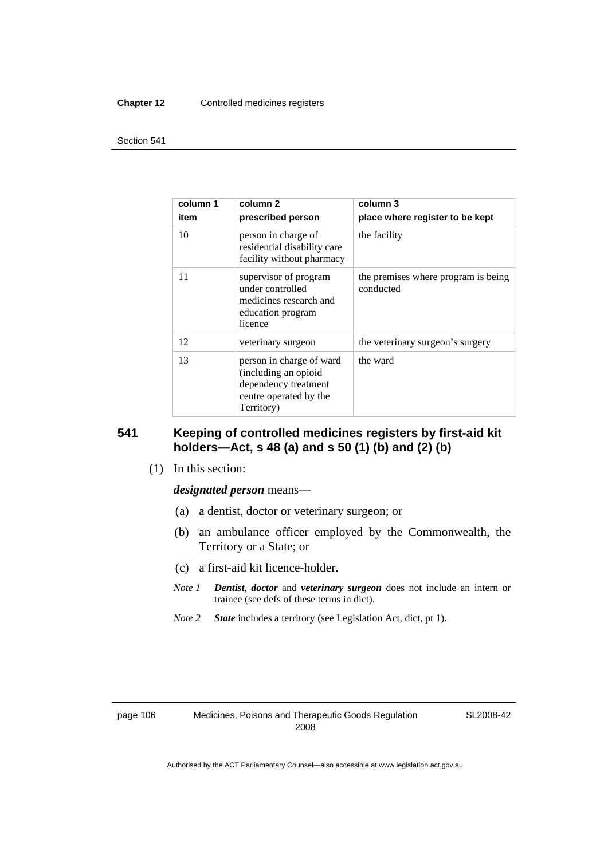#### **Chapter 12** Controlled medicines registers

#### Section 541

| column 1<br>item | column 2<br>prescribed person                                                                                    | column 3<br>place where register to be kept      |
|------------------|------------------------------------------------------------------------------------------------------------------|--------------------------------------------------|
| 10               | person in charge of<br>residential disability care<br>facility without pharmacy                                  | the facility                                     |
| 11               | supervisor of program<br>under controlled<br>medicines research and<br>education program<br>licence              | the premises where program is being<br>conducted |
| 12               | veterinary surgeon                                                                                               | the veterinary surgeon's surgery                 |
| 13               | person in charge of ward<br>(including an opioid<br>dependency treatment<br>centre operated by the<br>Territory) | the ward                                         |

#### **541 Keeping of controlled medicines registers by first-aid kit holders—Act, s 48 (a) and s 50 (1) (b) and (2) (b)**

(1) In this section:

#### *designated person* means—

- (a) a dentist, doctor or veterinary surgeon; or
- (b) an ambulance officer employed by the Commonwealth, the Territory or a State; or
- (c) a first-aid kit licence-holder.
- *Note 1 Dentist*, *doctor* and *veterinary surgeon* does not include an intern or trainee (see defs of these terms in dict).
- *Note 2 State* includes a territory (see Legislation Act, dict, pt 1).

SL2008-42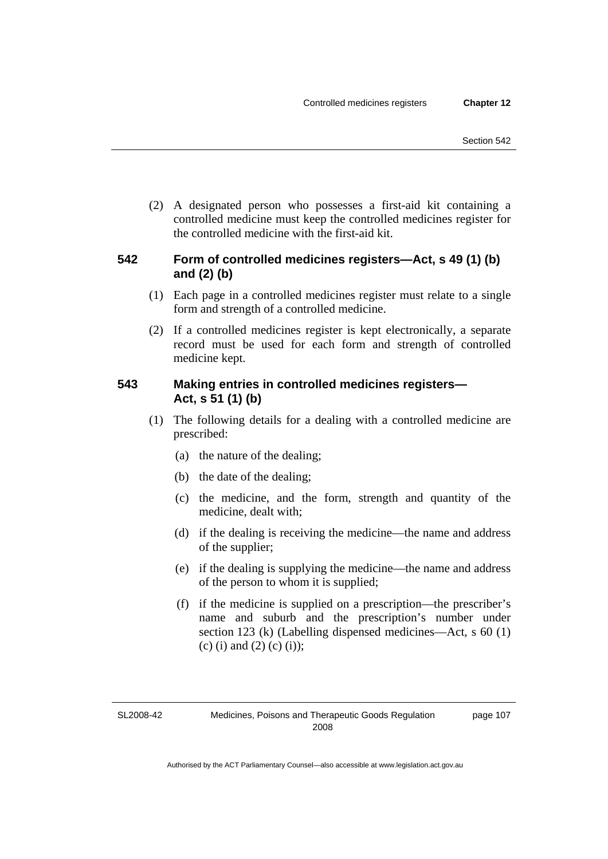(2) A designated person who possesses a first-aid kit containing a controlled medicine must keep the controlled medicines register for the controlled medicine with the first-aid kit.

#### **542 Form of controlled medicines registers—Act, s 49 (1) (b) and (2) (b)**

- (1) Each page in a controlled medicines register must relate to a single form and strength of a controlled medicine.
- (2) If a controlled medicines register is kept electronically, a separate record must be used for each form and strength of controlled medicine kept.

#### **543 Making entries in controlled medicines registers— Act, s 51 (1) (b)**

- (1) The following details for a dealing with a controlled medicine are prescribed:
	- (a) the nature of the dealing;
	- (b) the date of the dealing;
	- (c) the medicine, and the form, strength and quantity of the medicine, dealt with;
	- (d) if the dealing is receiving the medicine—the name and address of the supplier;
	- (e) if the dealing is supplying the medicine—the name and address of the person to whom it is supplied;
	- (f) if the medicine is supplied on a prescription—the prescriber's name and suburb and the prescription's number under section 123 (k) (Labelling dispensed medicines—Act, s 60 (1) (c) (i) and (2) (c) (i));

page 107

SL2008-42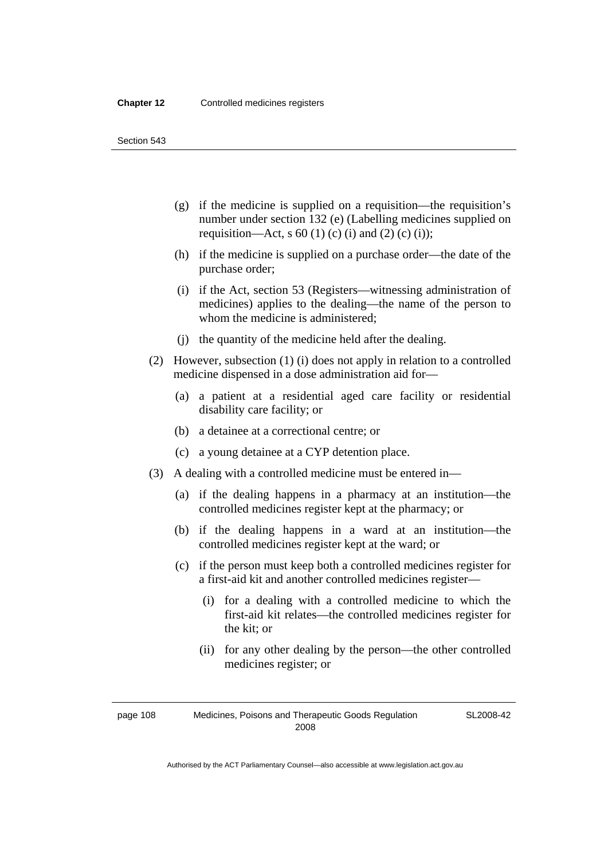Section 543

- (g) if the medicine is supplied on a requisition—the requisition's number under section 132 (e) (Labelling medicines supplied on requisition—Act, s 60 (1) (c) (i) and (2) (c) (i));
- (h) if the medicine is supplied on a purchase order—the date of the purchase order;
- (i) if the Act, section 53 (Registers—witnessing administration of medicines) applies to the dealing—the name of the person to whom the medicine is administered;
- (j) the quantity of the medicine held after the dealing.
- (2) However, subsection (1) (i) does not apply in relation to a controlled medicine dispensed in a dose administration aid for—
	- (a) a patient at a residential aged care facility or residential disability care facility; or
	- (b) a detainee at a correctional centre; or
	- (c) a young detainee at a CYP detention place.
- (3) A dealing with a controlled medicine must be entered in—
	- (a) if the dealing happens in a pharmacy at an institution—the controlled medicines register kept at the pharmacy; or
	- (b) if the dealing happens in a ward at an institution—the controlled medicines register kept at the ward; or
	- (c) if the person must keep both a controlled medicines register for a first-aid kit and another controlled medicines register—
		- (i) for a dealing with a controlled medicine to which the first-aid kit relates—the controlled medicines register for the kit; or
		- (ii) for any other dealing by the person—the other controlled medicines register; or

page 108 Medicines, Poisons and Therapeutic Goods Regulation 2008

SL2008-42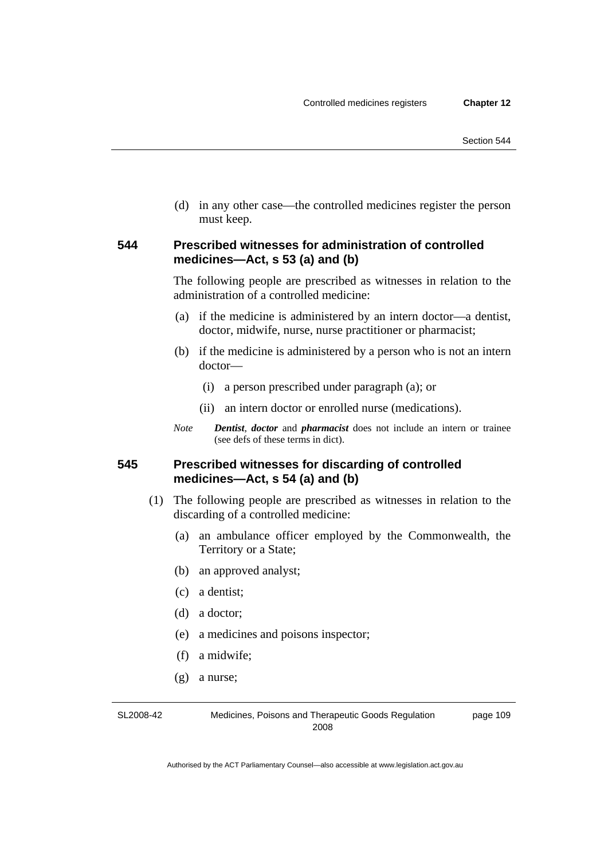(d) in any other case—the controlled medicines register the person must keep.

#### **544 Prescribed witnesses for administration of controlled medicines—Act, s 53 (a) and (b)**

The following people are prescribed as witnesses in relation to the administration of a controlled medicine:

- (a) if the medicine is administered by an intern doctor—a dentist, doctor, midwife, nurse, nurse practitioner or pharmacist;
- (b) if the medicine is administered by a person who is not an intern doctor—
	- (i) a person prescribed under paragraph (a); or
	- (ii) an intern doctor or enrolled nurse (medications).
- *Note Dentist*, *doctor* and *pharmacist* does not include an intern or trainee (see defs of these terms in dict).

#### **545 Prescribed witnesses for discarding of controlled medicines—Act, s 54 (a) and (b)**

- (1) The following people are prescribed as witnesses in relation to the discarding of a controlled medicine:
	- (a) an ambulance officer employed by the Commonwealth, the Territory or a State;
	- (b) an approved analyst;
	- (c) a dentist;
	- (d) a doctor;
	- (e) a medicines and poisons inspector;
	- (f) a midwife;
	- (g) a nurse;

SL2008-42 Medicines, Poisons and Therapeutic Goods Regulation 2008 page 109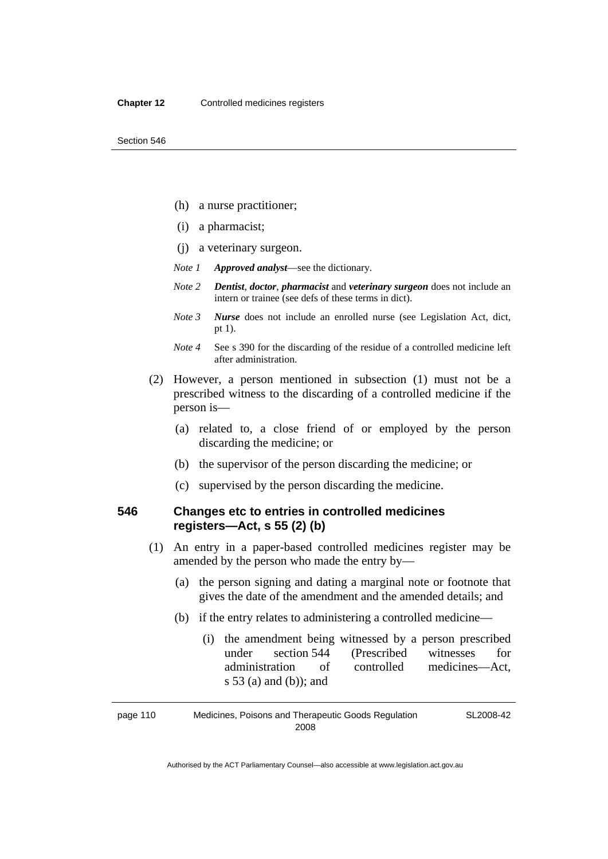- (h) a nurse practitioner;
- (i) a pharmacist;
- (j) a veterinary surgeon.
- *Note 1 Approved analyst*—see the dictionary.
- *Note 2 Dentist*, *doctor*, *pharmacist* and *veterinary surgeon* does not include an intern or trainee (see defs of these terms in dict).
- *Note 3 Nurse* does not include an enrolled nurse (see Legislation Act, dict, pt 1).
- *Note 4* See s 390 for the discarding of the residue of a controlled medicine left after administration.
- (2) However, a person mentioned in subsection (1) must not be a prescribed witness to the discarding of a controlled medicine if the person is—
	- (a) related to, a close friend of or employed by the person discarding the medicine; or
	- (b) the supervisor of the person discarding the medicine; or
	- (c) supervised by the person discarding the medicine.

#### **546 Changes etc to entries in controlled medicines registers—Act, s 55 (2) (b)**

- (1) An entry in a paper-based controlled medicines register may be amended by the person who made the entry by—
	- (a) the person signing and dating a marginal note or footnote that gives the date of the amendment and the amended details; and
	- (b) if the entry relates to administering a controlled medicine—
		- (i) the amendment being witnessed by a person prescribed under section 544 (Prescribed witnesses for administration of controlled medicines—Act, s 53 (a) and (b)); and

page 110 Medicines, Poisons and Therapeutic Goods Regulation 2008 SL2008-42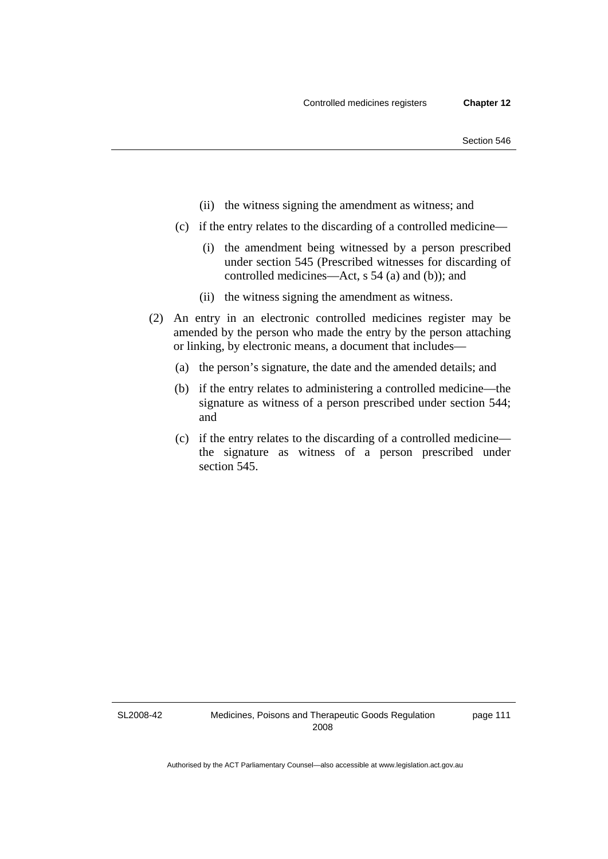- (ii) the witness signing the amendment as witness; and
- (c) if the entry relates to the discarding of a controlled medicine—
	- (i) the amendment being witnessed by a person prescribed under section 545 (Prescribed witnesses for discarding of controlled medicines—Act, s 54 (a) and (b)); and
	- (ii) the witness signing the amendment as witness.
- (2) An entry in an electronic controlled medicines register may be amended by the person who made the entry by the person attaching or linking, by electronic means, a document that includes—
	- (a) the person's signature, the date and the amended details; and
	- (b) if the entry relates to administering a controlled medicine—the signature as witness of a person prescribed under section 544; and
	- (c) if the entry relates to the discarding of a controlled medicine the signature as witness of a person prescribed under section 545.

SL2008-42

page 111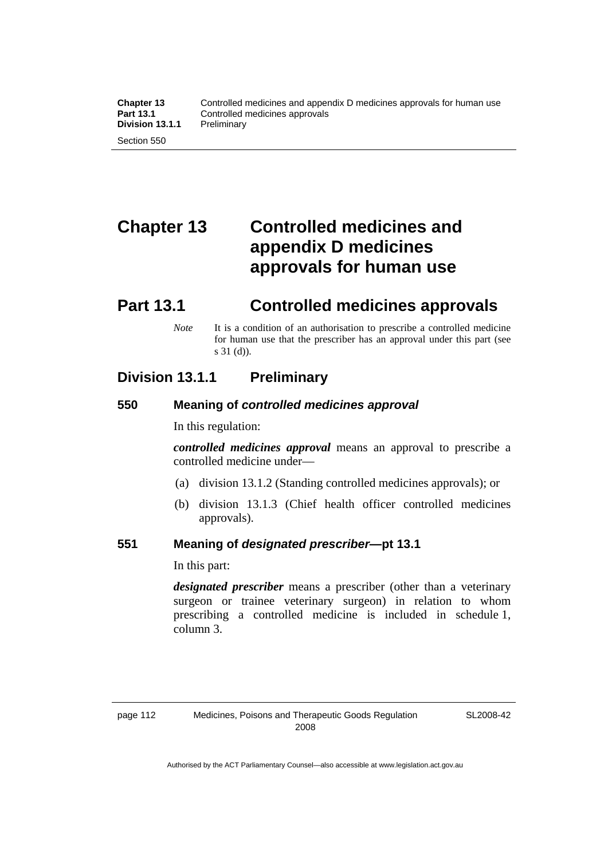# **Chapter 13 Controlled medicines and appendix D medicines approvals for human use**

# **Part 13.1 Controlled medicines approvals**

*Note* It is a condition of an authorisation to prescribe a controlled medicine for human use that the prescriber has an approval under this part (see s 31 (d)).

### **Division 13.1.1 Preliminary**

#### **550 Meaning of** *controlled medicines approval*

In this regulation:

*controlled medicines approval* means an approval to prescribe a controlled medicine under—

- (a) division 13.1.2 (Standing controlled medicines approvals); or
- (b) division 13.1.3 (Chief health officer controlled medicines approvals).

#### **551 Meaning of** *designated prescriber***—pt 13.1**

In this part:

*designated prescriber* means a prescriber (other than a veterinary surgeon or trainee veterinary surgeon) in relation to whom prescribing a controlled medicine is included in schedule 1, column 3.

SL2008-42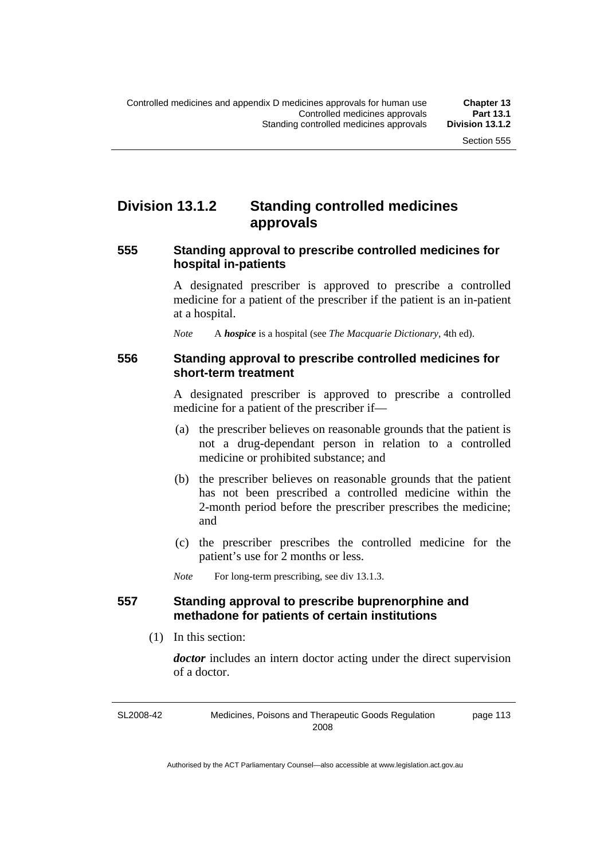### **Division 13.1.2 Standing controlled medicines approvals**

#### **555 Standing approval to prescribe controlled medicines for hospital in-patients**

A designated prescriber is approved to prescribe a controlled medicine for a patient of the prescriber if the patient is an in-patient at a hospital.

*Note* A *hospice* is a hospital (see *The Macquarie Dictionary*, 4th ed).

#### **556 Standing approval to prescribe controlled medicines for short-term treatment**

A designated prescriber is approved to prescribe a controlled medicine for a patient of the prescriber if—

- (a) the prescriber believes on reasonable grounds that the patient is not a drug-dependant person in relation to a controlled medicine or prohibited substance; and
- (b) the prescriber believes on reasonable grounds that the patient has not been prescribed a controlled medicine within the 2-month period before the prescriber prescribes the medicine; and
- (c) the prescriber prescribes the controlled medicine for the patient's use for 2 months or less.

*Note* For long-term prescribing, see div 13.1.3.

#### **557 Standing approval to prescribe buprenorphine and methadone for patients of certain institutions**

(1) In this section:

*doctor* includes an intern doctor acting under the direct supervision of a doctor.

SL2008-42 Medicines, Poisons and Therapeutic Goods Regulation 2008 page 113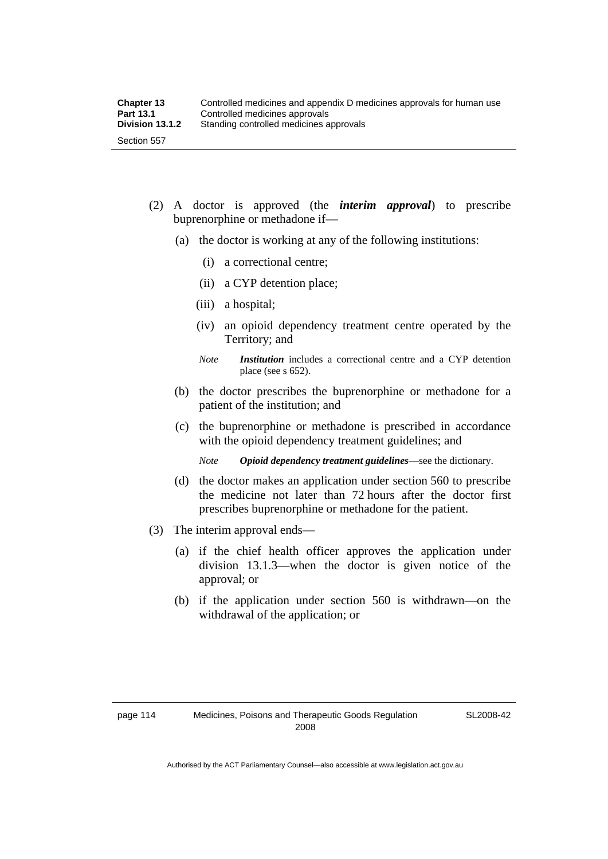- (2) A doctor is approved (the *interim approval*) to prescribe buprenorphine or methadone if—
	- (a) the doctor is working at any of the following institutions:
		- (i) a correctional centre;
		- (ii) a CYP detention place;
		- (iii) a hospital;
		- (iv) an opioid dependency treatment centre operated by the Territory; and
		- *Note Institution* includes a correctional centre and a CYP detention place (see s 652).
	- (b) the doctor prescribes the buprenorphine or methadone for a patient of the institution; and
	- (c) the buprenorphine or methadone is prescribed in accordance with the opioid dependency treatment guidelines; and
		- *Note Opioid dependency treatment guidelines*—see the dictionary.
	- (d) the doctor makes an application under section 560 to prescribe the medicine not later than 72 hours after the doctor first prescribes buprenorphine or methadone for the patient.
- (3) The interim approval ends—
	- (a) if the chief health officer approves the application under division 13.1.3—when the doctor is given notice of the approval; or
	- (b) if the application under section 560 is withdrawn—on the withdrawal of the application; or

SL2008-42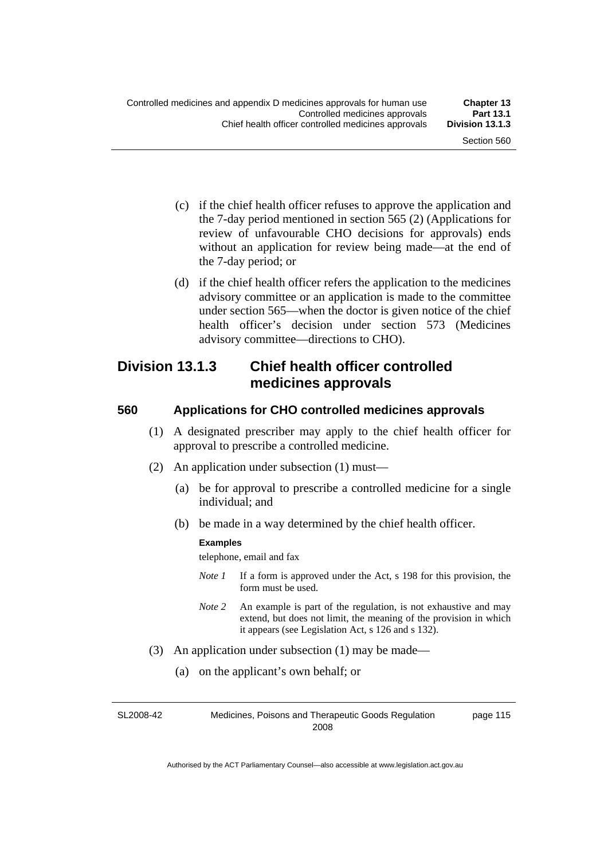- (c) if the chief health officer refuses to approve the application and the 7-day period mentioned in section 565 (2) (Applications for review of unfavourable CHO decisions for approvals) ends without an application for review being made—at the end of the 7-day period; or
- (d) if the chief health officer refers the application to the medicines advisory committee or an application is made to the committee under section 565—when the doctor is given notice of the chief health officer's decision under section 573 (Medicines advisory committee—directions to CHO).

### **Division 13.1.3 Chief health officer controlled medicines approvals**

#### **560 Applications for CHO controlled medicines approvals**

- (1) A designated prescriber may apply to the chief health officer for approval to prescribe a controlled medicine.
- (2) An application under subsection (1) must—
	- (a) be for approval to prescribe a controlled medicine for a single individual; and
	- (b) be made in a way determined by the chief health officer.

#### **Examples**

telephone, email and fax

- *Note 1* If a form is approved under the Act, s 198 for this provision, the form must be used.
- *Note 2* An example is part of the regulation, is not exhaustive and may extend, but does not limit, the meaning of the provision in which it appears (see Legislation Act, s 126 and s 132).
- (3) An application under subsection (1) may be made—
	- (a) on the applicant's own behalf; or

SL2008-42 Medicines, Poisons and Therapeutic Goods Regulation 2008 page 115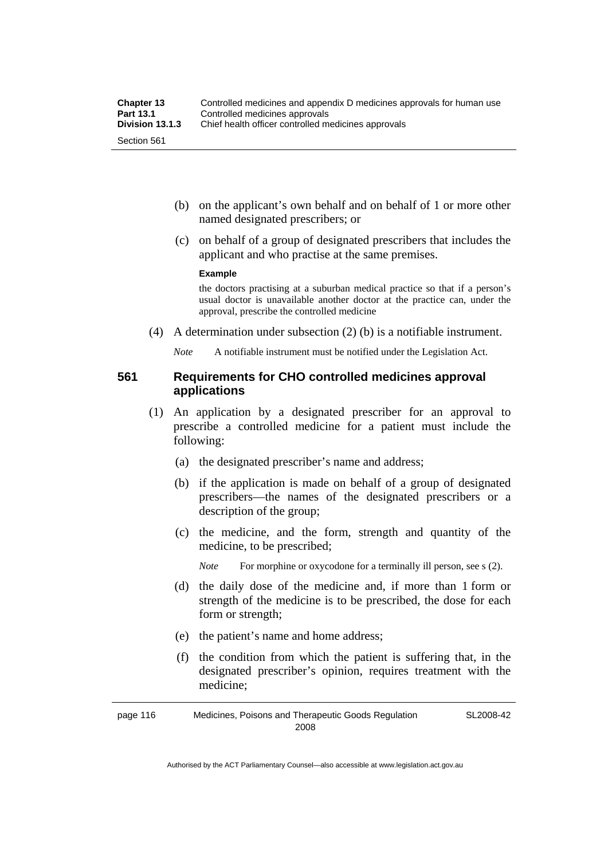- (b) on the applicant's own behalf and on behalf of 1 or more other named designated prescribers; or
- (c) on behalf of a group of designated prescribers that includes the applicant and who practise at the same premises.

#### **Example**

the doctors practising at a suburban medical practice so that if a person's usual doctor is unavailable another doctor at the practice can, under the approval, prescribe the controlled medicine

(4) A determination under subsection (2) (b) is a notifiable instrument.

*Note* A notifiable instrument must be notified under the Legislation Act.

#### **561 Requirements for CHO controlled medicines approval applications**

- (1) An application by a designated prescriber for an approval to prescribe a controlled medicine for a patient must include the following:
	- (a) the designated prescriber's name and address;
	- (b) if the application is made on behalf of a group of designated prescribers—the names of the designated prescribers or a description of the group;
	- (c) the medicine, and the form, strength and quantity of the medicine, to be prescribed;

*Note* For morphine or oxycodone for a terminally ill person, see s (2).

- (d) the daily dose of the medicine and, if more than 1 form or strength of the medicine is to be prescribed, the dose for each form or strength;
- (e) the patient's name and home address;
- (f) the condition from which the patient is suffering that, in the designated prescriber's opinion, requires treatment with the medicine;

page 116 Medicines, Poisons and Therapeutic Goods Regulation 2008 SL2008-42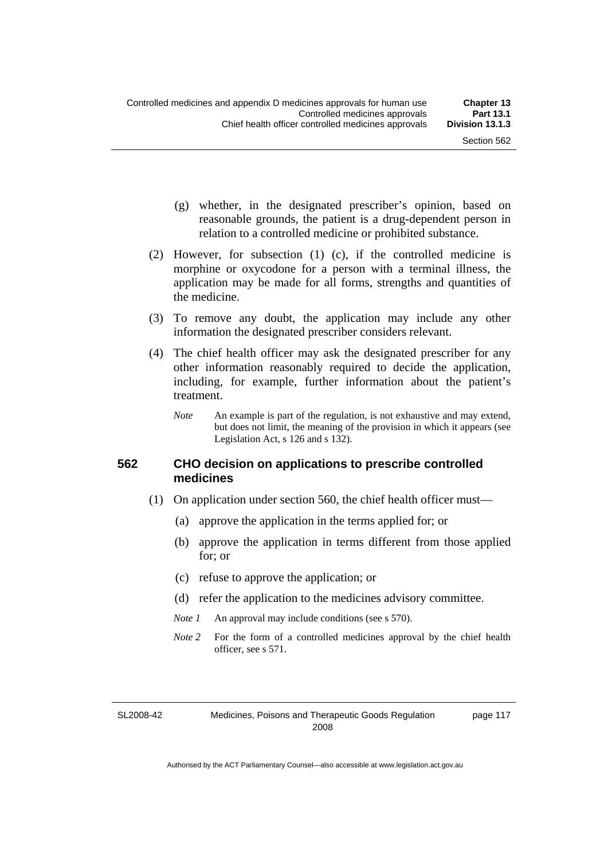page 117

- (g) whether, in the designated prescriber's opinion, based on reasonable grounds, the patient is a drug-dependent person in relation to a controlled medicine or prohibited substance.
- (2) However, for subsection (1) (c), if the controlled medicine is morphine or oxycodone for a person with a terminal illness, the application may be made for all forms, strengths and quantities of the medicine.
- (3) To remove any doubt, the application may include any other information the designated prescriber considers relevant.
- (4) The chief health officer may ask the designated prescriber for any other information reasonably required to decide the application, including, for example, further information about the patient's treatment.
	- *Note* An example is part of the regulation, is not exhaustive and may extend, but does not limit, the meaning of the provision in which it appears (see Legislation Act, s 126 and s 132).

#### **562 CHO decision on applications to prescribe controlled medicines**

- (1) On application under section 560, the chief health officer must—
	- (a) approve the application in the terms applied for; or
	- (b) approve the application in terms different from those applied for; or
	- (c) refuse to approve the application; or
	- (d) refer the application to the medicines advisory committee.
	- *Note 1* An approval may include conditions (see s 570).
	- *Note* 2 For the form of a controlled medicines approval by the chief health officer, see s 571.

SL2008-42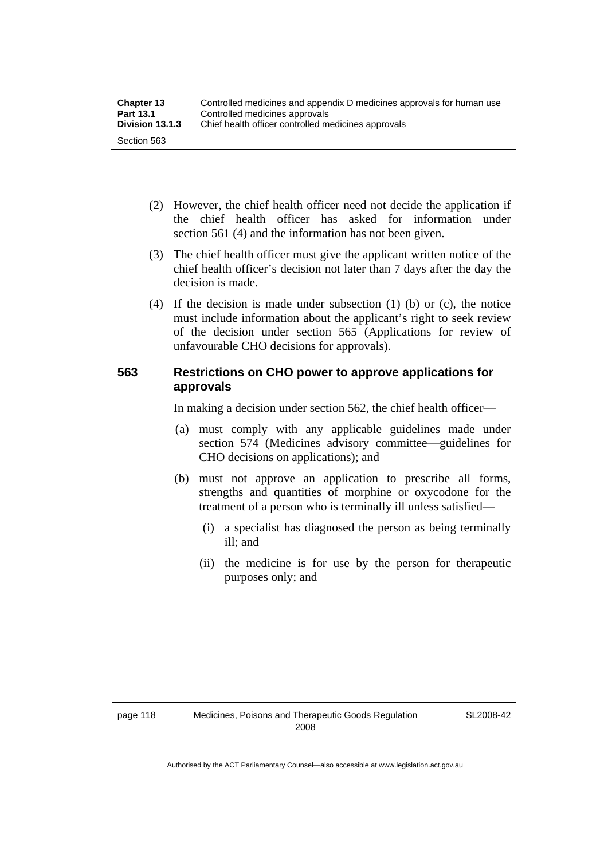- (2) However, the chief health officer need not decide the application if the chief health officer has asked for information under section 561 (4) and the information has not been given.
- (3) The chief health officer must give the applicant written notice of the chief health officer's decision not later than 7 days after the day the decision is made.
- (4) If the decision is made under subsection (1) (b) or (c), the notice must include information about the applicant's right to seek review of the decision under section 565 (Applications for review of unfavourable CHO decisions for approvals).

### **563 Restrictions on CHO power to approve applications for approvals**

In making a decision under section 562, the chief health officer—

- (a) must comply with any applicable guidelines made under section 574 (Medicines advisory committee—guidelines for CHO decisions on applications); and
- (b) must not approve an application to prescribe all forms, strengths and quantities of morphine or oxycodone for the treatment of a person who is terminally ill unless satisfied—
	- (i) a specialist has diagnosed the person as being terminally ill; and
	- (ii) the medicine is for use by the person for therapeutic purposes only; and

SL2008-42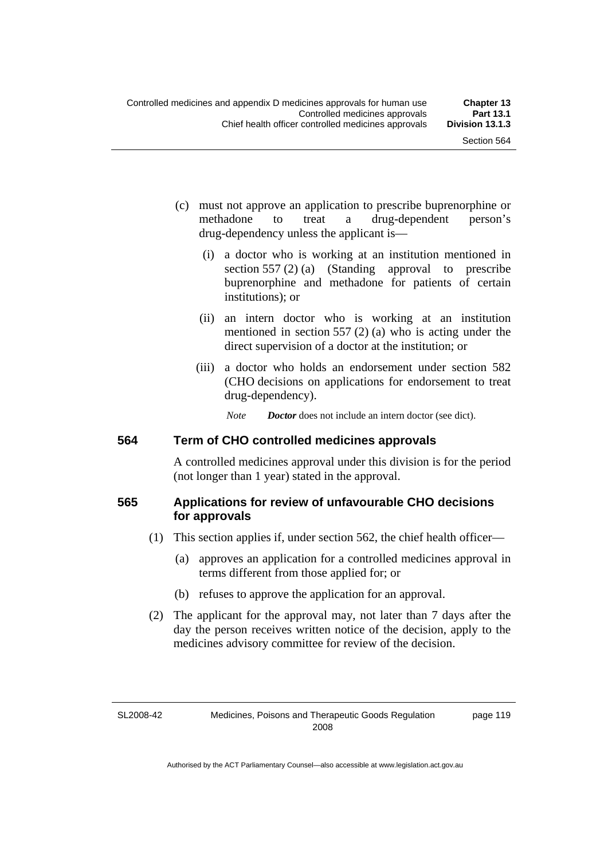- (c) must not approve an application to prescribe buprenorphine or methadone to treat a drug-dependent person's drug-dependency unless the applicant is—
	- (i) a doctor who is working at an institution mentioned in section 557 (2) (a) (Standing approval to prescribe buprenorphine and methadone for patients of certain institutions); or
	- (ii) an intern doctor who is working at an institution mentioned in section 557 (2) (a) who is acting under the direct supervision of a doctor at the institution; or
	- (iii) a doctor who holds an endorsement under section 582 (CHO decisions on applications for endorsement to treat drug-dependency).

*Note Doctor* does not include an intern doctor (see dict).

#### **564 Term of CHO controlled medicines approvals**

A controlled medicines approval under this division is for the period (not longer than 1 year) stated in the approval.

#### **565 Applications for review of unfavourable CHO decisions for approvals**

- (1) This section applies if, under section 562, the chief health officer—
	- (a) approves an application for a controlled medicines approval in terms different from those applied for; or
	- (b) refuses to approve the application for an approval.
- (2) The applicant for the approval may, not later than 7 days after the day the person receives written notice of the decision, apply to the medicines advisory committee for review of the decision.

SL2008-42

page 119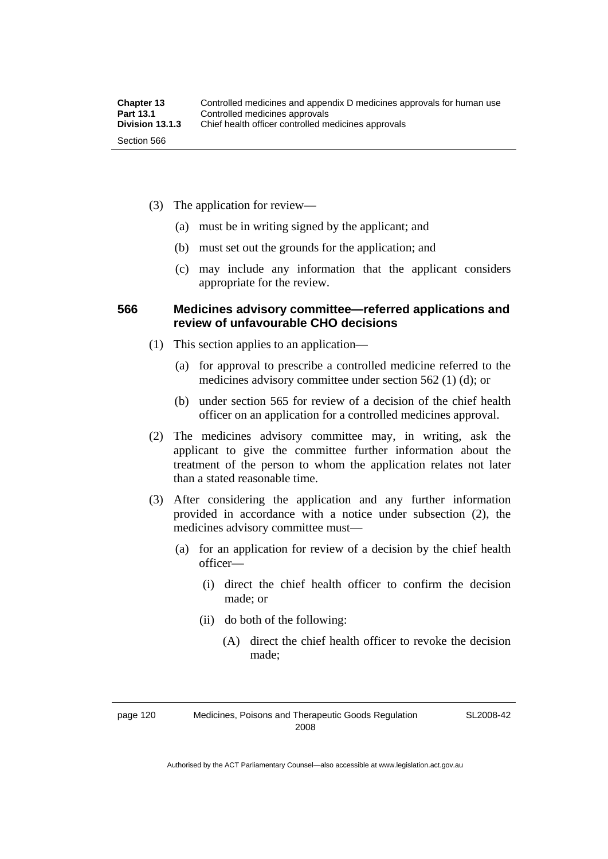- (3) The application for review—
	- (a) must be in writing signed by the applicant; and
	- (b) must set out the grounds for the application; and
	- (c) may include any information that the applicant considers appropriate for the review.

#### **566 Medicines advisory committee—referred applications and review of unfavourable CHO decisions**

- (1) This section applies to an application—
	- (a) for approval to prescribe a controlled medicine referred to the medicines advisory committee under section 562 (1) (d); or
	- (b) under section 565 for review of a decision of the chief health officer on an application for a controlled medicines approval.
- (2) The medicines advisory committee may, in writing, ask the applicant to give the committee further information about the treatment of the person to whom the application relates not later than a stated reasonable time.
- (3) After considering the application and any further information provided in accordance with a notice under subsection (2), the medicines advisory committee must—
	- (a) for an application for review of a decision by the chief health officer—
		- (i) direct the chief health officer to confirm the decision made; or
		- (ii) do both of the following:
			- (A) direct the chief health officer to revoke the decision made;

page 120 Medicines, Poisons and Therapeutic Goods Regulation 2008

SL2008-42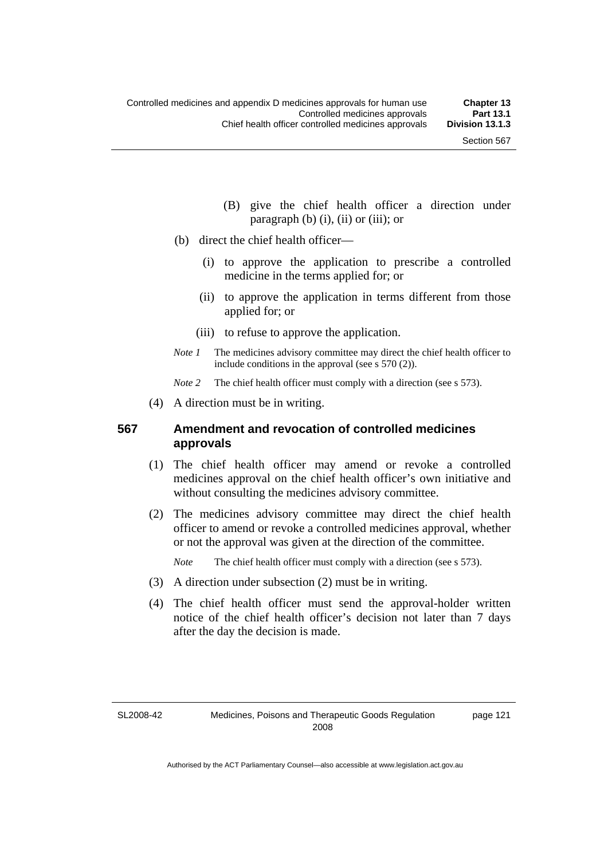- (B) give the chief health officer a direction under paragraph  $(b)$   $(i)$ ,  $(ii)$  or  $(iii)$ ; or
- (b) direct the chief health officer—
	- (i) to approve the application to prescribe a controlled medicine in the terms applied for; or
	- (ii) to approve the application in terms different from those applied for; or
	- (iii) to refuse to approve the application.
- *Note 1* The medicines advisory committee may direct the chief health officer to include conditions in the approval (see s 570 (2)).

*Note* 2 The chief health officer must comply with a direction (see s 573).

(4) A direction must be in writing.

## **567 Amendment and revocation of controlled medicines approvals**

- (1) The chief health officer may amend or revoke a controlled medicines approval on the chief health officer's own initiative and without consulting the medicines advisory committee.
- (2) The medicines advisory committee may direct the chief health officer to amend or revoke a controlled medicines approval, whether or not the approval was given at the direction of the committee.

*Note* The chief health officer must comply with a direction (see s 573).

- (3) A direction under subsection (2) must be in writing.
- (4) The chief health officer must send the approval-holder written notice of the chief health officer's decision not later than 7 days after the day the decision is made.

SL2008-42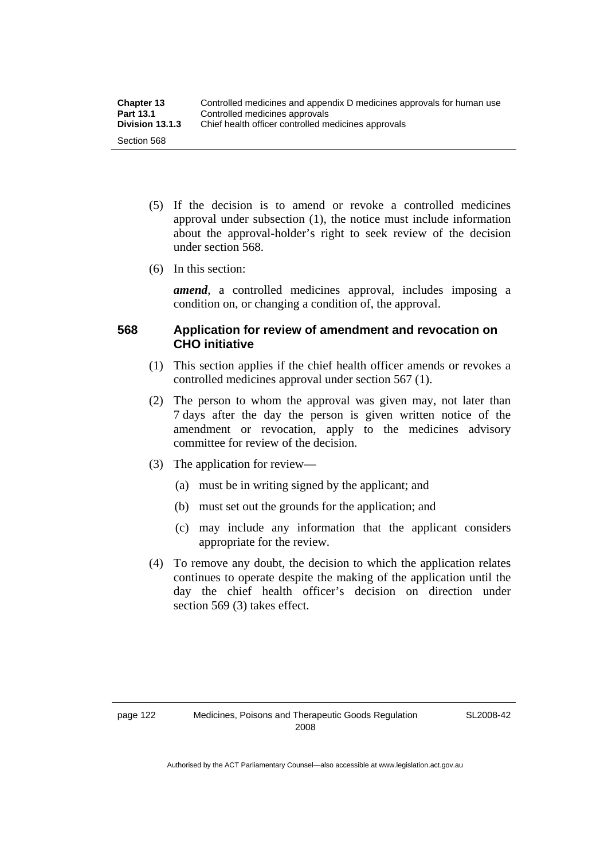- (5) If the decision is to amend or revoke a controlled medicines approval under subsection (1), the notice must include information about the approval-holder's right to seek review of the decision under section 568.
- (6) In this section:

*amend*, a controlled medicines approval, includes imposing a condition on, or changing a condition of, the approval.

# **568 Application for review of amendment and revocation on CHO initiative**

- (1) This section applies if the chief health officer amends or revokes a controlled medicines approval under section 567 (1).
- (2) The person to whom the approval was given may, not later than 7 days after the day the person is given written notice of the amendment or revocation, apply to the medicines advisory committee for review of the decision.
- (3) The application for review—
	- (a) must be in writing signed by the applicant; and
	- (b) must set out the grounds for the application; and
	- (c) may include any information that the applicant considers appropriate for the review.
- (4) To remove any doubt, the decision to which the application relates continues to operate despite the making of the application until the day the chief health officer's decision on direction under section 569 (3) takes effect.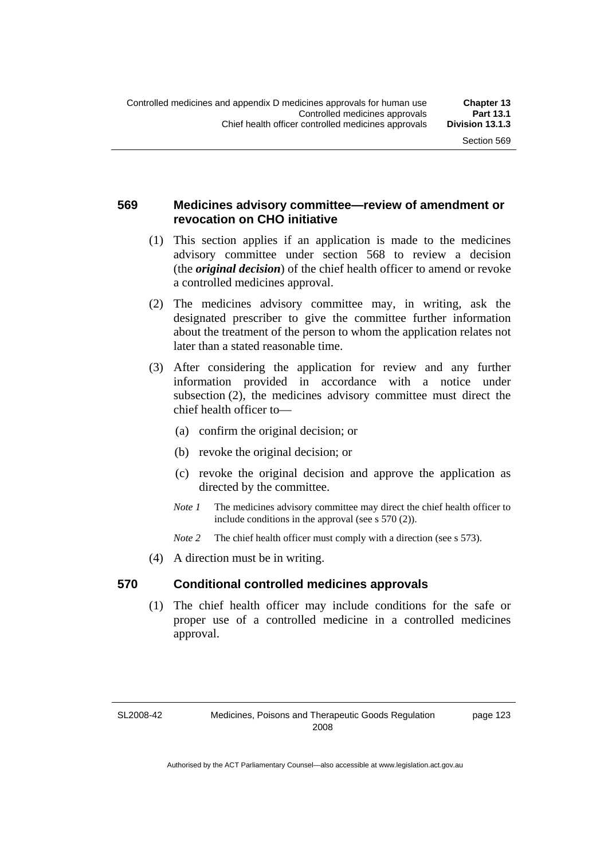# **569 Medicines advisory committee—review of amendment or revocation on CHO initiative**

- (1) This section applies if an application is made to the medicines advisory committee under section 568 to review a decision (the *original decision*) of the chief health officer to amend or revoke a controlled medicines approval.
- (2) The medicines advisory committee may, in writing, ask the designated prescriber to give the committee further information about the treatment of the person to whom the application relates not later than a stated reasonable time.
- (3) After considering the application for review and any further information provided in accordance with a notice under subsection (2), the medicines advisory committee must direct the chief health officer to—
	- (a) confirm the original decision; or
	- (b) revoke the original decision; or
	- (c) revoke the original decision and approve the application as directed by the committee.
	- *Note 1* The medicines advisory committee may direct the chief health officer to include conditions in the approval (see s 570 (2)).
	- *Note* 2 The chief health officer must comply with a direction (see s 573).
- (4) A direction must be in writing.

## **570 Conditional controlled medicines approvals**

 (1) The chief health officer may include conditions for the safe or proper use of a controlled medicine in a controlled medicines approval.

SL2008-42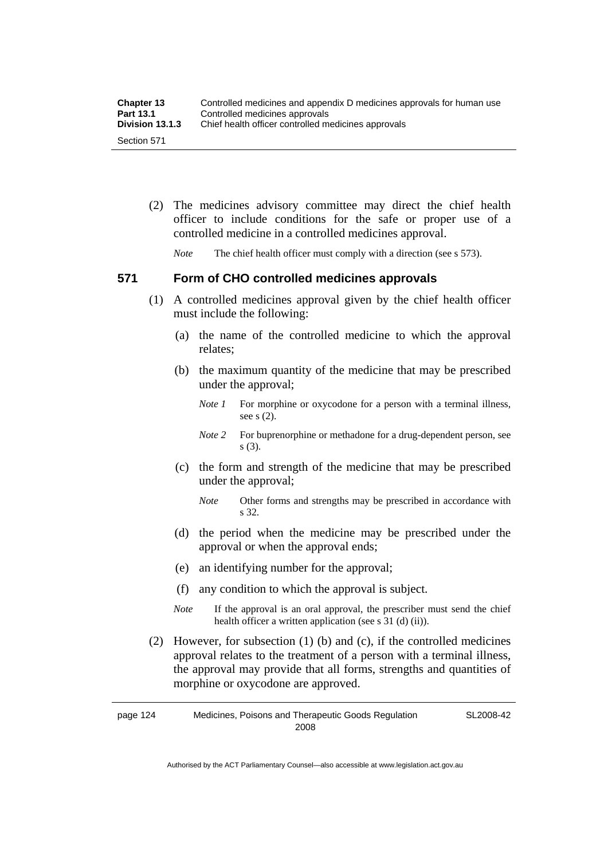| <b>Chapter 13</b> | Controlled medicines and appendix D medicines approvals for human use |
|-------------------|-----------------------------------------------------------------------|
| <b>Part 13.1</b>  | Controlled medicines approvals                                        |
| Division 13.1.3   | Chief health officer controlled medicines approvals                   |
| Section 571       |                                                                       |

 (2) The medicines advisory committee may direct the chief health officer to include conditions for the safe or proper use of a controlled medicine in a controlled medicines approval.

*Note* The chief health officer must comply with a direction (see s 573).

# **571 Form of CHO controlled medicines approvals**

- (1) A controlled medicines approval given by the chief health officer must include the following:
	- (a) the name of the controlled medicine to which the approval relates;
	- (b) the maximum quantity of the medicine that may be prescribed under the approval;
		- *Note 1* For morphine or oxycodone for a person with a terminal illness, see s (2).
		- *Note* 2 For buprenorphine or methadone for a drug-dependent person, see s (3).
	- (c) the form and strength of the medicine that may be prescribed under the approval;
		- *Note* Other forms and strengths may be prescribed in accordance with s 32.
	- (d) the period when the medicine may be prescribed under the approval or when the approval ends;
	- (e) an identifying number for the approval;
	- (f) any condition to which the approval is subject.
	- *Note* If the approval is an oral approval, the prescriber must send the chief health officer a written application (see s  $31$  (d) (ii)).
- (2) However, for subsection (1) (b) and (c), if the controlled medicines approval relates to the treatment of a person with a terminal illness, the approval may provide that all forms, strengths and quantities of morphine or oxycodone are approved.

page 124 Medicines, Poisons and Therapeutic Goods Regulation 2008 SL2008-42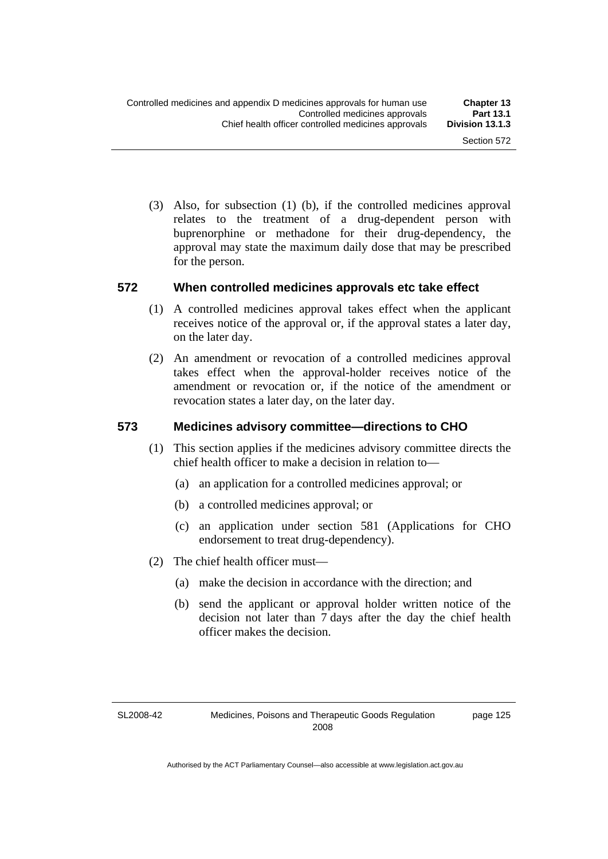(3) Also, for subsection (1) (b), if the controlled medicines approval relates to the treatment of a drug-dependent person with buprenorphine or methadone for their drug-dependency, the approval may state the maximum daily dose that may be prescribed for the person.

#### **572 When controlled medicines approvals etc take effect**

- (1) A controlled medicines approval takes effect when the applicant receives notice of the approval or, if the approval states a later day, on the later day.
- (2) An amendment or revocation of a controlled medicines approval takes effect when the approval-holder receives notice of the amendment or revocation or, if the notice of the amendment or revocation states a later day, on the later day.

## **573 Medicines advisory committee—directions to CHO**

- (1) This section applies if the medicines advisory committee directs the chief health officer to make a decision in relation to—
	- (a) an application for a controlled medicines approval; or
	- (b) a controlled medicines approval; or
	- (c) an application under section 581 (Applications for CHO endorsement to treat drug-dependency).
- (2) The chief health officer must—
	- (a) make the decision in accordance with the direction; and
	- (b) send the applicant or approval holder written notice of the decision not later than 7 days after the day the chief health officer makes the decision.

SL2008-42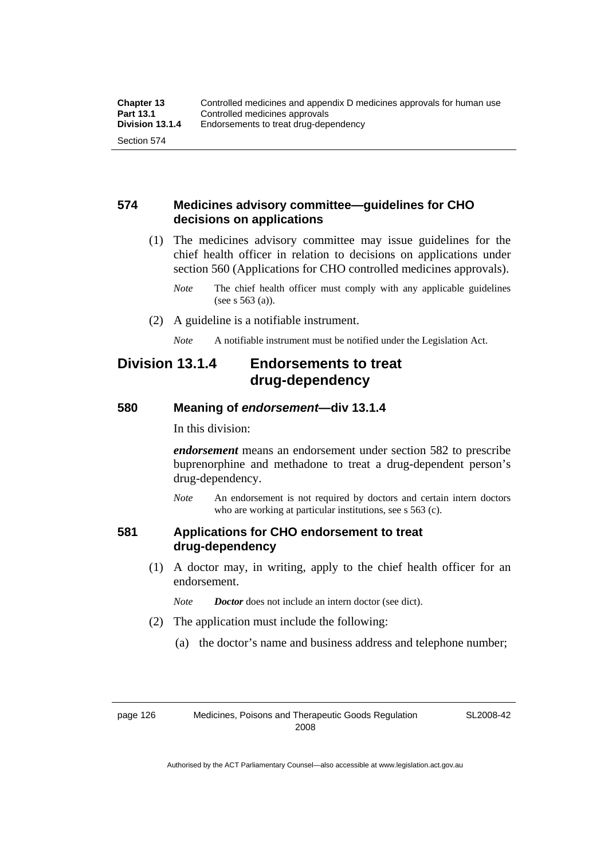# **574 Medicines advisory committee—guidelines for CHO decisions on applications**

 (1) The medicines advisory committee may issue guidelines for the chief health officer in relation to decisions on applications under section 560 (Applications for CHO controlled medicines approvals).

- (2) A guideline is a notifiable instrument.
	- *Note* A notifiable instrument must be notified under the Legislation Act.

# **Division 13.1.4 Endorsements to treat drug-dependency**

#### **580 Meaning of** *endorsement***—div 13.1.4**

In this division:

*endorsement* means an endorsement under section 582 to prescribe buprenorphine and methadone to treat a drug-dependent person's drug-dependency.

*Note* An endorsement is not required by doctors and certain intern doctors who are working at particular institutions, see s 563 (c).

## **581 Applications for CHO endorsement to treat drug-dependency**

 (1) A doctor may, in writing, apply to the chief health officer for an endorsement.

*Note Doctor* does not include an intern doctor (see dict).

- (2) The application must include the following:
	- (a) the doctor's name and business address and telephone number;

*Note* The chief health officer must comply with any applicable guidelines (see s 563 (a)).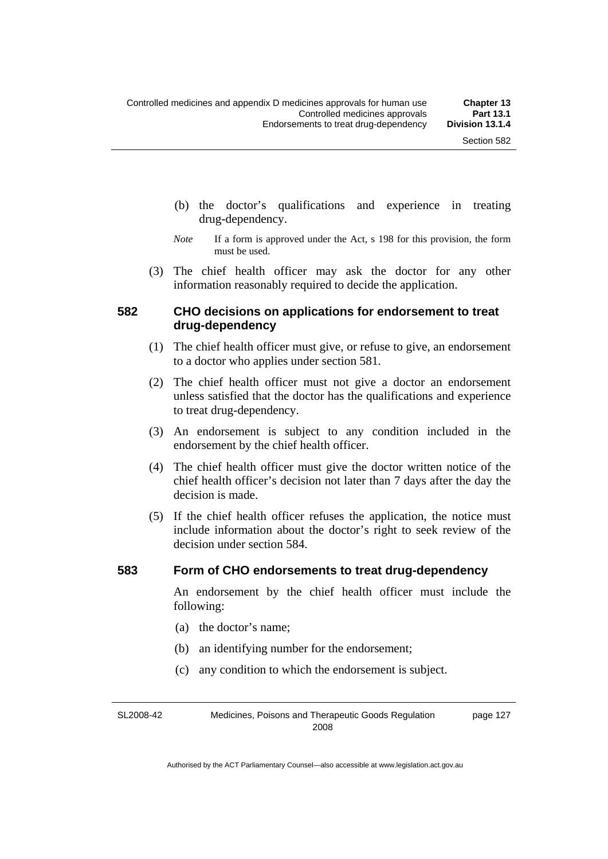- (b) the doctor's qualifications and experience in treating drug-dependency.
- *Note* If a form is approved under the Act, s 198 for this provision, the form must be used.
- (3) The chief health officer may ask the doctor for any other information reasonably required to decide the application.

## **582 CHO decisions on applications for endorsement to treat drug-dependency**

- (1) The chief health officer must give, or refuse to give, an endorsement to a doctor who applies under section 581.
- (2) The chief health officer must not give a doctor an endorsement unless satisfied that the doctor has the qualifications and experience to treat drug-dependency.
- (3) An endorsement is subject to any condition included in the endorsement by the chief health officer.
- (4) The chief health officer must give the doctor written notice of the chief health officer's decision not later than 7 days after the day the decision is made.
- (5) If the chief health officer refuses the application, the notice must include information about the doctor's right to seek review of the decision under section 584.

#### **583 Form of CHO endorsements to treat drug-dependency**

An endorsement by the chief health officer must include the following:

- (a) the doctor's name;
- (b) an identifying number for the endorsement;
- (c) any condition to which the endorsement is subject.

SL2008-42 Medicines, Poisons and Therapeutic Goods Regulation 2008 page 127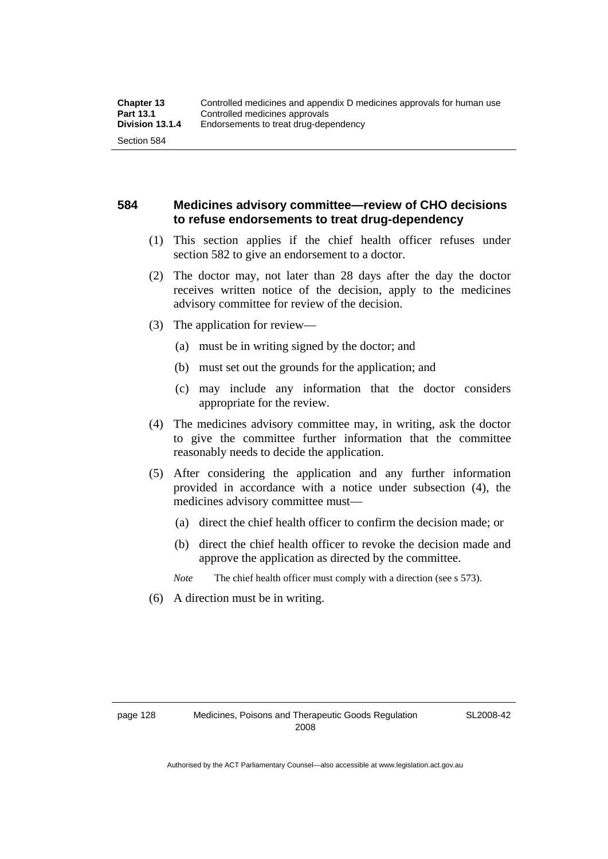# **584 Medicines advisory committee—review of CHO decisions to refuse endorsements to treat drug-dependency**

- (1) This section applies if the chief health officer refuses under section 582 to give an endorsement to a doctor.
- (2) The doctor may, not later than 28 days after the day the doctor receives written notice of the decision, apply to the medicines advisory committee for review of the decision.
- (3) The application for review—
	- (a) must be in writing signed by the doctor; and
	- (b) must set out the grounds for the application; and
	- (c) may include any information that the doctor considers appropriate for the review.
- (4) The medicines advisory committee may, in writing, ask the doctor to give the committee further information that the committee reasonably needs to decide the application.
- (5) After considering the application and any further information provided in accordance with a notice under subsection (4), the medicines advisory committee must—
	- (a) direct the chief health officer to confirm the decision made; or
	- (b) direct the chief health officer to revoke the decision made and approve the application as directed by the committee.

*Note* The chief health officer must comply with a direction (see s 573).

(6) A direction must be in writing.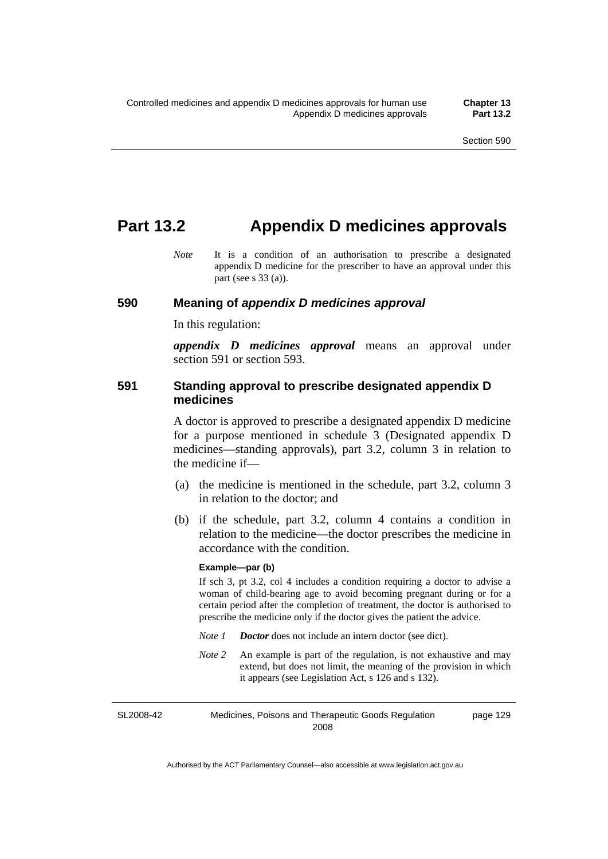# **Part 13.2 Appendix D medicines approvals**

*Note* It is a condition of an authorisation to prescribe a designated appendix D medicine for the prescriber to have an approval under this part (see s 33 (a)).

#### **590 Meaning of** *appendix D medicines approval*

In this regulation:

*appendix D medicines approval* means an approval under section 591 or section 593.

## **591 Standing approval to prescribe designated appendix D medicines**

A doctor is approved to prescribe a designated appendix D medicine for a purpose mentioned in schedule 3 (Designated appendix D medicines—standing approvals), part 3.2, column 3 in relation to the medicine if—

- (a) the medicine is mentioned in the schedule, part 3.2, column 3 in relation to the doctor; and
- (b) if the schedule, part 3.2, column 4 contains a condition in relation to the medicine—the doctor prescribes the medicine in accordance with the condition.

#### **Example—par (b)**

If sch 3, pt 3.2, col 4 includes a condition requiring a doctor to advise a woman of child-bearing age to avoid becoming pregnant during or for a certain period after the completion of treatment, the doctor is authorised to prescribe the medicine only if the doctor gives the patient the advice.

- *Note 1 Doctor* does not include an intern doctor (see dict).
- *Note 2* An example is part of the regulation, is not exhaustive and may extend, but does not limit, the meaning of the provision in which it appears (see Legislation Act, s 126 and s 132).

SL2008-42 Medicines, Poisons and Therapeutic Goods Regulation 2008 page 129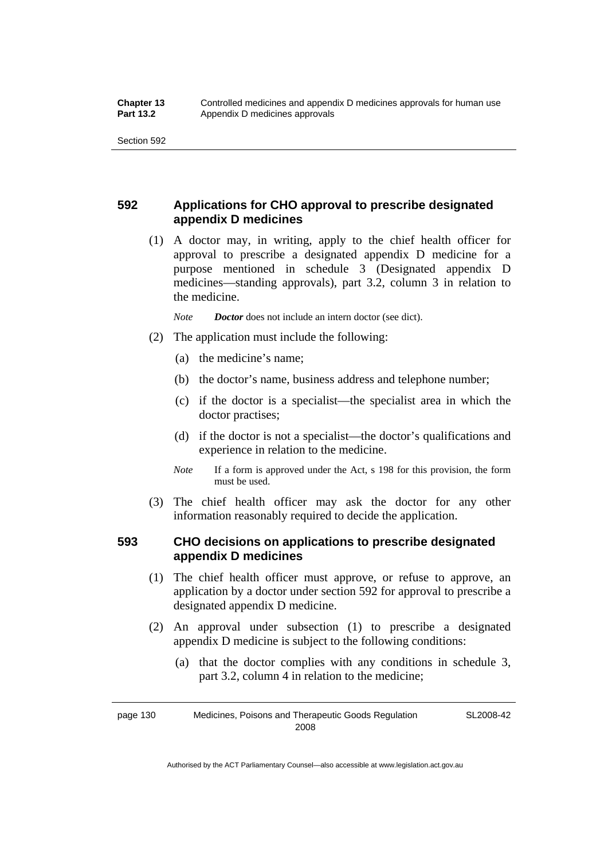# **592 Applications for CHO approval to prescribe designated appendix D medicines**

 (1) A doctor may, in writing, apply to the chief health officer for approval to prescribe a designated appendix D medicine for a purpose mentioned in schedule 3 (Designated appendix D medicines—standing approvals), part 3.2, column 3 in relation to the medicine.

*Note Doctor* does not include an intern doctor (see dict).

- (2) The application must include the following:
	- (a) the medicine's name;
	- (b) the doctor's name, business address and telephone number;
	- (c) if the doctor is a specialist—the specialist area in which the doctor practises;
	- (d) if the doctor is not a specialist—the doctor's qualifications and experience in relation to the medicine.
	- *Note* If a form is approved under the Act, s 198 for this provision, the form must be used.
- (3) The chief health officer may ask the doctor for any other information reasonably required to decide the application.

# **593 CHO decisions on applications to prescribe designated appendix D medicines**

- (1) The chief health officer must approve, or refuse to approve, an application by a doctor under section 592 for approval to prescribe a designated appendix D medicine.
- (2) An approval under subsection (1) to prescribe a designated appendix D medicine is subject to the following conditions:
	- (a) that the doctor complies with any conditions in schedule 3, part 3.2, column 4 in relation to the medicine;

SL2008-42

page 130 Medicines, Poisons and Therapeutic Goods Regulation 2008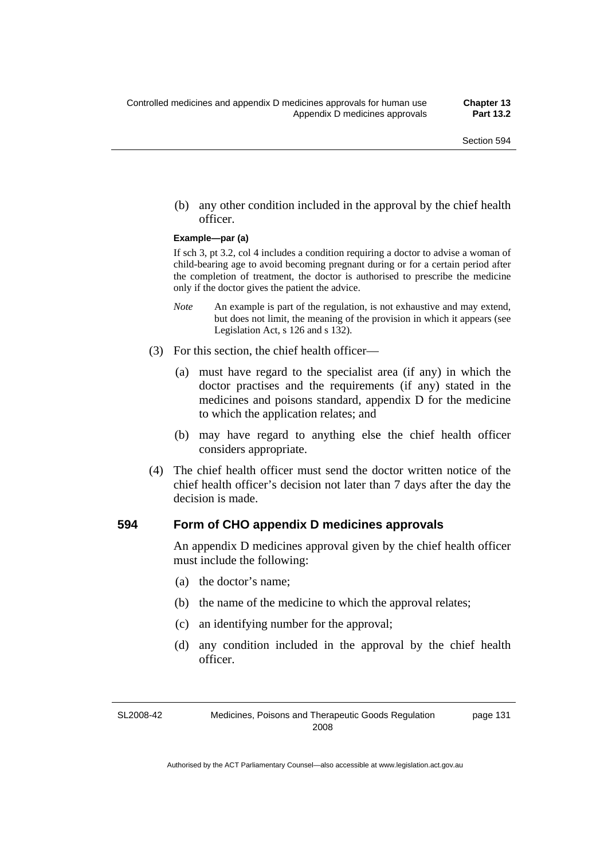(b) any other condition included in the approval by the chief health officer.

#### **Example—par (a)**

If sch 3, pt 3.2, col 4 includes a condition requiring a doctor to advise a woman of child-bearing age to avoid becoming pregnant during or for a certain period after the completion of treatment, the doctor is authorised to prescribe the medicine only if the doctor gives the patient the advice.

- *Note* An example is part of the regulation, is not exhaustive and may extend, but does not limit, the meaning of the provision in which it appears (see Legislation Act, s 126 and s 132).
- (3) For this section, the chief health officer—
	- (a) must have regard to the specialist area (if any) in which the doctor practises and the requirements (if any) stated in the medicines and poisons standard, appendix D for the medicine to which the application relates; and
	- (b) may have regard to anything else the chief health officer considers appropriate.
- (4) The chief health officer must send the doctor written notice of the chief health officer's decision not later than 7 days after the day the decision is made.

#### **594 Form of CHO appendix D medicines approvals**

An appendix D medicines approval given by the chief health officer must include the following:

- (a) the doctor's name;
- (b) the name of the medicine to which the approval relates;
- (c) an identifying number for the approval;
- (d) any condition included in the approval by the chief health officer.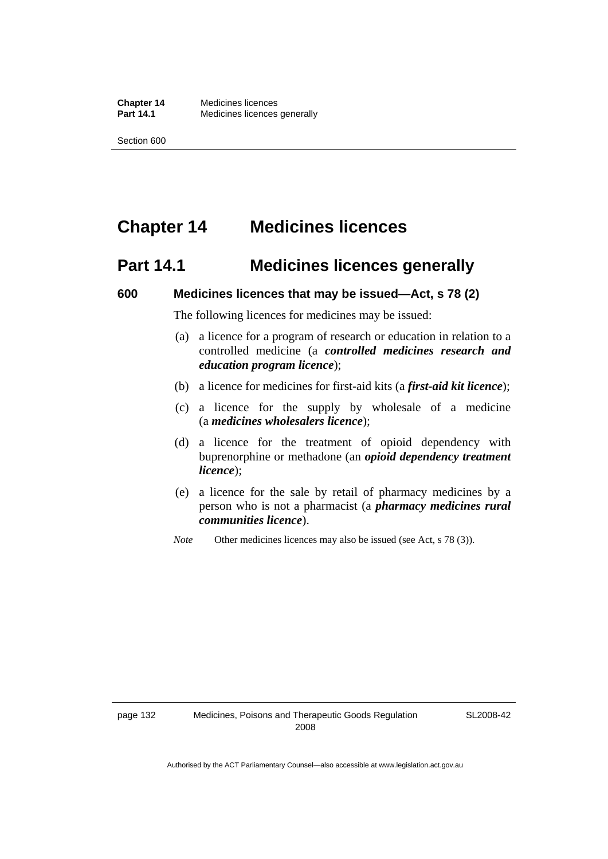# **Chapter 14 Medicines licences**

# **Part 14.1 Medicines licences generally**

#### **600 Medicines licences that may be issued—Act, s 78 (2)**

The following licences for medicines may be issued:

- (a) a licence for a program of research or education in relation to a controlled medicine (a *controlled medicines research and education program licence*);
- (b) a licence for medicines for first-aid kits (a *first-aid kit licence*);
- (c) a licence for the supply by wholesale of a medicine (a *medicines wholesalers licence*);
- (d) a licence for the treatment of opioid dependency with buprenorphine or methadone (an *opioid dependency treatment licence*);
- (e) a licence for the sale by retail of pharmacy medicines by a person who is not a pharmacist (a *pharmacy medicines rural communities licence*).
- *Note* Other medicines licences may also be issued (see Act, s 78 (3)).

SL2008-42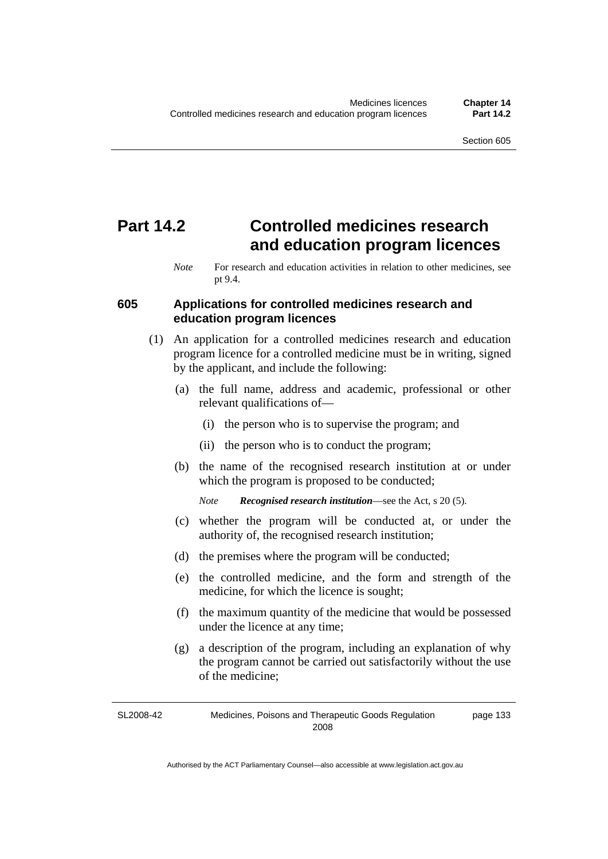# **Part 14.2 Controlled medicines research and education program licences**

## **605 Applications for controlled medicines research and education program licences**

- (1) An application for a controlled medicines research and education program licence for a controlled medicine must be in writing, signed by the applicant, and include the following:
	- (a) the full name, address and academic, professional or other relevant qualifications of—
		- (i) the person who is to supervise the program; and
		- (ii) the person who is to conduct the program;
	- (b) the name of the recognised research institution at or under which the program is proposed to be conducted;

*Note Recognised research institution*—see the Act, s 20 (5).

- (c) whether the program will be conducted at, or under the authority of, the recognised research institution;
- (d) the premises where the program will be conducted;
- (e) the controlled medicine, and the form and strength of the medicine, for which the licence is sought;
- (f) the maximum quantity of the medicine that would be possessed under the licence at any time;
- (g) a description of the program, including an explanation of why the program cannot be carried out satisfactorily without the use of the medicine;

SL2008-42 Medicines, Poisons and Therapeutic Goods Regulation 2008 page 133

*Note* For research and education activities in relation to other medicines, see pt 9.4.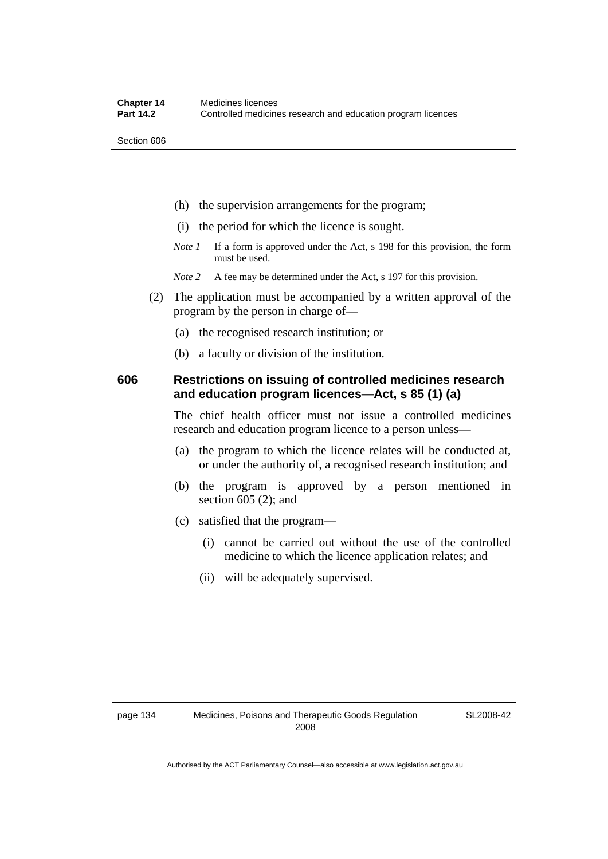- (h) the supervision arrangements for the program;
- (i) the period for which the licence is sought.
- *Note 1* If a form is approved under the Act, s 198 for this provision, the form must be used.
- *Note* 2 A fee may be determined under the Act, s 197 for this provision.
- (2) The application must be accompanied by a written approval of the program by the person in charge of—
	- (a) the recognised research institution; or
	- (b) a faculty or division of the institution.

# **606 Restrictions on issuing of controlled medicines research and education program licences—Act, s 85 (1) (a)**

The chief health officer must not issue a controlled medicines research and education program licence to a person unless—

- (a) the program to which the licence relates will be conducted at, or under the authority of, a recognised research institution; and
- (b) the program is approved by a person mentioned in section 605 (2); and
- (c) satisfied that the program—
	- (i) cannot be carried out without the use of the controlled medicine to which the licence application relates; and
	- (ii) will be adequately supervised.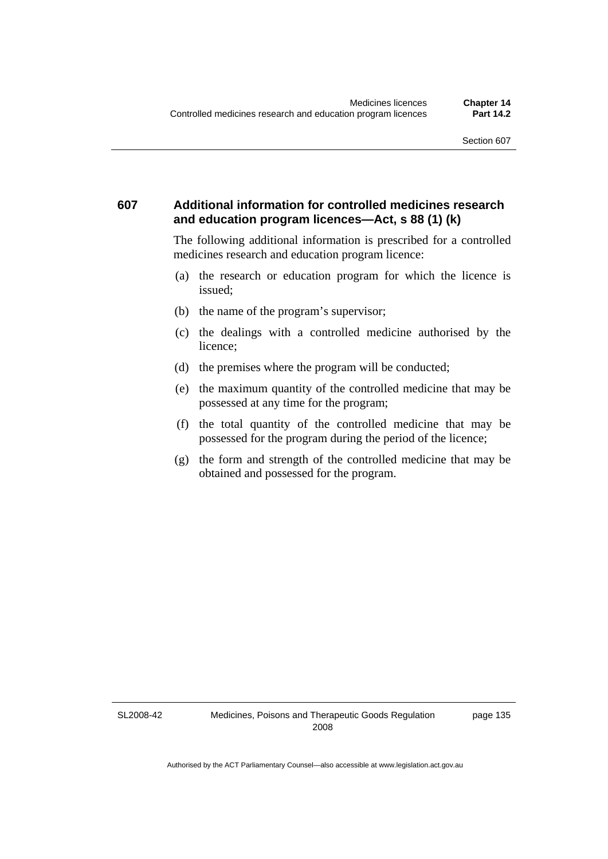# **607 Additional information for controlled medicines research and education program licences—Act, s 88 (1) (k)**

The following additional information is prescribed for a controlled medicines research and education program licence:

- (a) the research or education program for which the licence is issued;
- (b) the name of the program's supervisor;
- (c) the dealings with a controlled medicine authorised by the licence;
- (d) the premises where the program will be conducted;
- (e) the maximum quantity of the controlled medicine that may be possessed at any time for the program;
- (f) the total quantity of the controlled medicine that may be possessed for the program during the period of the licence;
- (g) the form and strength of the controlled medicine that may be obtained and possessed for the program.

SL2008-42

page 135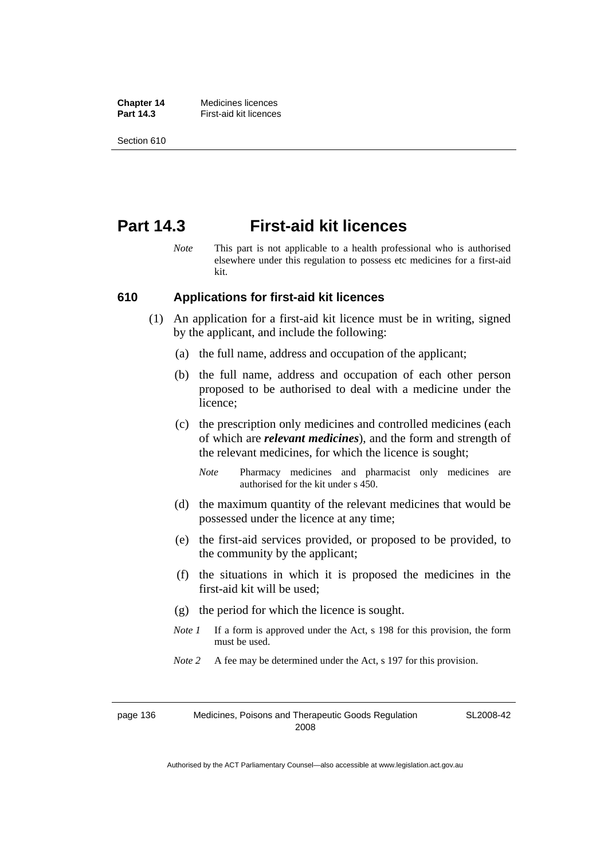**Chapter 14** Medicines licences **Part 14.3 First-aid kit licences** 

Section 610

# **Part 14.3 First-aid kit licences**

*Note* This part is not applicable to a health professional who is authorised elsewhere under this regulation to possess etc medicines for a first-aid kit.

## **610 Applications for first-aid kit licences**

- (1) An application for a first-aid kit licence must be in writing, signed by the applicant, and include the following:
	- (a) the full name, address and occupation of the applicant;
	- (b) the full name, address and occupation of each other person proposed to be authorised to deal with a medicine under the licence;
	- (c) the prescription only medicines and controlled medicines (each of which are *relevant medicines*), and the form and strength of the relevant medicines, for which the licence is sought;
		- *Note* Pharmacy medicines and pharmacist only medicines are authorised for the kit under s 450.
	- (d) the maximum quantity of the relevant medicines that would be possessed under the licence at any time;
	- (e) the first-aid services provided, or proposed to be provided, to the community by the applicant;
	- (f) the situations in which it is proposed the medicines in the first-aid kit will be used;
	- (g) the period for which the licence is sought.
	- *Note 1* If a form is approved under the Act, s 198 for this provision, the form must be used.
	- *Note* 2 A fee may be determined under the Act, s 197 for this provision.

page 136 Medicines, Poisons and Therapeutic Goods Regulation 2008

SL2008-42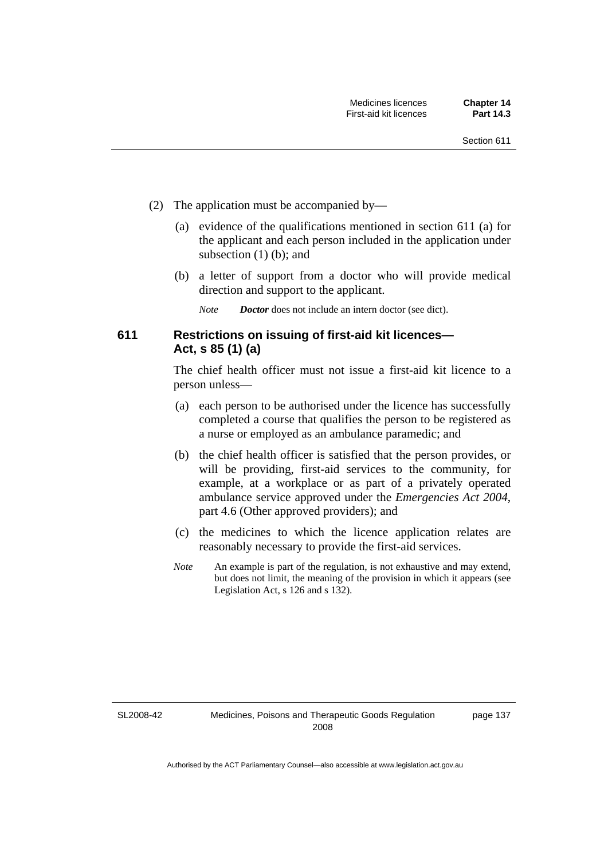- (2) The application must be accompanied by—
	- (a) evidence of the qualifications mentioned in section 611 (a) for the applicant and each person included in the application under subsection (1) (b); and
	- (b) a letter of support from a doctor who will provide medical direction and support to the applicant.
		- *Note Doctor* does not include an intern doctor (see dict).

# **611 Restrictions on issuing of first-aid kit licences— Act, s 85 (1) (a)**

The chief health officer must not issue a first-aid kit licence to a person unless—

- (a) each person to be authorised under the licence has successfully completed a course that qualifies the person to be registered as a nurse or employed as an ambulance paramedic; and
- (b) the chief health officer is satisfied that the person provides, or will be providing, first-aid services to the community, for example, at a workplace or as part of a privately operated ambulance service approved under the *Emergencies Act 2004*, part 4.6 (Other approved providers); and
- (c) the medicines to which the licence application relates are reasonably necessary to provide the first-aid services.
- *Note* An example is part of the regulation, is not exhaustive and may extend, but does not limit, the meaning of the provision in which it appears (see Legislation Act, s 126 and s 132).

SL2008-42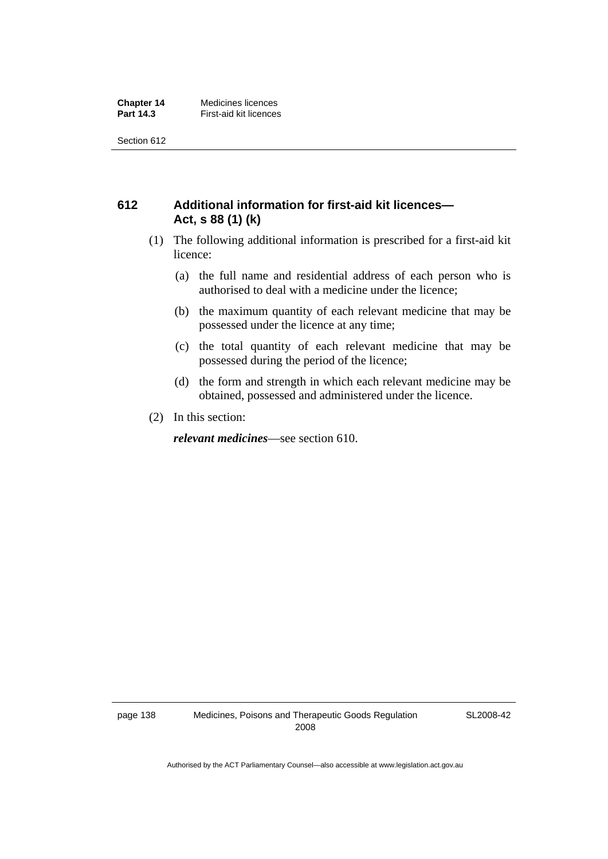# **612 Additional information for first-aid kit licences— Act, s 88 (1) (k)**

- (1) The following additional information is prescribed for a first-aid kit licence:
	- (a) the full name and residential address of each person who is authorised to deal with a medicine under the licence;
	- (b) the maximum quantity of each relevant medicine that may be possessed under the licence at any time;
	- (c) the total quantity of each relevant medicine that may be possessed during the period of the licence;
	- (d) the form and strength in which each relevant medicine may be obtained, possessed and administered under the licence.
- (2) In this section:

*relevant medicines*—see section 610.

SL2008-42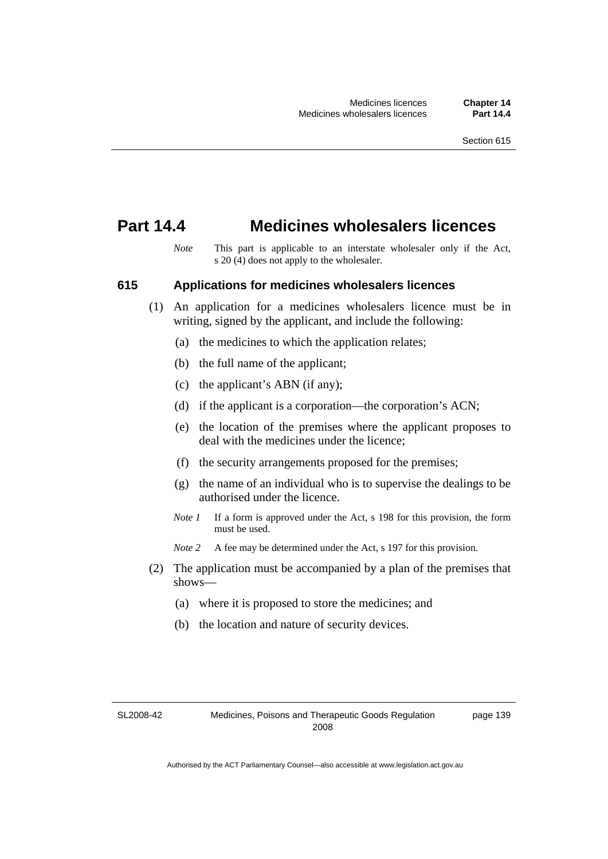# **Part 14.4 Medicines wholesalers licences**

*Note* This part is applicable to an interstate wholesaler only if the Act, s 20 (4) does not apply to the wholesaler.

## **615 Applications for medicines wholesalers licences**

- (1) An application for a medicines wholesalers licence must be in writing, signed by the applicant, and include the following:
	- (a) the medicines to which the application relates;
	- (b) the full name of the applicant;
	- (c) the applicant's ABN (if any);
	- (d) if the applicant is a corporation—the corporation's ACN;
	- (e) the location of the premises where the applicant proposes to deal with the medicines under the licence;
	- (f) the security arrangements proposed for the premises;
	- (g) the name of an individual who is to supervise the dealings to be authorised under the licence.
	- *Note 1* If a form is approved under the Act, s 198 for this provision, the form must be used.
	- *Note* 2 A fee may be determined under the Act, s 197 for this provision.
- (2) The application must be accompanied by a plan of the premises that shows—
	- (a) where it is proposed to store the medicines; and
	- (b) the location and nature of security devices.

SL2008-42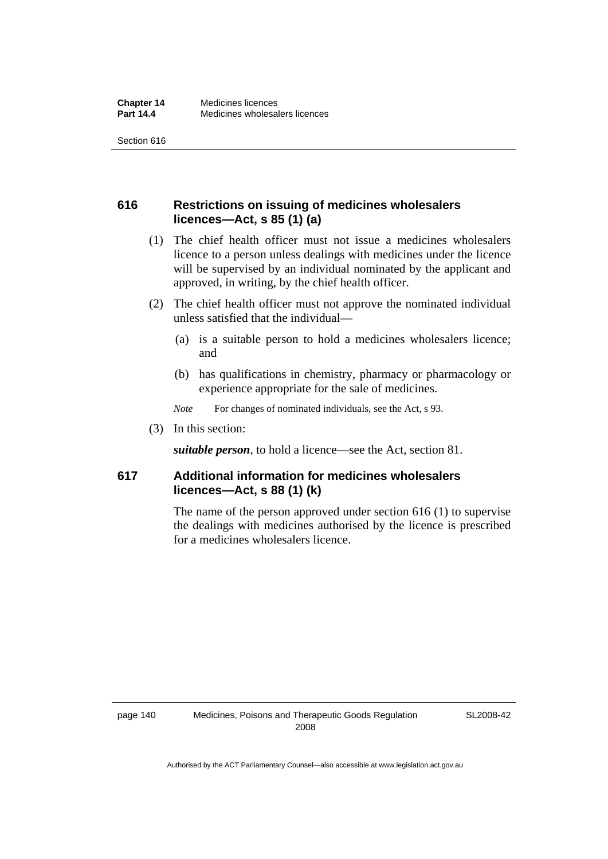# **616 Restrictions on issuing of medicines wholesalers licences—Act, s 85 (1) (a)**

- (1) The chief health officer must not issue a medicines wholesalers licence to a person unless dealings with medicines under the licence will be supervised by an individual nominated by the applicant and approved, in writing, by the chief health officer.
- (2) The chief health officer must not approve the nominated individual unless satisfied that the individual—
	- (a) is a suitable person to hold a medicines wholesalers licence; and
	- (b) has qualifications in chemistry, pharmacy or pharmacology or experience appropriate for the sale of medicines.
	- *Note* For changes of nominated individuals, see the Act, s 93.
- (3) In this section:

*suitable person*, to hold a licence—see the Act, section 81.

# **617 Additional information for medicines wholesalers licences—Act, s 88 (1) (k)**

The name of the person approved under section 616 (1) to supervise the dealings with medicines authorised by the licence is prescribed for a medicines wholesalers licence.

SL2008-42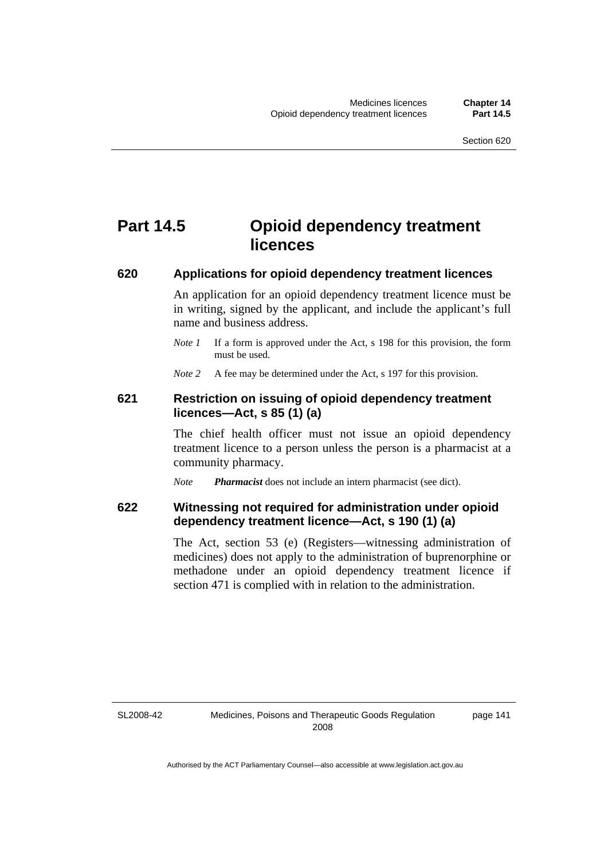# **Part 14.5 Opioid dependency treatment licences**

## **620 Applications for opioid dependency treatment licences**

An application for an opioid dependency treatment licence must be in writing, signed by the applicant, and include the applicant's full name and business address.

- *Note 1* If a form is approved under the Act, s 198 for this provision, the form must be used.
- *Note* 2 A fee may be determined under the Act, s 197 for this provision.

## **621 Restriction on issuing of opioid dependency treatment licences—Act, s 85 (1) (a)**

The chief health officer must not issue an opioid dependency treatment licence to a person unless the person is a pharmacist at a community pharmacy.

*Note Pharmacist* does not include an intern pharmacist (see dict).

## **622 Witnessing not required for administration under opioid dependency treatment licence—Act, s 190 (1) (a)**

The Act, section 53 (e) (Registers—witnessing administration of medicines) does not apply to the administration of buprenorphine or methadone under an opioid dependency treatment licence if section 471 is complied with in relation to the administration.

SL2008-42

page 141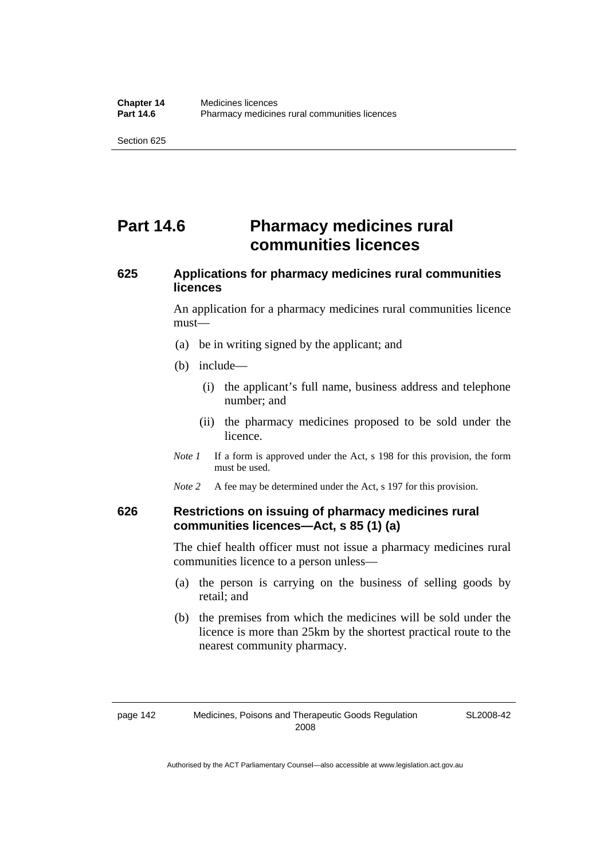# **Part 14.6** Pharmacy medicines rural **communities licences**

# **625 Applications for pharmacy medicines rural communities licences**

An application for a pharmacy medicines rural communities licence must—

- (a) be in writing signed by the applicant; and
- (b) include—
	- (i) the applicant's full name, business address and telephone number; and
	- (ii) the pharmacy medicines proposed to be sold under the licence.
- *Note 1* If a form is approved under the Act, s 198 for this provision, the form must be used.
- *Note* 2 A fee may be determined under the Act, s 197 for this provision.

## **626 Restrictions on issuing of pharmacy medicines rural communities licences—Act, s 85 (1) (a)**

The chief health officer must not issue a pharmacy medicines rural communities licence to a person unless—

- (a) the person is carrying on the business of selling goods by retail; and
- (b) the premises from which the medicines will be sold under the licence is more than 25km by the shortest practical route to the nearest community pharmacy.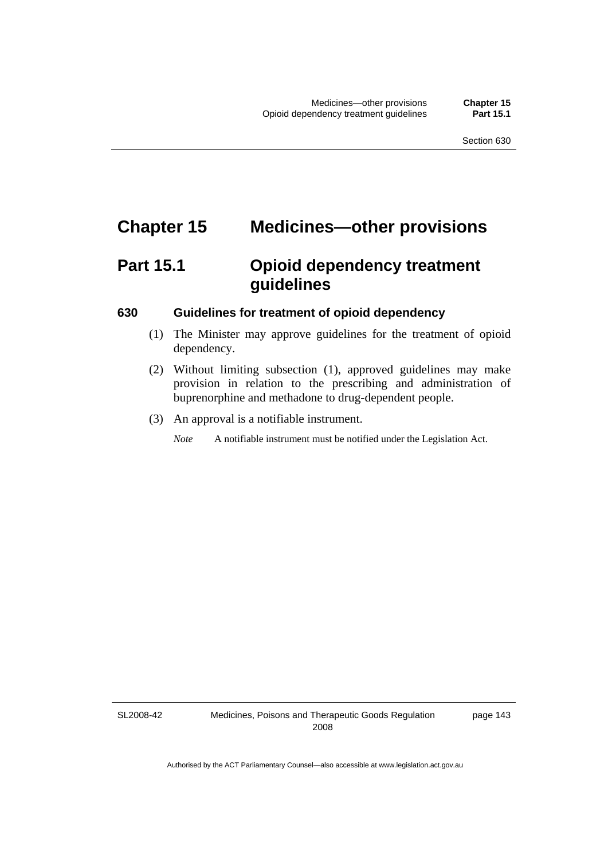# **Chapter 15 Medicines—other provisions**

# **Part 15.1 Opioid dependency treatment guidelines**

#### **630 Guidelines for treatment of opioid dependency**

- (1) The Minister may approve guidelines for the treatment of opioid dependency.
- (2) Without limiting subsection (1), approved guidelines may make provision in relation to the prescribing and administration of buprenorphine and methadone to drug-dependent people.
- (3) An approval is a notifiable instrument.

*Note* A notifiable instrument must be notified under the Legislation Act.

SL2008-42

page 143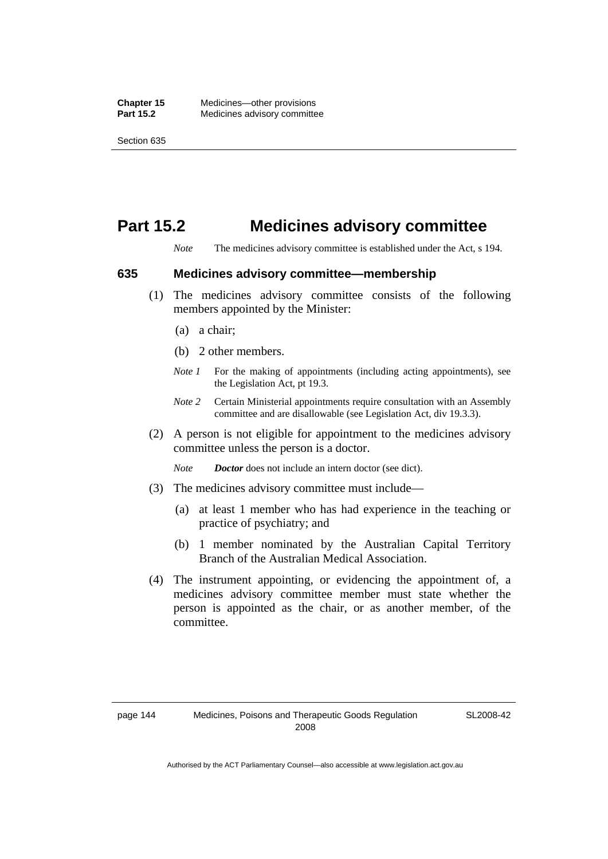# **Part 15.2 Medicines advisory committee**

*Note* The medicines advisory committee is established under the Act, s 194.

#### **635 Medicines advisory committee—membership**

- (1) The medicines advisory committee consists of the following members appointed by the Minister:
	- (a) a chair;
	- (b) 2 other members.
	- *Note 1* For the making of appointments (including acting appointments), see the Legislation Act, pt 19.3.
	- *Note 2* Certain Ministerial appointments require consultation with an Assembly committee and are disallowable (see Legislation Act, div 19.3.3).
- (2) A person is not eligible for appointment to the medicines advisory committee unless the person is a doctor.

*Note Doctor* does not include an intern doctor (see dict).

- (3) The medicines advisory committee must include—
	- (a) at least 1 member who has had experience in the teaching or practice of psychiatry; and
	- (b) 1 member nominated by the Australian Capital Territory Branch of the Australian Medical Association.
- (4) The instrument appointing, or evidencing the appointment of, a medicines advisory committee member must state whether the person is appointed as the chair, or as another member, of the committee.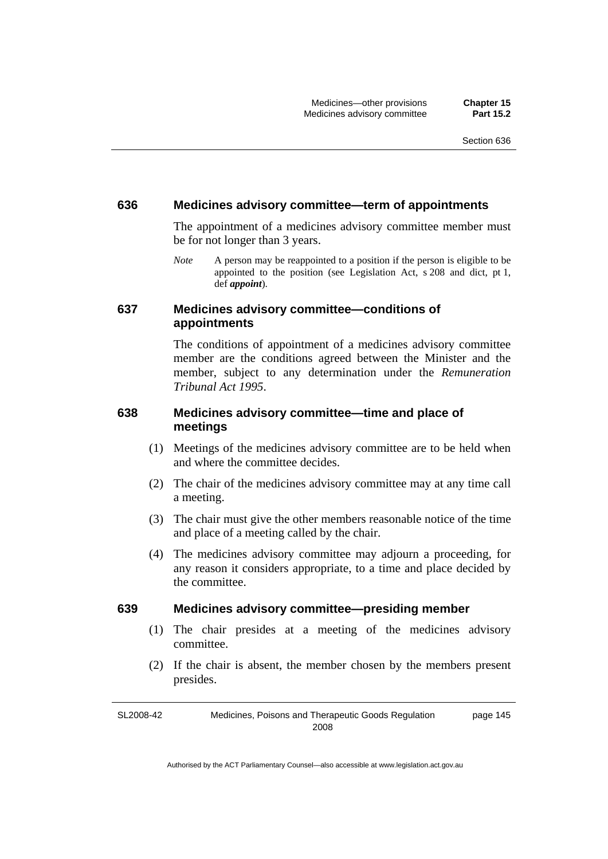#### **636 Medicines advisory committee—term of appointments**

The appointment of a medicines advisory committee member must be for not longer than 3 years.

*Note* A person may be reappointed to a position if the person is eligible to be appointed to the position (see Legislation Act, s 208 and dict, pt 1, def *appoint*).

## **637 Medicines advisory committee—conditions of appointments**

The conditions of appointment of a medicines advisory committee member are the conditions agreed between the Minister and the member, subject to any determination under the *Remuneration Tribunal Act 1995*.

# **638 Medicines advisory committee—time and place of meetings**

- (1) Meetings of the medicines advisory committee are to be held when and where the committee decides.
- (2) The chair of the medicines advisory committee may at any time call a meeting.
- (3) The chair must give the other members reasonable notice of the time and place of a meeting called by the chair.
- (4) The medicines advisory committee may adjourn a proceeding, for any reason it considers appropriate, to a time and place decided by the committee.

## **639 Medicines advisory committee—presiding member**

- (1) The chair presides at a meeting of the medicines advisory committee.
- (2) If the chair is absent, the member chosen by the members present presides.

SL2008-42 Medicines, Poisons and Therapeutic Goods Regulation 2008 page 145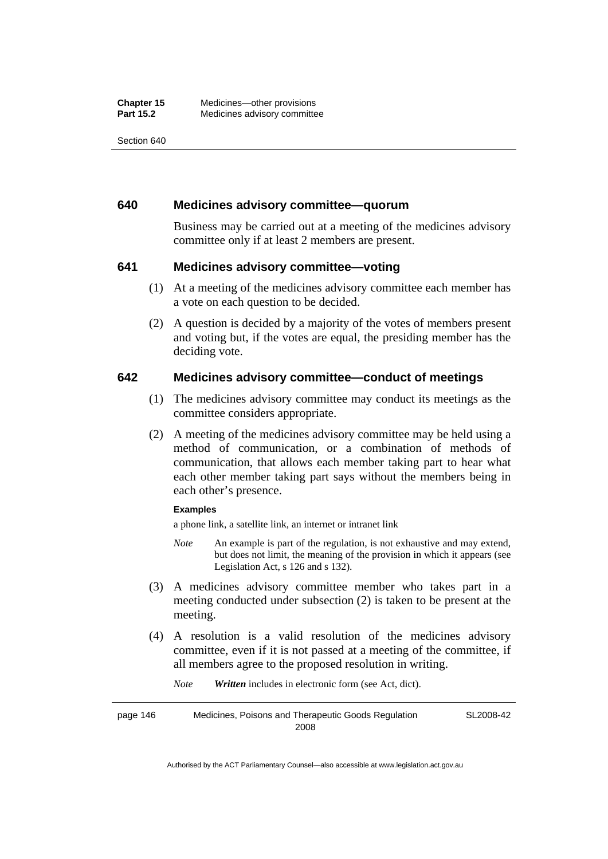#### **640 Medicines advisory committee—quorum**

Business may be carried out at a meeting of the medicines advisory committee only if at least 2 members are present.

## **641 Medicines advisory committee—voting**

- (1) At a meeting of the medicines advisory committee each member has a vote on each question to be decided.
- (2) A question is decided by a majority of the votes of members present and voting but, if the votes are equal, the presiding member has the deciding vote.

## **642 Medicines advisory committee—conduct of meetings**

- (1) The medicines advisory committee may conduct its meetings as the committee considers appropriate.
- (2) A meeting of the medicines advisory committee may be held using a method of communication, or a combination of methods of communication, that allows each member taking part to hear what each other member taking part says without the members being in each other's presence.

#### **Examples**

a phone link, a satellite link, an internet or intranet link

- *Note* An example is part of the regulation, is not exhaustive and may extend, but does not limit, the meaning of the provision in which it appears (see Legislation Act, s 126 and s 132).
- (3) A medicines advisory committee member who takes part in a meeting conducted under subsection (2) is taken to be present at the meeting.
- (4) A resolution is a valid resolution of the medicines advisory committee, even if it is not passed at a meeting of the committee, if all members agree to the proposed resolution in writing.

*Note Written* includes in electronic form (see Act, dict).

page 146 Medicines, Poisons and Therapeutic Goods Regulation 2008 SL2008-42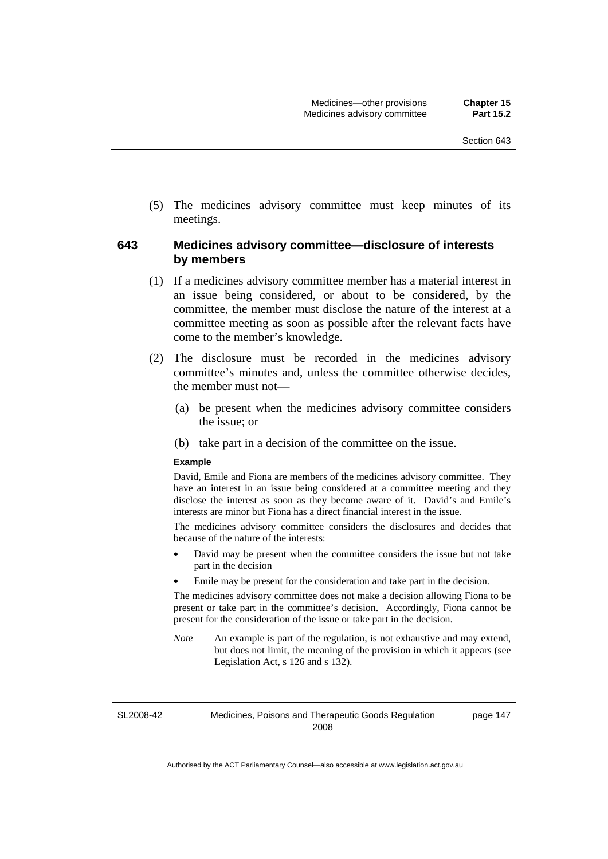(5) The medicines advisory committee must keep minutes of its meetings.

# **643 Medicines advisory committee—disclosure of interests by members**

- (1) If a medicines advisory committee member has a material interest in an issue being considered, or about to be considered, by the committee, the member must disclose the nature of the interest at a committee meeting as soon as possible after the relevant facts have come to the member's knowledge.
- (2) The disclosure must be recorded in the medicines advisory committee's minutes and, unless the committee otherwise decides, the member must not—
	- (a) be present when the medicines advisory committee considers the issue; or
	- (b) take part in a decision of the committee on the issue.

#### **Example**

David, Emile and Fiona are members of the medicines advisory committee. They have an interest in an issue being considered at a committee meeting and they disclose the interest as soon as they become aware of it. David's and Emile's interests are minor but Fiona has a direct financial interest in the issue.

The medicines advisory committee considers the disclosures and decides that because of the nature of the interests:

- David may be present when the committee considers the issue but not take part in the decision
- Emile may be present for the consideration and take part in the decision.

The medicines advisory committee does not make a decision allowing Fiona to be present or take part in the committee's decision. Accordingly, Fiona cannot be present for the consideration of the issue or take part in the decision.

*Note* An example is part of the regulation, is not exhaustive and may extend, but does not limit, the meaning of the provision in which it appears (see Legislation Act, s 126 and s 132).

SL2008-42

Medicines, Poisons and Therapeutic Goods Regulation 2008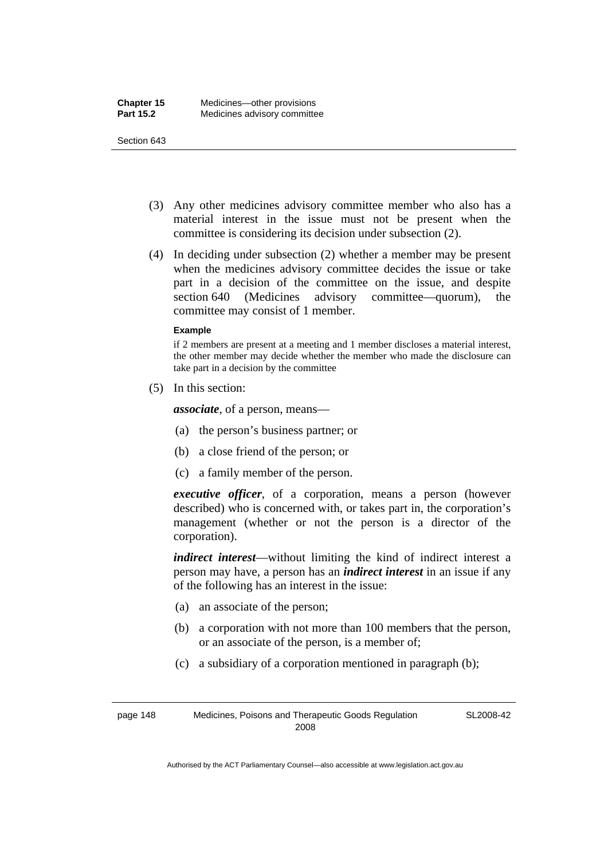- (3) Any other medicines advisory committee member who also has a material interest in the issue must not be present when the committee is considering its decision under subsection (2).
- (4) In deciding under subsection (2) whether a member may be present when the medicines advisory committee decides the issue or take part in a decision of the committee on the issue, and despite section 640 (Medicines advisory committee—quorum), the committee may consist of 1 member.

#### **Example**

if 2 members are present at a meeting and 1 member discloses a material interest, the other member may decide whether the member who made the disclosure can take part in a decision by the committee

(5) In this section:

*associate*, of a person, means—

- (a) the person's business partner; or
- (b) a close friend of the person; or
- (c) a family member of the person.

*executive officer*, of a corporation, means a person (however described) who is concerned with, or takes part in, the corporation's management (whether or not the person is a director of the corporation).

*indirect interest*—without limiting the kind of indirect interest a person may have, a person has an *indirect interest* in an issue if any of the following has an interest in the issue:

- (a) an associate of the person;
- (b) a corporation with not more than 100 members that the person, or an associate of the person, is a member of;
- (c) a subsidiary of a corporation mentioned in paragraph (b);

page 148 Medicines, Poisons and Therapeutic Goods Regulation 2008

SL2008-42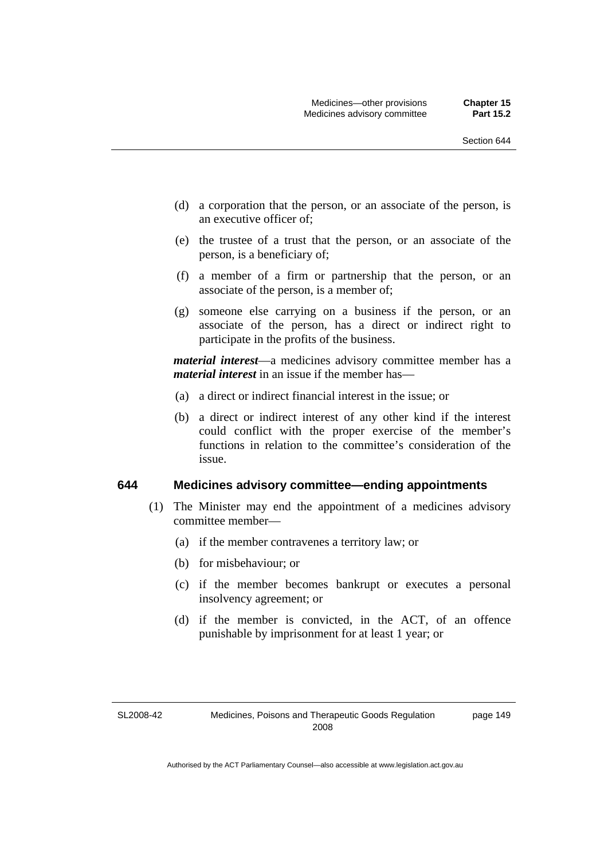- (d) a corporation that the person, or an associate of the person, is an executive officer of;
- (e) the trustee of a trust that the person, or an associate of the person, is a beneficiary of;
- (f) a member of a firm or partnership that the person, or an associate of the person, is a member of;
- (g) someone else carrying on a business if the person, or an associate of the person, has a direct or indirect right to participate in the profits of the business.

*material interest*—a medicines advisory committee member has a *material interest* in an issue if the member has—

- (a) a direct or indirect financial interest in the issue; or
- (b) a direct or indirect interest of any other kind if the interest could conflict with the proper exercise of the member's functions in relation to the committee's consideration of the issue.

#### **644 Medicines advisory committee—ending appointments**

- (1) The Minister may end the appointment of a medicines advisory committee member—
	- (a) if the member contravenes a territory law; or
	- (b) for misbehaviour; or
	- (c) if the member becomes bankrupt or executes a personal insolvency agreement; or
	- (d) if the member is convicted, in the ACT, of an offence punishable by imprisonment for at least 1 year; or

SL2008-42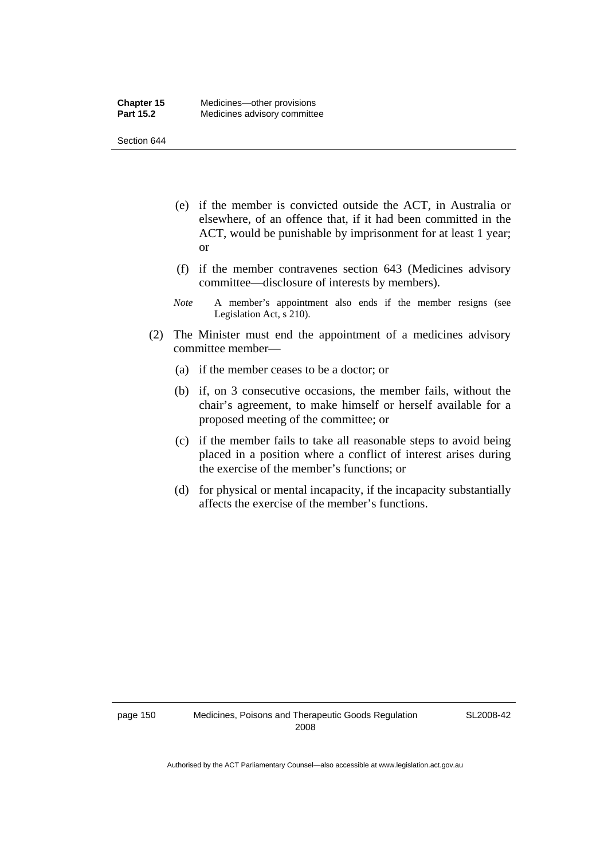- (e) if the member is convicted outside the ACT, in Australia or elsewhere, of an offence that, if it had been committed in the ACT, would be punishable by imprisonment for at least 1 year; or
- (f) if the member contravenes section 643 (Medicines advisory committee—disclosure of interests by members).
- *Note* A member's appointment also ends if the member resigns (see Legislation Act, s 210).
- (2) The Minister must end the appointment of a medicines advisory committee member—
	- (a) if the member ceases to be a doctor; or
	- (b) if, on 3 consecutive occasions, the member fails, without the chair's agreement, to make himself or herself available for a proposed meeting of the committee; or
	- (c) if the member fails to take all reasonable steps to avoid being placed in a position where a conflict of interest arises during the exercise of the member's functions; or
	- (d) for physical or mental incapacity, if the incapacity substantially affects the exercise of the member's functions.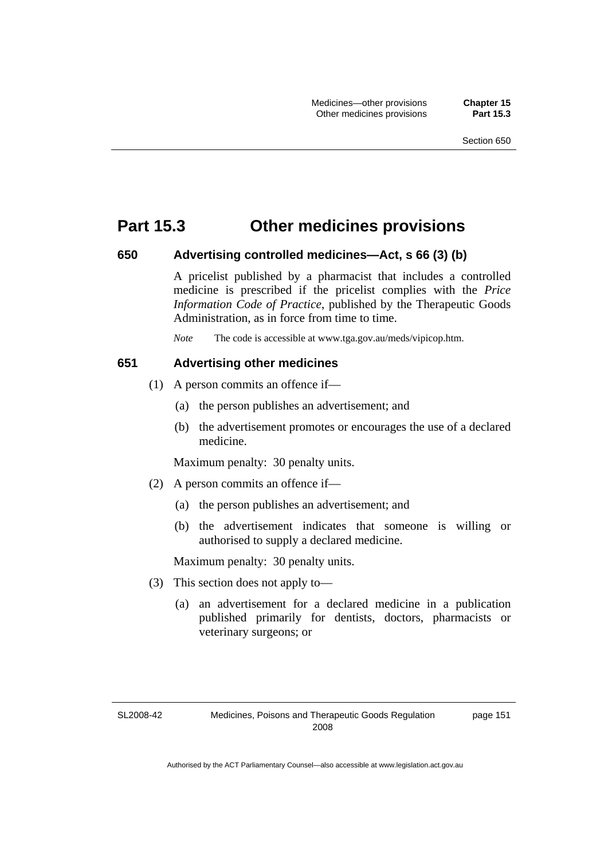# **Part 15.3 Other medicines provisions**

#### **650 Advertising controlled medicines—Act, s 66 (3) (b)**

A pricelist published by a pharmacist that includes a controlled medicine is prescribed if the pricelist complies with the *Price Information Code of Practice*, published by the Therapeutic Goods Administration, as in force from time to time.

*Note* The code is accessible at www.tga.gov.au/meds/vipicop.htm.

#### **651 Advertising other medicines**

- (1) A person commits an offence if—
	- (a) the person publishes an advertisement; and
	- (b) the advertisement promotes or encourages the use of a declared medicine.

Maximum penalty: 30 penalty units.

- (2) A person commits an offence if—
	- (a) the person publishes an advertisement; and
	- (b) the advertisement indicates that someone is willing or authorised to supply a declared medicine.

Maximum penalty: 30 penalty units.

- (3) This section does not apply to—
	- (a) an advertisement for a declared medicine in a publication published primarily for dentists, doctors, pharmacists or veterinary surgeons; or

SL2008-42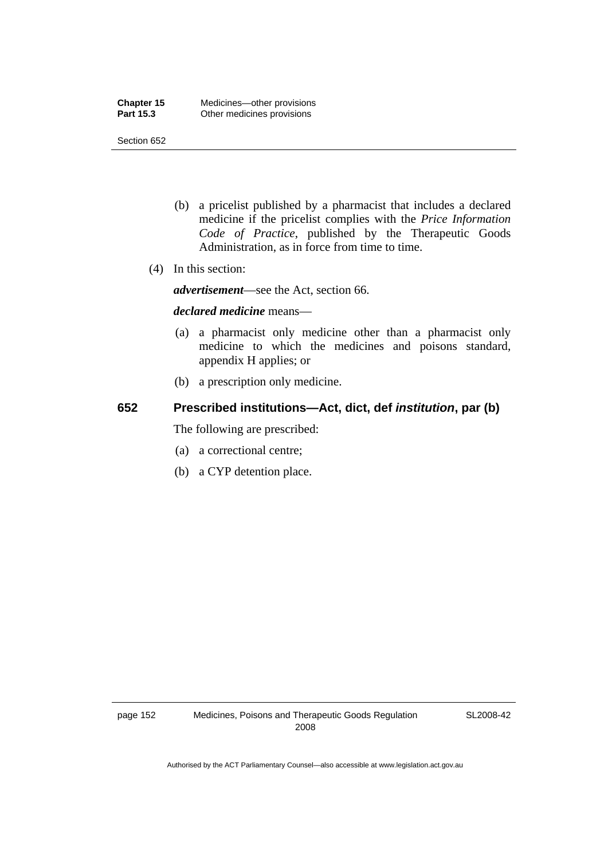- (b) a pricelist published by a pharmacist that includes a declared medicine if the pricelist complies with the *Price Information Code of Practice*, published by the Therapeutic Goods Administration, as in force from time to time.
- (4) In this section:

*advertisement*—see the Act, section 66.

#### *declared medicine* means—

- (a) a pharmacist only medicine other than a pharmacist only medicine to which the medicines and poisons standard, appendix H applies; or
- (b) a prescription only medicine.

# **652 Prescribed institutions—Act, dict, def** *institution***, par (b)**

The following are prescribed:

- (a) a correctional centre;
- (b) a CYP detention place.

SL2008-42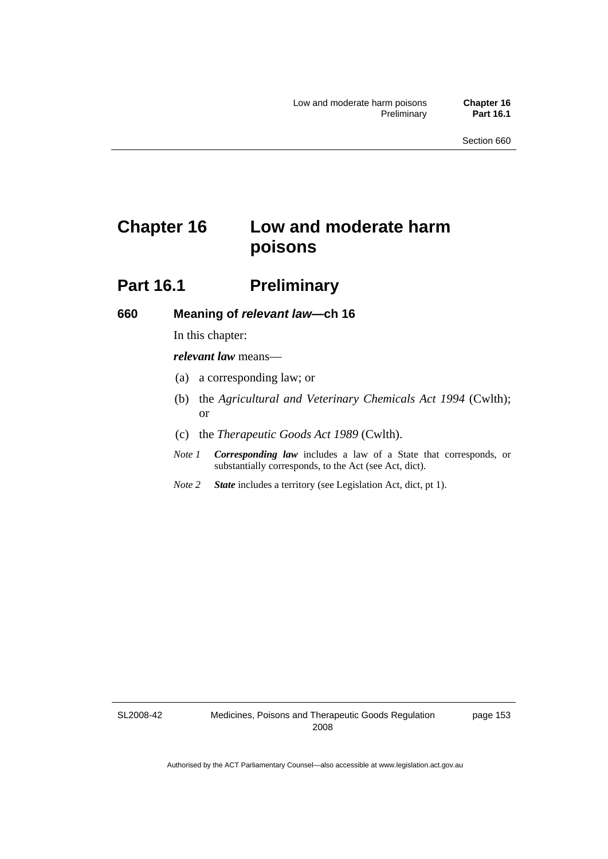# **Chapter 16 Low and moderate harm poisons**

# **Part 16.1** Preliminary

#### **660 Meaning of** *relevant law***—ch 16**

In this chapter:

*relevant law* means—

- (a) a corresponding law; or
- (b) the *Agricultural and Veterinary Chemicals Act 1994* (Cwlth); or
- (c) the *Therapeutic Goods Act 1989* (Cwlth).
- *Note 1 Corresponding law* includes a law of a State that corresponds, or substantially corresponds, to the Act (see Act, dict).
- *Note 2 State* includes a territory (see Legislation Act, dict, pt 1).

SL2008-42

page 153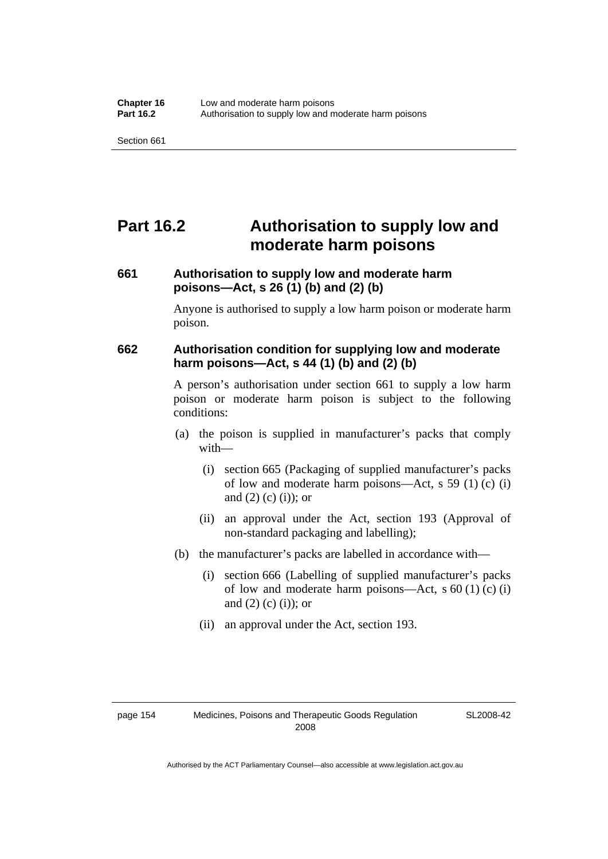# **Part 16.2 Authorisation to supply low and moderate harm poisons**

# **661 Authorisation to supply low and moderate harm poisons—Act, s 26 (1) (b) and (2) (b)**

Anyone is authorised to supply a low harm poison or moderate harm poison.

# **662 Authorisation condition for supplying low and moderate harm poisons—Act, s 44 (1) (b) and (2) (b)**

A person's authorisation under section 661 to supply a low harm poison or moderate harm poison is subject to the following conditions:

- (a) the poison is supplied in manufacturer's packs that comply with—
	- (i) section 665 (Packaging of supplied manufacturer's packs of low and moderate harm poisons—Act, s 59 (1) (c) (i) and  $(2)$  (c) (i)); or
	- (ii) an approval under the Act, section 193 (Approval of non-standard packaging and labelling);
- (b) the manufacturer's packs are labelled in accordance with—
	- (i) section 666 (Labelling of supplied manufacturer's packs of low and moderate harm poisons—Act, s  $60(1)(c)(i)$ and  $(2)$  (c)  $(i)$ ; or
	- (ii) an approval under the Act, section 193.

| page 154 |  |
|----------|--|
|----------|--|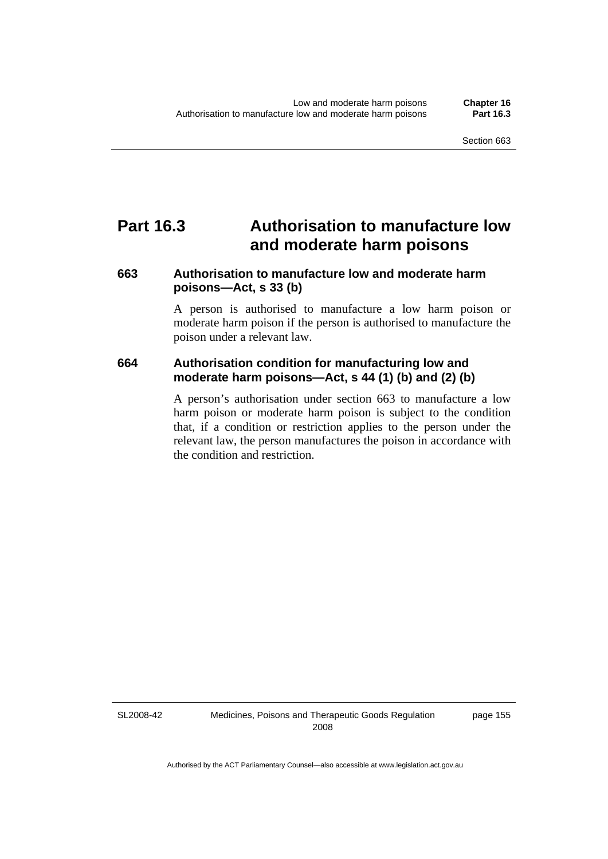# **Part 16.3 Authorisation to manufacture low and moderate harm poisons**

# **663 Authorisation to manufacture low and moderate harm poisons—Act, s 33 (b)**

A person is authorised to manufacture a low harm poison or moderate harm poison if the person is authorised to manufacture the poison under a relevant law.

# **664 Authorisation condition for manufacturing low and moderate harm poisons—Act, s 44 (1) (b) and (2) (b)**

A person's authorisation under section 663 to manufacture a low harm poison or moderate harm poison is subject to the condition that, if a condition or restriction applies to the person under the relevant law, the person manufactures the poison in accordance with the condition and restriction.

SL2008-42

Medicines, Poisons and Therapeutic Goods Regulation 2008

page 155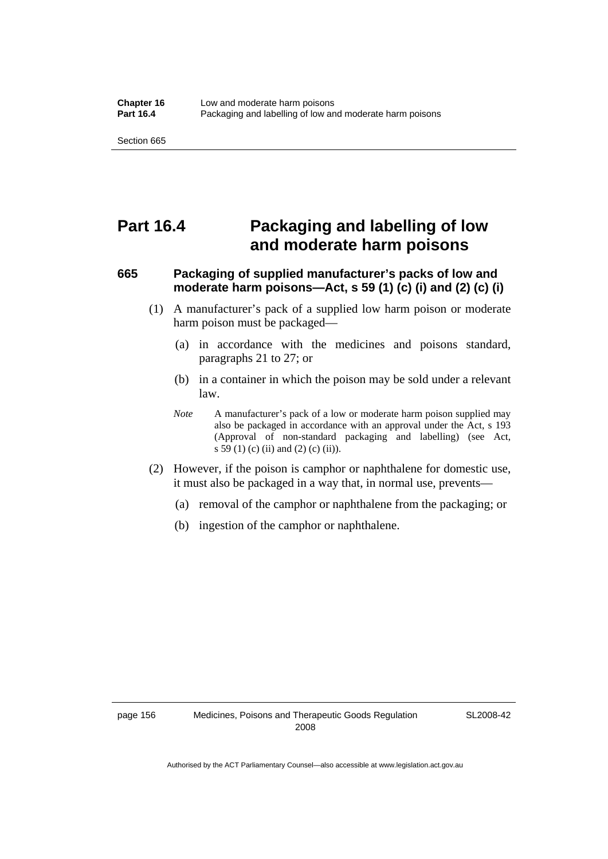# **Part 16.4 Packaging and labelling of low and moderate harm poisons**

# **665 Packaging of supplied manufacturer's packs of low and moderate harm poisons—Act, s 59 (1) (c) (i) and (2) (c) (i)**

- (1) A manufacturer's pack of a supplied low harm poison or moderate harm poison must be packaged—
	- (a) in accordance with the medicines and poisons standard, paragraphs 21 to 27; or
	- (b) in a container in which the poison may be sold under a relevant law.
	- *Note* A manufacturer's pack of a low or moderate harm poison supplied may also be packaged in accordance with an approval under the Act, s 193 (Approval of non-standard packaging and labelling) (see Act, s 59 (1) (c) (ii) and (2) (c) (ii)).
- (2) However, if the poison is camphor or naphthalene for domestic use, it must also be packaged in a way that, in normal use, prevents—
	- (a) removal of the camphor or naphthalene from the packaging; or
	- (b) ingestion of the camphor or naphthalene.

SL2008-42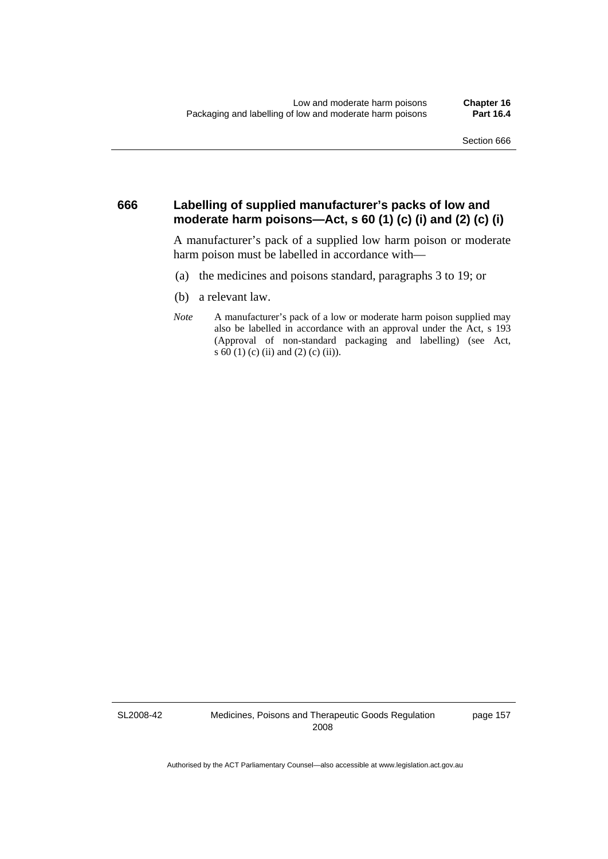#### **666 Labelling of supplied manufacturer's packs of low and moderate harm poisons—Act, s 60 (1) (c) (i) and (2) (c) (i)**

A manufacturer's pack of a supplied low harm poison or moderate harm poison must be labelled in accordance with—

- (a) the medicines and poisons standard, paragraphs 3 to 19; or
- (b) a relevant law.
- *Note* A manufacturer's pack of a low or moderate harm poison supplied may also be labelled in accordance with an approval under the Act, s 193 (Approval of non-standard packaging and labelling) (see Act, s 60 (1) (c) (ii) and (2) (c) (ii)).

SL2008-42

Medicines, Poisons and Therapeutic Goods Regulation 2008

page 157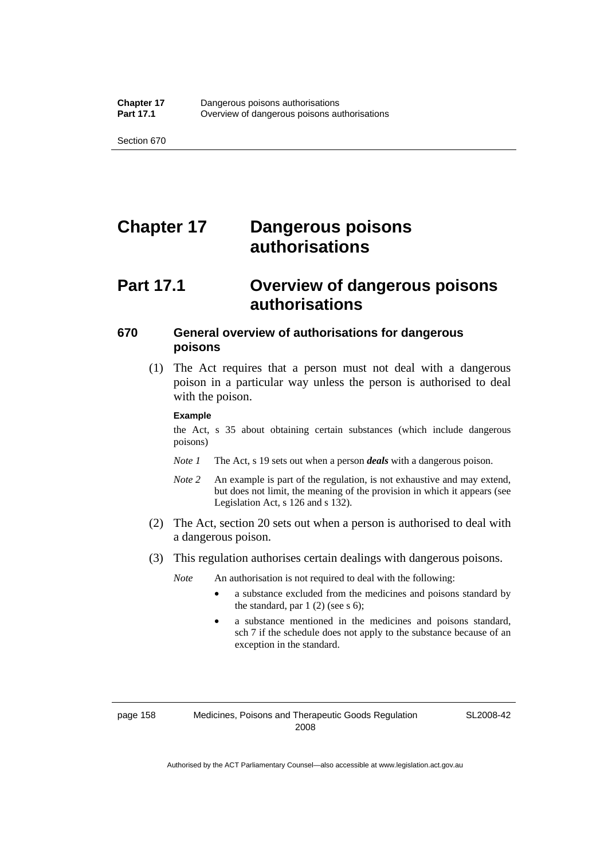# **Chapter 17 Dangerous poisons authorisations**

### **Part 17.1 Overview of dangerous poisons authorisations**

#### **670 General overview of authorisations for dangerous poisons**

 (1) The Act requires that a person must not deal with a dangerous poison in a particular way unless the person is authorised to deal with the poison.

#### **Example**

the Act, s 35 about obtaining certain substances (which include dangerous poisons)

- *Note 1* The Act, s 19 sets out when a person *deals* with a dangerous poison.
- *Note 2* An example is part of the regulation, is not exhaustive and may extend, but does not limit, the meaning of the provision in which it appears (see Legislation Act, s 126 and s 132).
- (2) The Act, section 20 sets out when a person is authorised to deal with a dangerous poison.
- (3) This regulation authorises certain dealings with dangerous poisons.

*Note* An authorisation is not required to deal with the following:

- a substance excluded from the medicines and poisons standard by the standard, par  $1(2)$  (see s 6);
- a substance mentioned in the medicines and poisons standard, sch 7 if the schedule does not apply to the substance because of an exception in the standard.

page 158 Medicines, Poisons and Therapeutic Goods Regulation 2008

SL2008-42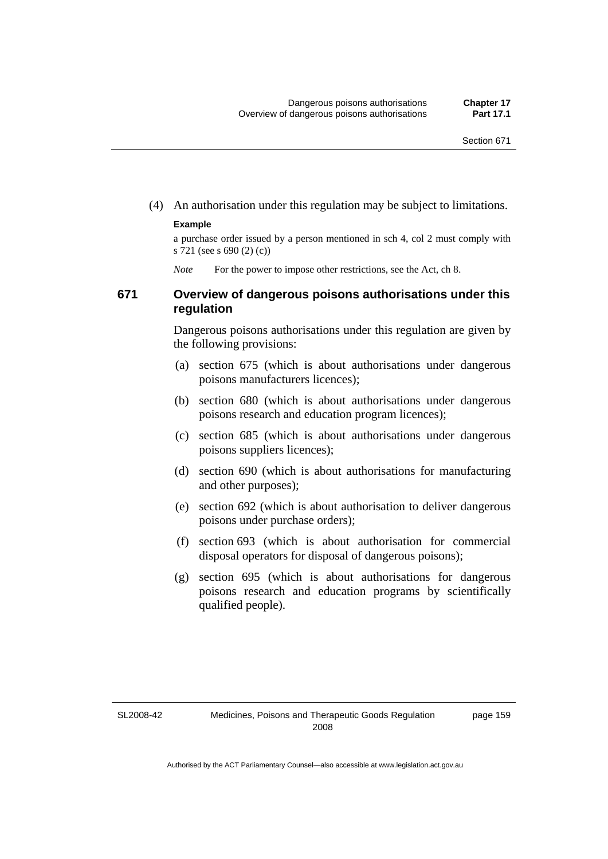(4) An authorisation under this regulation may be subject to limitations.

#### **Example**

a purchase order issued by a person mentioned in sch 4, col 2 must comply with s 721 (see s 690 (2) (c))

*Note* For the power to impose other restrictions, see the Act, ch 8.

#### **671 Overview of dangerous poisons authorisations under this regulation**

Dangerous poisons authorisations under this regulation are given by the following provisions:

- (a) section 675 (which is about authorisations under dangerous poisons manufacturers licences);
- (b) section 680 (which is about authorisations under dangerous poisons research and education program licences);
- (c) section 685 (which is about authorisations under dangerous poisons suppliers licences);
- (d) section 690 (which is about authorisations for manufacturing and other purposes);
- (e) section 692 (which is about authorisation to deliver dangerous poisons under purchase orders);
- (f) section 693 (which is about authorisation for commercial disposal operators for disposal of dangerous poisons);
- (g) section 695 (which is about authorisations for dangerous poisons research and education programs by scientifically qualified people).

SL2008-42

page 159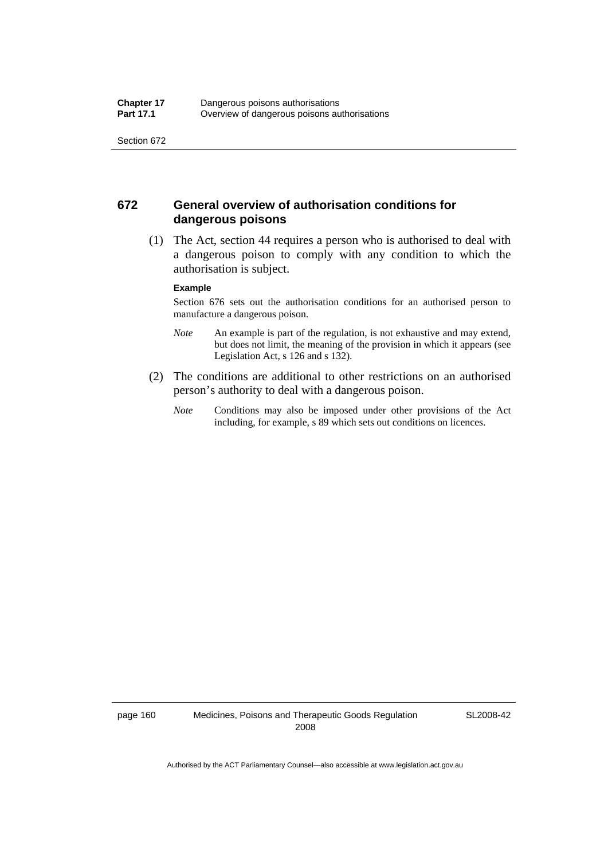#### **672 General overview of authorisation conditions for dangerous poisons**

 (1) The Act, section 44 requires a person who is authorised to deal with a dangerous poison to comply with any condition to which the authorisation is subject.

#### **Example**

Section 676 sets out the authorisation conditions for an authorised person to manufacture a dangerous poison.

- *Note* An example is part of the regulation, is not exhaustive and may extend, but does not limit, the meaning of the provision in which it appears (see Legislation Act, s 126 and s 132).
- (2) The conditions are additional to other restrictions on an authorised person's authority to deal with a dangerous poison.
	- *Note* Conditions may also be imposed under other provisions of the Act including, for example, s 89 which sets out conditions on licences.

page 160 Medicines, Poisons and Therapeutic Goods Regulation 2008

SL2008-42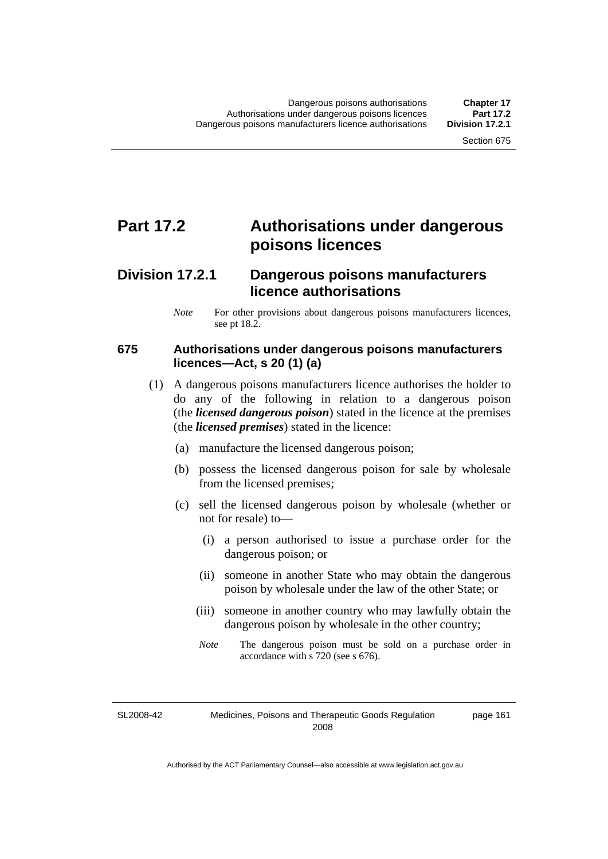## **Part 17.2 Authorisations under dangerous poisons licences**

### **Division 17.2.1 Dangerous poisons manufacturers licence authorisations**

#### **675 Authorisations under dangerous poisons manufacturers licences—Act, s 20 (1) (a)**

- (1) A dangerous poisons manufacturers licence authorises the holder to do any of the following in relation to a dangerous poison (the *licensed dangerous poison*) stated in the licence at the premises (the *licensed premises*) stated in the licence:
	- (a) manufacture the licensed dangerous poison;
	- (b) possess the licensed dangerous poison for sale by wholesale from the licensed premises;
	- (c) sell the licensed dangerous poison by wholesale (whether or not for resale) to—
		- (i) a person authorised to issue a purchase order for the dangerous poison; or
		- (ii) someone in another State who may obtain the dangerous poison by wholesale under the law of the other State; or
		- (iii) someone in another country who may lawfully obtain the dangerous poison by wholesale in the other country;
		- *Note* The dangerous poison must be sold on a purchase order in accordance with s 720 (see s 676).

SL2008-42

page 161

*Note* For other provisions about dangerous poisons manufacturers licences, see pt 18.2.

Medicines, Poisons and Therapeutic Goods Regulation 2008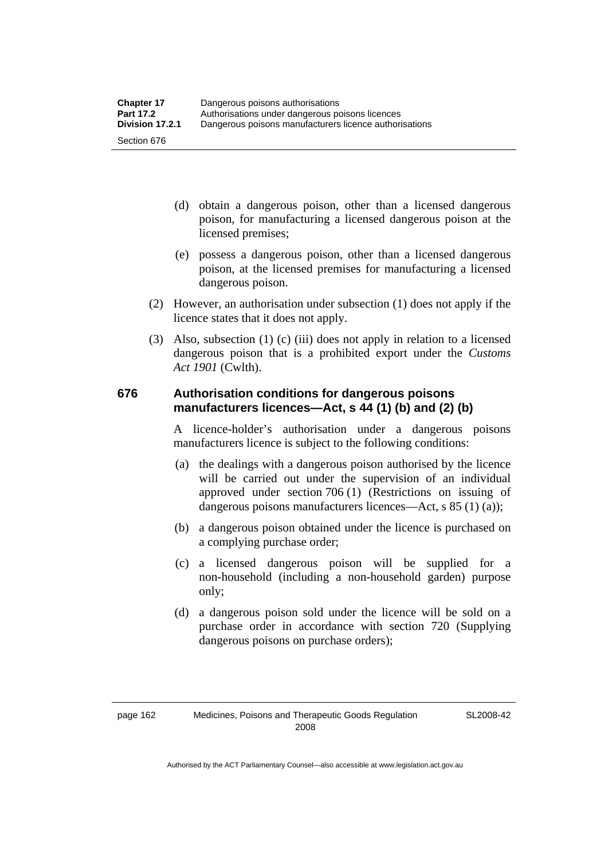- (d) obtain a dangerous poison, other than a licensed dangerous poison, for manufacturing a licensed dangerous poison at the licensed premises;
- (e) possess a dangerous poison, other than a licensed dangerous poison, at the licensed premises for manufacturing a licensed dangerous poison.
- (2) However, an authorisation under subsection (1) does not apply if the licence states that it does not apply.
- (3) Also, subsection (1) (c) (iii) does not apply in relation to a licensed dangerous poison that is a prohibited export under the *Customs Act 1901* (Cwlth).

#### **676 Authorisation conditions for dangerous poisons manufacturers licences—Act, s 44 (1) (b) and (2) (b)**

A licence-holder's authorisation under a dangerous poisons manufacturers licence is subject to the following conditions:

- (a) the dealings with a dangerous poison authorised by the licence will be carried out under the supervision of an individual approved under section 706 (1) (Restrictions on issuing of dangerous poisons manufacturers licences—Act, s 85 (1) (a));
- (b) a dangerous poison obtained under the licence is purchased on a complying purchase order;
- (c) a licensed dangerous poison will be supplied for a non-household (including a non-household garden) purpose only;
- (d) a dangerous poison sold under the licence will be sold on a purchase order in accordance with section 720 (Supplying dangerous poisons on purchase orders);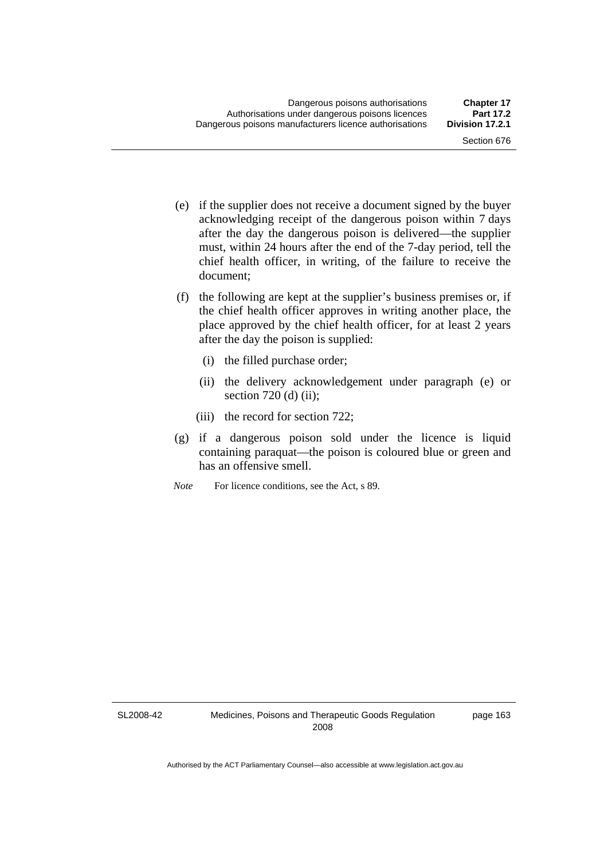- (e) if the supplier does not receive a document signed by the buyer acknowledging receipt of the dangerous poison within 7 days after the day the dangerous poison is delivered—the supplier must, within 24 hours after the end of the 7-day period, tell the chief health officer, in writing, of the failure to receive the document;
- (f) the following are kept at the supplier's business premises or, if the chief health officer approves in writing another place, the place approved by the chief health officer, for at least 2 years after the day the poison is supplied:
	- (i) the filled purchase order;
	- (ii) the delivery acknowledgement under paragraph (e) or section 720 (d) (ii);
	- (iii) the record for section 722;
- (g) if a dangerous poison sold under the licence is liquid containing paraquat—the poison is coloured blue or green and has an offensive smell.
- *Note* For licence conditions, see the Act, s 89.

SL2008-42

page 163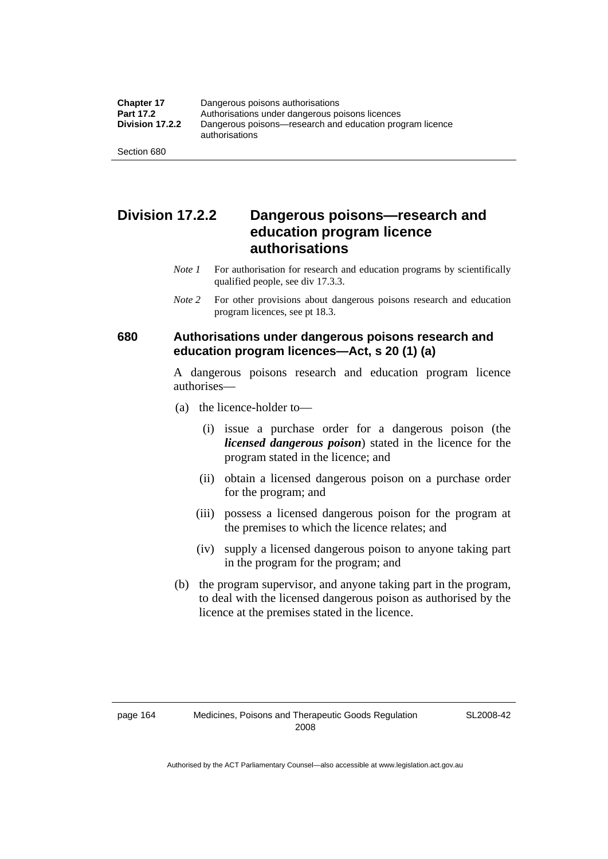### **Division 17.2.2 Dangerous poisons—research and education program licence authorisations**

- *Note 1* For authorisation for research and education programs by scientifically qualified people, see div 17.3.3.
- *Note 2* For other provisions about dangerous poisons research and education program licences, see pt 18.3.

#### **680 Authorisations under dangerous poisons research and education program licences—Act, s 20 (1) (a)**

A dangerous poisons research and education program licence authorises—

- (a) the licence-holder to—
	- (i) issue a purchase order for a dangerous poison (the *licensed dangerous poison*) stated in the licence for the program stated in the licence; and
	- (ii) obtain a licensed dangerous poison on a purchase order for the program; and
	- (iii) possess a licensed dangerous poison for the program at the premises to which the licence relates; and
	- (iv) supply a licensed dangerous poison to anyone taking part in the program for the program; and
- (b) the program supervisor, and anyone taking part in the program, to deal with the licensed dangerous poison as authorised by the licence at the premises stated in the licence.

SL2008-42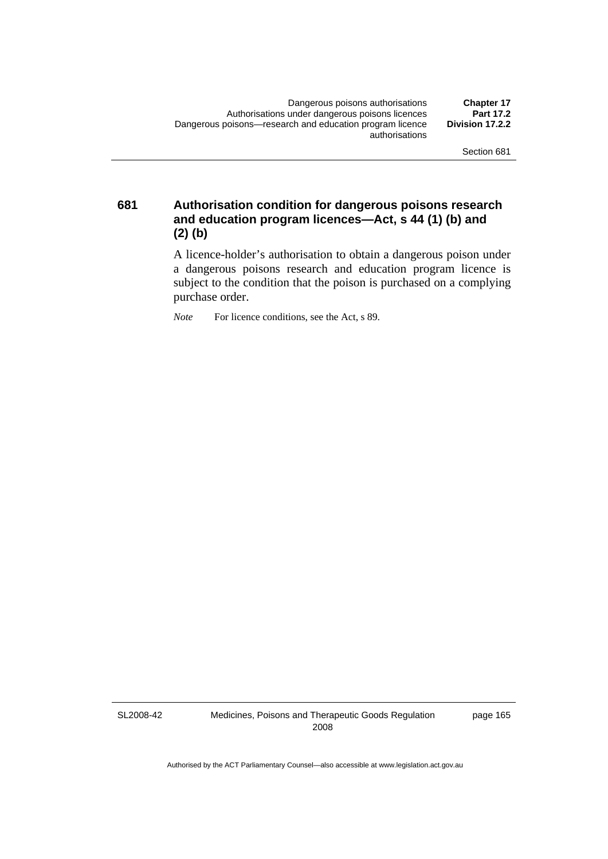**681 Authorisation condition for dangerous poisons research and education program licences—Act, s 44 (1) (b) and (2) (b)** 

> A licence-holder's authorisation to obtain a dangerous poison under a dangerous poisons research and education program licence is subject to the condition that the poison is purchased on a complying purchase order.

*Note* For licence conditions, see the Act, s 89.

SL2008-42

Medicines, Poisons and Therapeutic Goods Regulation 2008

page 165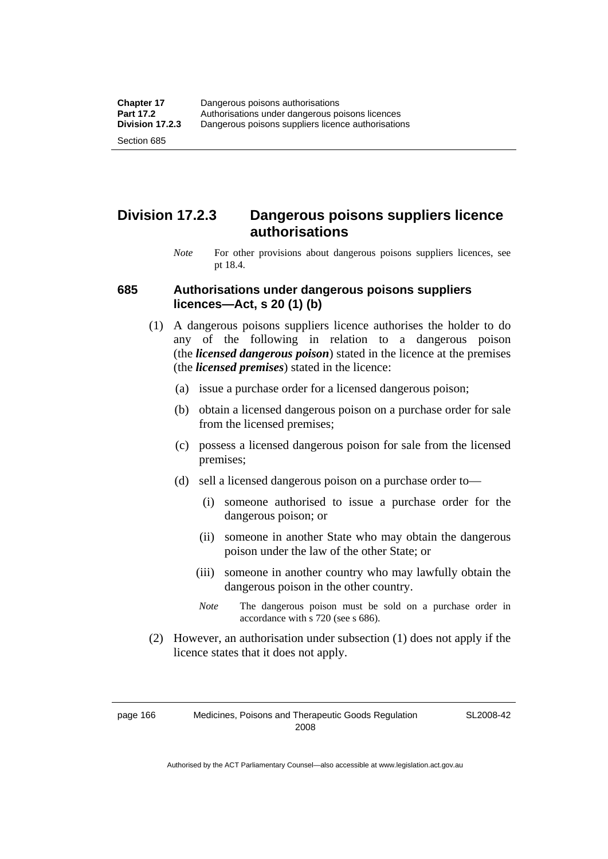### **Division 17.2.3 Dangerous poisons suppliers licence authorisations**

*Note* For other provisions about dangerous poisons suppliers licences, see pt 18.4.

#### **685 Authorisations under dangerous poisons suppliers licences—Act, s 20 (1) (b)**

- (1) A dangerous poisons suppliers licence authorises the holder to do any of the following in relation to a dangerous poison (the *licensed dangerous poison*) stated in the licence at the premises (the *licensed premises*) stated in the licence:
	- (a) issue a purchase order for a licensed dangerous poison;
	- (b) obtain a licensed dangerous poison on a purchase order for sale from the licensed premises;
	- (c) possess a licensed dangerous poison for sale from the licensed premises;
	- (d) sell a licensed dangerous poison on a purchase order to—
		- (i) someone authorised to issue a purchase order for the dangerous poison; or
		- (ii) someone in another State who may obtain the dangerous poison under the law of the other State; or
		- (iii) someone in another country who may lawfully obtain the dangerous poison in the other country.
		- *Note* The dangerous poison must be sold on a purchase order in accordance with s 720 (see s 686).
- (2) However, an authorisation under subsection (1) does not apply if the licence states that it does not apply.

page 166 Medicines, Poisons and Therapeutic Goods Regulation 2008

SL2008-42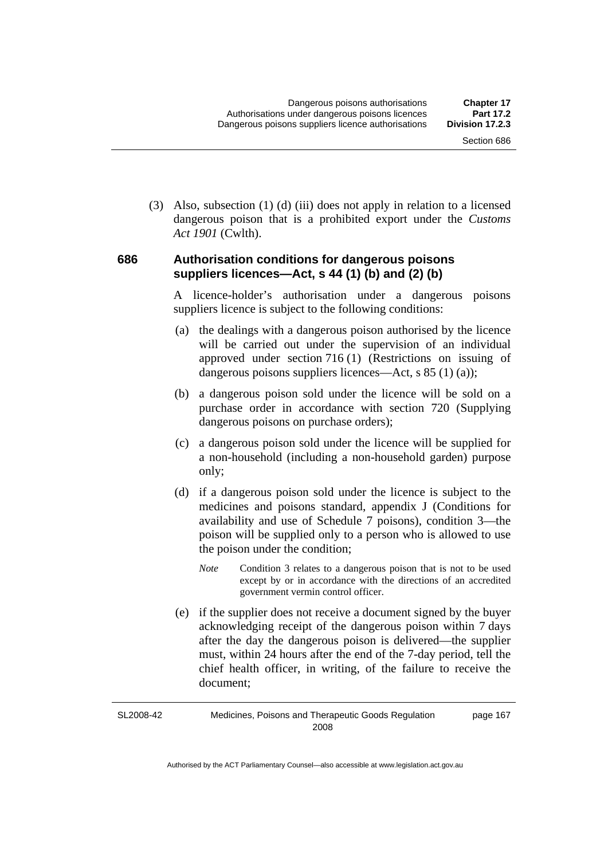(3) Also, subsection (1) (d) (iii) does not apply in relation to a licensed dangerous poison that is a prohibited export under the *Customs Act 1901* (Cwlth).

#### **686 Authorisation conditions for dangerous poisons suppliers licences—Act, s 44 (1) (b) and (2) (b)**

A licence-holder's authorisation under a dangerous poisons suppliers licence is subject to the following conditions:

- (a) the dealings with a dangerous poison authorised by the licence will be carried out under the supervision of an individual approved under section 716 (1) (Restrictions on issuing of dangerous poisons suppliers licences—Act, s 85 (1) (a));
- (b) a dangerous poison sold under the licence will be sold on a purchase order in accordance with section 720 (Supplying dangerous poisons on purchase orders);
- (c) a dangerous poison sold under the licence will be supplied for a non-household (including a non-household garden) purpose only;
- (d) if a dangerous poison sold under the licence is subject to the medicines and poisons standard, appendix J (Conditions for availability and use of Schedule 7 poisons), condition 3—the poison will be supplied only to a person who is allowed to use the poison under the condition;
	- *Note* Condition 3 relates to a dangerous poison that is not to be used except by or in accordance with the directions of an accredited government vermin control officer.
- (e) if the supplier does not receive a document signed by the buyer acknowledging receipt of the dangerous poison within 7 days after the day the dangerous poison is delivered—the supplier must, within 24 hours after the end of the 7-day period, tell the chief health officer, in writing, of the failure to receive the document;

SL2008-42 Medicines, Poisons and Therapeutic Goods Regulation 2008 page 167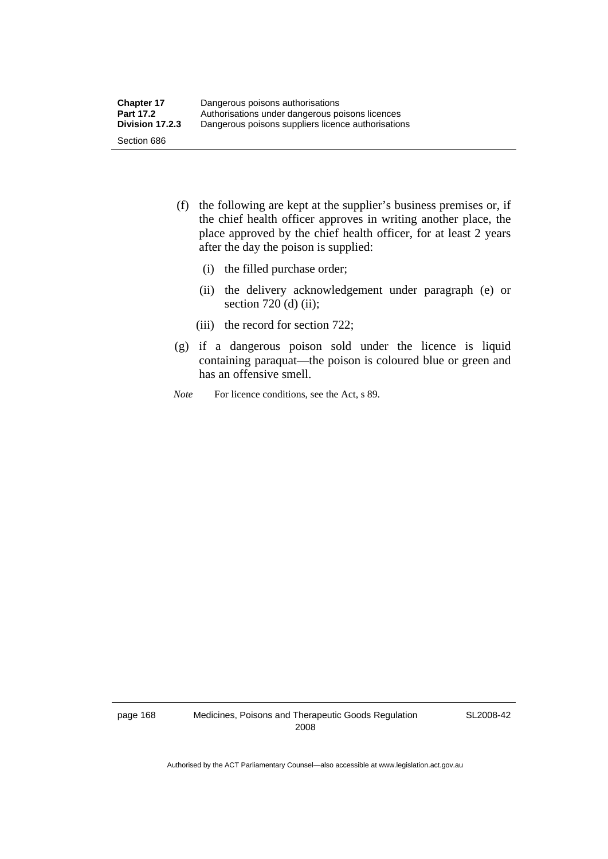- (f) the following are kept at the supplier's business premises or, if the chief health officer approves in writing another place, the place approved by the chief health officer, for at least 2 years after the day the poison is supplied:
	- (i) the filled purchase order;
	- (ii) the delivery acknowledgement under paragraph (e) or section 720 (d) (ii);
	- (iii) the record for section 722;
- (g) if a dangerous poison sold under the licence is liquid containing paraquat—the poison is coloured blue or green and has an offensive smell.
- *Note* For licence conditions, see the Act, s 89.

page 168 Medicines, Poisons and Therapeutic Goods Regulation 2008

SL2008-42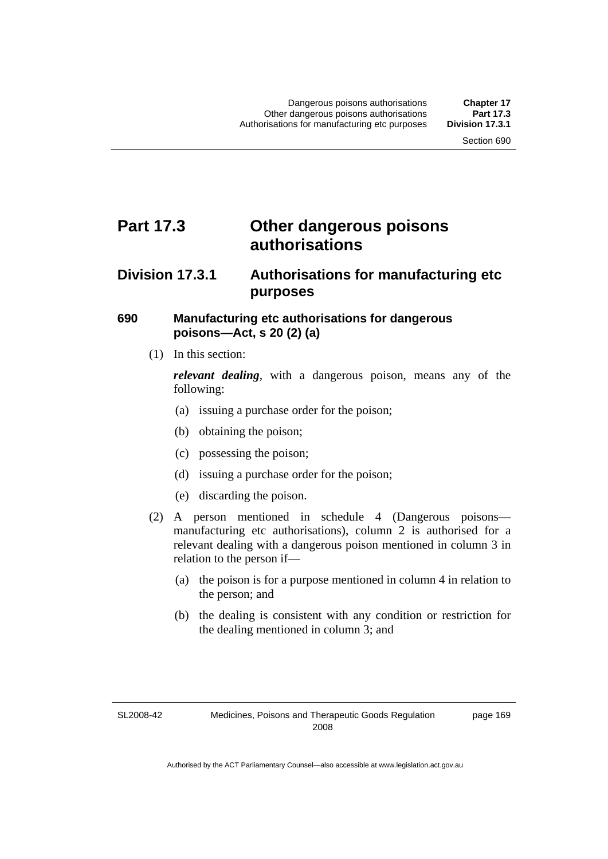## **Part 17.3 Other dangerous poisons authorisations**

### **Division 17.3.1 Authorisations for manufacturing etc purposes**

#### **690 Manufacturing etc authorisations for dangerous poisons—Act, s 20 (2) (a)**

(1) In this section:

*relevant dealing*, with a dangerous poison, means any of the following:

- (a) issuing a purchase order for the poison;
- (b) obtaining the poison;
- (c) possessing the poison;
- (d) issuing a purchase order for the poison;
- (e) discarding the poison.
- (2) A person mentioned in schedule 4 (Dangerous poisons manufacturing etc authorisations), column 2 is authorised for a relevant dealing with a dangerous poison mentioned in column 3 in relation to the person if—
	- (a) the poison is for a purpose mentioned in column 4 in relation to the person; and
	- (b) the dealing is consistent with any condition or restriction for the dealing mentioned in column 3; and

page 169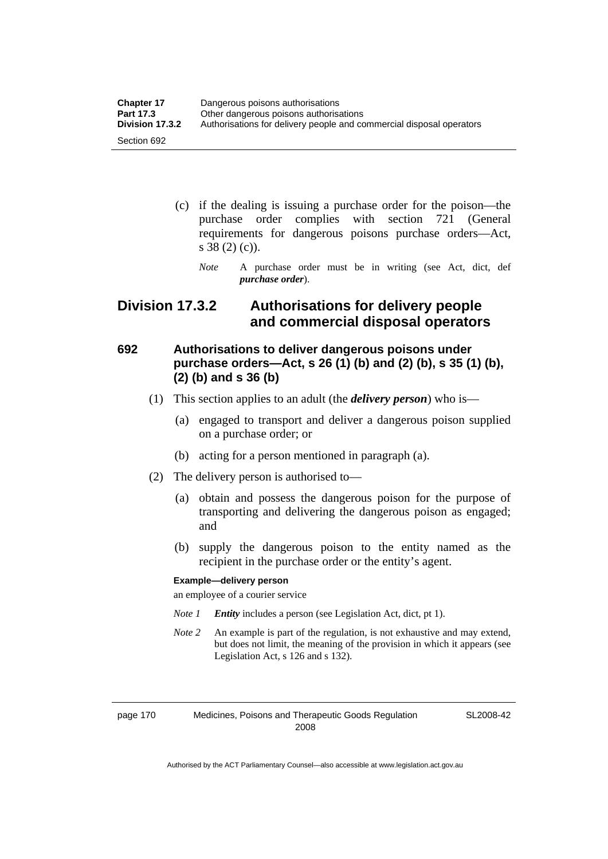| <b>Chapter 17</b> | Dangerous poisons authorisations                                     |  |
|-------------------|----------------------------------------------------------------------|--|
| Part 17.3         | Other dangerous poisons authorisations                               |  |
| Division 17.3.2   | Authorisations for delivery people and commercial disposal operators |  |
| Section 692       |                                                                      |  |

- (c) if the dealing is issuing a purchase order for the poison—the purchase order complies with section 721 (General requirements for dangerous poisons purchase orders—Act, s 38 (2) (c)).
	- *Note* A purchase order must be in writing (see Act, dict, def *purchase order*).

### **Division 17.3.2 Authorisations for delivery people and commercial disposal operators**

### **692 Authorisations to deliver dangerous poisons under purchase orders—Act, s 26 (1) (b) and (2) (b), s 35 (1) (b), (2) (b) and s 36 (b)**

- (1) This section applies to an adult (the *delivery person*) who is—
	- (a) engaged to transport and deliver a dangerous poison supplied on a purchase order; or
	- (b) acting for a person mentioned in paragraph (a).
- (2) The delivery person is authorised to—
	- (a) obtain and possess the dangerous poison for the purpose of transporting and delivering the dangerous poison as engaged; and
	- (b) supply the dangerous poison to the entity named as the recipient in the purchase order or the entity's agent.

#### **Example—delivery person**

an employee of a courier service

- *Note 1 Entity* includes a person (see Legislation Act, dict, pt 1).
- *Note 2* An example is part of the regulation, is not exhaustive and may extend, but does not limit, the meaning of the provision in which it appears (see Legislation Act, s 126 and s 132).

page 170 Medicines, Poisons and Therapeutic Goods Regulation 2008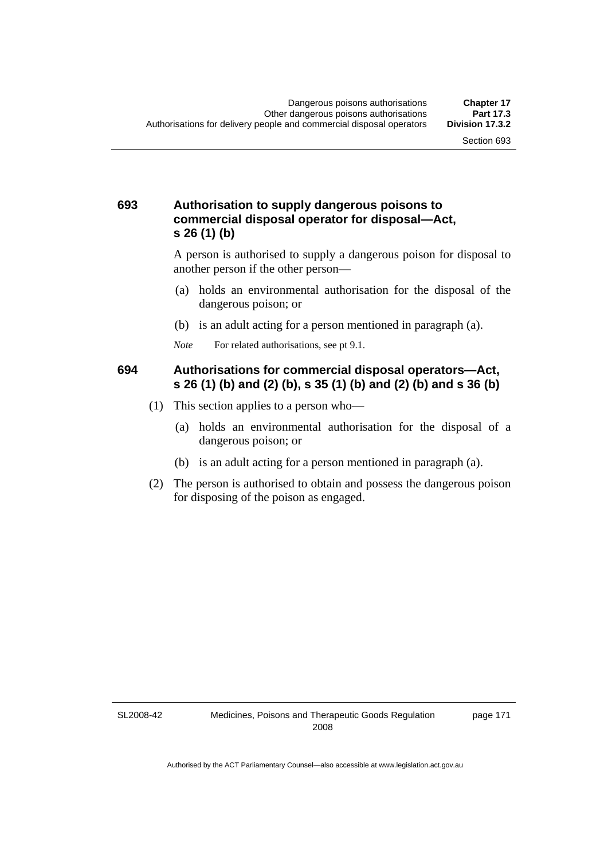#### **693 Authorisation to supply dangerous poisons to commercial disposal operator for disposal—Act, s 26 (1) (b)**

A person is authorised to supply a dangerous poison for disposal to another person if the other person—

- (a) holds an environmental authorisation for the disposal of the dangerous poison; or
- (b) is an adult acting for a person mentioned in paragraph (a).
- *Note* For related authorisations, see pt 9.1.

#### **694 Authorisations for commercial disposal operators—Act, s 26 (1) (b) and (2) (b), s 35 (1) (b) and (2) (b) and s 36 (b)**

- (1) This section applies to a person who—
	- (a) holds an environmental authorisation for the disposal of a dangerous poison; or
	- (b) is an adult acting for a person mentioned in paragraph (a).
- (2) The person is authorised to obtain and possess the dangerous poison for disposing of the poison as engaged.

SL2008-42

page 171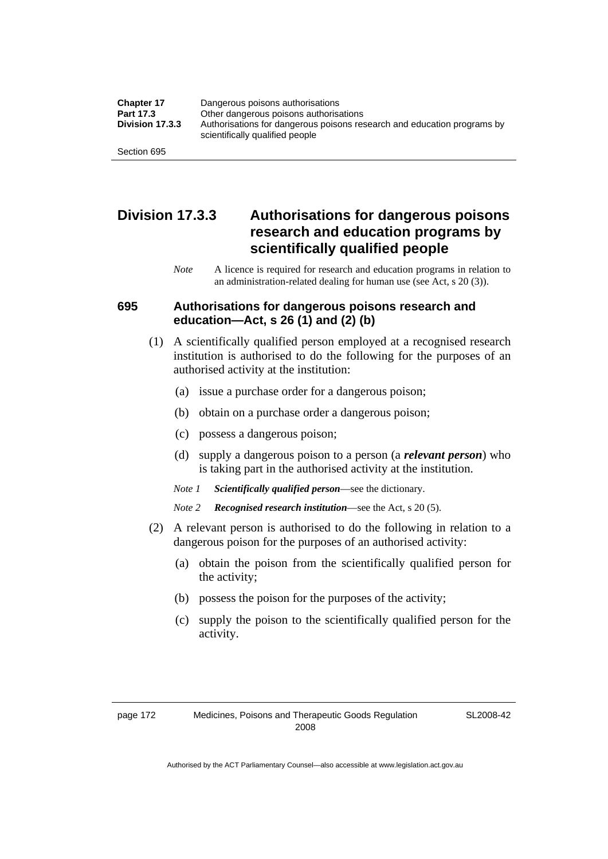| <b>Chapter 17</b> | Dangerous poisons authorisations                                                                           |  |
|-------------------|------------------------------------------------------------------------------------------------------------|--|
| Part 17.3         | Other dangerous poisons authorisations                                                                     |  |
| Division 17.3.3   | Authorisations for dangerous poisons research and education programs by<br>scientifically qualified people |  |
| Section 695       |                                                                                                            |  |

### **Division 17.3.3 Authorisations for dangerous poisons research and education programs by scientifically qualified people**

*Note* A licence is required for research and education programs in relation to an administration-related dealing for human use (see Act, s 20 (3)).

#### **695 Authorisations for dangerous poisons research and education—Act, s 26 (1) and (2) (b)**

- (1) A scientifically qualified person employed at a recognised research institution is authorised to do the following for the purposes of an authorised activity at the institution:
	- (a) issue a purchase order for a dangerous poison;
	- (b) obtain on a purchase order a dangerous poison;
	- (c) possess a dangerous poison;
	- (d) supply a dangerous poison to a person (a *relevant person*) who is taking part in the authorised activity at the institution.
	- *Note 1 Scientifically qualified person*—see the dictionary.
	- *Note 2 Recognised research institution*—see the Act, s 20 (5).
- (2) A relevant person is authorised to do the following in relation to a dangerous poison for the purposes of an authorised activity:
	- (a) obtain the poison from the scientifically qualified person for the activity;
	- (b) possess the poison for the purposes of the activity;
	- (c) supply the poison to the scientifically qualified person for the activity.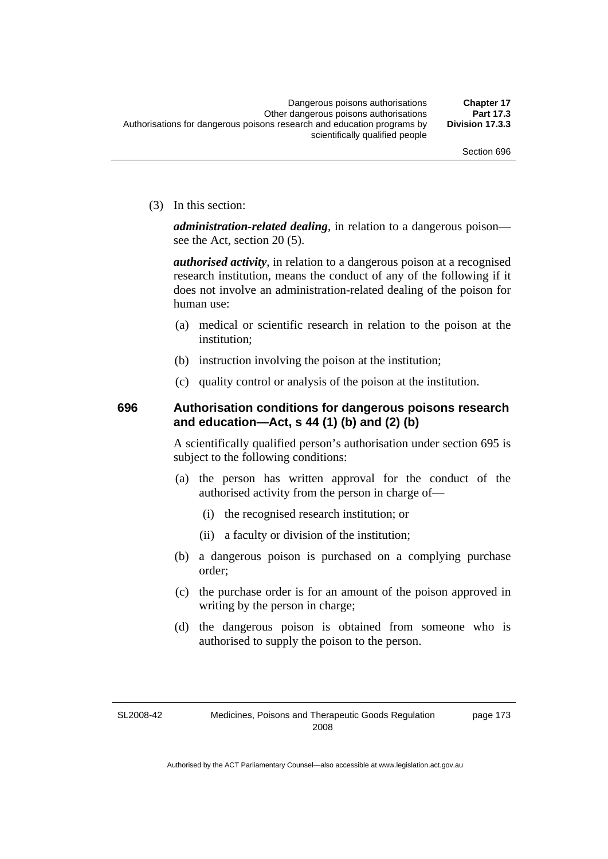(3) In this section:

*administration-related dealing*, in relation to a dangerous poison see the Act, section 20 (5).

*authorised activity*, in relation to a dangerous poison at a recognised research institution, means the conduct of any of the following if it does not involve an administration-related dealing of the poison for human use:

- (a) medical or scientific research in relation to the poison at the institution;
- (b) instruction involving the poison at the institution;
- (c) quality control or analysis of the poison at the institution.

### **696 Authorisation conditions for dangerous poisons research and education—Act, s 44 (1) (b) and (2) (b)**

A scientifically qualified person's authorisation under section 695 is subject to the following conditions:

- (a) the person has written approval for the conduct of the authorised activity from the person in charge of—
	- (i) the recognised research institution; or
	- (ii) a faculty or division of the institution;
- (b) a dangerous poison is purchased on a complying purchase order;
- (c) the purchase order is for an amount of the poison approved in writing by the person in charge;
- (d) the dangerous poison is obtained from someone who is authorised to supply the poison to the person.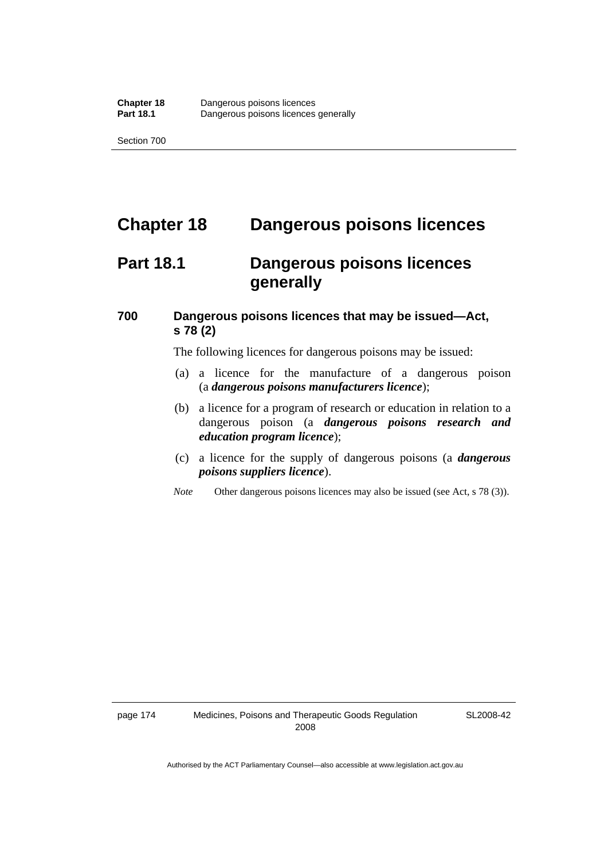## **Chapter 18 Dangerous poisons licences**

## **Part 18.1 Dangerous poisons licences generally**

### **700 Dangerous poisons licences that may be issued—Act, s 78 (2)**

The following licences for dangerous poisons may be issued:

- (a) a licence for the manufacture of a dangerous poison (a *dangerous poisons manufacturers licence*);
- (b) a licence for a program of research or education in relation to a dangerous poison (a *dangerous poisons research and education program licence*);
- (c) a licence for the supply of dangerous poisons (a *dangerous poisons suppliers licence*).
- *Note* Other dangerous poisons licences may also be issued (see Act, s 78 (3)).

SL2008-42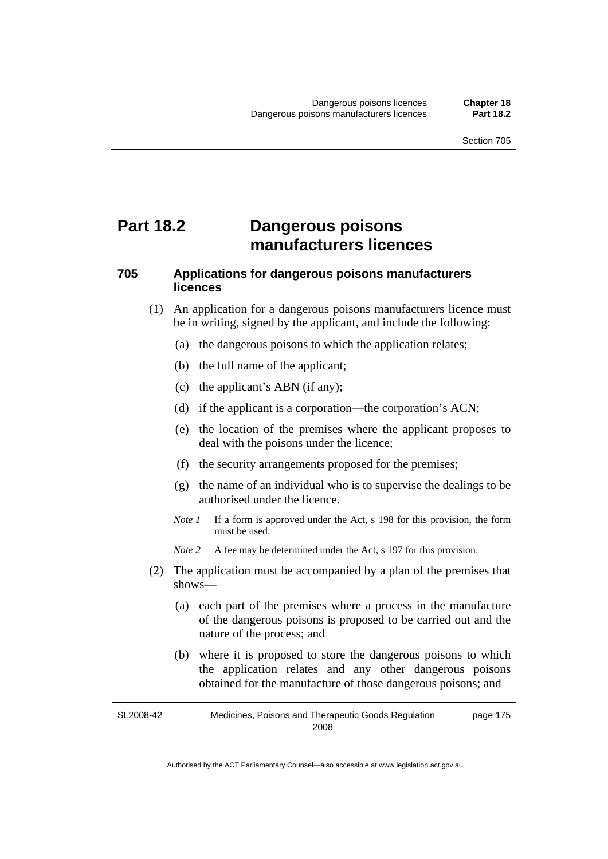## **Part 18.2 Dangerous poisons manufacturers licences**

### **705 Applications for dangerous poisons manufacturers licences**

- (1) An application for a dangerous poisons manufacturers licence must be in writing, signed by the applicant, and include the following:
	- (a) the dangerous poisons to which the application relates;
	- (b) the full name of the applicant;
	- (c) the applicant's ABN (if any);
	- (d) if the applicant is a corporation—the corporation's ACN;
	- (e) the location of the premises where the applicant proposes to deal with the poisons under the licence;
	- (f) the security arrangements proposed for the premises;
	- (g) the name of an individual who is to supervise the dealings to be authorised under the licence.
	- *Note 1* If a form is approved under the Act, s 198 for this provision, the form must be used.
	- *Note 2* A fee may be determined under the Act, s 197 for this provision.
- (2) The application must be accompanied by a plan of the premises that shows—
	- (a) each part of the premises where a process in the manufacture of the dangerous poisons is proposed to be carried out and the nature of the process; and
	- (b) where it is proposed to store the dangerous poisons to which the application relates and any other dangerous poisons obtained for the manufacture of those dangerous poisons; and

SL2008-42 Medicines, Poisons and Therapeutic Goods Regulation 2008 page 175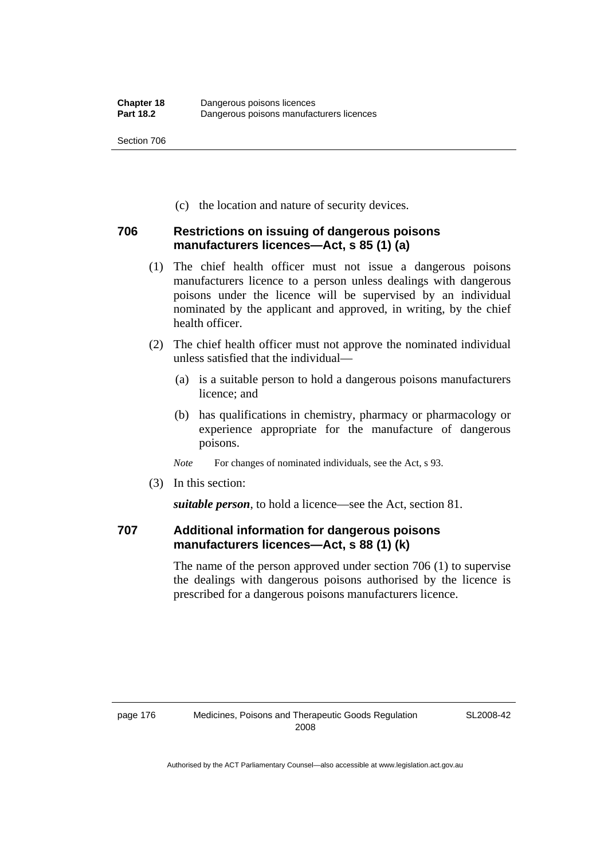(c) the location and nature of security devices.

#### **706 Restrictions on issuing of dangerous poisons manufacturers licences—Act, s 85 (1) (a)**

- (1) The chief health officer must not issue a dangerous poisons manufacturers licence to a person unless dealings with dangerous poisons under the licence will be supervised by an individual nominated by the applicant and approved, in writing, by the chief health officer.
- (2) The chief health officer must not approve the nominated individual unless satisfied that the individual—
	- (a) is a suitable person to hold a dangerous poisons manufacturers licence; and
	- (b) has qualifications in chemistry, pharmacy or pharmacology or experience appropriate for the manufacture of dangerous poisons.
	- *Note* For changes of nominated individuals, see the Act, s 93.
- (3) In this section:

*suitable person*, to hold a licence—see the Act, section 81.

### **707 Additional information for dangerous poisons manufacturers licences—Act, s 88 (1) (k)**

The name of the person approved under section 706 (1) to supervise the dealings with dangerous poisons authorised by the licence is prescribed for a dangerous poisons manufacturers licence.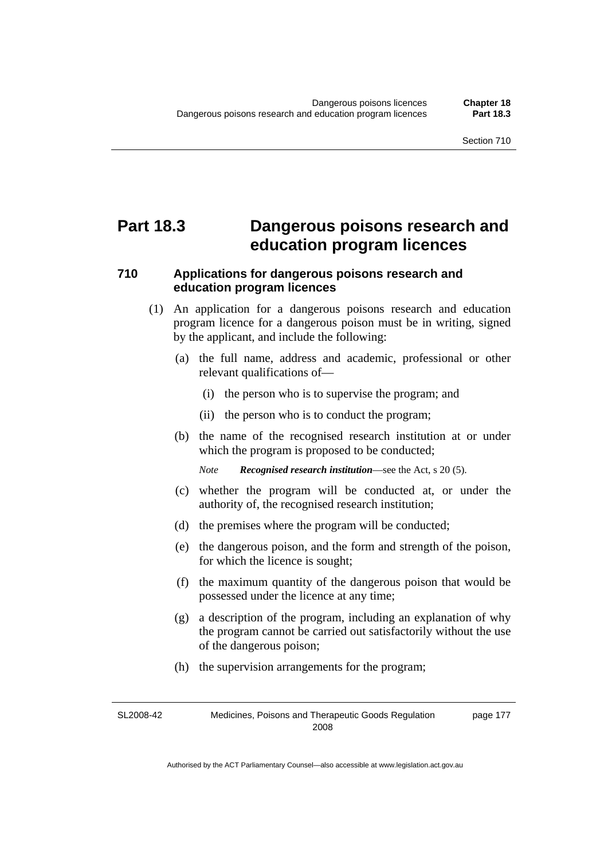## **Part 18.3 Dangerous poisons research and education program licences**

#### **710 Applications for dangerous poisons research and education program licences**

- (1) An application for a dangerous poisons research and education program licence for a dangerous poison must be in writing, signed by the applicant, and include the following:
	- (a) the full name, address and academic, professional or other relevant qualifications of—
		- (i) the person who is to supervise the program; and
		- (ii) the person who is to conduct the program;
	- (b) the name of the recognised research institution at or under which the program is proposed to be conducted;

*Note Recognised research institution*—see the Act, s 20 (5).

- (c) whether the program will be conducted at, or under the authority of, the recognised research institution;
- (d) the premises where the program will be conducted;
- (e) the dangerous poison, and the form and strength of the poison, for which the licence is sought;
- (f) the maximum quantity of the dangerous poison that would be possessed under the licence at any time;
- (g) a description of the program, including an explanation of why the program cannot be carried out satisfactorily without the use of the dangerous poison;
- (h) the supervision arrangements for the program;

SL2008-42 Medicines, Poisons and Therapeutic Goods Regulation 2008 page 177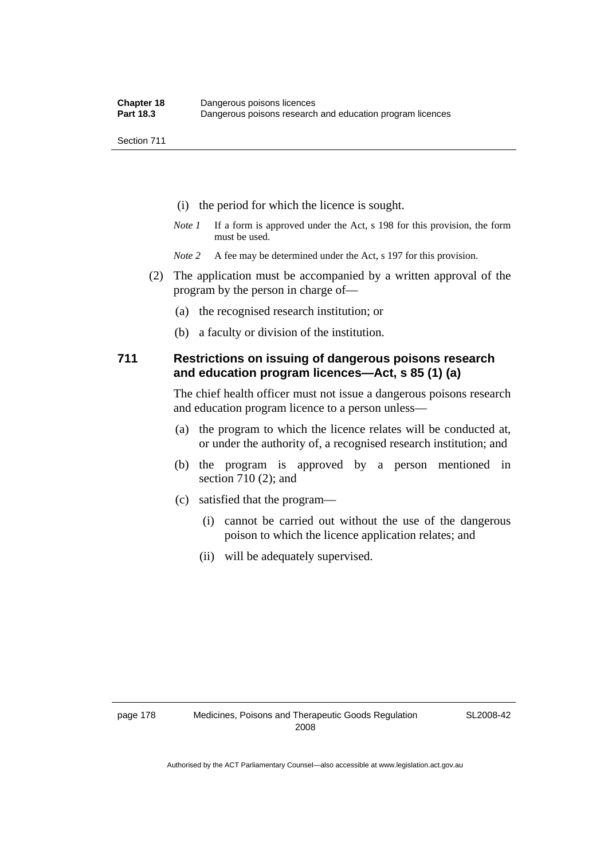- (i) the period for which the licence is sought.
- *Note 1* If a form is approved under the Act, s 198 for this provision, the form must be used.
- *Note* 2 A fee may be determined under the Act, s 197 for this provision.
- (2) The application must be accompanied by a written approval of the program by the person in charge of—
	- (a) the recognised research institution; or
	- (b) a faculty or division of the institution.

#### **711 Restrictions on issuing of dangerous poisons research and education program licences—Act, s 85 (1) (a)**

The chief health officer must not issue a dangerous poisons research and education program licence to a person unless—

- (a) the program to which the licence relates will be conducted at, or under the authority of, a recognised research institution; and
- (b) the program is approved by a person mentioned in section 710 (2); and
- (c) satisfied that the program—
	- (i) cannot be carried out without the use of the dangerous poison to which the licence application relates; and
	- (ii) will be adequately supervised.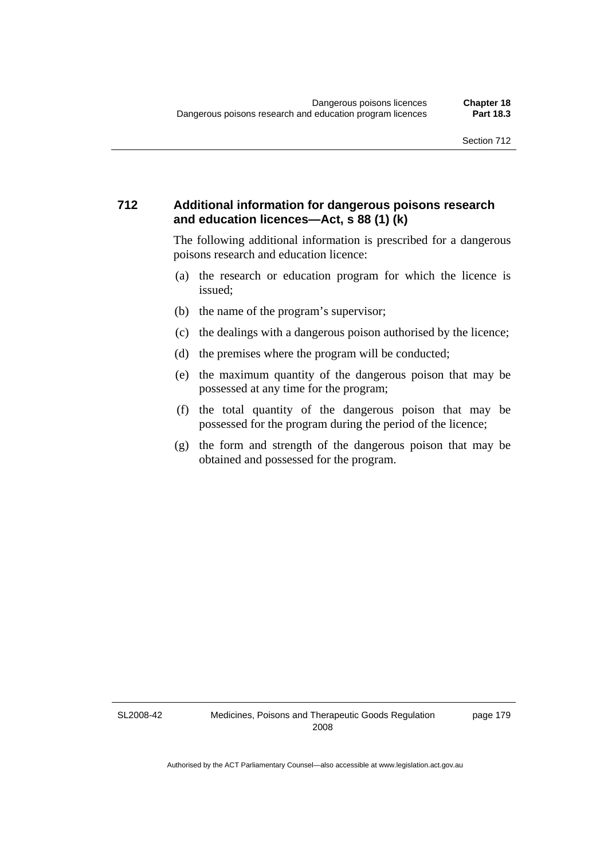#### **712 Additional information for dangerous poisons research and education licences—Act, s 88 (1) (k)**

The following additional information is prescribed for a dangerous poisons research and education licence:

- (a) the research or education program for which the licence is issued;
- (b) the name of the program's supervisor;
- (c) the dealings with a dangerous poison authorised by the licence;
- (d) the premises where the program will be conducted;
- (e) the maximum quantity of the dangerous poison that may be possessed at any time for the program;
- (f) the total quantity of the dangerous poison that may be possessed for the program during the period of the licence;
- (g) the form and strength of the dangerous poison that may be obtained and possessed for the program.

SL2008-42

page 179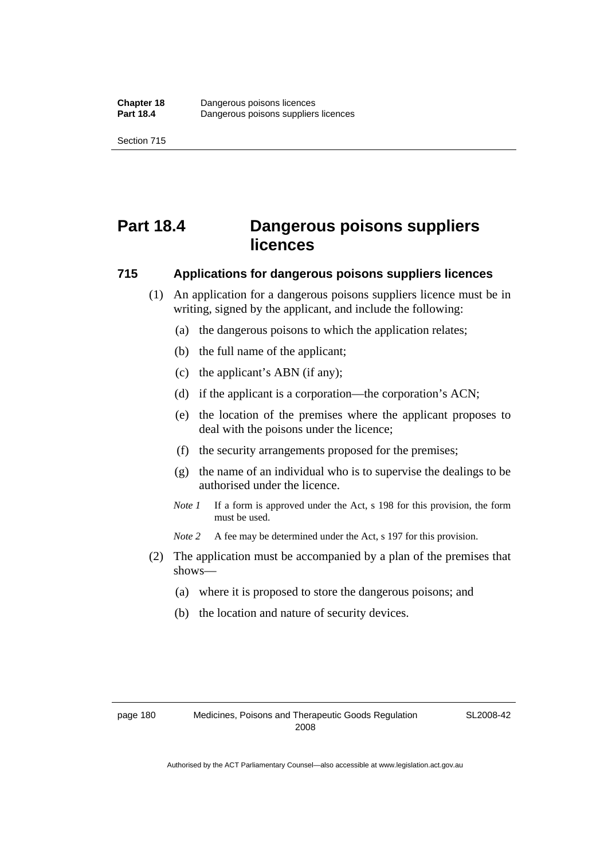# **Part 18.4 Dangerous poisons suppliers licences**

#### **715 Applications for dangerous poisons suppliers licences**

- (1) An application for a dangerous poisons suppliers licence must be in writing, signed by the applicant, and include the following:
	- (a) the dangerous poisons to which the application relates;
	- (b) the full name of the applicant;
	- (c) the applicant's ABN (if any);
	- (d) if the applicant is a corporation—the corporation's ACN;
	- (e) the location of the premises where the applicant proposes to deal with the poisons under the licence;
	- (f) the security arrangements proposed for the premises;
	- (g) the name of an individual who is to supervise the dealings to be authorised under the licence.
	- *Note 1* If a form is approved under the Act, s 198 for this provision, the form must be used.
	- *Note 2* A fee may be determined under the Act, s 197 for this provision.
- (2) The application must be accompanied by a plan of the premises that shows—
	- (a) where it is proposed to store the dangerous poisons; and
	- (b) the location and nature of security devices.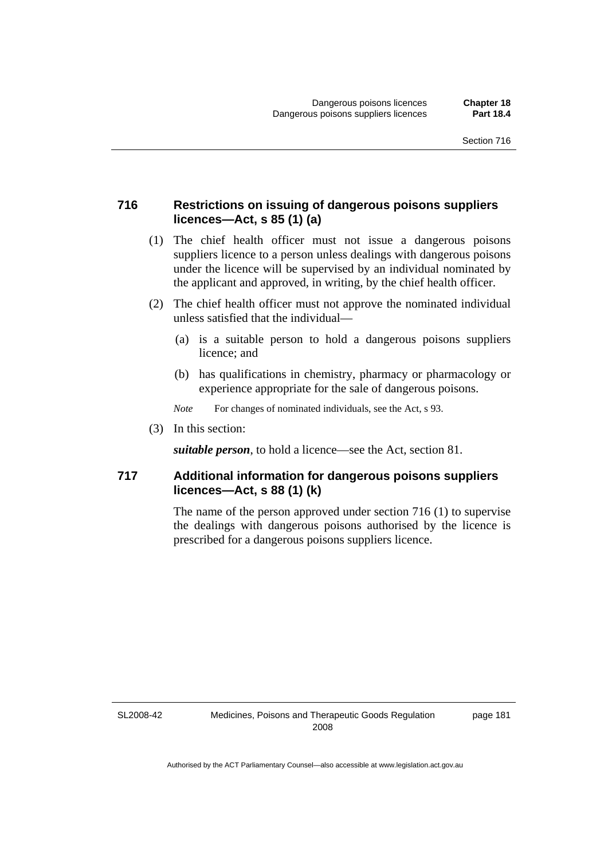#### **716 Restrictions on issuing of dangerous poisons suppliers licences—Act, s 85 (1) (a)**

- (1) The chief health officer must not issue a dangerous poisons suppliers licence to a person unless dealings with dangerous poisons under the licence will be supervised by an individual nominated by the applicant and approved, in writing, by the chief health officer.
- (2) The chief health officer must not approve the nominated individual unless satisfied that the individual—
	- (a) is a suitable person to hold a dangerous poisons suppliers licence; and
	- (b) has qualifications in chemistry, pharmacy or pharmacology or experience appropriate for the sale of dangerous poisons.
	- *Note* For changes of nominated individuals, see the Act, s 93.
- (3) In this section:

*suitable person*, to hold a licence—see the Act, section 81.

#### **717 Additional information for dangerous poisons suppliers licences—Act, s 88 (1) (k)**

The name of the person approved under section 716 (1) to supervise the dealings with dangerous poisons authorised by the licence is prescribed for a dangerous poisons suppliers licence.

SL2008-42

page 181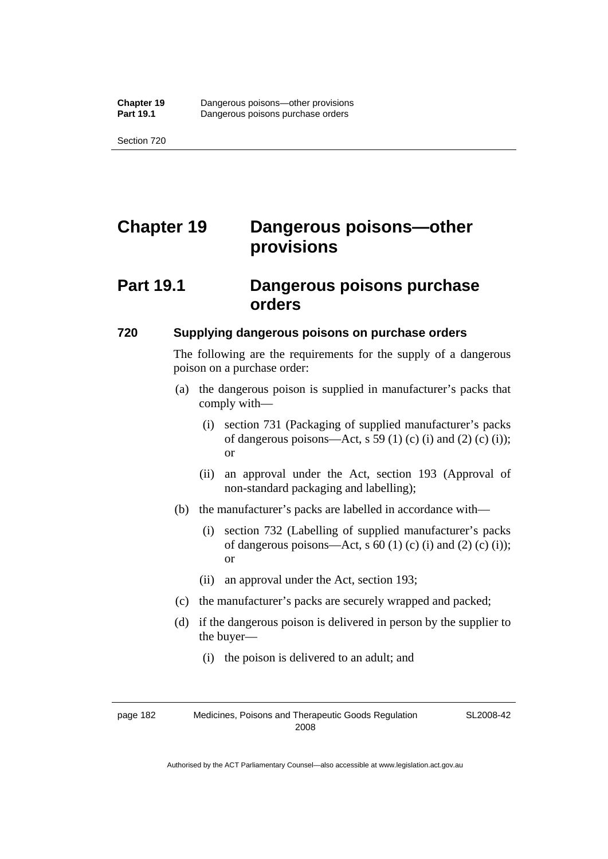# **Chapter 19 Dangerous poisons—other provisions**

### **Part 19.1 Dangerous poisons purchase orders**

#### **720 Supplying dangerous poisons on purchase orders**

The following are the requirements for the supply of a dangerous poison on a purchase order:

- (a) the dangerous poison is supplied in manufacturer's packs that comply with—
	- (i) section 731 (Packaging of supplied manufacturer's packs of dangerous poisons—Act, s 59 (1) (c) (i) and (2) (c) (i)); or
	- (ii) an approval under the Act, section 193 (Approval of non-standard packaging and labelling);
- (b) the manufacturer's packs are labelled in accordance with—
	- (i) section 732 (Labelling of supplied manufacturer's packs of dangerous poisons—Act, s  $60$  (1) (c) (i) and (2) (c) (i)); or
	- (ii) an approval under the Act, section 193;
- (c) the manufacturer's packs are securely wrapped and packed;
- (d) if the dangerous poison is delivered in person by the supplier to the buyer—
	- (i) the poison is delivered to an adult; and

page 182 Medicines, Poisons and Therapeutic Goods Regulation 2008

SL2008-42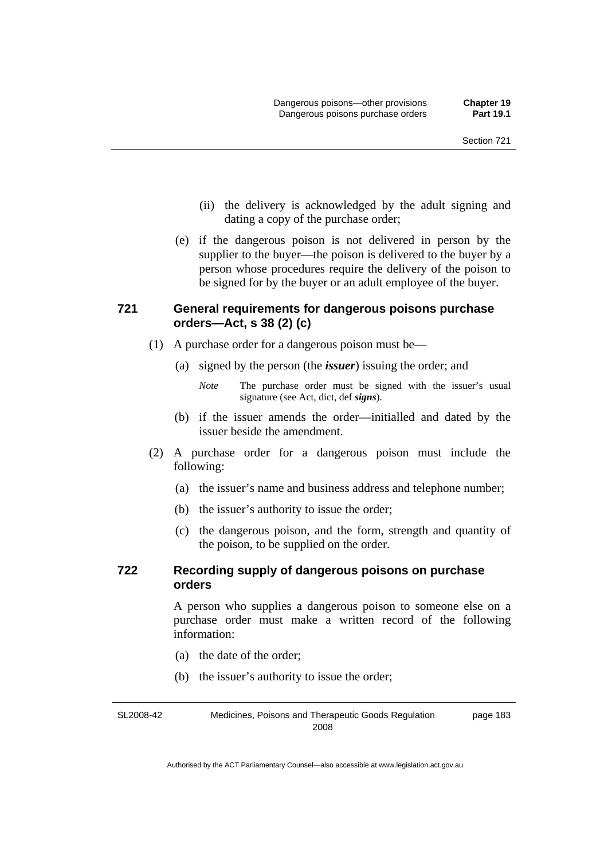- (ii) the delivery is acknowledged by the adult signing and dating a copy of the purchase order;
- (e) if the dangerous poison is not delivered in person by the supplier to the buyer—the poison is delivered to the buyer by a person whose procedures require the delivery of the poison to be signed for by the buyer or an adult employee of the buyer.

#### **721 General requirements for dangerous poisons purchase orders—Act, s 38 (2) (c)**

- (1) A purchase order for a dangerous poison must be—
	- (a) signed by the person (the *issuer*) issuing the order; and

- (b) if the issuer amends the order—initialled and dated by the issuer beside the amendment.
- (2) A purchase order for a dangerous poison must include the following:
	- (a) the issuer's name and business address and telephone number;
	- (b) the issuer's authority to issue the order;
	- (c) the dangerous poison, and the form, strength and quantity of the poison, to be supplied on the order.

#### **722 Recording supply of dangerous poisons on purchase orders**

A person who supplies a dangerous poison to someone else on a purchase order must make a written record of the following information:

- (a) the date of the order;
- (b) the issuer's authority to issue the order;

SL2008-42 Medicines, Poisons and Therapeutic Goods Regulation 2008 page 183

*Note* The purchase order must be signed with the issuer's usual signature (see Act, dict, def *signs*).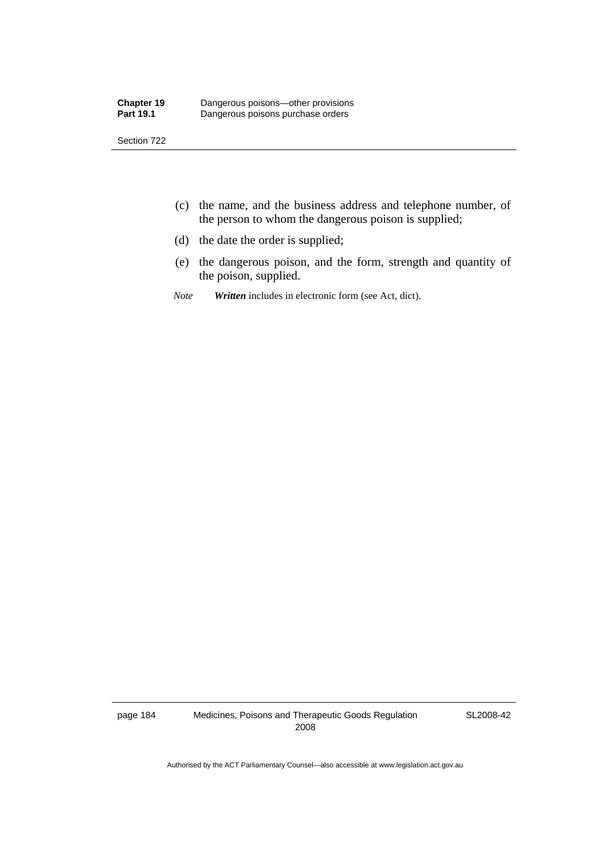- (c) the name, and the business address and telephone number, of the person to whom the dangerous poison is supplied;
- (d) the date the order is supplied;
- (e) the dangerous poison, and the form, strength and quantity of the poison, supplied.
- *Note Written* includes in electronic form (see Act, dict).

page 184 Medicines, Poisons and Therapeutic Goods Regulation 2008

SL2008-42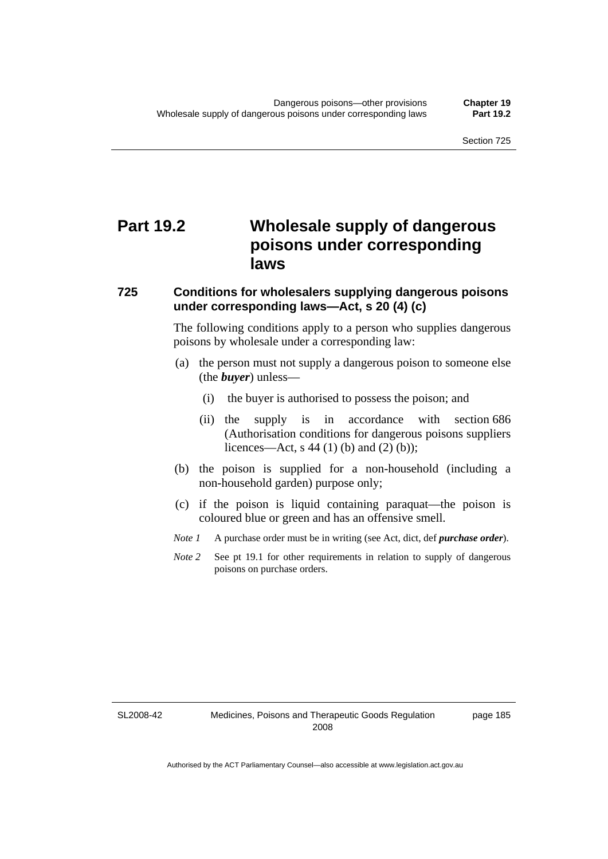# **Part 19.2 Wholesale supply of dangerous poisons under corresponding laws**

#### **725 Conditions for wholesalers supplying dangerous poisons under corresponding laws—Act, s 20 (4) (c)**

The following conditions apply to a person who supplies dangerous poisons by wholesale under a corresponding law:

- (a) the person must not supply a dangerous poison to someone else (the *buyer*) unless—
	- (i) the buyer is authorised to possess the poison; and
	- (ii) the supply is in accordance with section 686 (Authorisation conditions for dangerous poisons suppliers licences—Act, s 44 (1) (b) and (2) (b));
- (b) the poison is supplied for a non-household (including a non-household garden) purpose only;
- (c) if the poison is liquid containing paraquat—the poison is coloured blue or green and has an offensive smell.
- *Note 1* A purchase order must be in writing (see Act, dict, def *purchase order*).
- *Note* 2 See pt 19.1 for other requirements in relation to supply of dangerous poisons on purchase orders.

SL2008-42

page 185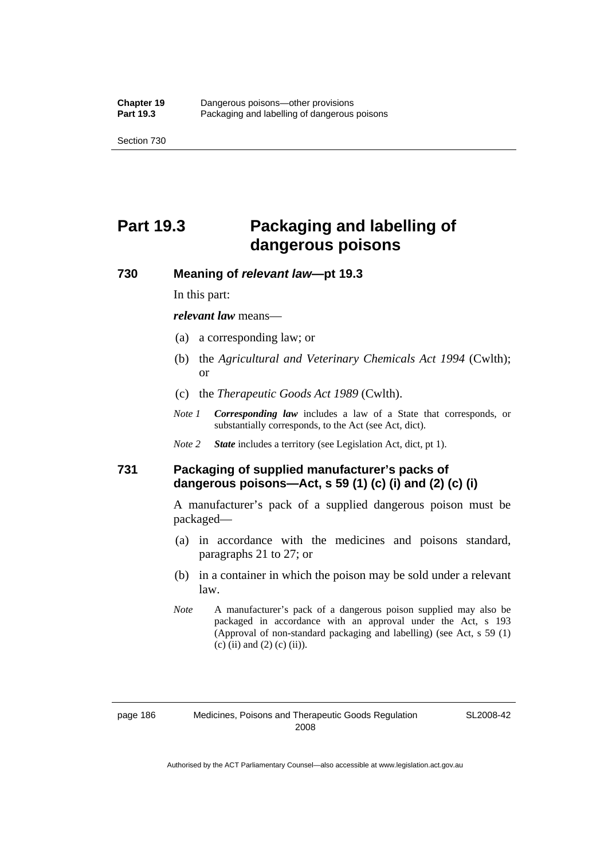# **Part 19.3 Packaging and labelling of dangerous poisons**

#### **730 Meaning of** *relevant law***—pt 19.3**

In this part:

*relevant law* means—

- (a) a corresponding law; or
- (b) the *Agricultural and Veterinary Chemicals Act 1994* (Cwlth); or
- (c) the *Therapeutic Goods Act 1989* (Cwlth).
- *Note 1 Corresponding law* includes a law of a State that corresponds, or substantially corresponds, to the Act (see Act, dict).
- *Note 2 State* includes a territory (see Legislation Act, dict, pt 1).

#### **731 Packaging of supplied manufacturer's packs of dangerous poisons—Act, s 59 (1) (c) (i) and (2) (c) (i)**

A manufacturer's pack of a supplied dangerous poison must be packaged—

- (a) in accordance with the medicines and poisons standard, paragraphs 21 to 27; or
- (b) in a container in which the poison may be sold under a relevant law.
- *Note* A manufacturer's pack of a dangerous poison supplied may also be packaged in accordance with an approval under the Act, s 193 (Approval of non-standard packaging and labelling) (see Act, s 59 (1)  $(c)$  (ii) and (2) (c) (ii)).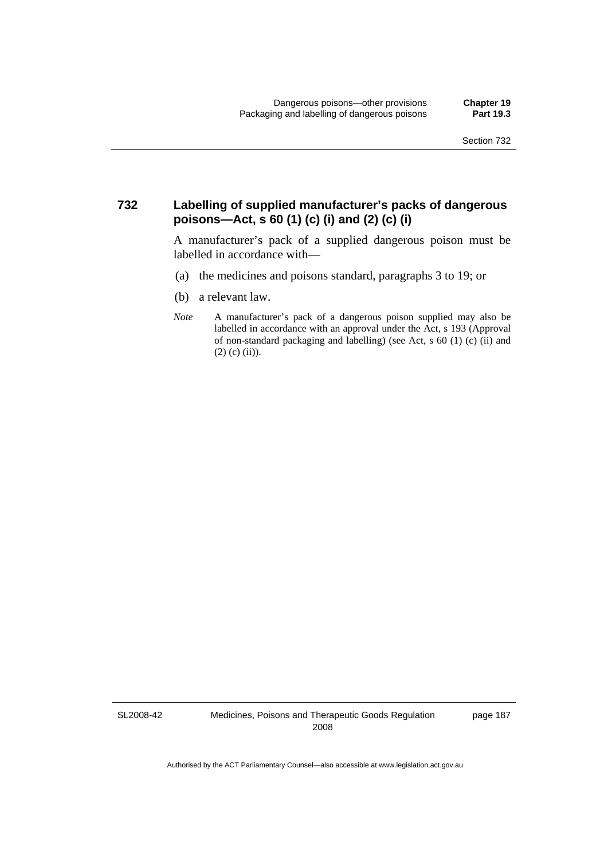#### **732 Labelling of supplied manufacturer's packs of dangerous poisons—Act, s 60 (1) (c) (i) and (2) (c) (i)**

A manufacturer's pack of a supplied dangerous poison must be labelled in accordance with—

- (a) the medicines and poisons standard, paragraphs 3 to 19; or
- (b) a relevant law.
- *Note* A manufacturer's pack of a dangerous poison supplied may also be labelled in accordance with an approval under the Act, s 193 (Approval of non-standard packaging and labelling) (see Act, s 60 (1) (c) (ii) and  $(2)$  (c) (ii)).

SL2008-42

Medicines, Poisons and Therapeutic Goods Regulation 2008

page 187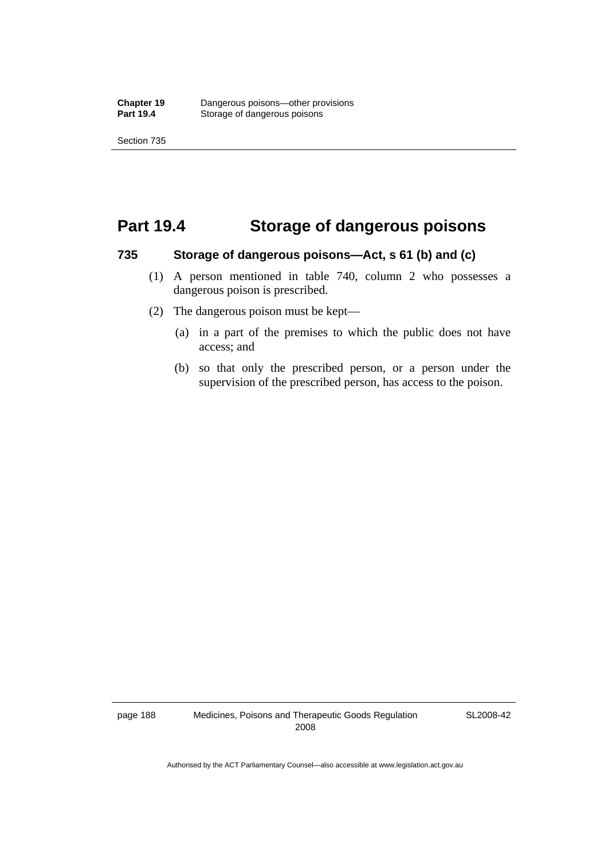## **Part 19.4 Storage of dangerous poisons**

#### **735 Storage of dangerous poisons—Act, s 61 (b) and (c)**

- (1) A person mentioned in table 740, column 2 who possesses a dangerous poison is prescribed.
- (2) The dangerous poison must be kept—
	- (a) in a part of the premises to which the public does not have access; and
	- (b) so that only the prescribed person, or a person under the supervision of the prescribed person, has access to the poison.

page 188 Medicines, Poisons and Therapeutic Goods Regulation 2008

SL2008-42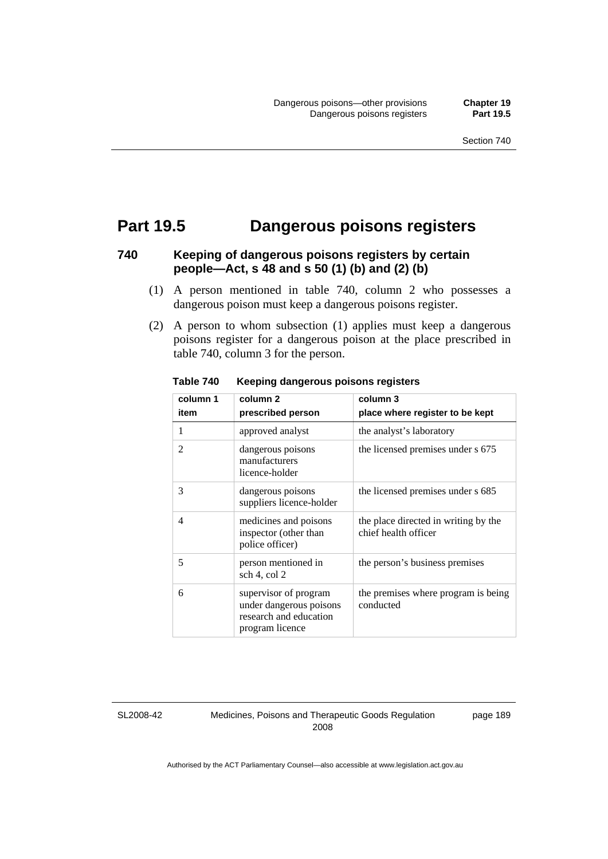## **Part 19.5 Dangerous poisons registers**

### **740 Keeping of dangerous poisons registers by certain people—Act, s 48 and s 50 (1) (b) and (2) (b)**

- (1) A person mentioned in table 740, column 2 who possesses a dangerous poison must keep a dangerous poisons register.
- (2) A person to whom subsection (1) applies must keep a dangerous poisons register for a dangerous poison at the place prescribed in table 740, column 3 for the person.

| column 1       | column <sub>2</sub>                                                                           | column 3                                                     |
|----------------|-----------------------------------------------------------------------------------------------|--------------------------------------------------------------|
| item           | prescribed person                                                                             | place where register to be kept                              |
| 1              | approved analyst                                                                              | the analyst's laboratory                                     |
| 2              | dangerous poisons<br>manufacturers<br>licence-holder                                          | the licensed premises under s 675                            |
| 3              | dangerous poisons<br>suppliers licence-holder                                                 | the licensed premises under s 685                            |
| $\overline{4}$ | medicines and poisons<br>inspector (other than<br>police officer)                             | the place directed in writing by the<br>chief health officer |
| 5              | person mentioned in<br>sch 4, col 2                                                           | the person's business premises                               |
| 6              | supervisor of program<br>under dangerous poisons<br>research and education<br>program licence | the premises where program is being<br>conducted             |

**Table 740 Keeping dangerous poisons registers** 

SL2008-42

Medicines, Poisons and Therapeutic Goods Regulation 2008

page 189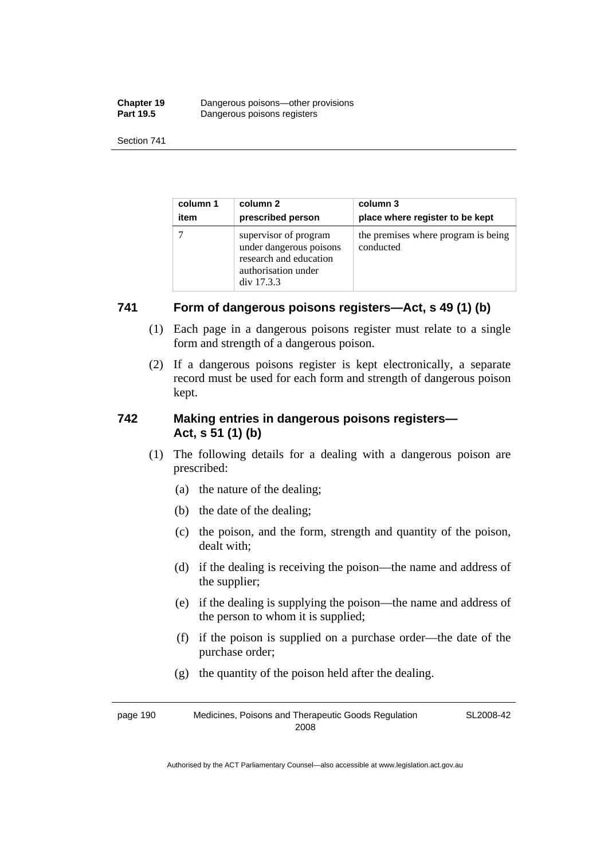| <b>Chapter 19</b> | Dangerous poisons—other provisions |
|-------------------|------------------------------------|
| <b>Part 19.5</b>  | Dangerous poisons registers        |

| column 1 | column 2                                                                                                        | column 3                                         |
|----------|-----------------------------------------------------------------------------------------------------------------|--------------------------------------------------|
| item     | prescribed person                                                                                               | place where register to be kept                  |
|          | supervisor of program<br>under dangerous poisons<br>research and education<br>authorisation under<br>div 17.3.3 | the premises where program is being<br>conducted |

#### **741 Form of dangerous poisons registers—Act, s 49 (1) (b)**

- (1) Each page in a dangerous poisons register must relate to a single form and strength of a dangerous poison.
- (2) If a dangerous poisons register is kept electronically, a separate record must be used for each form and strength of dangerous poison kept.

#### **742 Making entries in dangerous poisons registers— Act, s 51 (1) (b)**

- (1) The following details for a dealing with a dangerous poison are prescribed:
	- (a) the nature of the dealing;
	- (b) the date of the dealing;
	- (c) the poison, and the form, strength and quantity of the poison, dealt with;
	- (d) if the dealing is receiving the poison—the name and address of the supplier;
	- (e) if the dealing is supplying the poison—the name and address of the person to whom it is supplied;
	- (f) if the poison is supplied on a purchase order—the date of the purchase order;
	- (g) the quantity of the poison held after the dealing.

page 190 Medicines, Poisons and Therapeutic Goods Regulation 2008 SL2008-42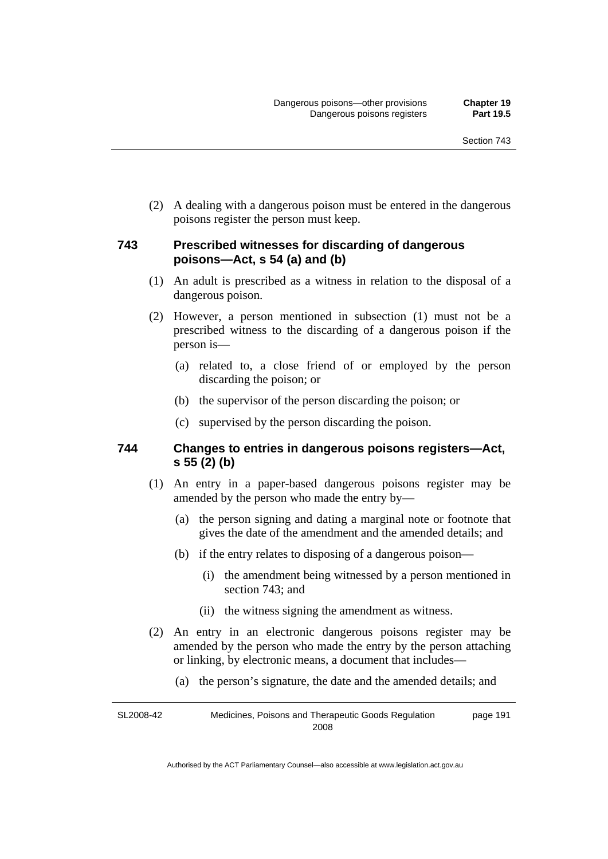(2) A dealing with a dangerous poison must be entered in the dangerous poisons register the person must keep.

#### **743 Prescribed witnesses for discarding of dangerous poisons—Act, s 54 (a) and (b)**

- (1) An adult is prescribed as a witness in relation to the disposal of a dangerous poison.
- (2) However, a person mentioned in subsection (1) must not be a prescribed witness to the discarding of a dangerous poison if the person is—
	- (a) related to, a close friend of or employed by the person discarding the poison; or
	- (b) the supervisor of the person discarding the poison; or
	- (c) supervised by the person discarding the poison.

#### **744 Changes to entries in dangerous poisons registers—Act, s 55 (2) (b)**

- (1) An entry in a paper-based dangerous poisons register may be amended by the person who made the entry by—
	- (a) the person signing and dating a marginal note or footnote that gives the date of the amendment and the amended details; and
	- (b) if the entry relates to disposing of a dangerous poison—
		- (i) the amendment being witnessed by a person mentioned in section 743; and
		- (ii) the witness signing the amendment as witness.
- (2) An entry in an electronic dangerous poisons register may be amended by the person who made the entry by the person attaching or linking, by electronic means, a document that includes—
	- (a) the person's signature, the date and the amended details; and

SL2008-42 Medicines, Poisons and Therapeutic Goods Regulation 2008 page 191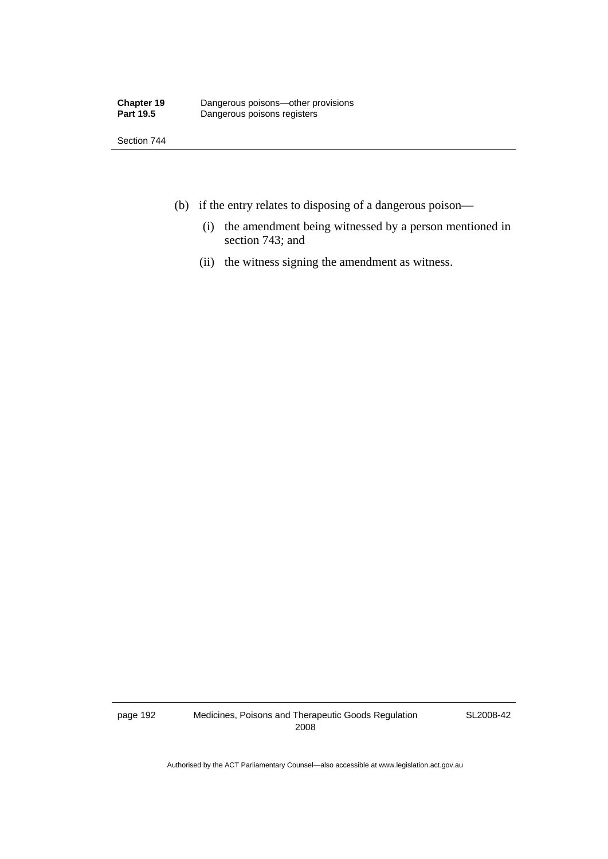- (b) if the entry relates to disposing of a dangerous poison—
	- (i) the amendment being witnessed by a person mentioned in section 743; and
	- (ii) the witness signing the amendment as witness.

page 192 Medicines, Poisons and Therapeutic Goods Regulation 2008

SL2008-42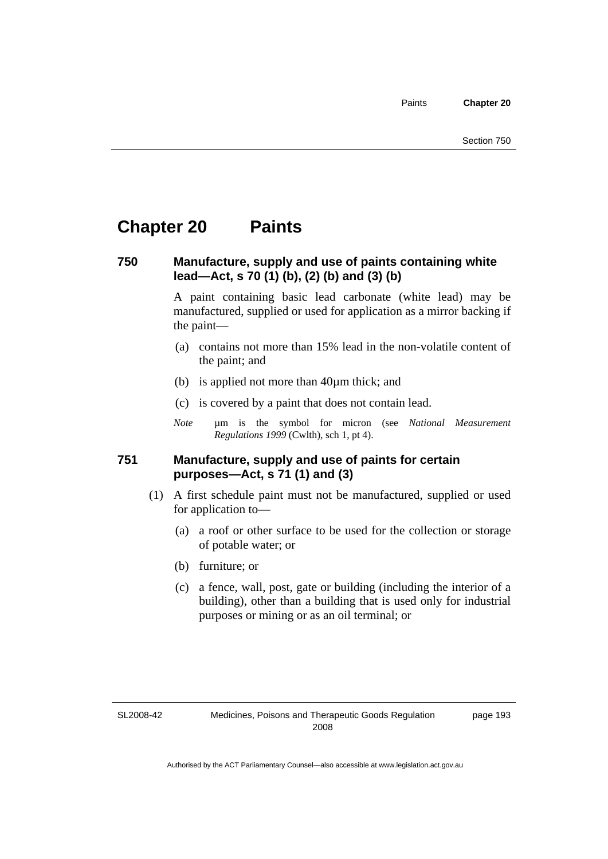Paints **Chapter 20** 

# **Chapter 20 Paints**

# **750 Manufacture, supply and use of paints containing white lead—Act, s 70 (1) (b), (2) (b) and (3) (b)**

A paint containing basic lead carbonate (white lead) may be manufactured, supplied or used for application as a mirror backing if the paint—

- (a) contains not more than 15% lead in the non-volatile content of the paint; and
- (b) is applied not more than 40µm thick; and
- (c) is covered by a paint that does not contain lead.
- *Note* um is the symbol for micron (see *National Measurement Regulations 1999* (Cwlth), sch 1, pt 4).

### **751 Manufacture, supply and use of paints for certain purposes—Act, s 71 (1) and (3)**

- (1) A first schedule paint must not be manufactured, supplied or used for application to—
	- (a) a roof or other surface to be used for the collection or storage of potable water; or
	- (b) furniture; or
	- (c) a fence, wall, post, gate or building (including the interior of a building), other than a building that is used only for industrial purposes or mining or as an oil terminal; or

SL2008-42

page 193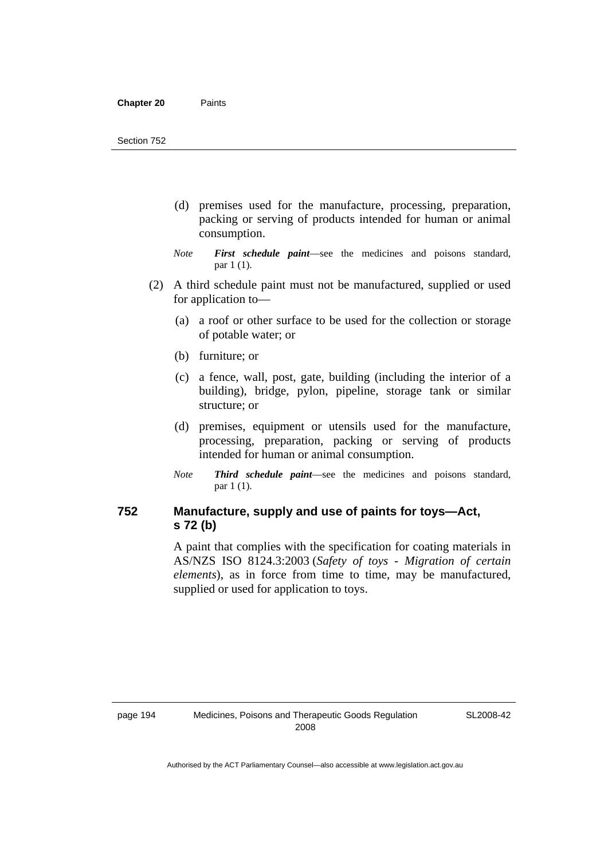- (d) premises used for the manufacture, processing, preparation, packing or serving of products intended for human or animal consumption.
- *Note First schedule paint*—see the medicines and poisons standard, par 1 (1).
- (2) A third schedule paint must not be manufactured, supplied or used for application to—
	- (a) a roof or other surface to be used for the collection or storage of potable water; or
	- (b) furniture; or
	- (c) a fence, wall, post, gate, building (including the interior of a building), bridge, pylon, pipeline, storage tank or similar structure; or
	- (d) premises, equipment or utensils used for the manufacture, processing, preparation, packing or serving of products intended for human or animal consumption.
	- *Note Third schedule paint*—see the medicines and poisons standard, par 1 (1).

# **752 Manufacture, supply and use of paints for toys—Act, s 72 (b)**

A paint that complies with the specification for coating materials in AS/NZS ISO 8124.3:2003 (*Safety of toys - Migration of certain elements*), as in force from time to time, may be manufactured, supplied or used for application to toys.

SL2008-42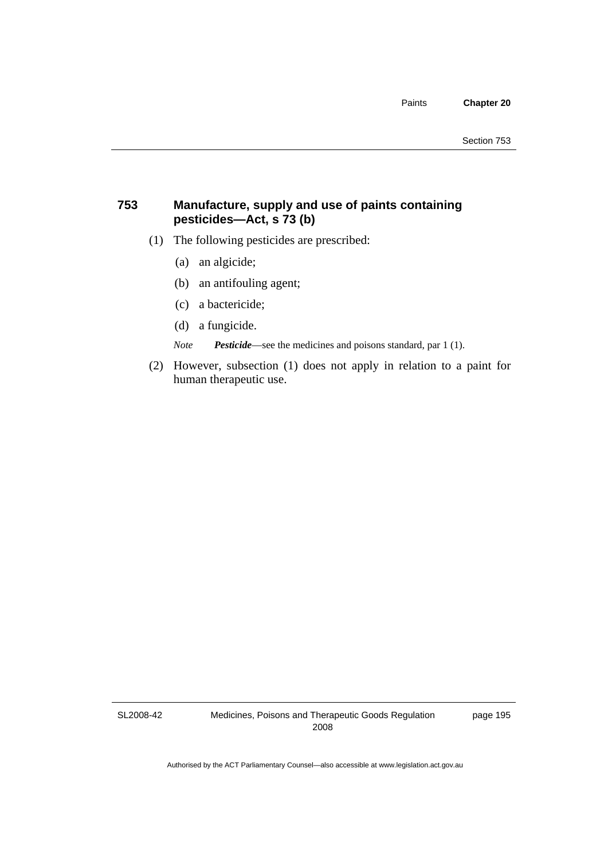# **753 Manufacture, supply and use of paints containing pesticides—Act, s 73 (b)**

- (1) The following pesticides are prescribed:
	- (a) an algicide;
	- (b) an antifouling agent;
	- (c) a bactericide;
	- (d) a fungicide.

*Note Pesticide*—see the medicines and poisons standard, par 1 (1).

 (2) However, subsection (1) does not apply in relation to a paint for human therapeutic use.

SL2008-42

Medicines, Poisons and Therapeutic Goods Regulation 2008

page 195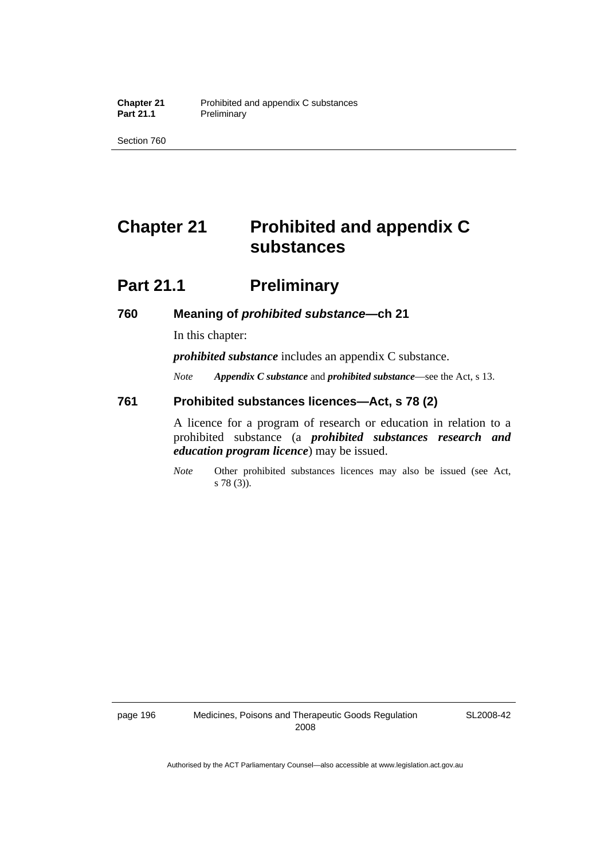Section 760

# **Chapter 21 Prohibited and appendix C substances**

# **Part 21.1** Preliminary

### **760 Meaning of** *prohibited substance***—ch 21**

In this chapter:

*prohibited substance* includes an appendix C substance.

*Note Appendix C substance* and *prohibited substance*—see the Act, s 13.

### **761 Prohibited substances licences—Act, s 78 (2)**

A licence for a program of research or education in relation to a prohibited substance (a *prohibited substances research and education program licence*) may be issued.

*Note* Other prohibited substances licences may also be issued (see Act, s 78 (3)).

SL2008-42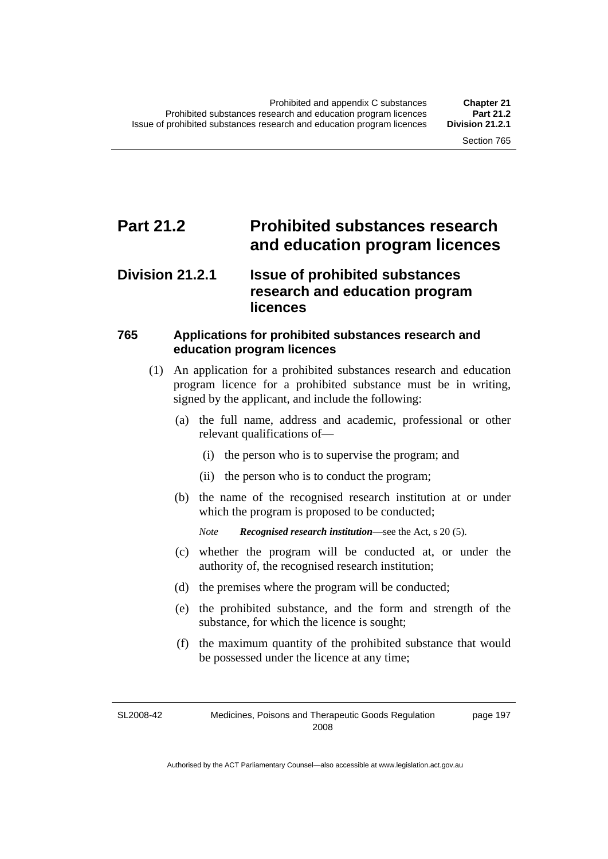# **Part 21.2 Prohibited substances research and education program licences**

# **Division 21.2.1 Issue of prohibited substances research and education program licences**

# **765 Applications for prohibited substances research and education program licences**

- (1) An application for a prohibited substances research and education program licence for a prohibited substance must be in writing, signed by the applicant, and include the following:
	- (a) the full name, address and academic, professional or other relevant qualifications of—
		- (i) the person who is to supervise the program; and
		- (ii) the person who is to conduct the program;
	- (b) the name of the recognised research institution at or under which the program is proposed to be conducted;

*Note Recognised research institution*—see the Act, s 20 (5).

- (c) whether the program will be conducted at, or under the authority of, the recognised research institution;
- (d) the premises where the program will be conducted;
- (e) the prohibited substance, and the form and strength of the substance, for which the licence is sought;
- (f) the maximum quantity of the prohibited substance that would be possessed under the licence at any time;

SL2008-42 Medicines, Poisons and Therapeutic Goods Regulation 2008

page 197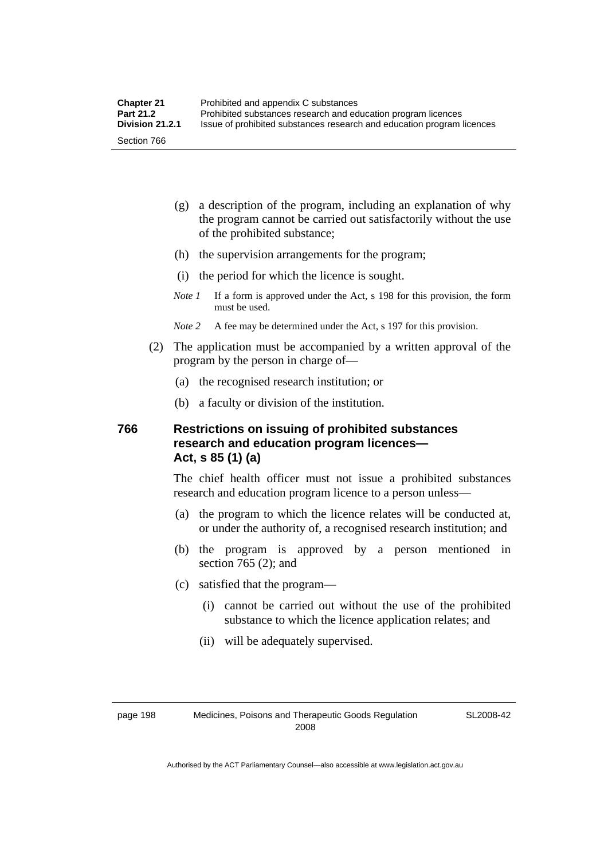- (g) a description of the program, including an explanation of why the program cannot be carried out satisfactorily without the use of the prohibited substance;
- (h) the supervision arrangements for the program;
- (i) the period for which the licence is sought.
- *Note 1* If a form is approved under the Act, s 198 for this provision, the form must be used.
- *Note 2* A fee may be determined under the Act, s 197 for this provision.
- (2) The application must be accompanied by a written approval of the program by the person in charge of—
	- (a) the recognised research institution; or
	- (b) a faculty or division of the institution.

# **766 Restrictions on issuing of prohibited substances research and education program licences— Act, s 85 (1) (a)**

The chief health officer must not issue a prohibited substances research and education program licence to a person unless—

- (a) the program to which the licence relates will be conducted at, or under the authority of, a recognised research institution; and
- (b) the program is approved by a person mentioned in section 765 (2); and
- (c) satisfied that the program—
	- (i) cannot be carried out without the use of the prohibited substance to which the licence application relates; and
	- (ii) will be adequately supervised.

SL2008-42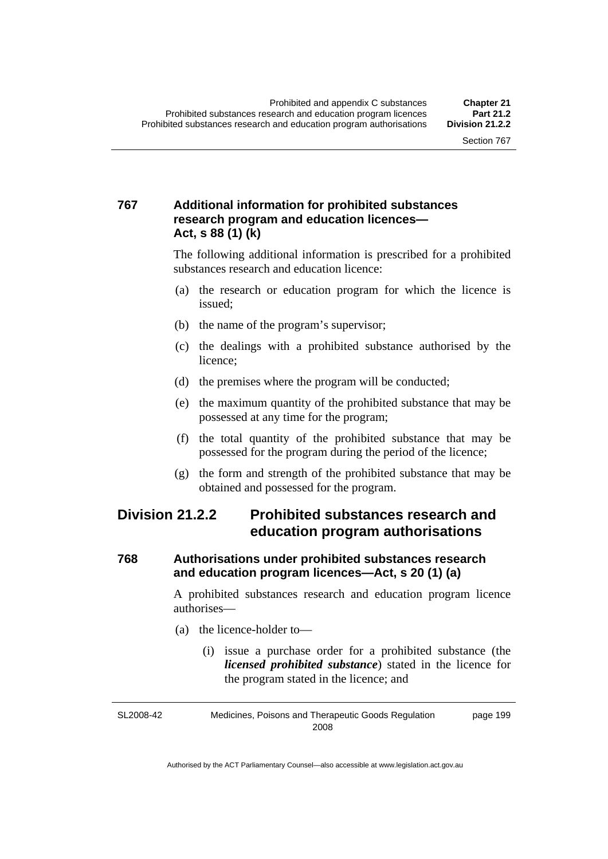# **767 Additional information for prohibited substances research program and education licences— Act, s 88 (1) (k)**

The following additional information is prescribed for a prohibited substances research and education licence:

- (a) the research or education program for which the licence is issued;
- (b) the name of the program's supervisor;
- (c) the dealings with a prohibited substance authorised by the licence;
- (d) the premises where the program will be conducted;
- (e) the maximum quantity of the prohibited substance that may be possessed at any time for the program;
- (f) the total quantity of the prohibited substance that may be possessed for the program during the period of the licence;
- (g) the form and strength of the prohibited substance that may be obtained and possessed for the program.

# **Division 21.2.2 Prohibited substances research and education program authorisations**

# **768 Authorisations under prohibited substances research and education program licences—Act, s 20 (1) (a)**

A prohibited substances research and education program licence authorises—

- (a) the licence-holder to—
	- (i) issue a purchase order for a prohibited substance (the *licensed prohibited substance*) stated in the licence for the program stated in the licence; and

SL2008-42 Medicines, Poisons and Therapeutic Goods Regulation 2008 page 199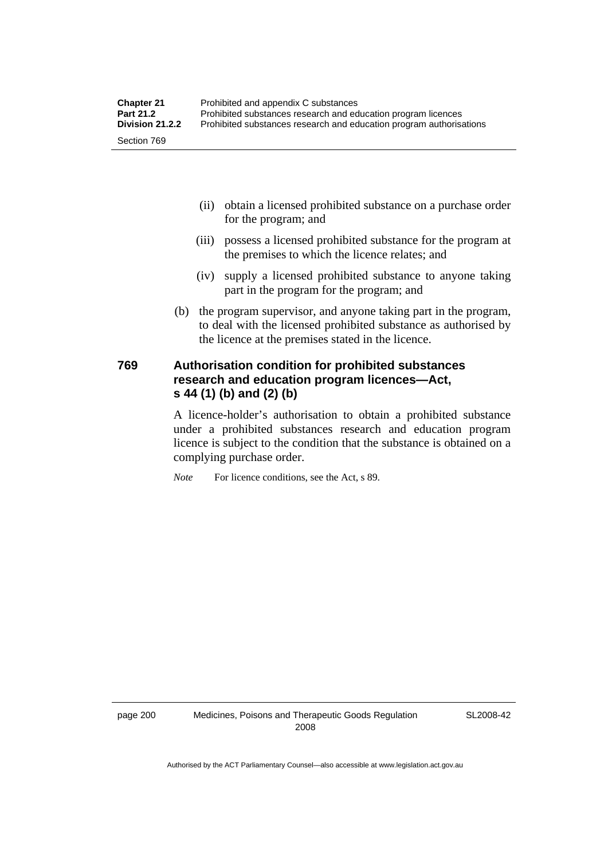- (ii) obtain a licensed prohibited substance on a purchase order for the program; and
- (iii) possess a licensed prohibited substance for the program at the premises to which the licence relates; and
- (iv) supply a licensed prohibited substance to anyone taking part in the program for the program; and
- (b) the program supervisor, and anyone taking part in the program, to deal with the licensed prohibited substance as authorised by the licence at the premises stated in the licence.

# **769 Authorisation condition for prohibited substances research and education program licences—Act, s 44 (1) (b) and (2) (b)**

A licence-holder's authorisation to obtain a prohibited substance under a prohibited substances research and education program licence is subject to the condition that the substance is obtained on a complying purchase order.

*Note* For licence conditions, see the Act, s 89.

SL2008-42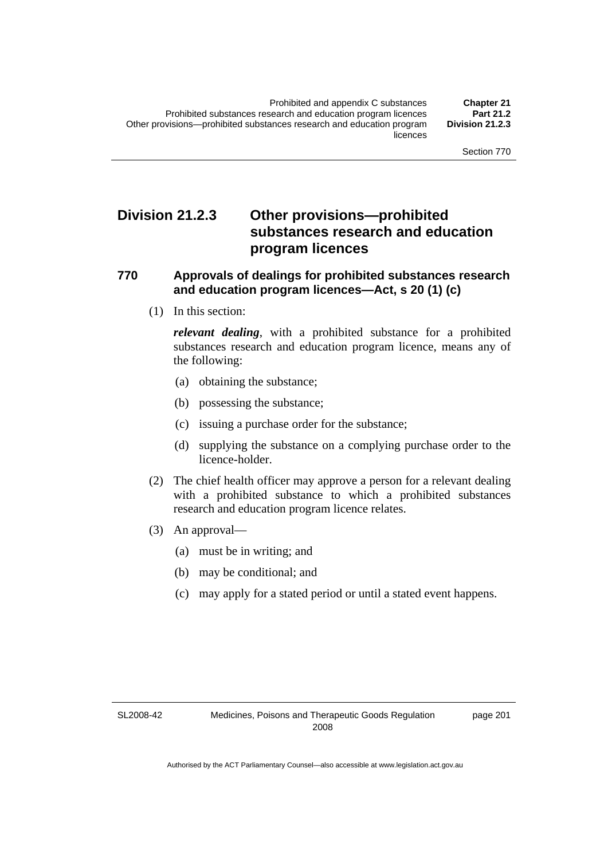# **Division 21.2.3 Other provisions—prohibited substances research and education program licences**

# **770 Approvals of dealings for prohibited substances research and education program licences—Act, s 20 (1) (c)**

(1) In this section:

*relevant dealing*, with a prohibited substance for a prohibited substances research and education program licence, means any of the following:

- (a) obtaining the substance;
- (b) possessing the substance;
- (c) issuing a purchase order for the substance;
- (d) supplying the substance on a complying purchase order to the licence-holder.
- (2) The chief health officer may approve a person for a relevant dealing with a prohibited substance to which a prohibited substances research and education program licence relates.
- (3) An approval—
	- (a) must be in writing; and
	- (b) may be conditional; and
	- (c) may apply for a stated period or until a stated event happens.

SL2008-42

page 201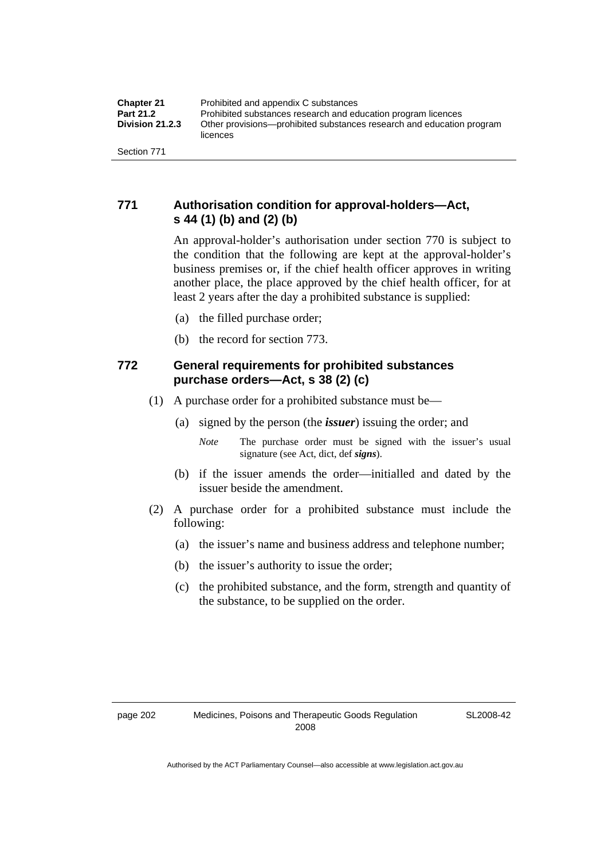# **771 Authorisation condition for approval-holders—Act, s 44 (1) (b) and (2) (b)**

An approval-holder's authorisation under section 770 is subject to the condition that the following are kept at the approval-holder's business premises or, if the chief health officer approves in writing another place, the place approved by the chief health officer, for at least 2 years after the day a prohibited substance is supplied:

- (a) the filled purchase order;
- (b) the record for section 773.

# **772 General requirements for prohibited substances purchase orders—Act, s 38 (2) (c)**

- (1) A purchase order for a prohibited substance must be—
	- (a) signed by the person (the *issuer*) issuing the order; and
		- *Note* The purchase order must be signed with the issuer's usual signature (see Act, dict, def *signs*).
	- (b) if the issuer amends the order—initialled and dated by the issuer beside the amendment.
- (2) A purchase order for a prohibited substance must include the following:
	- (a) the issuer's name and business address and telephone number;
	- (b) the issuer's authority to issue the order;
	- (c) the prohibited substance, and the form, strength and quantity of the substance, to be supplied on the order.

SL2008-42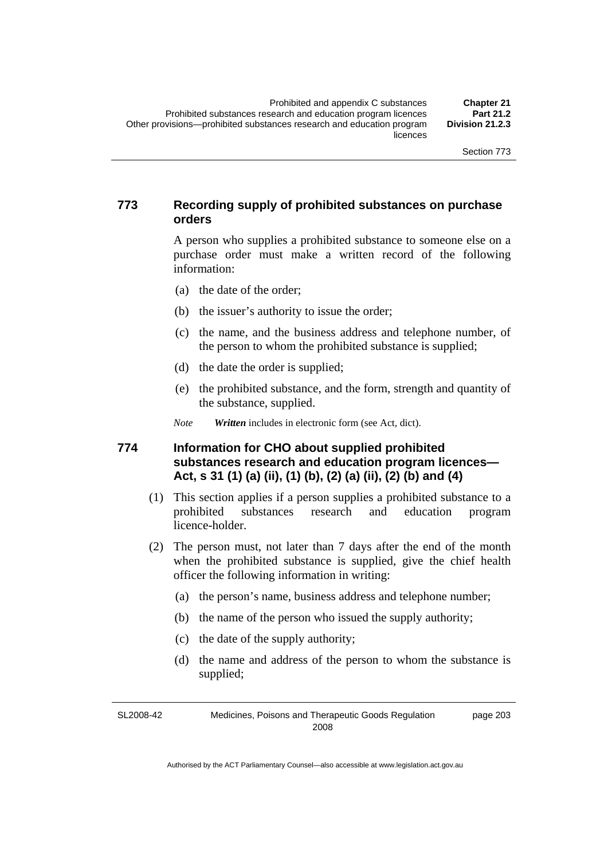# **773 Recording supply of prohibited substances on purchase orders**

A person who supplies a prohibited substance to someone else on a purchase order must make a written record of the following information:

- (a) the date of the order;
- (b) the issuer's authority to issue the order;
- (c) the name, and the business address and telephone number, of the person to whom the prohibited substance is supplied;
- (d) the date the order is supplied;
- (e) the prohibited substance, and the form, strength and quantity of the substance, supplied.

*Note Written* includes in electronic form (see Act, dict).

# **774 Information for CHO about supplied prohibited substances research and education program licences— Act, s 31 (1) (a) (ii), (1) (b), (2) (a) (ii), (2) (b) and (4)**

- (1) This section applies if a person supplies a prohibited substance to a prohibited substances research and education program licence-holder.
- (2) The person must, not later than 7 days after the end of the month when the prohibited substance is supplied, give the chief health officer the following information in writing:
	- (a) the person's name, business address and telephone number;
	- (b) the name of the person who issued the supply authority;
	- (c) the date of the supply authority;
	- (d) the name and address of the person to whom the substance is supplied;

SL2008-42 Medicines, Poisons and Therapeutic Goods Regulation 2008 page 203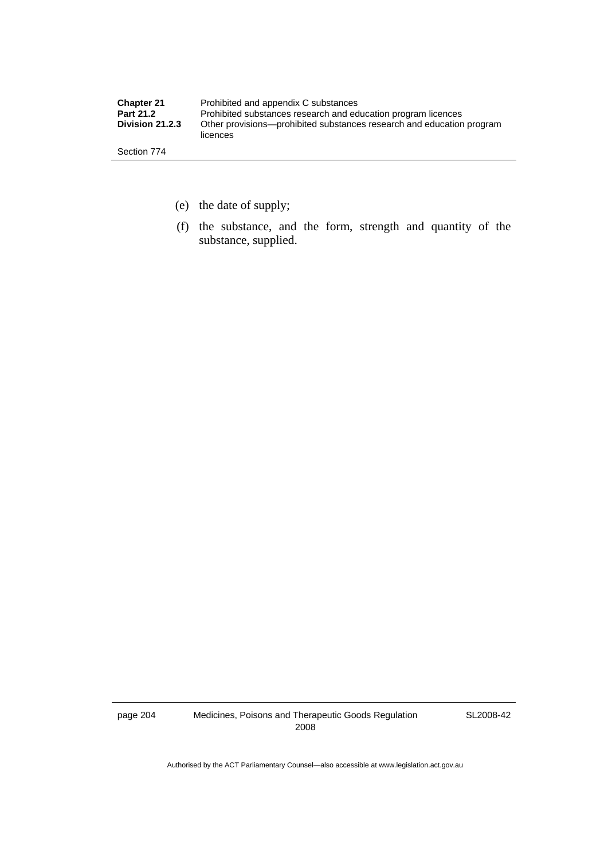| <b>Chapter 21</b> | Prohibited and appendix C substances                                              |
|-------------------|-----------------------------------------------------------------------------------|
| Part 21.2         | Prohibited substances research and education program licences                     |
| Division 21.2.3   | Other provisions—prohibited substances research and education program<br>licences |
| Section 774       |                                                                                   |

- (e) the date of supply;
- (f) the substance, and the form, strength and quantity of the substance, supplied.

page 204 Medicines, Poisons and Therapeutic Goods Regulation 2008

SL2008-42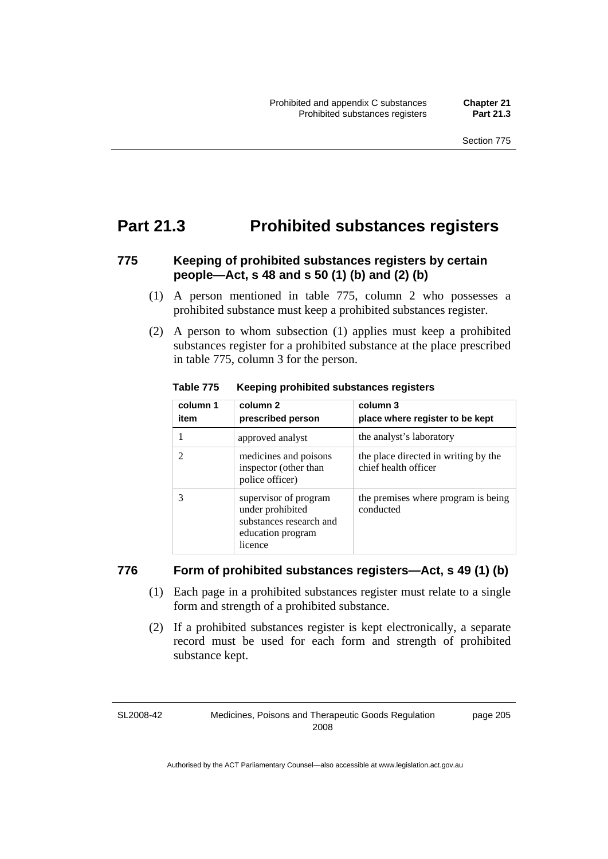# **Part 21.3 Prohibited substances registers**

# **775 Keeping of prohibited substances registers by certain people—Act, s 48 and s 50 (1) (b) and (2) (b)**

- (1) A person mentioned in table 775, column 2 who possesses a prohibited substance must keep a prohibited substances register.
- (2) A person to whom subsection (1) applies must keep a prohibited substances register for a prohibited substance at the place prescribed in table 775, column 3 for the person.

| column 1<br>item | column <sub>2</sub><br>prescribed person                                                             | column 3<br>place where register to be kept                  |
|------------------|------------------------------------------------------------------------------------------------------|--------------------------------------------------------------|
|                  | approved analyst                                                                                     | the analyst's laboratory                                     |
| 2                | medicines and poisons<br>inspector (other than<br>police officer)                                    | the place directed in writing by the<br>chief health officer |
| 3                | supervisor of program<br>under prohibited<br>substances research and<br>education program<br>licence | the premises where program is being<br>conducted             |

**Table 775 Keeping prohibited substances registers** 

### **776 Form of prohibited substances registers—Act, s 49 (1) (b)**

- (1) Each page in a prohibited substances register must relate to a single form and strength of a prohibited substance.
- (2) If a prohibited substances register is kept electronically, a separate record must be used for each form and strength of prohibited substance kept.

SL2008-42

Medicines, Poisons and Therapeutic Goods Regulation 2008

page 205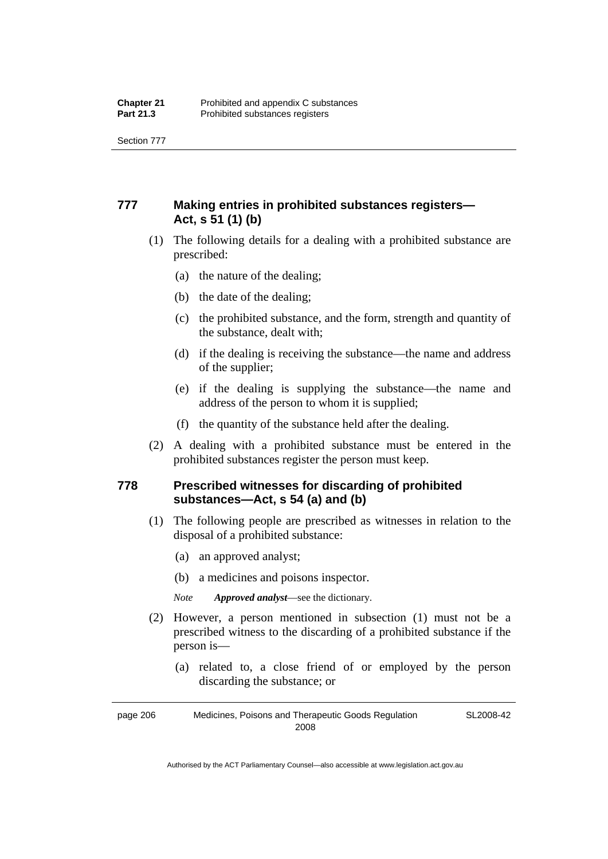Section 777

# **777 Making entries in prohibited substances registers— Act, s 51 (1) (b)**

- (1) The following details for a dealing with a prohibited substance are prescribed:
	- (a) the nature of the dealing;
	- (b) the date of the dealing;
	- (c) the prohibited substance, and the form, strength and quantity of the substance, dealt with;
	- (d) if the dealing is receiving the substance—the name and address of the supplier;
	- (e) if the dealing is supplying the substance—the name and address of the person to whom it is supplied;
	- (f) the quantity of the substance held after the dealing.
- (2) A dealing with a prohibited substance must be entered in the prohibited substances register the person must keep.

# **778 Prescribed witnesses for discarding of prohibited substances—Act, s 54 (a) and (b)**

- (1) The following people are prescribed as witnesses in relation to the disposal of a prohibited substance:
	- (a) an approved analyst;
	- (b) a medicines and poisons inspector.

*Note Approved analyst*—see the dictionary.

- (2) However, a person mentioned in subsection (1) must not be a prescribed witness to the discarding of a prohibited substance if the person is—
	- (a) related to, a close friend of or employed by the person discarding the substance; or

page 206 Medicines, Poisons and Therapeutic Goods Regulation 2008 SL2008-42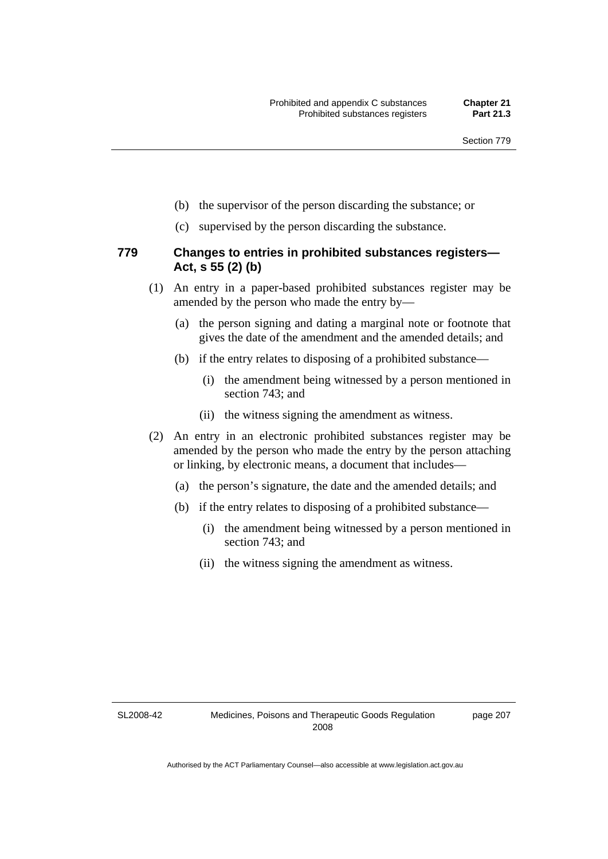- (b) the supervisor of the person discarding the substance; or
- (c) supervised by the person discarding the substance.

### **779 Changes to entries in prohibited substances registers— Act, s 55 (2) (b)**

- (1) An entry in a paper-based prohibited substances register may be amended by the person who made the entry by—
	- (a) the person signing and dating a marginal note or footnote that gives the date of the amendment and the amended details; and
	- (b) if the entry relates to disposing of a prohibited substance—
		- (i) the amendment being witnessed by a person mentioned in section 743; and
		- (ii) the witness signing the amendment as witness.
- (2) An entry in an electronic prohibited substances register may be amended by the person who made the entry by the person attaching or linking, by electronic means, a document that includes—
	- (a) the person's signature, the date and the amended details; and
	- (b) if the entry relates to disposing of a prohibited substance—
		- (i) the amendment being witnessed by a person mentioned in section 743; and
		- (ii) the witness signing the amendment as witness.

SL2008-42

page 207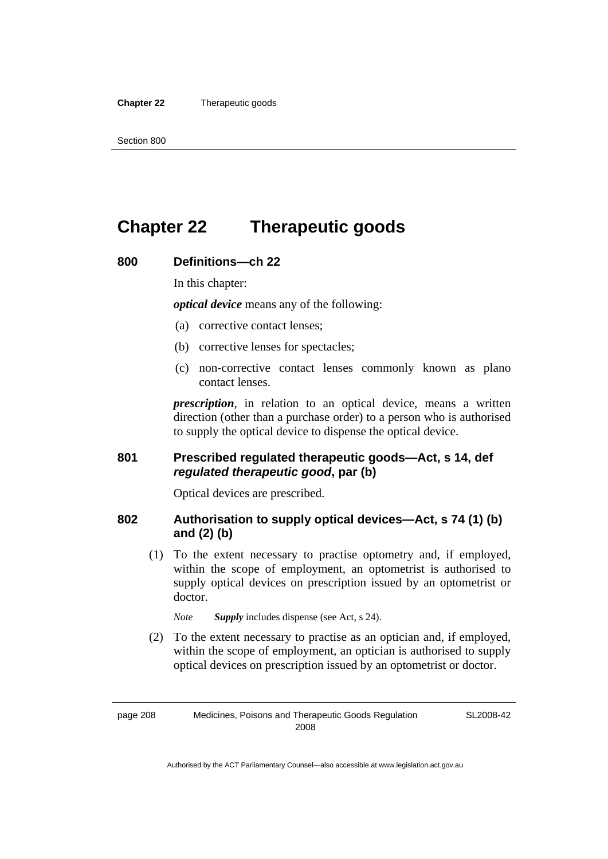#### **Chapter 22** Therapeutic goods

# **Chapter 22 Therapeutic goods**

### **800 Definitions—ch 22**

In this chapter:

*optical device* means any of the following:

- (a) corrective contact lenses;
- (b) corrective lenses for spectacles;
- (c) non-corrective contact lenses commonly known as plano contact lenses.

*prescription*, in relation to an optical device, means a written direction (other than a purchase order) to a person who is authorised to supply the optical device to dispense the optical device.

### **801 Prescribed regulated therapeutic goods—Act, s 14, def**  *regulated therapeutic good***, par (b)**

Optical devices are prescribed.

# **802 Authorisation to supply optical devices—Act, s 74 (1) (b) and (2) (b)**

 (1) To the extent necessary to practise optometry and, if employed, within the scope of employment, an optometrist is authorised to supply optical devices on prescription issued by an optometrist or doctor.

*Note Supply* includes dispense (see Act, s 24).

 (2) To the extent necessary to practise as an optician and, if employed, within the scope of employment, an optician is authorised to supply optical devices on prescription issued by an optometrist or doctor.

page 208 Medicines, Poisons and Therapeutic Goods Regulation 2008

SL2008-42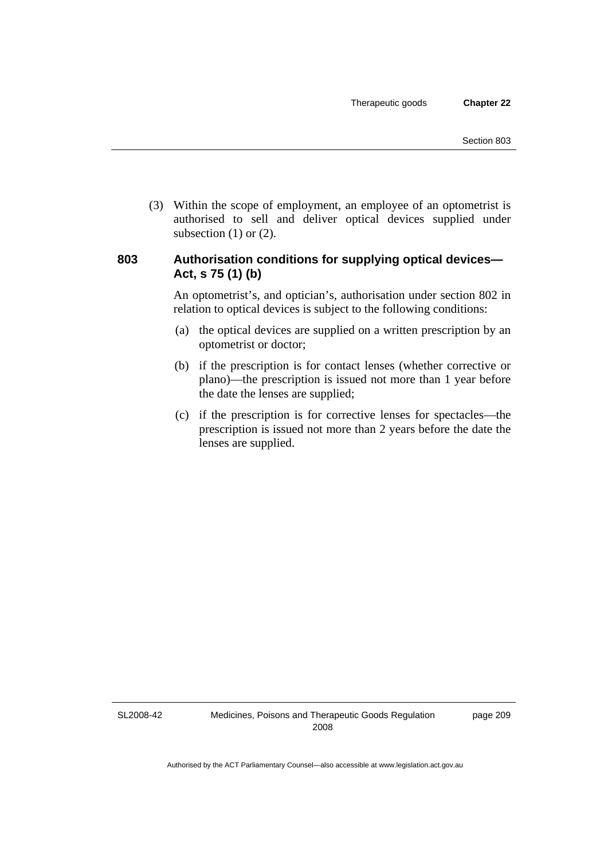(3) Within the scope of employment, an employee of an optometrist is authorised to sell and deliver optical devices supplied under subsection  $(1)$  or  $(2)$ .

# **803 Authorisation conditions for supplying optical devices— Act, s 75 (1) (b)**

An optometrist's, and optician's, authorisation under section 802 in relation to optical devices is subject to the following conditions:

- (a) the optical devices are supplied on a written prescription by an optometrist or doctor;
- (b) if the prescription is for contact lenses (whether corrective or plano)—the prescription is issued not more than 1 year before the date the lenses are supplied;
- (c) if the prescription is for corrective lenses for spectacles—the prescription is issued not more than 2 years before the date the lenses are supplied.

SL2008-42

page 209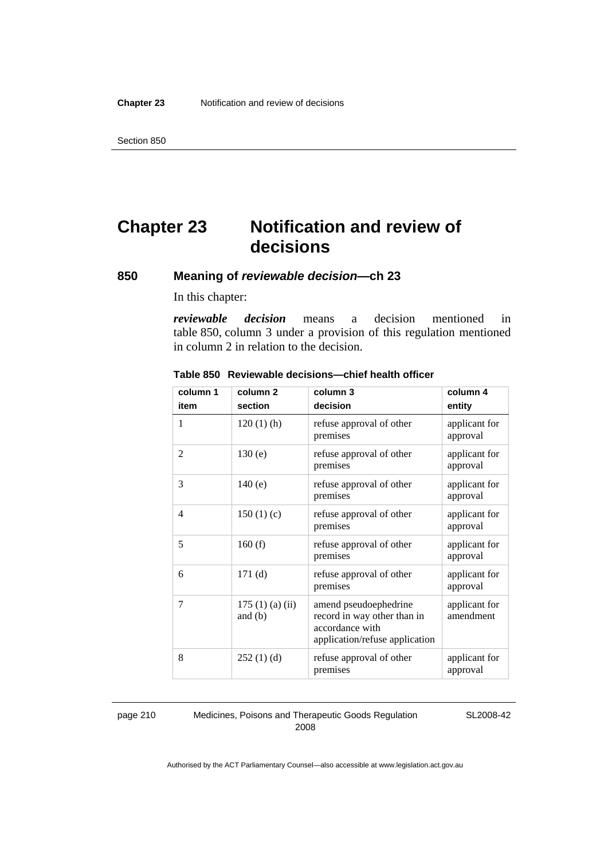# **Chapter 23 Notification and review of decisions**

# **850 Meaning of** *reviewable decision—***ch 23**

In this chapter:

*reviewable decision* means a decision mentioned in table 850, column 3 under a provision of this regulation mentioned in column 2 in relation to the decision.

| column 1 | column <sub>2</sub>        | column 3                                                                                                  | column 4                   |
|----------|----------------------------|-----------------------------------------------------------------------------------------------------------|----------------------------|
| item     | section                    | decision                                                                                                  | entity                     |
| 1        | $120(1)$ (h)               | refuse approval of other<br>premises                                                                      | applicant for<br>approval  |
| 2        | 130(e)                     | refuse approval of other<br>premises                                                                      | applicant for<br>approval  |
| 3        | 140(e)                     | refuse approval of other<br>premises                                                                      | applicant for<br>approval  |
| 4        | 150(1)(c)                  | refuse approval of other<br>premises                                                                      | applicant for<br>approval  |
| 5        | 160(f)                     | refuse approval of other<br>premises                                                                      | applicant for<br>approval  |
| 6        | 171(d)                     | refuse approval of other<br>premises                                                                      | applicant for<br>approval  |
| 7        | 175(1)(a)(ii)<br>and $(b)$ | amend pseudoephedrine<br>record in way other than in<br>accordance with<br>application/refuse application | applicant for<br>amendment |
| 8        | 252(1)(d)                  | refuse approval of other<br>premises                                                                      | applicant for<br>approval  |

#### **Table 850 Reviewable decisions—chief health officer**

#### page 210 Medicines, Poisons and Therapeutic Goods Regulation 2008

SL2008-42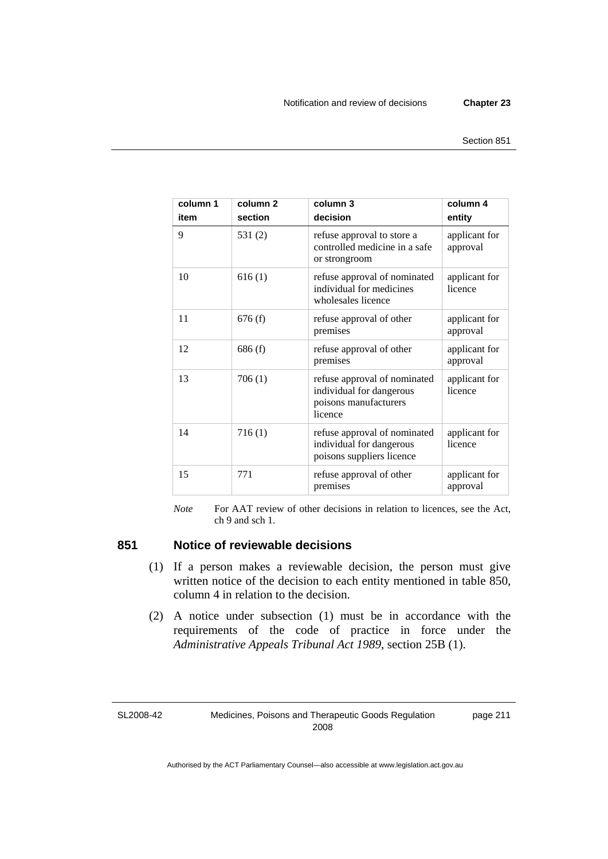| column 1<br>item | column <sub>2</sub><br>section | column 3<br>decision                                                                         | column 4<br>entity        |
|------------------|--------------------------------|----------------------------------------------------------------------------------------------|---------------------------|
| 9                | 531 $(2)$                      | refuse approval to store a<br>controlled medicine in a safe<br>or strongroom                 | applicant for<br>approval |
| 10               | 616(1)                         | refuse approval of nominated<br>individual for medicines<br>wholesales licence               | applicant for<br>licence  |
| 11               | 676(f)                         | refuse approval of other<br>premises                                                         | applicant for<br>approval |
| 12               | 686(f)                         | refuse approval of other<br>premises                                                         | applicant for<br>approval |
| 13               | 706(1)                         | refuse approval of nominated<br>individual for dangerous<br>poisons manufacturers<br>licence | applicant for<br>licence  |
| 14               | 716(1)                         | refuse approval of nominated<br>individual for dangerous<br>poisons suppliers licence        | applicant for<br>licence  |
| 15               | 771                            | refuse approval of other<br>premises                                                         | applicant for<br>approval |

*Note* For AAT review of other decisions in relation to licences, see the Act, ch 9 and sch 1.

# **851 Notice of reviewable decisions**

- (1) If a person makes a reviewable decision, the person must give written notice of the decision to each entity mentioned in table 850, column 4 in relation to the decision.
- (2) A notice under subsection (1) must be in accordance with the requirements of the code of practice in force under the *Administrative Appeals Tribunal Act 1989*, section 25B (1).

SL2008-42

Medicines, Poisons and Therapeutic Goods Regulation 2008

page 211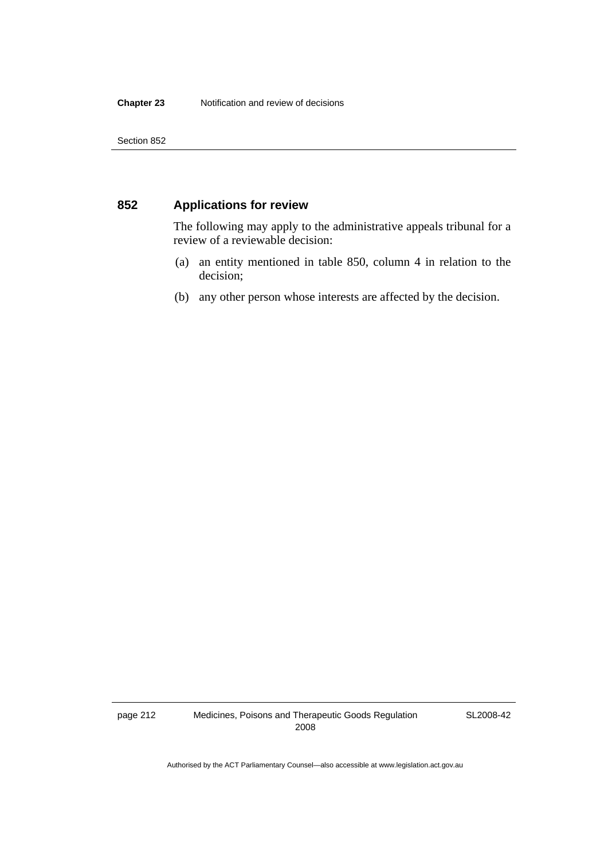# **852 Applications for review**

The following may apply to the administrative appeals tribunal for a review of a reviewable decision:

- (a) an entity mentioned in table 850, column 4 in relation to the decision;
- (b) any other person whose interests are affected by the decision.

page 212 Medicines, Poisons and Therapeutic Goods Regulation 2008

SL2008-42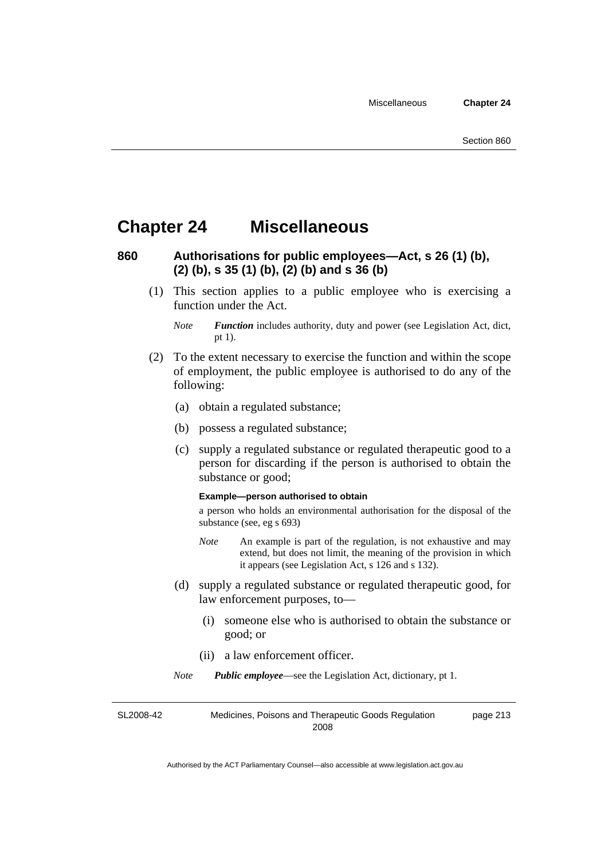# **Chapter 24 Miscellaneous**

# **860 Authorisations for public employees—Act, s 26 (1) (b), (2) (b), s 35 (1) (b), (2) (b) and s 36 (b)**

 (1) This section applies to a public employee who is exercising a function under the Act.

- (2) To the extent necessary to exercise the function and within the scope of employment, the public employee is authorised to do any of the following:
	- (a) obtain a regulated substance;
	- (b) possess a regulated substance;
	- (c) supply a regulated substance or regulated therapeutic good to a person for discarding if the person is authorised to obtain the substance or good;

#### **Example—person authorised to obtain**

a person who holds an environmental authorisation for the disposal of the substance (see, eg s 693)

- *Note* An example is part of the regulation, is not exhaustive and may extend, but does not limit, the meaning of the provision in which it appears (see Legislation Act, s 126 and s 132).
- (d) supply a regulated substance or regulated therapeutic good, for law enforcement purposes, to—
	- (i) someone else who is authorised to obtain the substance or good; or
	- (ii) a law enforcement officer.

*Note Public employee*—see the Legislation Act, dictionary, pt 1.

SL2008-42 Medicines, Poisons and Therapeutic Goods Regulation 2008 page 213

*Note Function* includes authority, duty and power (see Legislation Act, dict, pt 1).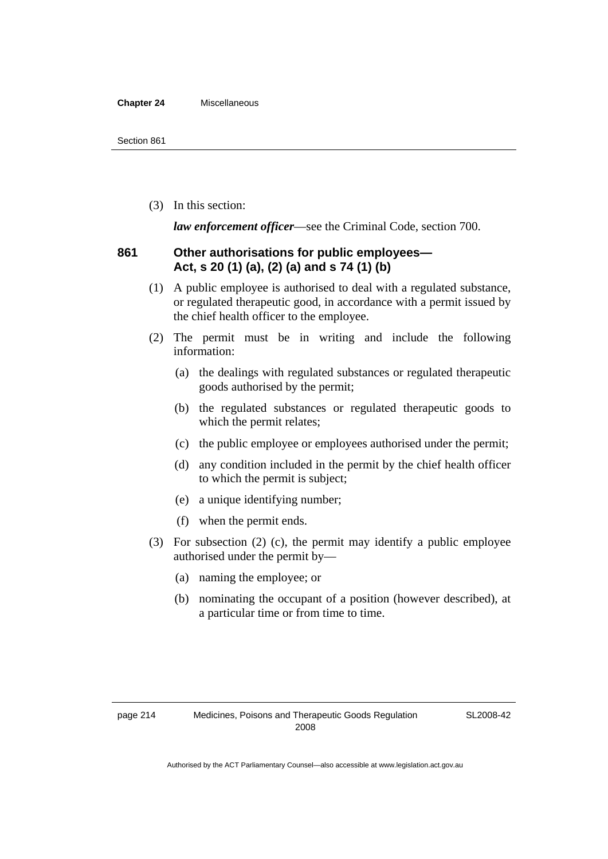#### **Chapter 24** Miscellaneous

(3) In this section:

*law enforcement officer*—see the Criminal Code, section 700.

### **861 Other authorisations for public employees— Act, s 20 (1) (a), (2) (a) and s 74 (1) (b)**

- (1) A public employee is authorised to deal with a regulated substance, or regulated therapeutic good, in accordance with a permit issued by the chief health officer to the employee.
- (2) The permit must be in writing and include the following information:
	- (a) the dealings with regulated substances or regulated therapeutic goods authorised by the permit;
	- (b) the regulated substances or regulated therapeutic goods to which the permit relates;
	- (c) the public employee or employees authorised under the permit;
	- (d) any condition included in the permit by the chief health officer to which the permit is subject;
	- (e) a unique identifying number;
	- (f) when the permit ends.
- (3) For subsection (2) (c), the permit may identify a public employee authorised under the permit by—
	- (a) naming the employee; or
	- (b) nominating the occupant of a position (however described), at a particular time or from time to time.

SL2008-42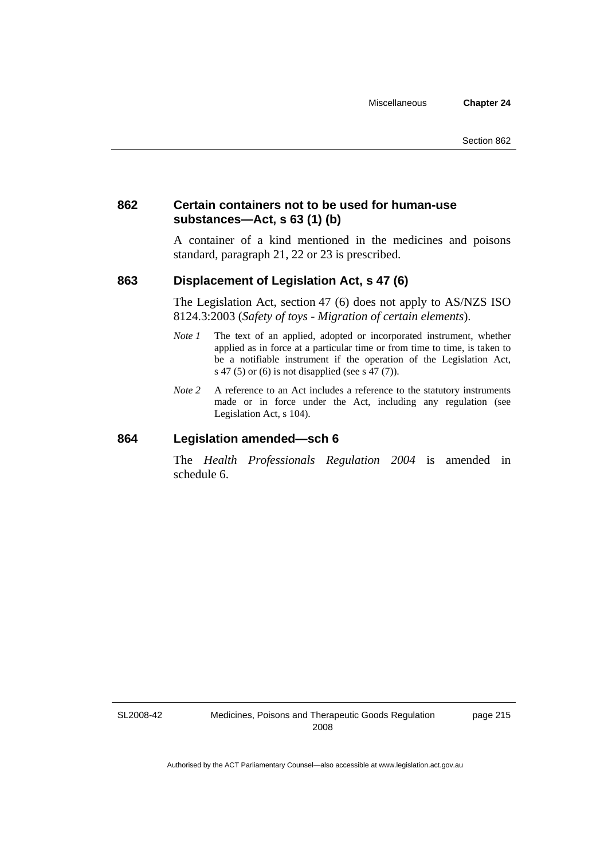# **862 Certain containers not to be used for human-use substances—Act, s 63 (1) (b)**

A container of a kind mentioned in the medicines and poisons standard, paragraph 21, 22 or 23 is prescribed.

### **863 Displacement of Legislation Act, s 47 (6)**

The Legislation Act, section 47 (6) does not apply to AS/NZS ISO 8124.3:2003 (*Safety of toys - Migration of certain elements*).

- *Note 1* The text of an applied, adopted or incorporated instrument, whether applied as in force at a particular time or from time to time, is taken to be a notifiable instrument if the operation of the Legislation Act, s 47 (5) or (6) is not disapplied (see s 47 (7)).
- *Note 2* A reference to an Act includes a reference to the statutory instruments made or in force under the Act, including any regulation (see Legislation Act, s 104).

### **864 Legislation amended—sch 6**

The *Health Professionals Regulation 2004* is amended in schedule 6.

SL2008-42

page 215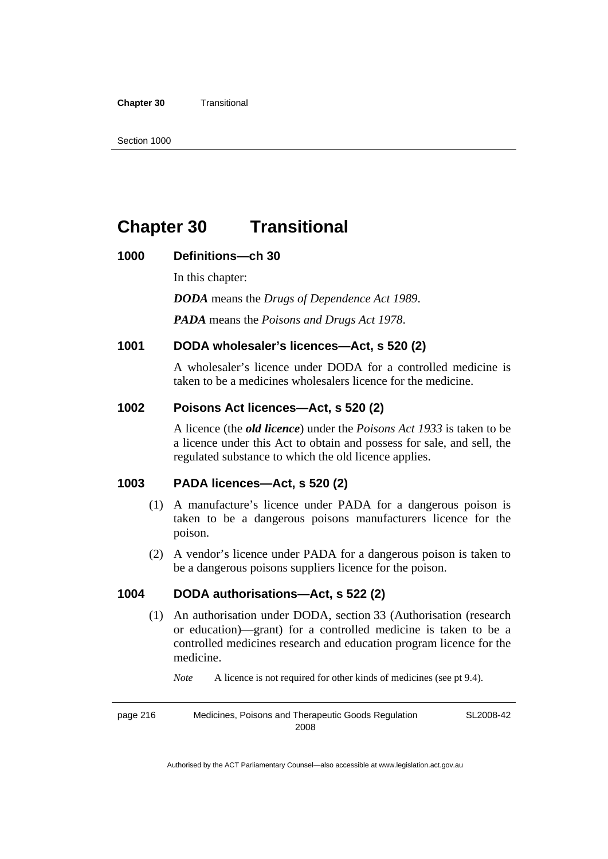#### **Chapter 30** Transitional

# **Chapter 30 Transitional**

### **1000 Definitions—ch 30**

In this chapter: *DODA* means the *Drugs of Dependence Act 1989*. *PADA* means the *Poisons and Drugs Act 1978*.

# **1001 DODA wholesaler's licences—Act, s 520 (2)**

A wholesaler's licence under DODA for a controlled medicine is taken to be a medicines wholesalers licence for the medicine.

### **1002 Poisons Act licences—Act, s 520 (2)**

A licence (the *old licence*) under the *Poisons Act 1933* is taken to be a licence under this Act to obtain and possess for sale, and sell, the regulated substance to which the old licence applies.

### **1003 PADA licences—Act, s 520 (2)**

- (1) A manufacture's licence under PADA for a dangerous poison is taken to be a dangerous poisons manufacturers licence for the poison.
- (2) A vendor's licence under PADA for a dangerous poison is taken to be a dangerous poisons suppliers licence for the poison.

# **1004 DODA authorisations—Act, s 522 (2)**

 (1) An authorisation under DODA, section 33 (Authorisation (research or education)—grant) for a controlled medicine is taken to be a controlled medicines research and education program licence for the medicine.

*Note* A licence is not required for other kinds of medicines (see pt 9.4).

page 216 Medicines, Poisons and Therapeutic Goods Regulation 2008 SL2008-42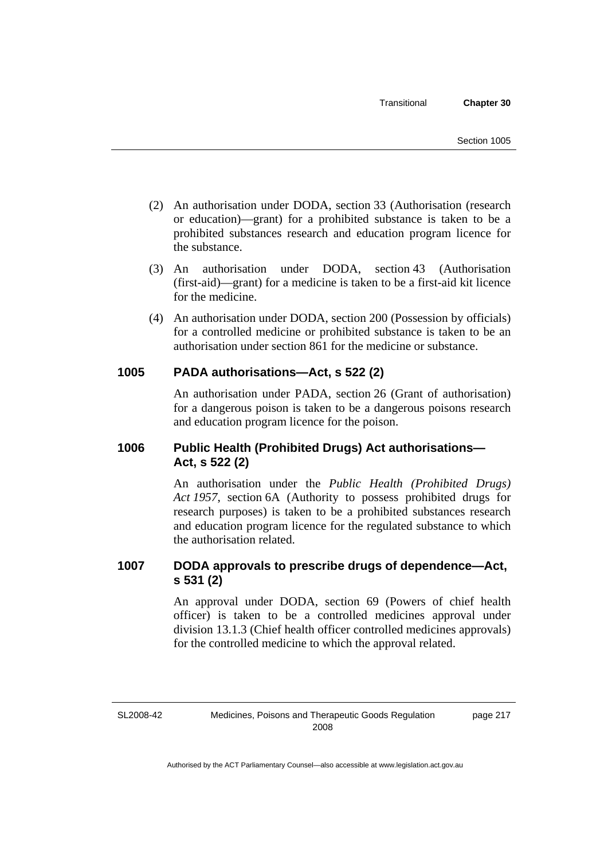- (2) An authorisation under DODA, section 33 (Authorisation (research or education)—grant) for a prohibited substance is taken to be a prohibited substances research and education program licence for the substance.
- (3) An authorisation under DODA, section 43 (Authorisation (first-aid)—grant) for a medicine is taken to be a first-aid kit licence for the medicine.
- (4) An authorisation under DODA, section 200 (Possession by officials) for a controlled medicine or prohibited substance is taken to be an authorisation under section 861 for the medicine or substance.

# **1005 PADA authorisations—Act, s 522 (2)**

An authorisation under PADA, section 26 (Grant of authorisation) for a dangerous poison is taken to be a dangerous poisons research and education program licence for the poison.

# **1006 Public Health (Prohibited Drugs) Act authorisations— Act, s 522 (2)**

An authorisation under the *Public Health (Prohibited Drugs) Act 1957*, section 6A (Authority to possess prohibited drugs for research purposes) is taken to be a prohibited substances research and education program licence for the regulated substance to which the authorisation related.

# **1007 DODA approvals to prescribe drugs of dependence—Act, s 531 (2)**

An approval under DODA, section 69 (Powers of chief health officer) is taken to be a controlled medicines approval under division 13.1.3 (Chief health officer controlled medicines approvals) for the controlled medicine to which the approval related.

SL2008-42

page 217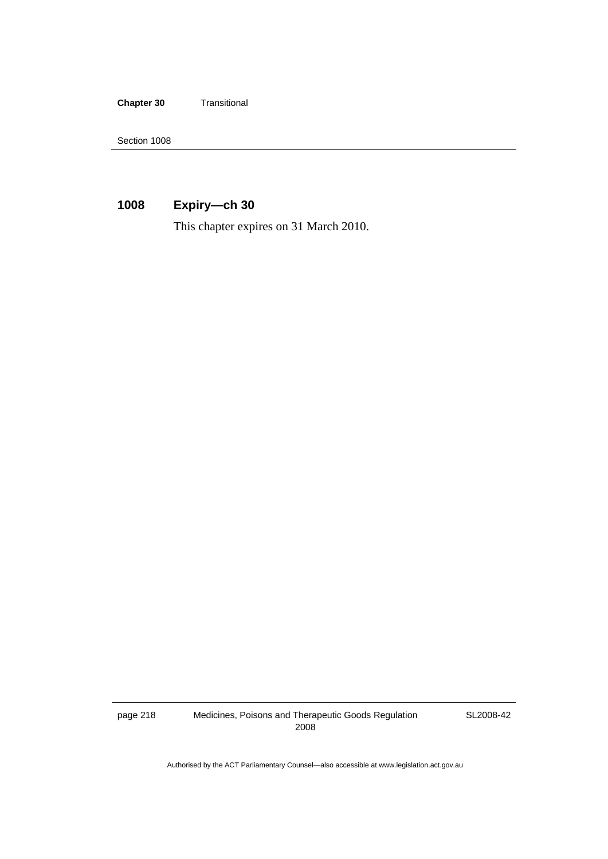**Chapter 30** Transitional

Section 1008

# **1008 Expiry—ch 30**

This chapter expires on 31 March 2010.

page 218 Medicines, Poisons and Therapeutic Goods Regulation 2008

SL2008-42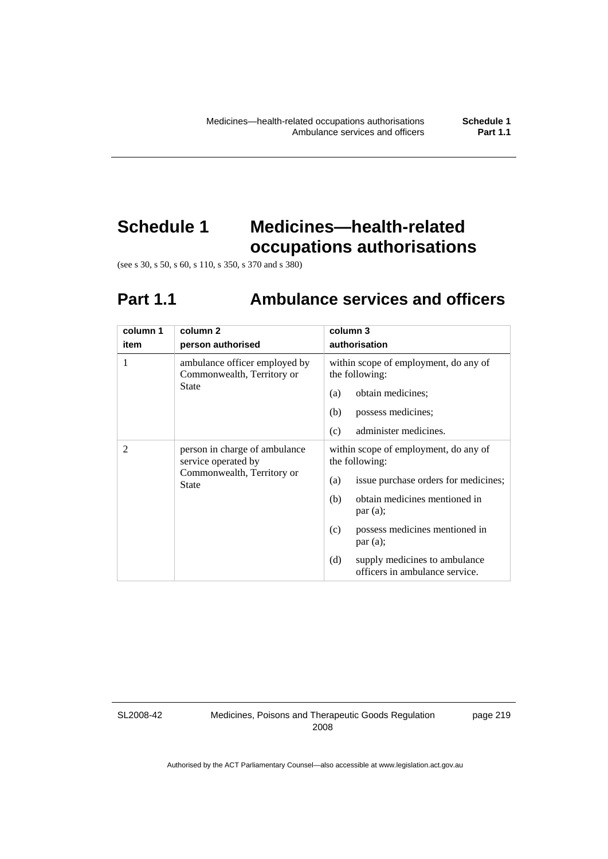# **Schedule 1 Medicines—health-related occupations authorisations**

(see s 30, s 50, s 60, s 110, s 350, s 370 and s 380)

# **Part 1.1 Ambulance services and officers**

| column 1 | column 2                                                                                    | column 3                                                               |
|----------|---------------------------------------------------------------------------------------------|------------------------------------------------------------------------|
| item     | person authorised                                                                           | authorisation                                                          |
| 1        | ambulance officer employed by<br>Commonwealth, Territory or                                 | within scope of employment, do any of<br>the following:                |
|          | State                                                                                       | obtain medicines;<br>(a)                                               |
|          |                                                                                             | (b)<br>possess medicines;                                              |
|          |                                                                                             | (c)<br>administer medicines.                                           |
| 2        | person in charge of ambulance<br>service operated by<br>Commonwealth, Territory or<br>State | within scope of employment, do any of<br>the following:                |
|          |                                                                                             | issue purchase orders for medicines;<br>(a)                            |
|          |                                                                                             | obtain medicines mentioned in<br>(b)<br>par(a);                        |
|          |                                                                                             | possess medicines mentioned in<br>(c)<br>par(a);                       |
|          |                                                                                             | (d)<br>supply medicines to ambulance<br>officers in ambulance service. |

SL2008-42

Medicines, Poisons and Therapeutic Goods Regulation 2008

page 219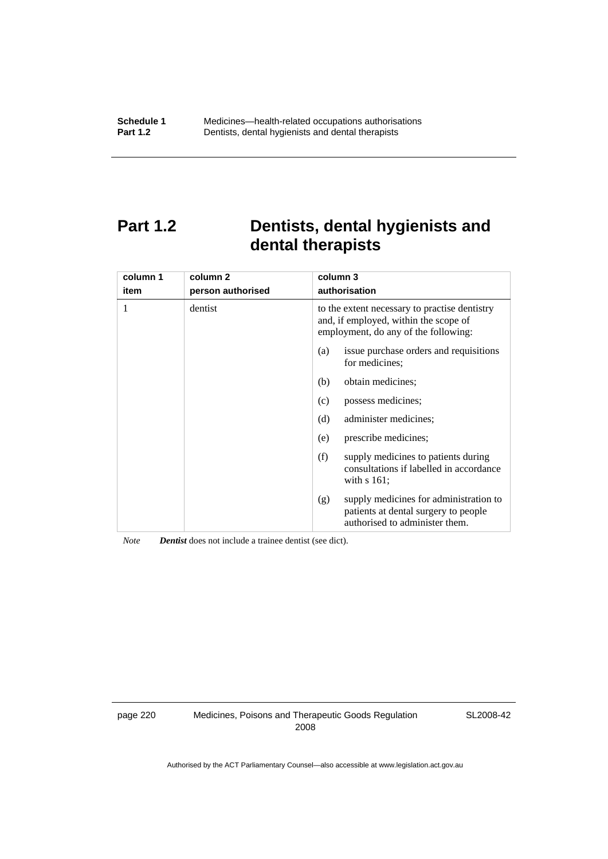# **Part 1.2 Dentists, dental hygienists and dental therapists**

| column 1<br>item | column <sub>2</sub><br>person authorised | column 3<br>authorisation                                                                                                      |
|------------------|------------------------------------------|--------------------------------------------------------------------------------------------------------------------------------|
|                  | dentist                                  | to the extent necessary to practise dentistry<br>and, if employed, within the scope of<br>employment, do any of the following: |
|                  |                                          | issue purchase orders and requisitions<br>(a)<br>for medicines:                                                                |
|                  |                                          | obtain medicines;<br>(b)                                                                                                       |
|                  |                                          | possess medicines;<br>(c)                                                                                                      |
|                  |                                          | (d)<br>administer medicines;                                                                                                   |
|                  |                                          | prescribe medicines;<br>(e)                                                                                                    |
|                  |                                          | (f)<br>supply medicines to patients during<br>consultations if labelled in accordance<br>with $s$ 161;                         |
|                  |                                          | supply medicines for administration to<br>(g)<br>patients at dental surgery to people<br>authorised to administer them.        |

*Note Dentist* does not include a trainee dentist (see dict).

page 220 Medicines, Poisons and Therapeutic Goods Regulation 2008

SL2008-42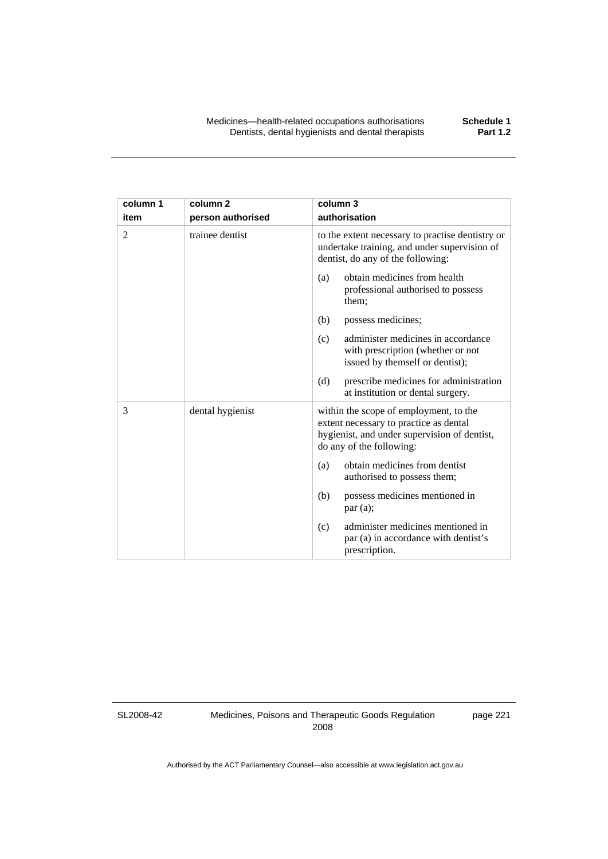| column 1       | column <sub>2</sub> | column 3                                                                                                                                                     |
|----------------|---------------------|--------------------------------------------------------------------------------------------------------------------------------------------------------------|
| item           | person authorised   | authorisation                                                                                                                                                |
| $\overline{c}$ | trainee dentist     | to the extent necessary to practise dentistry or<br>undertake training, and under supervision of<br>dentist, do any of the following:                        |
|                |                     | obtain medicines from health<br>(a)<br>professional authorised to possess<br>them;                                                                           |
|                |                     | (b)<br>possess medicines;                                                                                                                                    |
|                |                     | administer medicines in accordance<br>(c)<br>with prescription (whether or not<br>issued by themself or dentist);                                            |
|                |                     | (d)<br>prescribe medicines for administration<br>at institution or dental surgery.                                                                           |
| 3              | dental hygienist    | within the scope of employment, to the<br>extent necessary to practice as dental<br>hygienist, and under supervision of dentist,<br>do any of the following: |
|                |                     | obtain medicines from dentist<br>(a)<br>authorised to possess them;                                                                                          |
|                |                     | possess medicines mentioned in<br>(b)<br>par(a);                                                                                                             |
|                |                     | administer medicines mentioned in<br>(c)<br>par (a) in accordance with dentist's<br>prescription.                                                            |

SL2008-42

Medicines, Poisons and Therapeutic Goods Regulation 2008

page 221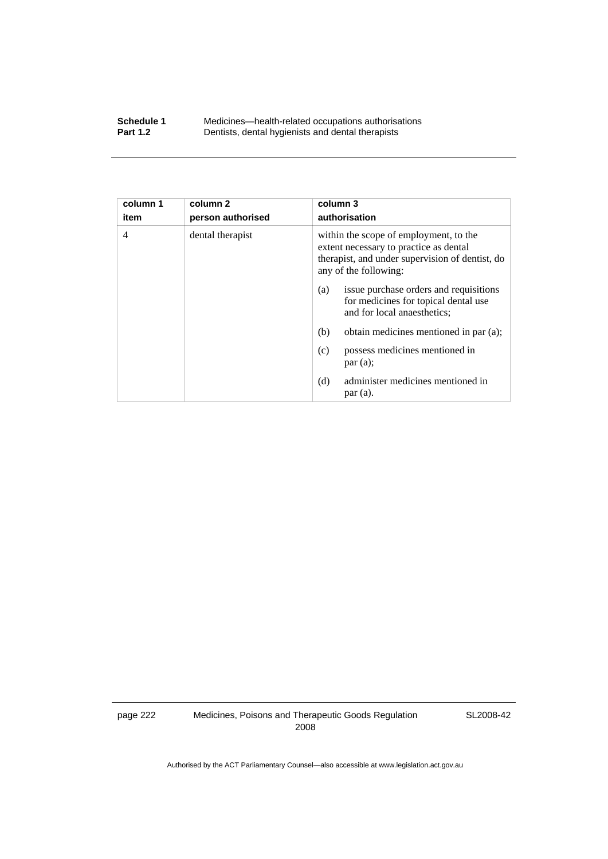#### **Schedule 1** Medicines—health-related occupations authorisations<br>**Part 1.2** Dentists, dental hygienists and dental therapists **Part 1.2** Dentists, dental hygienists and dental therapists

| column 1<br>item | column <sub>2</sub><br>person authorised | column 3<br>authorisation                                                                                                                                    |
|------------------|------------------------------------------|--------------------------------------------------------------------------------------------------------------------------------------------------------------|
| 4                | dental therapist                         | within the scope of employment, to the<br>extent necessary to practice as dental<br>therapist, and under supervision of dentist, do<br>any of the following: |
|                  |                                          | issue purchase orders and requisitions<br>(a)<br>for medicines for topical dental use<br>and for local anaesthetics;                                         |
|                  |                                          | (b)<br>obtain medicines mentioned in par (a);                                                                                                                |
|                  |                                          | possess medicines mentioned in<br>(c)<br>par(a);                                                                                                             |
|                  |                                          | administer medicines mentioned in<br>(d)<br>par (a).                                                                                                         |

page 222 Medicines, Poisons and Therapeutic Goods Regulation 2008

SL2008-42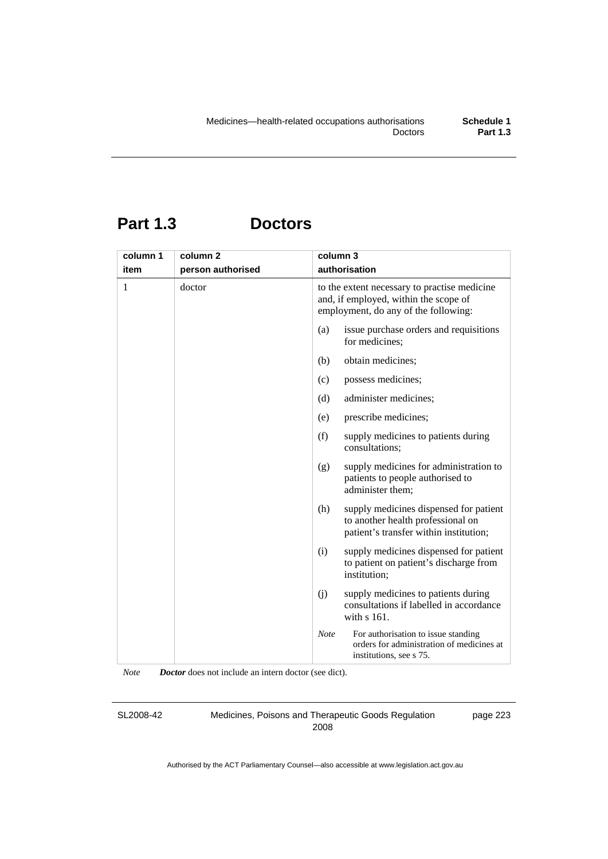# **Part 1.3 Doctors**

| column 1 | column <sub>2</sub> | column 3    |                                                                                                                               |
|----------|---------------------|-------------|-------------------------------------------------------------------------------------------------------------------------------|
| item     | person authorised   |             | authorisation                                                                                                                 |
| 1        | doctor              |             | to the extent necessary to practise medicine<br>and, if employed, within the scope of<br>employment, do any of the following: |
|          |                     | (a)         | issue purchase orders and requisitions<br>for medicines;                                                                      |
|          |                     | (b)         | obtain medicines;                                                                                                             |
|          |                     | (c)         | possess medicines;                                                                                                            |
|          |                     | (d)         | administer medicines;                                                                                                         |
|          |                     | (e)         | prescribe medicines;                                                                                                          |
|          |                     | (f)         | supply medicines to patients during<br>consultations;                                                                         |
|          |                     | (g)         | supply medicines for administration to<br>patients to people authorised to<br>administer them;                                |
|          |                     | (h)         | supply medicines dispensed for patient<br>to another health professional on<br>patient's transfer within institution;         |
|          |                     | (i)         | supply medicines dispensed for patient<br>to patient on patient's discharge from<br>institution;                              |
|          |                     | (i)         | supply medicines to patients during<br>consultations if labelled in accordance<br>with s 161.                                 |
|          |                     | <b>Note</b> | For authorisation to issue standing<br>orders for administration of medicines at<br>institutions, see s 75.                   |

*Note Doctor* does not include an intern doctor (see dict).

SL2008-42

Medicines, Poisons and Therapeutic Goods Regulation 2008

page 223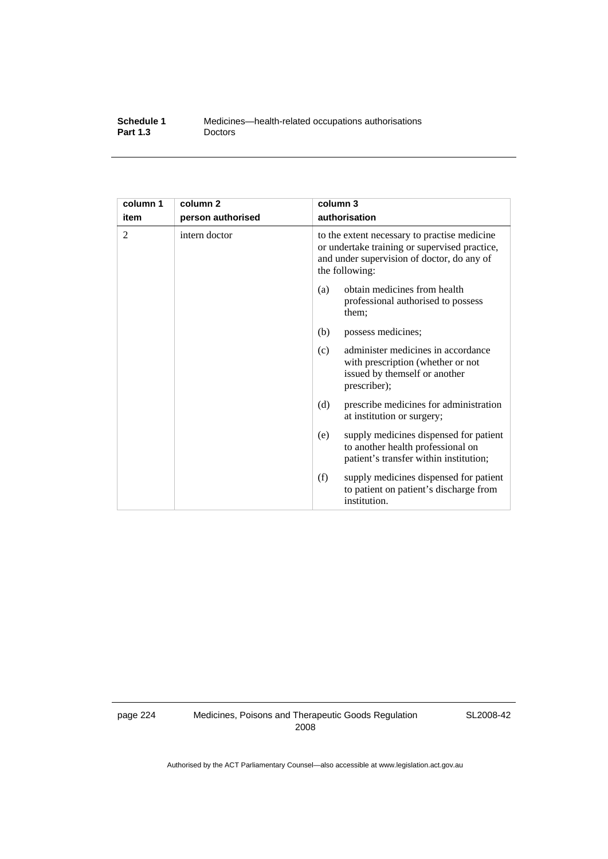| Schedule 1      | Medicines—health-related occupations authorisations |
|-----------------|-----------------------------------------------------|
| <b>Part 1.3</b> | <b>Doctors</b>                                      |

| column 1<br>item | column <sub>2</sub><br>person authorised | column 3<br>authorisation                                                                                                                                     |
|------------------|------------------------------------------|---------------------------------------------------------------------------------------------------------------------------------------------------------------|
| 2                | intern doctor                            | to the extent necessary to practise medicine<br>or undertake training or supervised practice,<br>and under supervision of doctor, do any of<br>the following: |
|                  |                                          | obtain medicines from health<br>(a)<br>professional authorised to possess<br>them;                                                                            |
|                  |                                          | (b)<br>possess medicines;                                                                                                                                     |
|                  |                                          | administer medicines in accordance<br>(c)<br>with prescription (whether or not<br>issued by themself or another<br>prescriber);                               |
|                  |                                          | (d)<br>prescribe medicines for administration<br>at institution or surgery;                                                                                   |
|                  |                                          | supply medicines dispensed for patient<br>(e)<br>to another health professional on<br>patient's transfer within institution;                                  |
|                  |                                          | (f)<br>supply medicines dispensed for patient<br>to patient on patient's discharge from<br>institution.                                                       |

page 224 Medicines, Poisons and Therapeutic Goods Regulation 2008

SL2008-42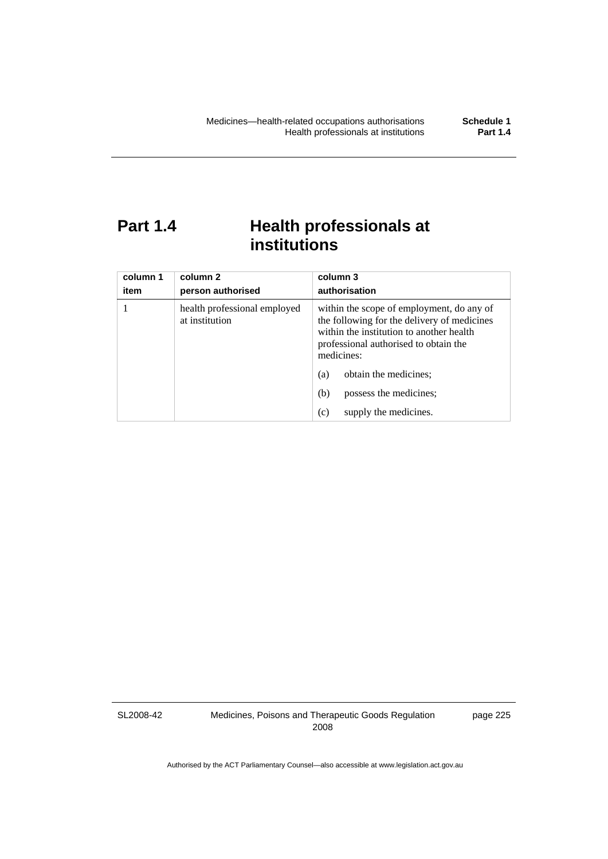# **Part 1.4 Health professionals at institutions**

| column 1<br>item | column 2<br>person authorised                  | column 3<br>authorisation                                                                                                                                                                   |
|------------------|------------------------------------------------|---------------------------------------------------------------------------------------------------------------------------------------------------------------------------------------------|
|                  | health professional employed<br>at institution | within the scope of employment, do any of<br>the following for the delivery of medicines<br>within the institution to another health<br>professional authorised to obtain the<br>medicines: |
|                  |                                                | obtain the medicines;<br>(a)                                                                                                                                                                |
|                  |                                                | possess the medicines;<br>(b)                                                                                                                                                               |
|                  |                                                | supply the medicines.<br>(c)                                                                                                                                                                |

SL2008-42

Medicines, Poisons and Therapeutic Goods Regulation 2008

page 225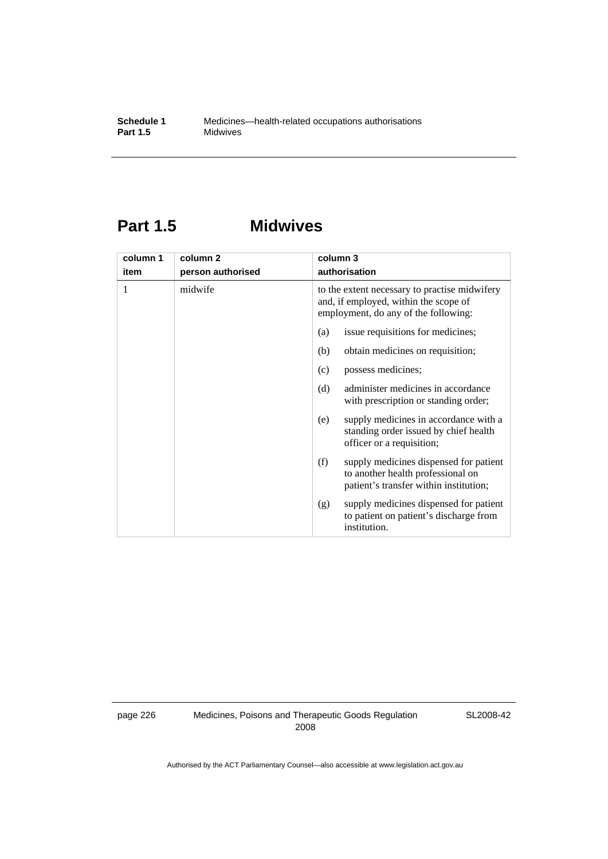# **Part 1.5 Midwives**

| column 1 | column <sub>2</sub> | column 3                                                                                                                       |
|----------|---------------------|--------------------------------------------------------------------------------------------------------------------------------|
| item     | person authorised   | authorisation                                                                                                                  |
| 1        | midwife             | to the extent necessary to practise midwifery<br>and, if employed, within the scope of<br>employment, do any of the following: |
|          |                     | issue requisitions for medicines;<br>(a)                                                                                       |
|          |                     | obtain medicines on requisition;<br>(b)                                                                                        |
|          |                     | possess medicines;<br>(c)                                                                                                      |
|          |                     | administer medicines in accordance<br>(d)<br>with prescription or standing order;                                              |
|          |                     | supply medicines in accordance with a<br>(e)<br>standing order issued by chief health<br>officer or a requisition;             |
|          |                     | (f)<br>supply medicines dispensed for patient<br>to another health professional on<br>patient's transfer within institution;   |
|          |                     | supply medicines dispensed for patient<br>(g)<br>to patient on patient's discharge from<br>institution.                        |

page 226 Medicines, Poisons and Therapeutic Goods Regulation 2008

SL2008-42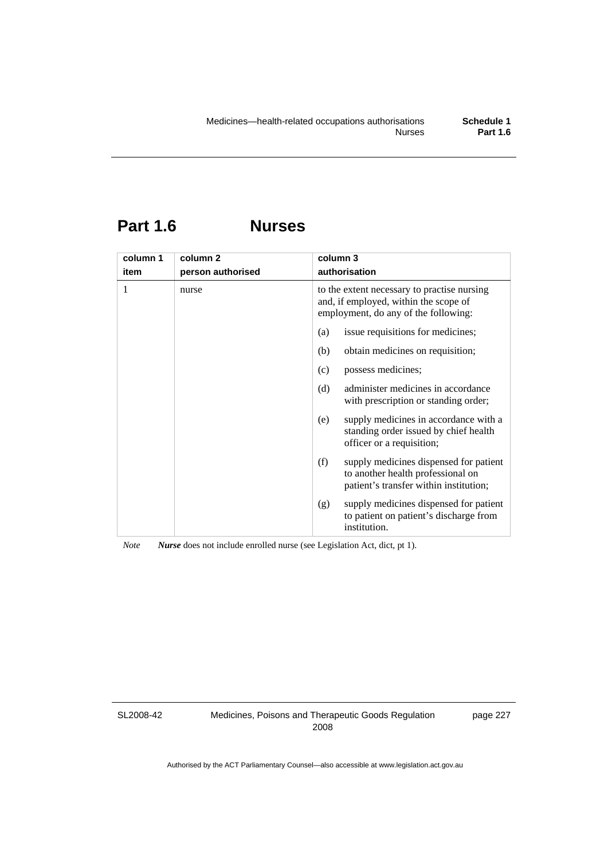# **Part 1.6 Nurses**

| column 1 | column <sub>2</sub> | column 3                                                                                                                     |
|----------|---------------------|------------------------------------------------------------------------------------------------------------------------------|
| item     | person authorised   | authorisation                                                                                                                |
| 1        | nurse               | to the extent necessary to practise nursing<br>and, if employed, within the scope of<br>employment, do any of the following: |
|          |                     | issue requisitions for medicines;<br>(a)                                                                                     |
|          |                     | obtain medicines on requisition;<br>(b)                                                                                      |
|          |                     | possess medicines;<br>(c)                                                                                                    |
|          |                     | administer medicines in accordance<br>(d)<br>with prescription or standing order;                                            |
|          |                     | supply medicines in accordance with a<br>(e)<br>standing order issued by chief health<br>officer or a requisition;           |
|          |                     | (f)<br>supply medicines dispensed for patient<br>to another health professional on<br>patient's transfer within institution; |
|          |                     | supply medicines dispensed for patient<br>(g)<br>to patient on patient's discharge from<br>institution.                      |

*Note Nurse* does not include enrolled nurse (see Legislation Act, dict, pt 1).

SL2008-42

Medicines, Poisons and Therapeutic Goods Regulation 2008

page 227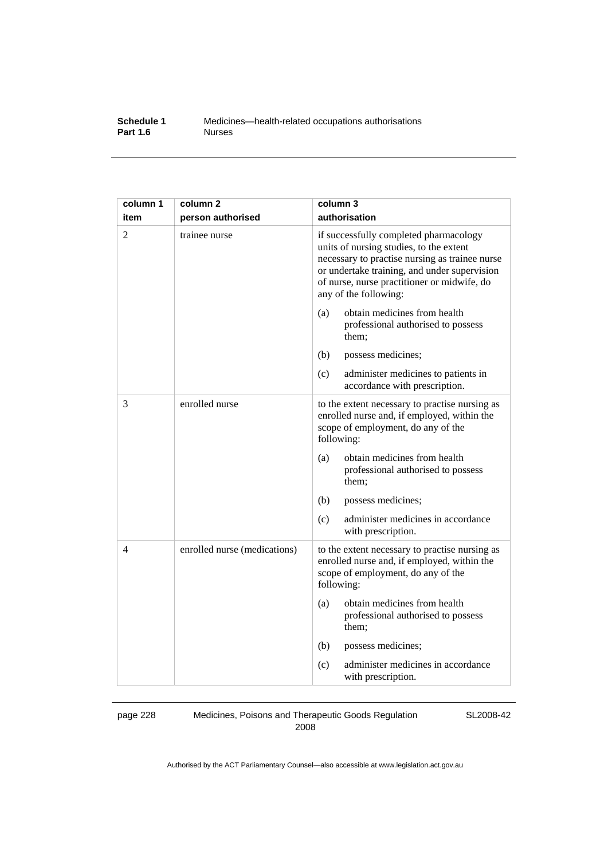### **Schedule 1** Medicines—health-related occupations authorisations<br>**Part 1.6** Murses **Part 1.6**

| column 1       | column <sub>2</sub>          | column 3                                                                                                                                                                                                                                                    |
|----------------|------------------------------|-------------------------------------------------------------------------------------------------------------------------------------------------------------------------------------------------------------------------------------------------------------|
| item           | person authorised            | authorisation                                                                                                                                                                                                                                               |
| $\overline{c}$ | trainee nurse                | if successfully completed pharmacology<br>units of nursing studies, to the extent<br>necessary to practise nursing as trainee nurse<br>or undertake training, and under supervision<br>of nurse, nurse practitioner or midwife, do<br>any of the following: |
|                |                              | obtain medicines from health<br>(a)<br>professional authorised to possess<br>them;                                                                                                                                                                          |
|                |                              | (b)<br>possess medicines;                                                                                                                                                                                                                                   |
|                |                              | (c)<br>administer medicines to patients in<br>accordance with prescription.                                                                                                                                                                                 |
| 3              | enrolled nurse               | to the extent necessary to practise nursing as<br>enrolled nurse and, if employed, within the<br>scope of employment, do any of the<br>following:                                                                                                           |
|                |                              | obtain medicines from health<br>(a)<br>professional authorised to possess<br>them;                                                                                                                                                                          |
|                |                              | (b)<br>possess medicines;                                                                                                                                                                                                                                   |
|                |                              | administer medicines in accordance<br>(c)<br>with prescription.                                                                                                                                                                                             |
| 4              | enrolled nurse (medications) | to the extent necessary to practise nursing as<br>enrolled nurse and, if employed, within the<br>scope of employment, do any of the<br>following:                                                                                                           |
|                |                              | obtain medicines from health<br>(a)<br>professional authorised to possess<br>them;                                                                                                                                                                          |
|                |                              | (b)<br>possess medicines;                                                                                                                                                                                                                                   |
|                |                              | administer medicines in accordance<br>(c)<br>with prescription.                                                                                                                                                                                             |

page 228 Medicines, Poisons and Therapeutic Goods Regulation 2008

SL2008-42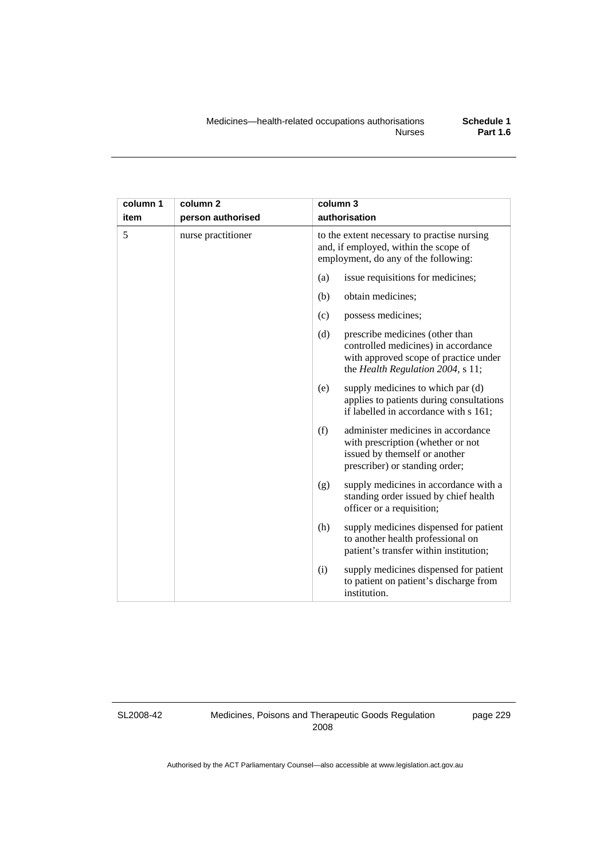| column 1 | column <sub>2</sub> | column 3                                                                                                                                                    |  |
|----------|---------------------|-------------------------------------------------------------------------------------------------------------------------------------------------------------|--|
| item     | person authorised   | authorisation                                                                                                                                               |  |
| 5        | nurse practitioner  | to the extent necessary to practise nursing<br>and, if employed, within the scope of<br>employment, do any of the following:                                |  |
|          |                     | issue requisitions for medicines;<br>(a)                                                                                                                    |  |
|          |                     | (b)<br>obtain medicines;                                                                                                                                    |  |
|          |                     | possess medicines;<br>(c)                                                                                                                                   |  |
|          |                     | (d)<br>prescribe medicines (other than<br>controlled medicines) in accordance<br>with approved scope of practice under<br>the Health Regulation 2004, s 11; |  |
|          |                     | supply medicines to which par (d)<br>(e)<br>applies to patients during consultations<br>if labelled in accordance with s 161;                               |  |
|          |                     | (f)<br>administer medicines in accordance<br>with prescription (whether or not<br>issued by themself or another<br>prescriber) or standing order;           |  |
|          |                     | supply medicines in accordance with a<br>(g)<br>standing order issued by chief health<br>officer or a requisition;                                          |  |
|          |                     | (h)<br>supply medicines dispensed for patient<br>to another health professional on<br>patient's transfer within institution;                                |  |
|          |                     | supply medicines dispensed for patient<br>(i)<br>to patient on patient's discharge from<br>institution.                                                     |  |

SL2008-42

Medicines, Poisons and Therapeutic Goods Regulation 2008

page 229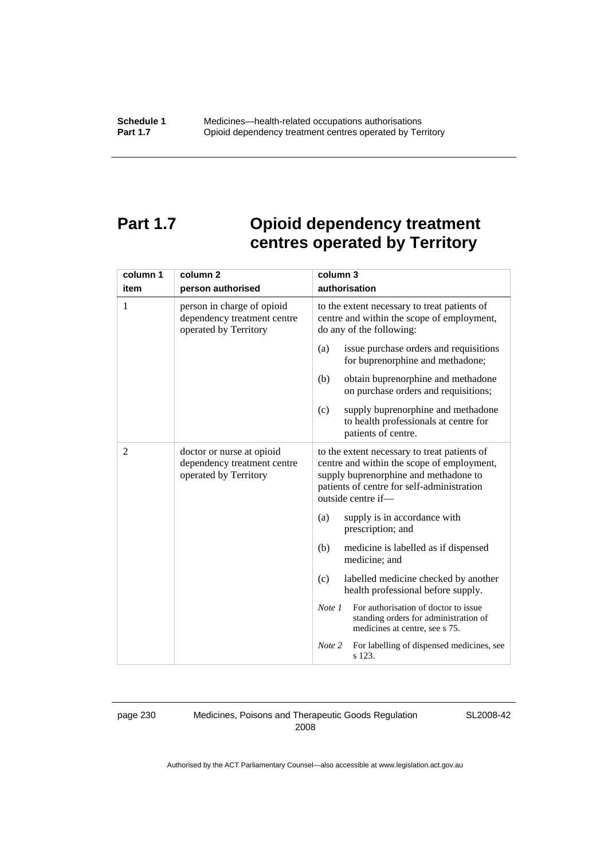# **Part 1.7 Opioid dependency treatment centres operated by Territory**

| column 1 | column <sub>2</sub>                                                                | column 3                                                                                                                                                                                                |  |
|----------|------------------------------------------------------------------------------------|---------------------------------------------------------------------------------------------------------------------------------------------------------------------------------------------------------|--|
| item     | person authorised                                                                  | authorisation                                                                                                                                                                                           |  |
| 1        | person in charge of opioid<br>dependency treatment centre<br>operated by Territory | to the extent necessary to treat patients of<br>centre and within the scope of employment,<br>do any of the following:                                                                                  |  |
|          |                                                                                    | issue purchase orders and requisitions<br>(a)<br>for buprenorphine and methadone;                                                                                                                       |  |
|          |                                                                                    | obtain buprenorphine and methadone<br>(b)<br>on purchase orders and requisitions;                                                                                                                       |  |
|          |                                                                                    | supply buprenorphine and methadone<br>(c)<br>to health professionals at centre for<br>patients of centre.                                                                                               |  |
| 2        | doctor or nurse at opioid<br>dependency treatment centre<br>operated by Territory  | to the extent necessary to treat patients of<br>centre and within the scope of employment,<br>supply buprenorphine and methadone to<br>patients of centre for self-administration<br>outside centre if- |  |
|          |                                                                                    | supply is in accordance with<br>(a)<br>prescription; and                                                                                                                                                |  |
|          |                                                                                    | (b)<br>medicine is labelled as if dispensed<br>medicine; and                                                                                                                                            |  |
|          |                                                                                    | labelled medicine checked by another<br>(c)<br>health professional before supply.                                                                                                                       |  |
|          |                                                                                    | For authorisation of doctor to issue<br>Note 1<br>standing orders for administration of<br>medicines at centre, see s 75.                                                                               |  |
|          |                                                                                    | For labelling of dispensed medicines, see<br>Note 2<br>s 123.                                                                                                                                           |  |

page 230 Medicines, Poisons and Therapeutic Goods Regulation 2008

SL2008-42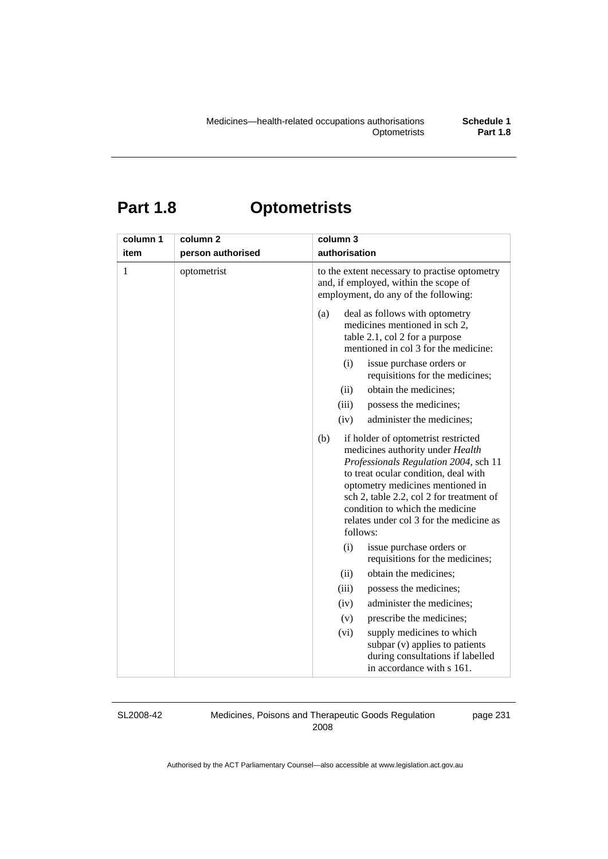# **Part 1.8 Optometrists**

| column 1     | column <sub>2</sub> | column 3                                                                                                                                                                                                                                                                                                                                  |
|--------------|---------------------|-------------------------------------------------------------------------------------------------------------------------------------------------------------------------------------------------------------------------------------------------------------------------------------------------------------------------------------------|
| item         | person authorised   | authorisation                                                                                                                                                                                                                                                                                                                             |
| $\mathbf{1}$ | optometrist         | to the extent necessary to practise optometry<br>and, if employed, within the scope of<br>employment, do any of the following:                                                                                                                                                                                                            |
|              |                     | deal as follows with optometry<br>(a)<br>medicines mentioned in sch 2,<br>table 2.1, col 2 for a purpose<br>mentioned in col 3 for the medicine:                                                                                                                                                                                          |
|              |                     | (i)<br>issue purchase orders or<br>requisitions for the medicines;                                                                                                                                                                                                                                                                        |
|              |                     | obtain the medicines;<br>(ii)                                                                                                                                                                                                                                                                                                             |
|              |                     | possess the medicines;<br>(iii)                                                                                                                                                                                                                                                                                                           |
|              |                     | (iv)<br>administer the medicines;                                                                                                                                                                                                                                                                                                         |
|              |                     | (b)<br>if holder of optometrist restricted<br>medicines authority under Health<br>Professionals Regulation 2004, sch 11<br>to treat ocular condition, deal with<br>optometry medicines mentioned in<br>sch 2, table 2.2, col 2 for treatment of<br>condition to which the medicine<br>relates under col 3 for the medicine as<br>follows: |
|              |                     | (i)<br>issue purchase orders or<br>requisitions for the medicines;                                                                                                                                                                                                                                                                        |
|              |                     | obtain the medicines;<br>(ii)                                                                                                                                                                                                                                                                                                             |
|              |                     | possess the medicines;<br>(iii)                                                                                                                                                                                                                                                                                                           |
|              |                     | administer the medicines;<br>(iv)                                                                                                                                                                                                                                                                                                         |
|              |                     | (v)<br>prescribe the medicines;                                                                                                                                                                                                                                                                                                           |
|              |                     | supply medicines to which<br>(vi)<br>subpar (v) applies to patients<br>during consultations if labelled<br>in accordance with s 161.                                                                                                                                                                                                      |

SL2008-42

Medicines, Poisons and Therapeutic Goods Regulation 2008

page 231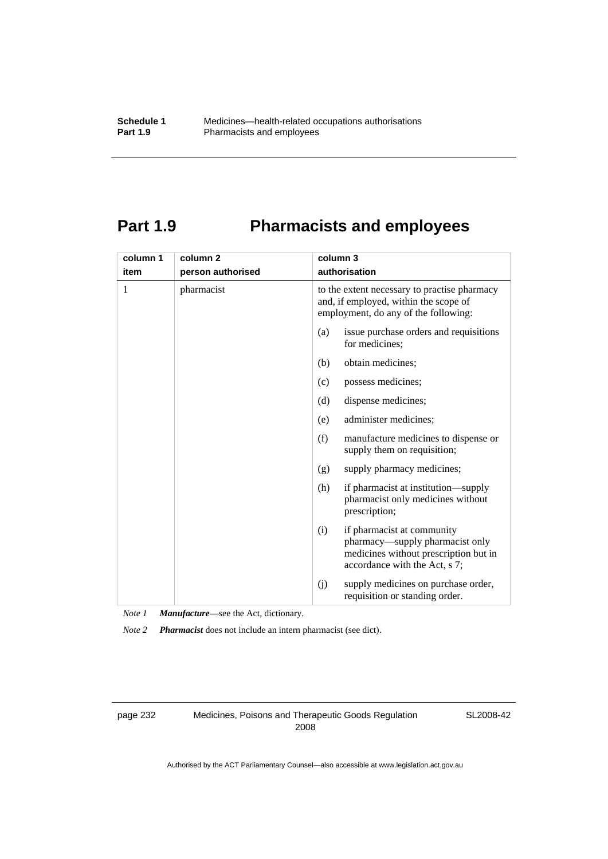# **Part 1.9 Pharmacists and employees**

| column 1 | column <sub>2</sub> | column 3                                                                                                                                       |  |
|----------|---------------------|------------------------------------------------------------------------------------------------------------------------------------------------|--|
| item     | person authorised   | authorisation                                                                                                                                  |  |
| 1        | pharmacist          | to the extent necessary to practise pharmacy<br>and, if employed, within the scope of<br>employment, do any of the following:                  |  |
|          |                     | issue purchase orders and requisitions<br>(a)<br>for medicines;                                                                                |  |
|          |                     | obtain medicines;<br>(b)                                                                                                                       |  |
|          |                     | possess medicines;<br>(c)                                                                                                                      |  |
|          |                     | dispense medicines;<br>(d)                                                                                                                     |  |
|          |                     | administer medicines;<br>(e)                                                                                                                   |  |
|          |                     | (f)<br>manufacture medicines to dispense or<br>supply them on requisition;                                                                     |  |
|          |                     | supply pharmacy medicines;<br>(g)                                                                                                              |  |
|          |                     | (h)<br>if pharmacist at institution—supply<br>pharmacist only medicines without<br>prescription;                                               |  |
|          |                     | if pharmacist at community<br>(i)<br>pharmacy—supply pharmacist only<br>medicines without prescription but in<br>accordance with the Act, s 7; |  |
|          |                     | supply medicines on purchase order,<br>(j)<br>requisition or standing order.                                                                   |  |

*Note 1 Manufacture*—see the Act, dictionary.

*Note 2 Pharmacist* does not include an intern pharmacist (see dict).

page 232 Medicines, Poisons and Therapeutic Goods Regulation 2008

SL2008-42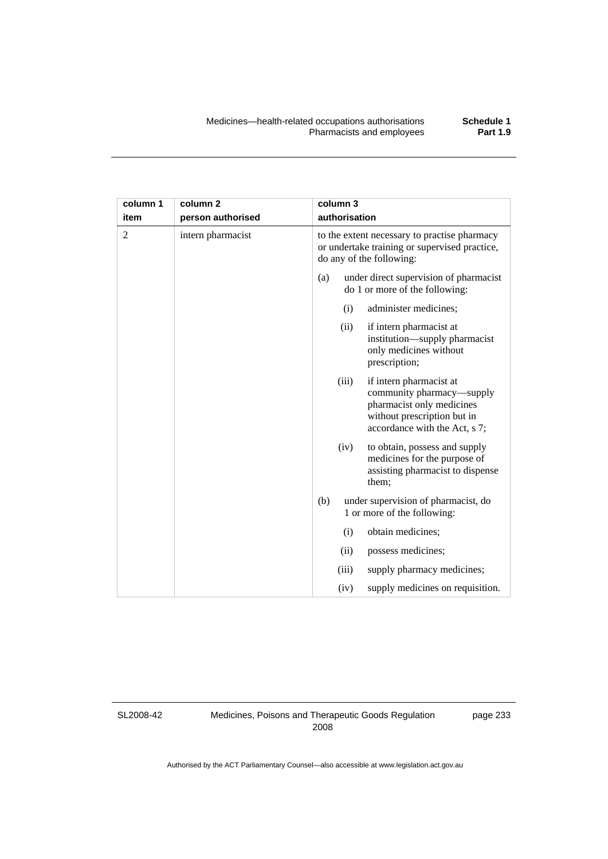| column 1<br>item | column <sub>2</sub> |     | column 3<br>authorisation |                                                                                                                                                   |
|------------------|---------------------|-----|---------------------------|---------------------------------------------------------------------------------------------------------------------------------------------------|
|                  | person authorised   |     |                           |                                                                                                                                                   |
| $\overline{2}$   | intern pharmacist   |     |                           | to the extent necessary to practise pharmacy<br>or undertake training or supervised practice,<br>do any of the following:                         |
|                  |                     | (a) |                           | under direct supervision of pharmacist<br>do 1 or more of the following:                                                                          |
|                  |                     |     | (i)                       | administer medicines;                                                                                                                             |
|                  |                     |     | (ii)                      | if intern pharmacist at<br>institution—supply pharmacist<br>only medicines without<br>prescription;                                               |
|                  |                     |     | (iii)                     | if intern pharmacist at<br>community pharmacy—supply<br>pharmacist only medicines<br>without prescription but in<br>accordance with the Act, s 7; |
|                  |                     |     | (iv)                      | to obtain, possess and supply<br>medicines for the purpose of<br>assisting pharmacist to dispense<br>them;                                        |
|                  |                     | (b) |                           | under supervision of pharmacist, do<br>1 or more of the following:                                                                                |
|                  |                     |     | (i)                       | obtain medicines;                                                                                                                                 |
|                  |                     |     | (ii)                      | possess medicines;                                                                                                                                |
|                  |                     |     | (iii)                     | supply pharmacy medicines;                                                                                                                        |
|                  |                     |     | (iv)                      | supply medicines on requisition.                                                                                                                  |

SL2008-42

Medicines, Poisons and Therapeutic Goods Regulation 2008

page 233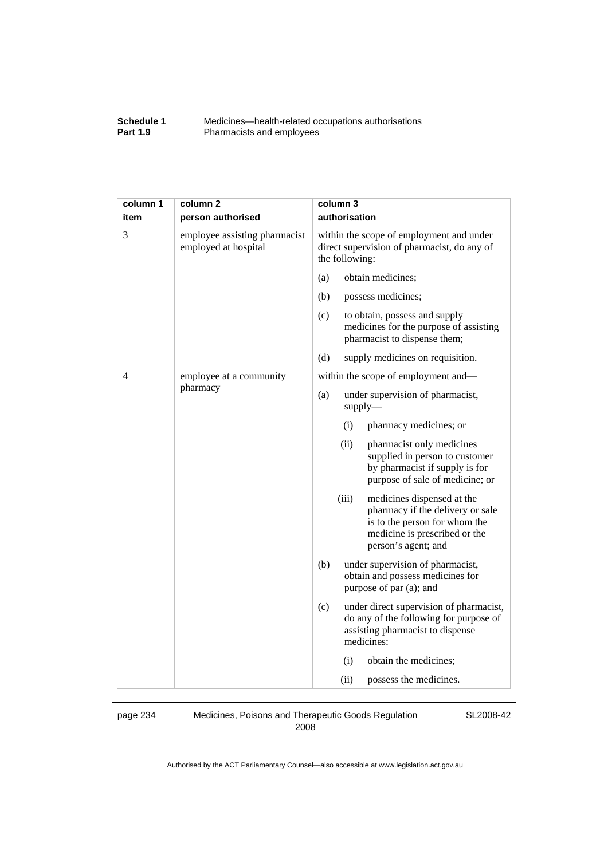#### **Schedule 1** Medicines—health-related occupations authorisations<br>**Part 1.9** Pharmacists and employees Pharmacists and employees

| column 1 | column <sub>2</sub>                                   | column 3                                                                                                                                                         |
|----------|-------------------------------------------------------|------------------------------------------------------------------------------------------------------------------------------------------------------------------|
| item     | person authorised                                     | authorisation                                                                                                                                                    |
| 3        | employee assisting pharmacist<br>employed at hospital | within the scope of employment and under<br>direct supervision of pharmacist, do any of<br>the following:                                                        |
|          |                                                       | obtain medicines;<br>(a)                                                                                                                                         |
|          |                                                       | (b)<br>possess medicines;                                                                                                                                        |
|          |                                                       | (c)<br>to obtain, possess and supply<br>medicines for the purpose of assisting<br>pharmacist to dispense them;                                                   |
|          |                                                       | (d)<br>supply medicines on requisition.                                                                                                                          |
| 4        | employee at a community<br>pharmacy                   | within the scope of employment and—                                                                                                                              |
|          |                                                       | (a)<br>under supervision of pharmacist,<br>supply                                                                                                                |
|          |                                                       | pharmacy medicines; or<br>(i)                                                                                                                                    |
|          |                                                       | (ii)<br>pharmacist only medicines<br>supplied in person to customer<br>by pharmacist if supply is for<br>purpose of sale of medicine; or                         |
|          |                                                       | (iii)<br>medicines dispensed at the<br>pharmacy if the delivery or sale<br>is to the person for whom the<br>medicine is prescribed or the<br>person's agent; and |
|          |                                                       | (b)<br>under supervision of pharmacist,<br>obtain and possess medicines for<br>purpose of par (a); and                                                           |
|          |                                                       | (c)<br>under direct supervision of pharmacist,<br>do any of the following for purpose of<br>assisting pharmacist to dispense<br>medicines:                       |
|          |                                                       | (i)<br>obtain the medicines;                                                                                                                                     |
|          |                                                       | (ii)<br>possess the medicines.                                                                                                                                   |

page 234 Medicines, Poisons and Therapeutic Goods Regulation 2008

SL2008-42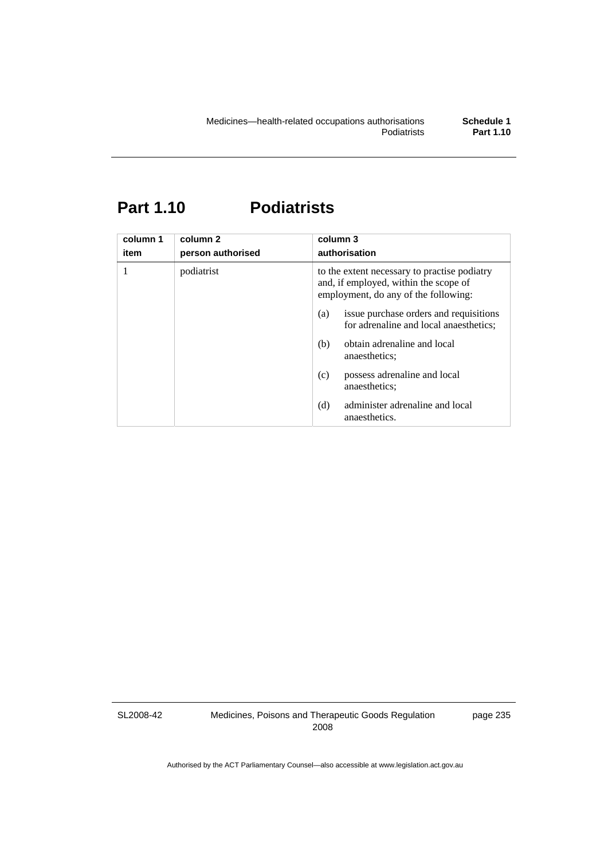### **Part 1.10 Podiatrists**

| column 1<br>item | column <sub>2</sub><br>person authorised | column 3<br>authorisation                                                                                                     |
|------------------|------------------------------------------|-------------------------------------------------------------------------------------------------------------------------------|
|                  | podiatrist                               | to the extent necessary to practise podiatry<br>and, if employed, within the scope of<br>employment, do any of the following: |
|                  |                                          | issue purchase orders and requisitions<br>(a)<br>for adrenaline and local anaesthetics;                                       |
|                  |                                          | obtain adrenaline and local<br>(b)<br>anaesthetics:                                                                           |
|                  |                                          | possess adrenaline and local<br>(c)<br>anaesthetics:                                                                          |
|                  |                                          | administer adrenaline and local<br>(d)<br>anaesthetics.                                                                       |

SL2008-42

Medicines, Poisons and Therapeutic Goods Regulation 2008

page 235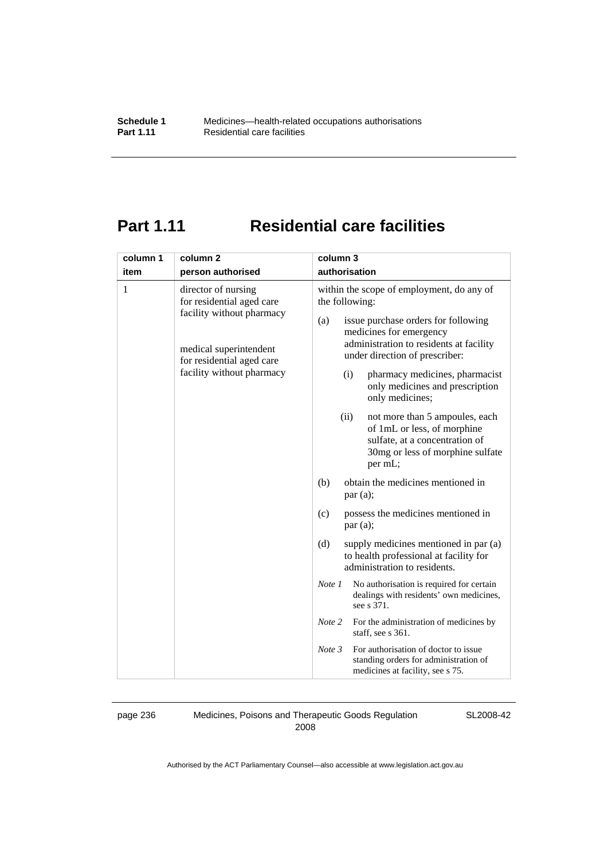# **Part 1.11 Residential care facilities**

| column 1 | column <sub>2</sub>                                                                                                                                               | column 3                                                                                                                                                                                                                                                                                                                                                                                                                                                                                                                                                                       |
|----------|-------------------------------------------------------------------------------------------------------------------------------------------------------------------|--------------------------------------------------------------------------------------------------------------------------------------------------------------------------------------------------------------------------------------------------------------------------------------------------------------------------------------------------------------------------------------------------------------------------------------------------------------------------------------------------------------------------------------------------------------------------------|
| item     | person authorised                                                                                                                                                 | authorisation                                                                                                                                                                                                                                                                                                                                                                                                                                                                                                                                                                  |
| 1        | director of nursing<br>for residential aged care<br>facility without pharmacy<br>medical superintendent<br>for residential aged care<br>facility without pharmacy | within the scope of employment, do any of<br>the following:<br>issue purchase orders for following<br>(a)<br>medicines for emergency<br>administration to residents at facility<br>under direction of prescriber:<br>pharmacy medicines, pharmacist<br>(i)<br>only medicines and prescription<br>only medicines;<br>(ii)<br>not more than 5 ampoules, each<br>of 1mL or less, of morphine<br>sulfate, at a concentration of<br>30mg or less of morphine sulfate<br>per mL;<br>obtain the medicines mentioned in<br>(b)<br>par(a);<br>possess the medicines mentioned in<br>(c) |
|          |                                                                                                                                                                   | par(a);<br>supply medicines mentioned in par (a)<br>(d)<br>to health professional at facility for<br>administration to residents.<br>No authorisation is required for certain<br>Note 1<br>dealings with residents' own medicines,<br>see s 371.<br>Note 2<br>For the administration of medicines by<br>staff, see s 361.<br>For authorisation of doctor to issue<br>Note 3<br>standing orders for administration of<br>medicines at facility, see s 75.                                                                                                                       |

page 236 Medicines, Poisons and Therapeutic Goods Regulation 2008

SL2008-42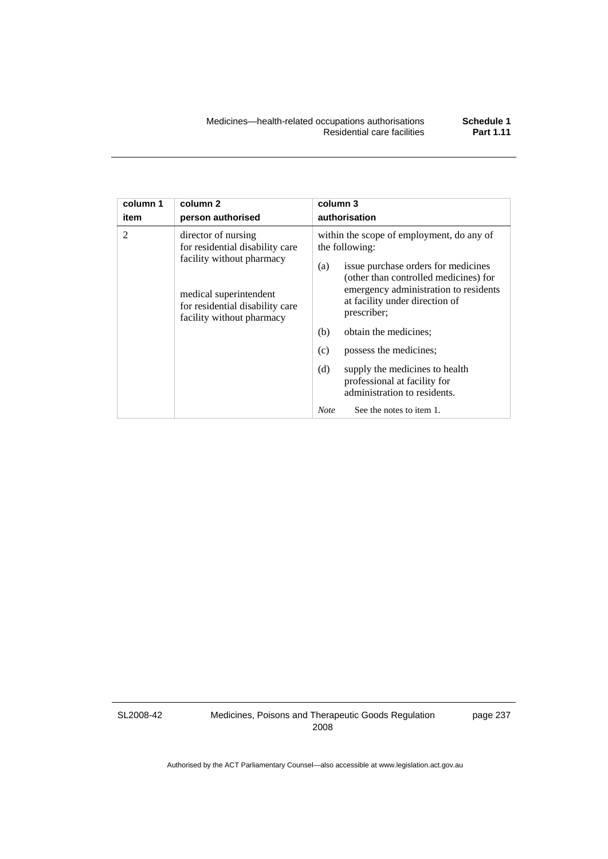| column 1       | column <sub>2</sub>                                                                                                                                                           | column 3                                                                                                                                                                                                                                                                                                                                                                                                                                                          |
|----------------|-------------------------------------------------------------------------------------------------------------------------------------------------------------------------------|-------------------------------------------------------------------------------------------------------------------------------------------------------------------------------------------------------------------------------------------------------------------------------------------------------------------------------------------------------------------------------------------------------------------------------------------------------------------|
| item           | person authorised                                                                                                                                                             | authorisation                                                                                                                                                                                                                                                                                                                                                                                                                                                     |
| $\mathfrak{D}$ | director of nursing<br>for residential disability care<br>facility without pharmacy<br>medical superintendent<br>for residential disability care<br>facility without pharmacy | within the scope of employment, do any of<br>the following:<br>issue purchase orders for medicines<br>(a)<br>(other than controlled medicines) for<br>emergency administration to residents<br>at facility under direction of<br>prescriber;<br>(b)<br>obtain the medicines;<br>(c)<br>possess the medicines;<br>(d)<br>supply the medicines to health<br>professional at facility for<br>administration to residents.<br>See the notes to item 1.<br><b>Note</b> |

SL2008-42

Medicines, Poisons and Therapeutic Goods Regulation 2008

page 237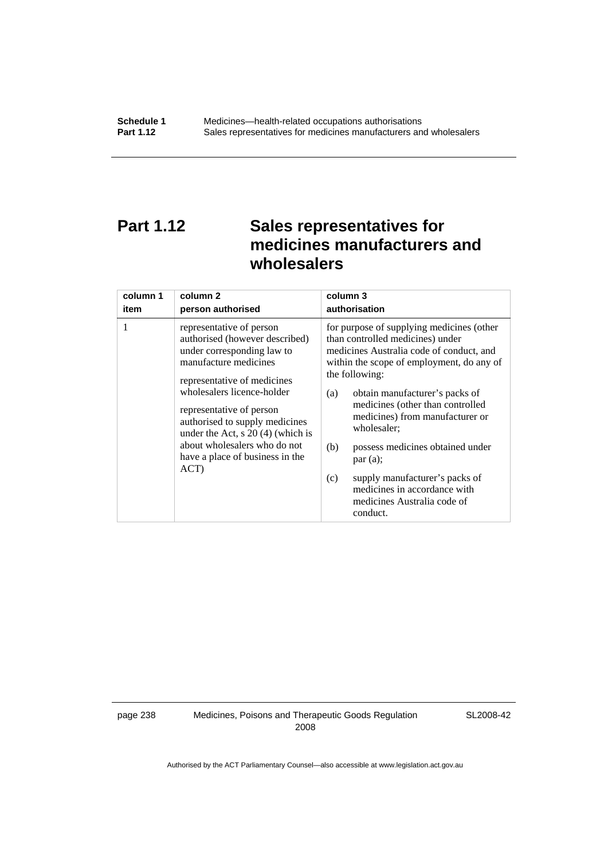## **Part 1.12 Sales representatives for medicines manufacturers and wholesalers**

| column 1 | column 2                                                                                                                                                                                                                                                                                                                                                       | column 3                                                                                                                                                                                                                                                                                                                                                                                                                                                                                          |
|----------|----------------------------------------------------------------------------------------------------------------------------------------------------------------------------------------------------------------------------------------------------------------------------------------------------------------------------------------------------------------|---------------------------------------------------------------------------------------------------------------------------------------------------------------------------------------------------------------------------------------------------------------------------------------------------------------------------------------------------------------------------------------------------------------------------------------------------------------------------------------------------|
| item     | person authorised                                                                                                                                                                                                                                                                                                                                              | authorisation                                                                                                                                                                                                                                                                                                                                                                                                                                                                                     |
| 1        | representative of person<br>authorised (however described)<br>under corresponding law to<br>manufacture medicines<br>representative of medicines<br>wholesalers licence-holder<br>representative of person<br>authorised to supply medicines<br>under the Act, $s$ 20 (4) (which is<br>about wholesalers who do not<br>have a place of business in the<br>ACT) | for purpose of supplying medicines (other<br>than controlled medicines) under<br>medicines Australia code of conduct, and<br>within the scope of employment, do any of<br>the following:<br>obtain manufacturer's packs of<br>(a)<br>medicines (other than controlled<br>medicines) from manufacturer or<br>wholesaler;<br>(b)<br>possess medicines obtained under<br>par(a);<br>supply manufacturer's packs of<br>(c)<br>medicines in accordance with<br>medicines Australia code of<br>conduct. |

page 238 Medicines, Poisons and Therapeutic Goods Regulation 2008

SL2008-42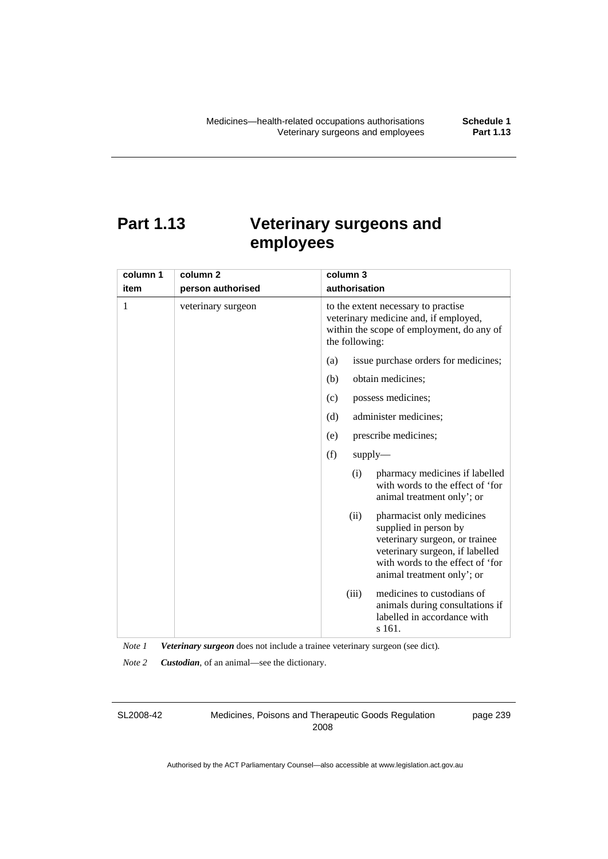# **Part 1.13 Veterinary surgeons and employees**

| column 1 | column 2           | column 3                                                                                                                                                                                          |
|----------|--------------------|---------------------------------------------------------------------------------------------------------------------------------------------------------------------------------------------------|
| item     | person authorised  | authorisation                                                                                                                                                                                     |
| 1        | veterinary surgeon | to the extent necessary to practise<br>veterinary medicine and, if employed,<br>within the scope of employment, do any of<br>the following:                                                       |
|          |                    | issue purchase orders for medicines;<br>(a)                                                                                                                                                       |
|          |                    | obtain medicines;<br>(b)                                                                                                                                                                          |
|          |                    | possess medicines;<br>(c)                                                                                                                                                                         |
|          |                    | (d)<br>administer medicines;                                                                                                                                                                      |
|          |                    | prescribe medicines;<br>(e)                                                                                                                                                                       |
|          |                    | (f)<br>$supply$ —                                                                                                                                                                                 |
|          |                    | pharmacy medicines if labelled<br>(i)<br>with words to the effect of 'for<br>animal treatment only'; or                                                                                           |
|          |                    | (ii)<br>pharmacist only medicines<br>supplied in person by<br>veterinary surgeon, or trainee<br>veterinary surgeon, if labelled<br>with words to the effect of 'for<br>animal treatment only'; or |
|          |                    | medicines to custodians of<br>(iii)<br>animals during consultations if<br>labelled in accordance with<br>s 161.                                                                                   |

*Note 1 Veterinary surgeon* does not include a trainee veterinary surgeon (see dict).

*Note 2 Custodian*, of an animal—see the dictionary.

SL2008-42

Medicines, Poisons and Therapeutic Goods Regulation 2008

page 239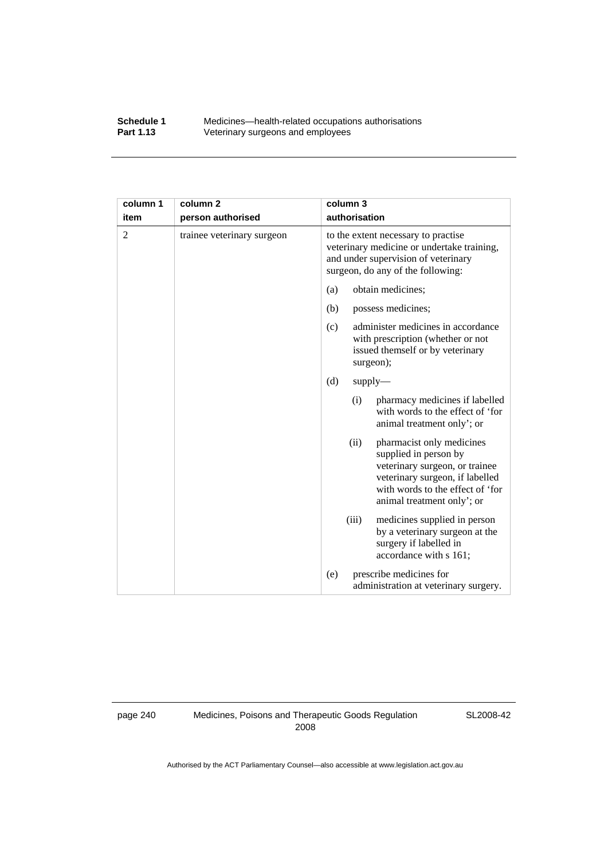#### **Schedule 1** Medicines—health-related occupations authorisations<br>**Part 1.13** Veterinary surgeons and employees Veterinary surgeons and employees

| column 1 | column <sub>2</sub>        | column 3                                                                                                                                                                                          |
|----------|----------------------------|---------------------------------------------------------------------------------------------------------------------------------------------------------------------------------------------------|
| item     | person authorised          | authorisation                                                                                                                                                                                     |
| 2        | trainee veterinary surgeon | to the extent necessary to practise<br>veterinary medicine or undertake training,<br>and under supervision of veterinary<br>surgeon, do any of the following:                                     |
|          |                            | obtain medicines;<br>(a)                                                                                                                                                                          |
|          |                            | (b)<br>possess medicines;                                                                                                                                                                         |
|          |                            | administer medicines in accordance<br>(c)<br>with prescription (whether or not<br>issued themself or by veterinary<br>surgeon);                                                                   |
|          |                            | (d)<br>$supply$ —                                                                                                                                                                                 |
|          |                            | (i)<br>pharmacy medicines if labelled<br>with words to the effect of 'for<br>animal treatment only'; or                                                                                           |
|          |                            | (ii)<br>pharmacist only medicines<br>supplied in person by<br>veterinary surgeon, or trainee<br>veterinary surgeon, if labelled<br>with words to the effect of 'for<br>animal treatment only'; or |
|          |                            | medicines supplied in person<br>(iii)<br>by a veterinary surgeon at the<br>surgery if labelled in<br>accordance with s 161;                                                                       |
|          |                            | prescribe medicines for<br>(e)<br>administration at veterinary surgery.                                                                                                                           |

page 240 Medicines, Poisons and Therapeutic Goods Regulation 2008

SL2008-42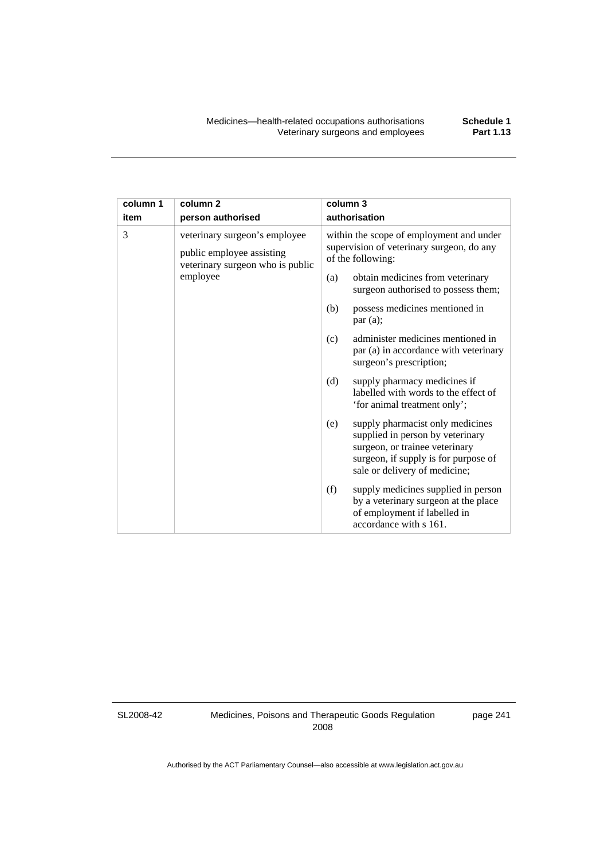| column 1 | column <sub>2</sub>                                                                            | column 3 |                                                                                                                                                                                 |
|----------|------------------------------------------------------------------------------------------------|----------|---------------------------------------------------------------------------------------------------------------------------------------------------------------------------------|
| item     | person authorised                                                                              |          | authorisation                                                                                                                                                                   |
| 3        | veterinary surgeon's employee<br>public employee assisting<br>veterinary surgeon who is public |          | within the scope of employment and under<br>supervision of veterinary surgeon, do any<br>of the following:                                                                      |
|          | employee                                                                                       | (a)      | obtain medicines from veterinary<br>surgeon authorised to possess them;                                                                                                         |
|          |                                                                                                | (b)      | possess medicines mentioned in<br>par(a);                                                                                                                                       |
|          |                                                                                                | (c)      | administer medicines mentioned in<br>par (a) in accordance with veterinary<br>surgeon's prescription;                                                                           |
|          |                                                                                                | (d)      | supply pharmacy medicines if<br>labelled with words to the effect of<br>'for animal treatment only';                                                                            |
|          |                                                                                                | (e)      | supply pharmacist only medicines<br>supplied in person by veterinary<br>surgeon, or trainee veterinary<br>surgeon, if supply is for purpose of<br>sale or delivery of medicine; |
|          |                                                                                                | (f)      | supply medicines supplied in person<br>by a veterinary surgeon at the place<br>of employment if labelled in<br>accordance with s 161.                                           |

SL2008-42

Medicines, Poisons and Therapeutic Goods Regulation 2008

page 241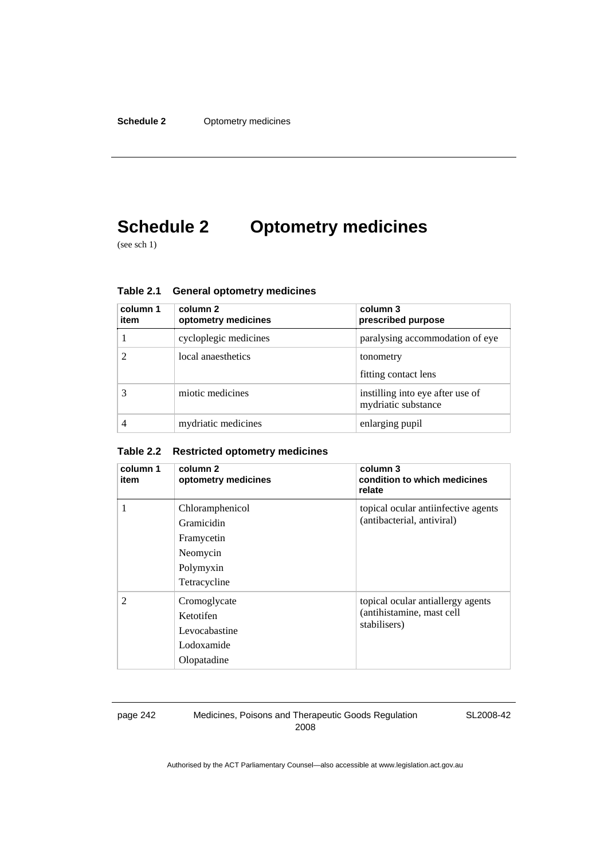# **Schedule 2 Optometry medicines**

(see sch 1)

| column 1<br>item | column 2<br>optometry medicines | column 3<br>prescribed purpose                          |
|------------------|---------------------------------|---------------------------------------------------------|
|                  | cycloplegic medicines           | paralysing accommodation of eye                         |
|                  | local anaesthetics              | tonometry<br>fitting contact lens                       |
|                  | miotic medicines                | instilling into eye after use of<br>mydriatic substance |
|                  | mydriatic medicines             | enlarging pupil                                         |

**Table 2.1 General optometry medicines** 

#### **Table 2.2 Restricted optometry medicines**

| column 1<br>item | column 2<br>optometry medicines                                                      | column 3<br>condition to which medicines<br>relate                             |
|------------------|--------------------------------------------------------------------------------------|--------------------------------------------------------------------------------|
| 1                | Chloramphenicol<br>Gramicidin<br>Framycetin<br>Neomycin<br>Polymyxin<br>Tetracycline | topical ocular antiinfective agents<br>(antibacterial, antiviral)              |
| $\mathfrak{D}$   | Cromoglycate<br>Ketotifen<br>Levocabastine<br>Lodoxamide<br>Olopatadine              | topical ocular antiallergy agents<br>(antihistamine, mast cell<br>stabilisers) |

page 242 Medicines, Poisons and Therapeutic Goods Regulation 2008

SL2008-42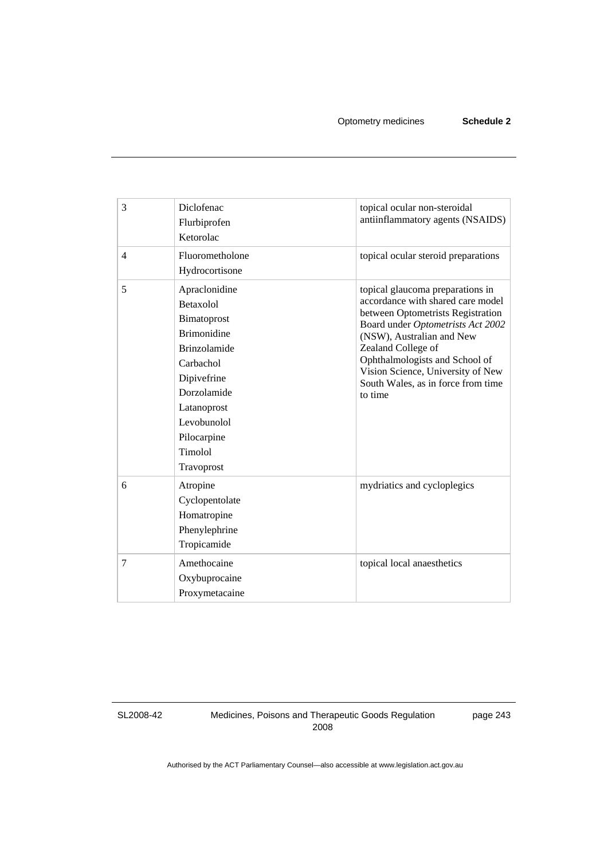| 3              | Diclofenac<br>Flurbiprofen<br>Ketorolac                                                                                                                                                                        | topical ocular non-steroidal<br>antiinflammatory agents (NSAIDS)                                                                                                                                                                                                                                                           |
|----------------|----------------------------------------------------------------------------------------------------------------------------------------------------------------------------------------------------------------|----------------------------------------------------------------------------------------------------------------------------------------------------------------------------------------------------------------------------------------------------------------------------------------------------------------------------|
| $\overline{4}$ | Fluorometholone<br>Hydrocortisone                                                                                                                                                                              | topical ocular steroid preparations                                                                                                                                                                                                                                                                                        |
| 5              | Apraclonidine<br><b>Betaxolol</b><br>Bimatoprost<br><b>Brimonidine</b><br><b>Brinzolamide</b><br>Carbachol<br>Dipivefrine<br>Dorzolamide<br>Latanoprost<br>Levobunolol<br>Pilocarpine<br>Timolol<br>Travoprost | topical glaucoma preparations in<br>accordance with shared care model<br>between Optometrists Registration<br>Board under Optometrists Act 2002<br>(NSW), Australian and New<br>Zealand College of<br>Ophthalmologists and School of<br>Vision Science, University of New<br>South Wales, as in force from time<br>to time |
| 6              | Atropine<br>Cyclopentolate<br>Homatropine<br>Phenylephrine<br>Tropicamide                                                                                                                                      | mydriatics and cycloplegics                                                                                                                                                                                                                                                                                                |
| 7              | Amethocaine<br>Oxybuprocaine<br>Proxymetacaine                                                                                                                                                                 | topical local anaesthetics                                                                                                                                                                                                                                                                                                 |

SL2008-42

Medicines, Poisons and Therapeutic Goods Regulation 2008

page 243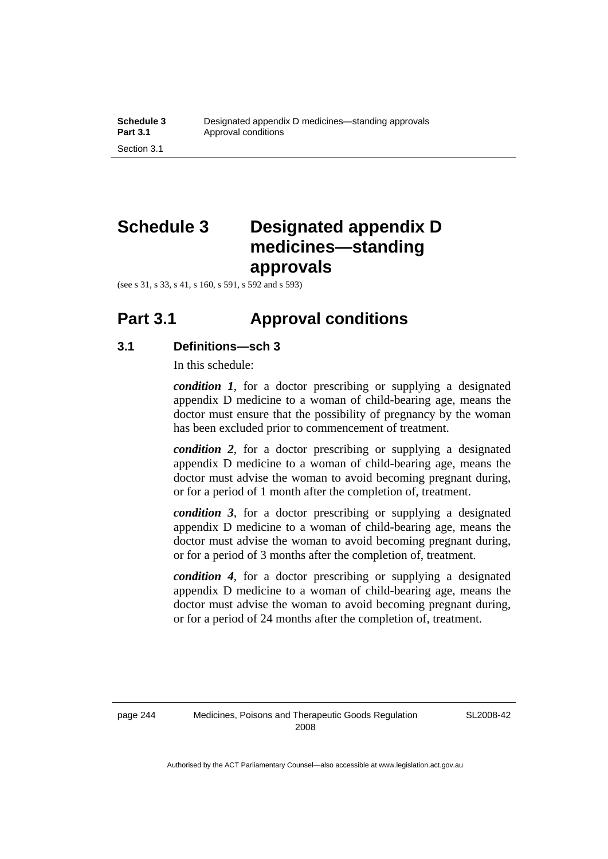# **Schedule 3 Designated appendix D medicines—standing approvals**

(see s 31, s 33, s 41, s 160, s 591, s 592 and s 593)

### **Part 3.1 Approval conditions**

### **3.1 Definitions—sch 3**

In this schedule:

*condition 1*, for a doctor prescribing or supplying a designated appendix D medicine to a woman of child-bearing age, means the doctor must ensure that the possibility of pregnancy by the woman has been excluded prior to commencement of treatment.

*condition 2*, for a doctor prescribing or supplying a designated appendix D medicine to a woman of child-bearing age, means the doctor must advise the woman to avoid becoming pregnant during, or for a period of 1 month after the completion of, treatment.

*condition 3*, for a doctor prescribing or supplying a designated appendix D medicine to a woman of child-bearing age, means the doctor must advise the woman to avoid becoming pregnant during, or for a period of 3 months after the completion of, treatment.

*condition 4*, for a doctor prescribing or supplying a designated appendix D medicine to a woman of child-bearing age, means the doctor must advise the woman to avoid becoming pregnant during, or for a period of 24 months after the completion of, treatment.

SL2008-42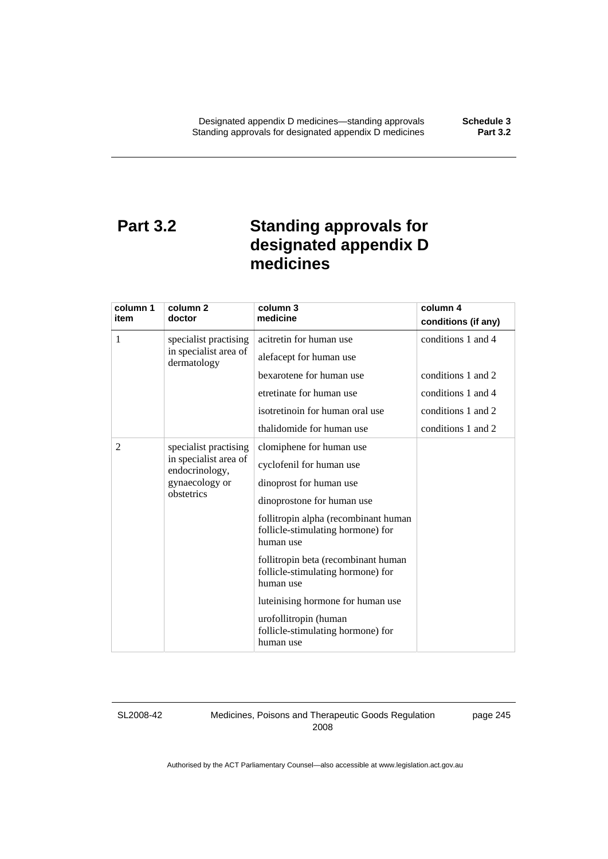### **Part 3.2 Standing approvals for designated appendix D medicines**

| column 1<br>item | column 2<br>doctor                                                                               | column 3<br>medicine                                                                                                                                                                                                                                                                                                                                                                                                                          | column 4<br>conditions (if any)          |
|------------------|--------------------------------------------------------------------------------------------------|-----------------------------------------------------------------------------------------------------------------------------------------------------------------------------------------------------------------------------------------------------------------------------------------------------------------------------------------------------------------------------------------------------------------------------------------------|------------------------------------------|
| 1                | specialist practising<br>in specialist area of                                                   | acitretin for human use<br>alefacept for human use                                                                                                                                                                                                                                                                                                                                                                                            | conditions 1 and 4                       |
|                  | dermatology                                                                                      | bexarotene for human use<br>etretinate for human use                                                                                                                                                                                                                                                                                                                                                                                          | conditions 1 and 2<br>conditions 1 and 4 |
|                  |                                                                                                  | isotretinoin for human oral use                                                                                                                                                                                                                                                                                                                                                                                                               | conditions 1 and 2                       |
| 2                | specialist practising<br>in specialist area of<br>endocrinology,<br>gynaecology or<br>obstetrics | thalidomide for human use<br>clomiphene for human use<br>cyclofenil for human use<br>dinoprost for human use<br>dinoprostone for human use<br>follitropin alpha (recombinant human<br>follicle-stimulating hormone) for<br>human use<br>follitropin beta (recombinant human<br>follicle-stimulating hormone) for<br>human use<br>luteinising hormone for human use<br>urofollitropin (human<br>follicle-stimulating hormone) for<br>human use | conditions 1 and 2                       |

SL2008-42

Medicines, Poisons and Therapeutic Goods Regulation 2008

page 245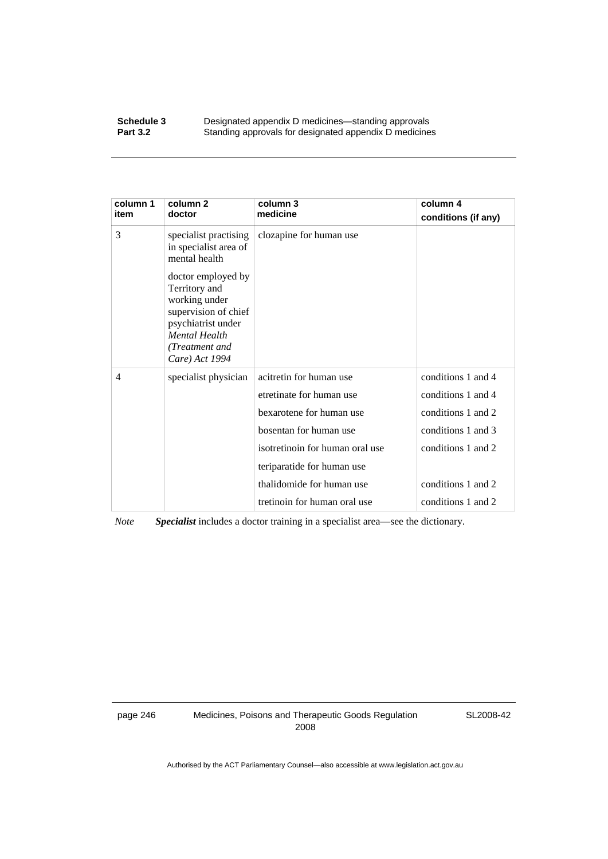#### **Schedule 3 Designated appendix D medicines—standing approvals**<br>**Part 3.2 Standing approvals for designated appendix D medicine** Standing approvals for designated appendix D medicines

| column 1<br>item | column 2<br>doctor                                                                                                                                             | column 3<br>medicine            | column 4<br>conditions (if any) |
|------------------|----------------------------------------------------------------------------------------------------------------------------------------------------------------|---------------------------------|---------------------------------|
| 3                | specialist practising<br>in specialist area of<br>mental health                                                                                                | clozapine for human use         |                                 |
|                  | doctor employed by<br>Territory and<br>working under<br>supervision of chief<br>psychiatrist under<br><b>Mental Health</b><br>(Treatment and<br>Care) Act 1994 |                                 |                                 |
| 4                | specialist physician                                                                                                                                           | acitretin for human use         | conditions 1 and 4              |
|                  |                                                                                                                                                                | etretinate for human use        | conditions 1 and 4              |
|                  |                                                                                                                                                                | bexarotene for human use        | conditions 1 and 2              |
|                  |                                                                                                                                                                | bosentan for human use          | conditions 1 and 3              |
|                  |                                                                                                                                                                | isotretinoin for human oral use | conditions 1 and 2              |
|                  |                                                                                                                                                                | teriparatide for human use      |                                 |
|                  |                                                                                                                                                                | thalidomide for human use       | conditions 1 and 2              |
|                  |                                                                                                                                                                | tretinoin for human oral use    | conditions 1 and 2              |

*Note Specialist* includes a doctor training in a specialist area—see the dictionary.

page 246 Medicines, Poisons and Therapeutic Goods Regulation 2008

SL2008-42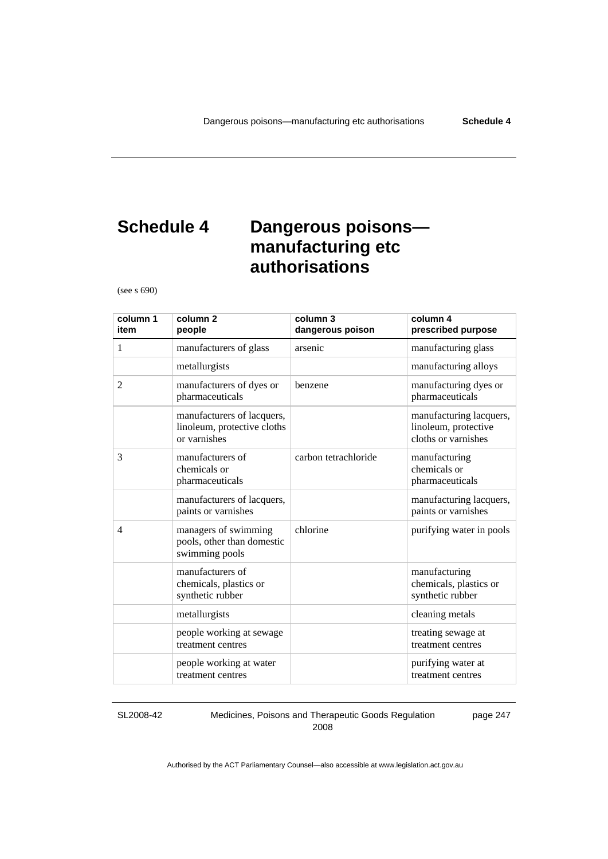# **Schedule 4 Dangerous poisons manufacturing etc authorisations**

(see s 690)

| column 1<br>item | column <sub>2</sub><br>people                                             | column 3<br>dangerous poison | column 4<br>prescribed purpose                                         |
|------------------|---------------------------------------------------------------------------|------------------------------|------------------------------------------------------------------------|
| $\mathbf{1}$     | manufacturers of glass                                                    | arsenic                      | manufacturing glass                                                    |
|                  | metallurgists                                                             |                              | manufacturing alloys                                                   |
| 2                | manufacturers of dyes or<br>pharmaceuticals                               | benzene                      | manufacturing dyes or<br>pharmaceuticals                               |
|                  | manufacturers of lacquers,<br>linoleum, protective cloths<br>or varnishes |                              | manufacturing lacquers,<br>linoleum, protective<br>cloths or varnishes |
| 3                | manufacturers of<br>chemicals or<br>pharmaceuticals                       | carbon tetrachloride         | manufacturing<br>chemicals or<br>pharmaceuticals                       |
|                  | manufacturers of lacquers,<br>paints or varnishes                         |                              | manufacturing lacquers,<br>paints or varnishes                         |
| $\overline{4}$   | managers of swimming<br>pools, other than domestic<br>swimming pools      | chlorine                     | purifying water in pools                                               |
|                  | manufacturers of<br>chemicals, plastics or<br>synthetic rubber            |                              | manufacturing<br>chemicals, plastics or<br>synthetic rubber            |
|                  | metallurgists                                                             |                              | cleaning metals                                                        |
|                  | people working at sewage<br>treatment centres                             |                              | treating sewage at<br>treatment centres                                |
|                  | people working at water<br>treatment centres                              |                              | purifying water at<br>treatment centres                                |

SL2008-42

Medicines, Poisons and Therapeutic Goods Regulation 2008

page 247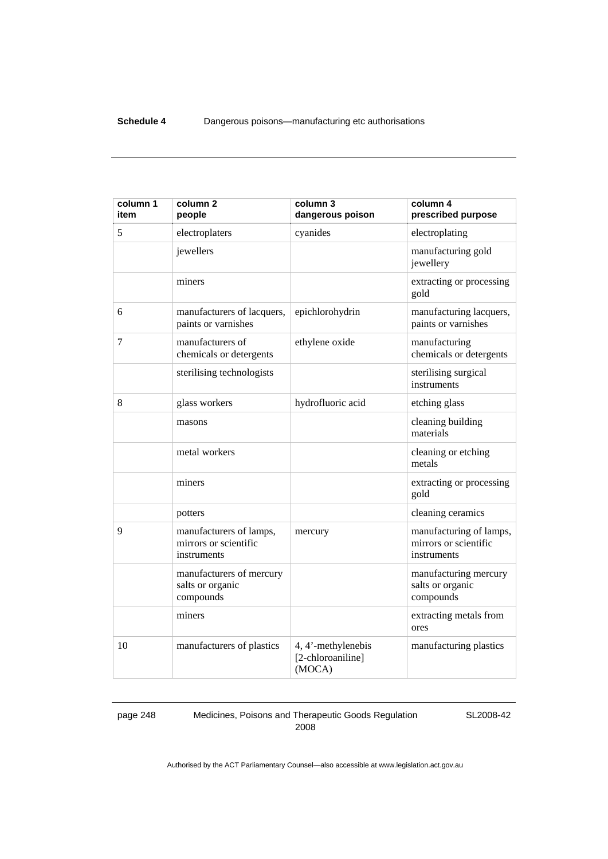| column 1<br>item | column <sub>2</sub><br>people                                   | column 3<br>dangerous poison                      | column 4<br>prescribed purpose                                  |
|------------------|-----------------------------------------------------------------|---------------------------------------------------|-----------------------------------------------------------------|
| 5                | electroplaters                                                  | cyanides                                          | electroplating                                                  |
|                  | jewellers                                                       |                                                   | manufacturing gold<br>jewellery                                 |
|                  | miners                                                          |                                                   | extracting or processing<br>gold                                |
| 6                | manufacturers of lacquers,<br>paints or varnishes               | epichlorohydrin                                   | manufacturing lacquers,<br>paints or varnishes                  |
| 7                | manufacturers of<br>chemicals or detergents                     | ethylene oxide                                    | manufacturing<br>chemicals or detergents                        |
|                  | sterilising technologists                                       |                                                   | sterilising surgical<br>instruments                             |
| 8                | glass workers                                                   | hydrofluoric acid                                 | etching glass                                                   |
|                  | masons                                                          |                                                   | cleaning building<br>materials                                  |
|                  | metal workers                                                   |                                                   | cleaning or etching<br>metals                                   |
|                  | miners                                                          |                                                   | extracting or processing<br>gold                                |
|                  | potters                                                         |                                                   | cleaning ceramics                                               |
| 9                | manufacturers of lamps,<br>mirrors or scientific<br>instruments | mercury                                           | manufacturing of lamps,<br>mirrors or scientific<br>instruments |
|                  | manufacturers of mercury<br>salts or organic<br>compounds       |                                                   | manufacturing mercury<br>salts or organic<br>compounds          |
|                  | miners                                                          |                                                   | extracting metals from<br>ores                                  |
| 10               | manufacturers of plastics                                       | 4, 4'-methylenebis<br>[2-chloroaniline]<br>(MOCA) | manufacturing plastics                                          |

page 248 Medicines, Poisons and Therapeutic Goods Regulation 2008

SL2008-42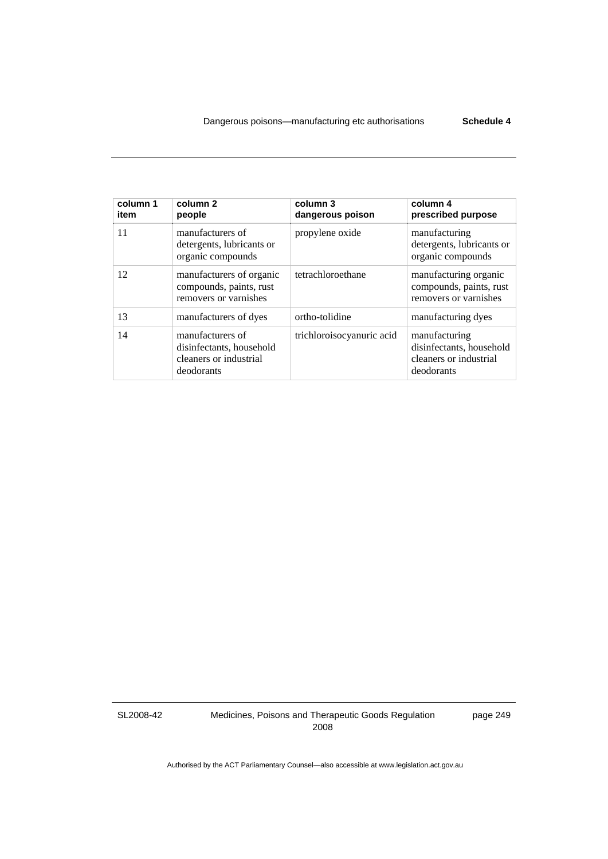| column 1<br>item | column <sub>2</sub><br>people                                                        | column 3<br>dangerous poison | column 4<br>prescribed purpose                                                    |
|------------------|--------------------------------------------------------------------------------------|------------------------------|-----------------------------------------------------------------------------------|
| 11               | manufacturers of<br>detergents, lubricants or<br>organic compounds                   | propylene oxide              | manufacturing<br>detergents, lubricants or<br>organic compounds                   |
| 12               | manufacturers of organic<br>compounds, paints, rust<br>removers or varnishes         | tetrachloroethane            | manufacturing organic<br>compounds, paints, rust<br>removers or varnishes         |
| 13               | manufacturers of dyes                                                                | ortho-tolidine               | manufacturing dyes                                                                |
| 14               | manufacturers of<br>disinfectants, household<br>cleaners or industrial<br>deodorants | trichloroisocyanuric acid    | manufacturing<br>disinfectants, household<br>cleaners or industrial<br>deodorants |

SL2008-42

Medicines, Poisons and Therapeutic Goods Regulation 2008

page 249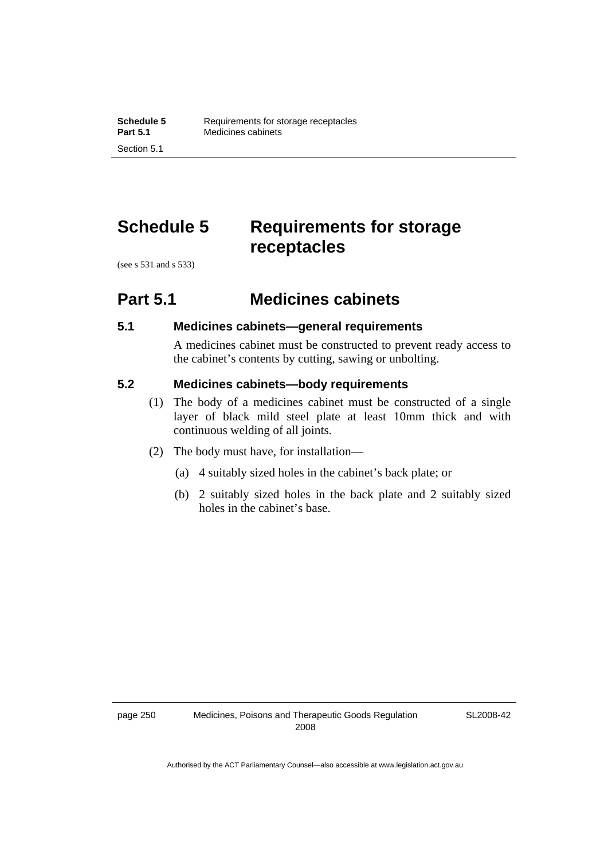# **Schedule 5 Requirements for storage receptacles**

(see s 531 and s 533)

### **Part 5.1 Medicines cabinets**

### **5.1 Medicines cabinets—general requirements**

A medicines cabinet must be constructed to prevent ready access to the cabinet's contents by cutting, sawing or unbolting.

### **5.2 Medicines cabinets—body requirements**

- (1) The body of a medicines cabinet must be constructed of a single layer of black mild steel plate at least 10mm thick and with continuous welding of all joints.
- (2) The body must have, for installation—
	- (a) 4 suitably sized holes in the cabinet's back plate; or
	- (b) 2 suitably sized holes in the back plate and 2 suitably sized holes in the cabinet's base.

SL2008-42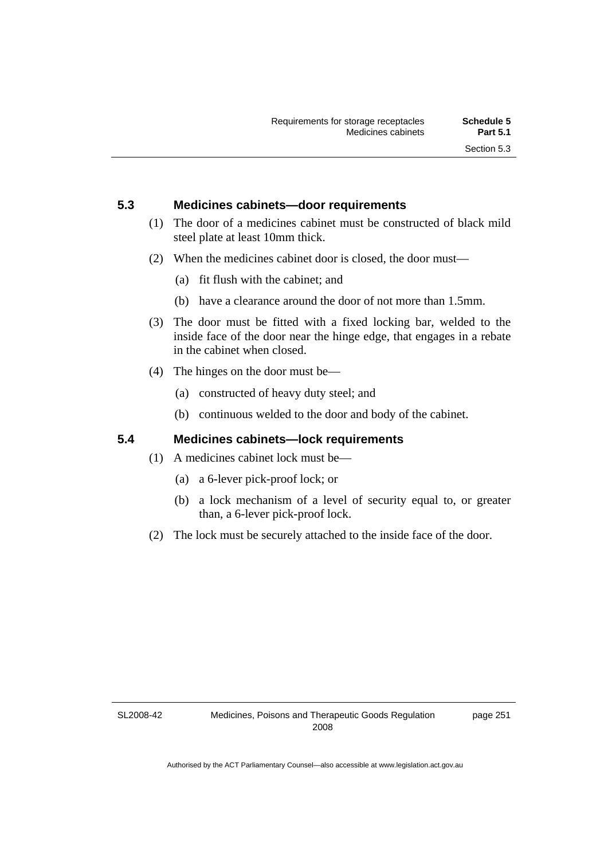### **5.3 Medicines cabinets—door requirements**

- (1) The door of a medicines cabinet must be constructed of black mild steel plate at least 10mm thick.
- (2) When the medicines cabinet door is closed, the door must—
	- (a) fit flush with the cabinet; and
	- (b) have a clearance around the door of not more than 1.5mm.
- (3) The door must be fitted with a fixed locking bar, welded to the inside face of the door near the hinge edge, that engages in a rebate in the cabinet when closed.
- (4) The hinges on the door must be—
	- (a) constructed of heavy duty steel; and
	- (b) continuous welded to the door and body of the cabinet.

### **5.4 Medicines cabinets—lock requirements**

- (1) A medicines cabinet lock must be—
	- (a) a 6-lever pick-proof lock; or
	- (b) a lock mechanism of a level of security equal to, or greater than, a 6-lever pick-proof lock.
- (2) The lock must be securely attached to the inside face of the door.

SL2008-42

page 251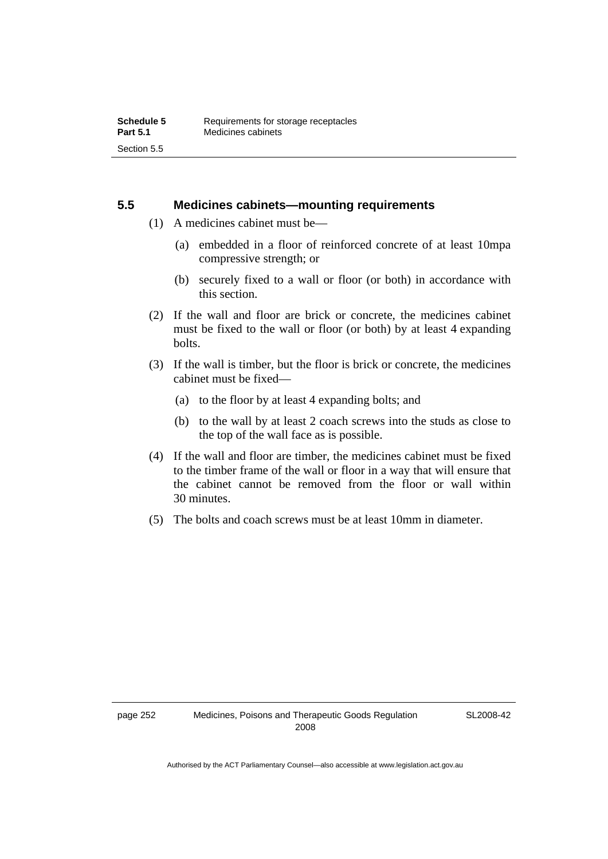### **5.5 Medicines cabinets—mounting requirements**

- (1) A medicines cabinet must be—
	- (a) embedded in a floor of reinforced concrete of at least 10mpa compressive strength; or
	- (b) securely fixed to a wall or floor (or both) in accordance with this section.
- (2) If the wall and floor are brick or concrete, the medicines cabinet must be fixed to the wall or floor (or both) by at least 4 expanding bolts.
- (3) If the wall is timber, but the floor is brick or concrete, the medicines cabinet must be fixed—
	- (a) to the floor by at least 4 expanding bolts; and
	- (b) to the wall by at least 2 coach screws into the studs as close to the top of the wall face as is possible.
- (4) If the wall and floor are timber, the medicines cabinet must be fixed to the timber frame of the wall or floor in a way that will ensure that the cabinet cannot be removed from the floor or wall within 30 minutes.
- (5) The bolts and coach screws must be at least 10mm in diameter.

SL2008-42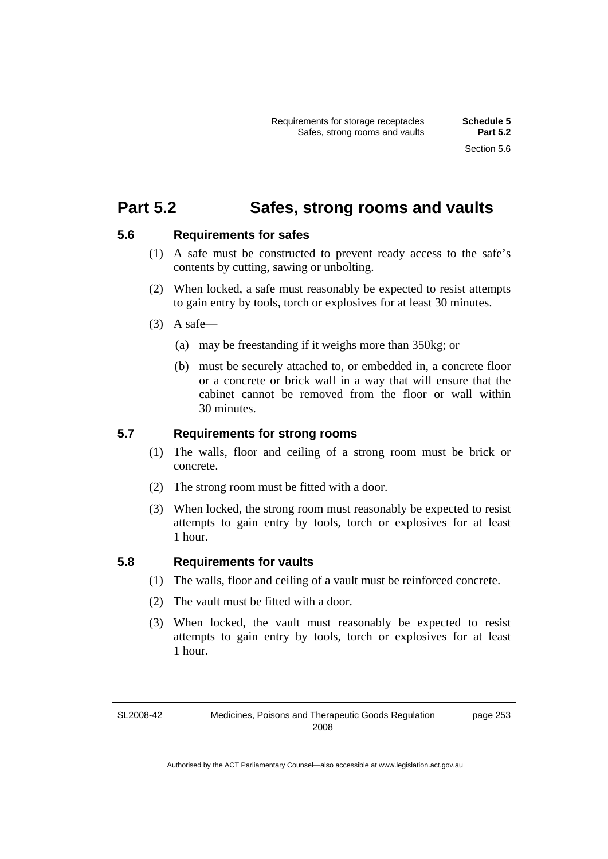### **Part 5.2 Safes, strong rooms and vaults**

### **5.6 Requirements for safes**

- (1) A safe must be constructed to prevent ready access to the safe's contents by cutting, sawing or unbolting.
- (2) When locked, a safe must reasonably be expected to resist attempts to gain entry by tools, torch or explosives for at least 30 minutes.
- $(3)$  A safe-
	- (a) may be freestanding if it weighs more than 350kg; or
	- (b) must be securely attached to, or embedded in, a concrete floor or a concrete or brick wall in a way that will ensure that the cabinet cannot be removed from the floor or wall within 30 minutes.

### **5.7 Requirements for strong rooms**

- (1) The walls, floor and ceiling of a strong room must be brick or concrete.
- (2) The strong room must be fitted with a door.
- (3) When locked, the strong room must reasonably be expected to resist attempts to gain entry by tools, torch or explosives for at least 1 hour.

### **5.8 Requirements for vaults**

- (1) The walls, floor and ceiling of a vault must be reinforced concrete.
- (2) The vault must be fitted with a door.
- (3) When locked, the vault must reasonably be expected to resist attempts to gain entry by tools, torch or explosives for at least 1 hour.

SL2008-42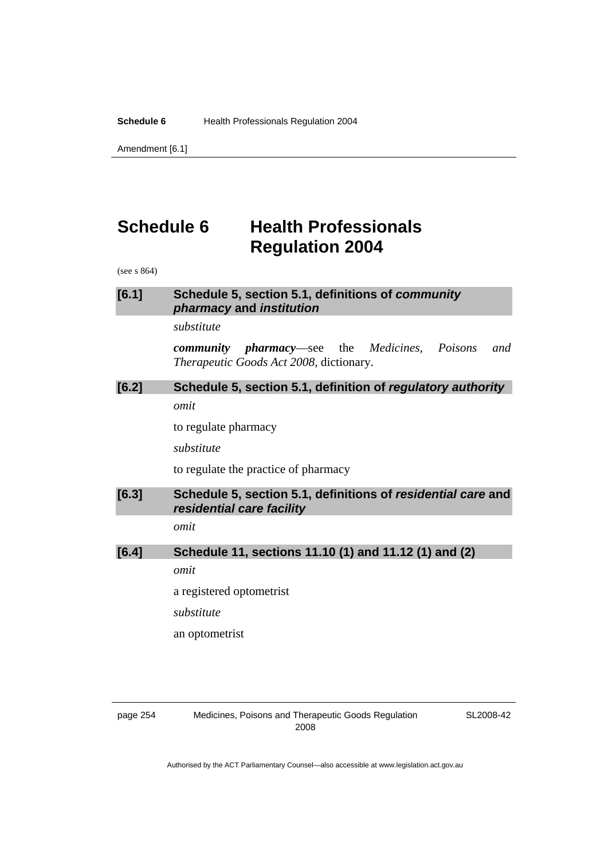**Schedule 6 Health Professionals Regulation 2004** 

Amendment [6.1]

# **Schedule 6 Health Professionals Regulation 2004**

(see s 864)

### **[6.1] Schedule 5, section 5.1, definitions of** *community pharmacy* **and** *institution*

#### *substitute*

*community pharmacy*—see the *Medicines, Poisons and Therapeutic Goods Act 2008*, dictionary.

### **[6.2] Schedule 5, section 5.1, definition of** *regulatory authority omit*

to regulate pharmacy

*substitute* 

to regulate the practice of pharmacy

**[6.3] Schedule 5, section 5.1, definitions of** *residential care* **and**  *residential care facility* 

*omit* 

### **[6.4] Schedule 11, sections 11.10 (1) and 11.12 (1) and (2)**

*omit* 

a registered optometrist

*substitute* 

an optometrist

page 254 Medicines, Poisons and Therapeutic Goods Regulation 2008

SL2008-42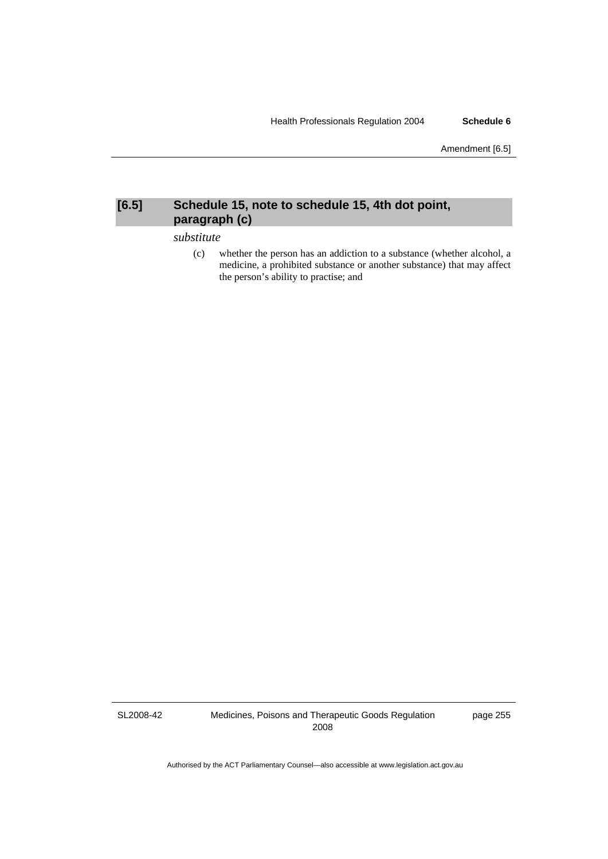Amendment [6.5]

### **[6.5] Schedule 15, note to schedule 15, 4th dot point, paragraph (c)**

*substitute* 

 (c) whether the person has an addiction to a substance (whether alcohol, a medicine, a prohibited substance or another substance) that may affect the person's ability to practise; and

SL2008-42

Medicines, Poisons and Therapeutic Goods Regulation 2008

page 255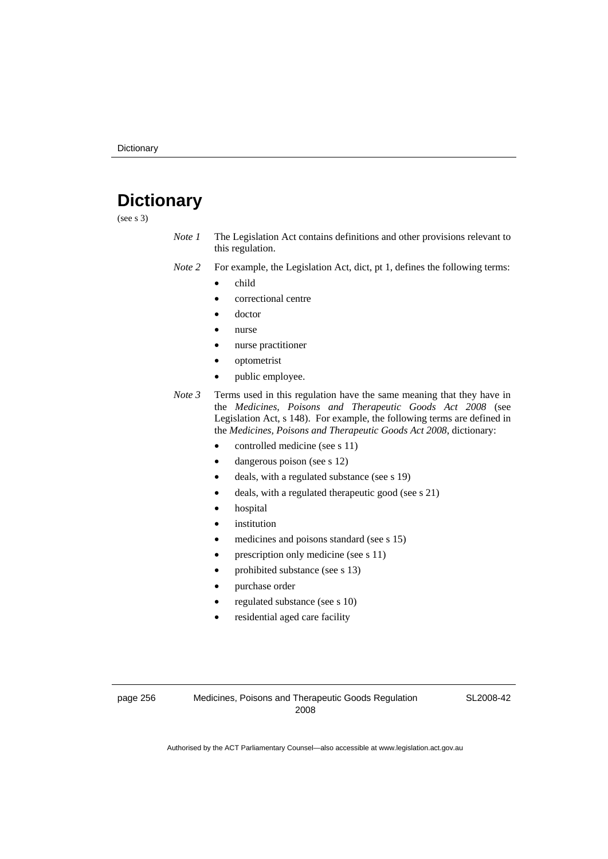# **Dictionary**

(see s 3)

*Note 1* The Legislation Act contains definitions and other provisions relevant to this regulation.

*Note 2* For example, the Legislation Act, dict, pt 1, defines the following terms:

- child
	- correctional centre
	- doctor
	- nurse
	- nurse practitioner
	- optometrist
	- public employee.
- *Note 3* Terms used in this regulation have the same meaning that they have in the *Medicines, Poisons and Therapeutic Goods Act 2008* (see Legislation Act, s 148). For example, the following terms are defined in the *Medicines, Poisons and Therapeutic Goods Act 2008*, dictionary:
	- controlled medicine (see s 11)
	- dangerous poison (see s 12)
	- deals, with a regulated substance (see s 19)
	- deals, with a regulated therapeutic good (see s 21)
	- hospital
	- *institution*
	- medicines and poisons standard (see s 15)
	- prescription only medicine (see s 11)
	- prohibited substance (see s 13)
	- purchase order
	- regulated substance (see s 10)
	- residential aged care facility

page 256 Medicines, Poisons and Therapeutic Goods Regulation 2008

SL2008-42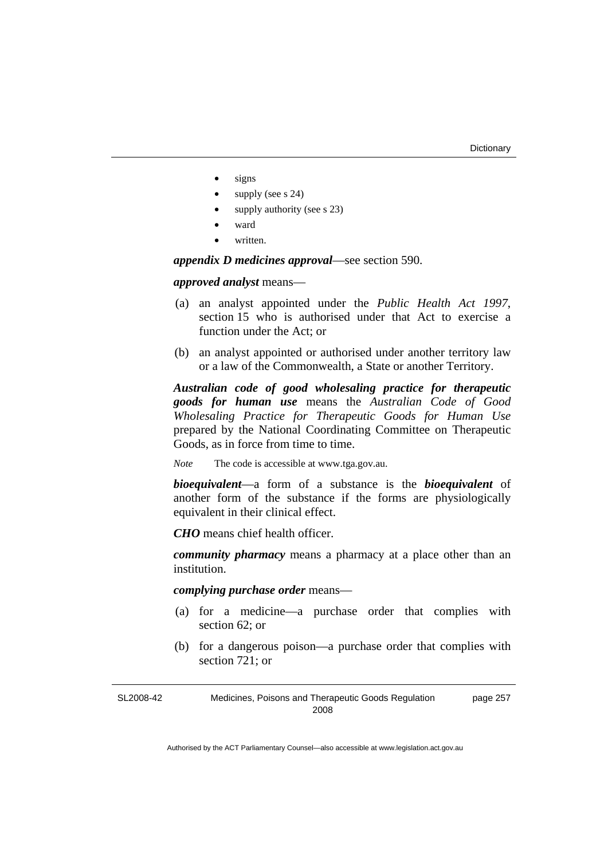- signs
- supply (see s 24)
- supply authority (see s 23)
- ward
- written.

*appendix D medicines approval*—see section 590.

*approved analyst* means—

- (a) an analyst appointed under the *Public Health Act 1997*, section 15 who is authorised under that Act to exercise a function under the Act; or
- (b) an analyst appointed or authorised under another territory law or a law of the Commonwealth, a State or another Territory.

*Australian code of good wholesaling practice for therapeutic goods for human use* means the *Australian Code of Good Wholesaling Practice for Therapeutic Goods for Human Use*  prepared by the National Coordinating Committee on Therapeutic Goods, as in force from time to time.

*Note* The code is accessible at www.tga.gov.au.

*bioequivalent*—a form of a substance is the *bioequivalent* of another form of the substance if the forms are physiologically equivalent in their clinical effect.

*CHO* means chief health officer.

*community pharmacy* means a pharmacy at a place other than an institution.

*complying purchase order* means—

- (a) for a medicine—a purchase order that complies with section 62; or
- (b) for a dangerous poison—a purchase order that complies with section 721; or

| SL2008-42 | Medicines, Poisons and Therapeutic Goods Regulation | page 257 |
|-----------|-----------------------------------------------------|----------|
|           | 2008                                                |          |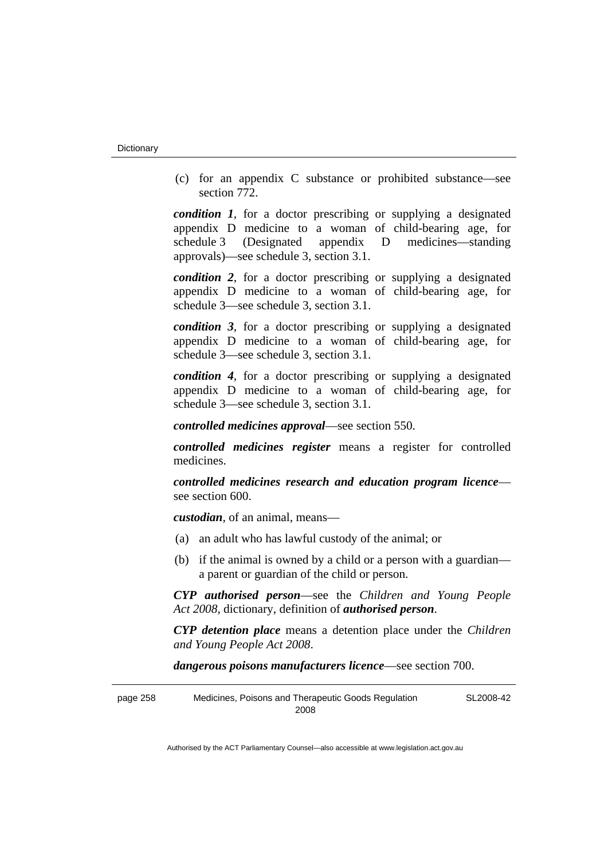(c) for an appendix C substance or prohibited substance—see section 772.

*condition 1*, for a doctor prescribing or supplying a designated appendix D medicine to a woman of child-bearing age, for schedule 3 (Designated appendix D medicines—standing approvals)—see schedule 3, section 3.1.

*condition 2*, for a doctor prescribing or supplying a designated appendix D medicine to a woman of child-bearing age, for schedule 3—see schedule 3, section 3.1.

*condition 3*, for a doctor prescribing or supplying a designated appendix D medicine to a woman of child-bearing age, for schedule 3—see schedule 3, section 3.1.

*condition 4*, for a doctor prescribing or supplying a designated appendix D medicine to a woman of child-bearing age, for schedule 3—see schedule 3, section 3.1.

*controlled medicines approval*—see section 550.

*controlled medicines register* means a register for controlled medicines.

*controlled medicines research and education program licence* see section 600.

*custodian*, of an animal, means—

- (a) an adult who has lawful custody of the animal; or
- (b) if the animal is owned by a child or a person with a guardian a parent or guardian of the child or person.

*CYP authorised person*—see the *Children and Young People Act 2008*, dictionary, definition of *authorised person*.

*CYP detention place* means a detention place under the *Children and Young People Act 2008*.

*dangerous poisons manufacturers licence*—see section 700.

page 258 Medicines, Poisons and Therapeutic Goods Regulation 2008 SL2008-42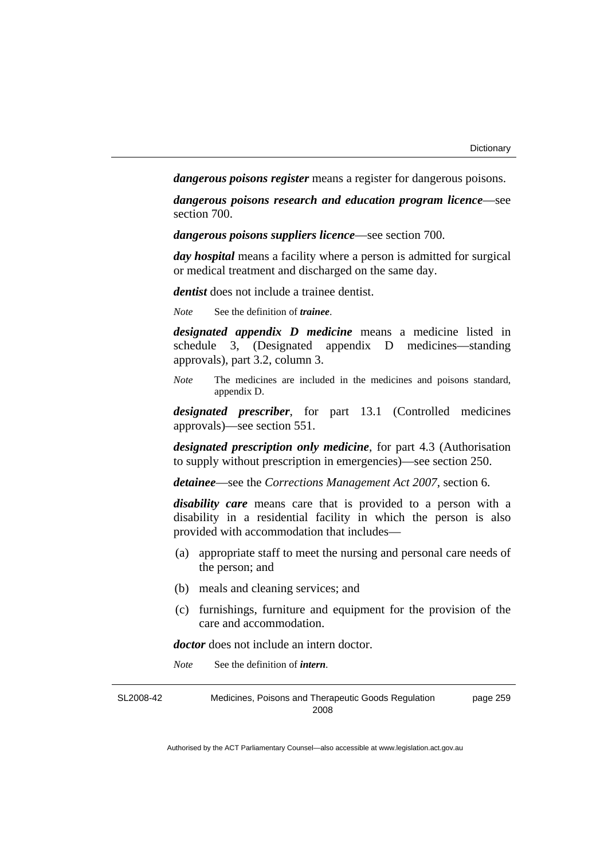*dangerous poisons register* means a register for dangerous poisons.

*dangerous poisons research and education program licence*—see section 700.

*dangerous poisons suppliers licence*—see section 700.

*day hospital* means a facility where a person is admitted for surgical or medical treatment and discharged on the same day.

*dentist* does not include a trainee dentist.

*Note* See the definition of *trainee*.

*designated appendix D medicine* means a medicine listed in schedule 3, (Designated appendix D medicines—standing approvals), part 3.2, column 3.

*Note* The medicines are included in the medicines and poisons standard, appendix D.

*designated prescriber*, for part 13.1 (Controlled medicines approvals)—see section 551.

*designated prescription only medicine*, for part 4.3 (Authorisation to supply without prescription in emergencies)—see section 250.

*detainee*—see the *Corrections Management Act 2007*, section 6.

*disability care* means care that is provided to a person with a disability in a residential facility in which the person is also provided with accommodation that includes—

- (a) appropriate staff to meet the nursing and personal care needs of the person; and
- (b) meals and cleaning services; and
- (c) furnishings, furniture and equipment for the provision of the care and accommodation.

*doctor* does not include an intern doctor.

*Note* See the definition of *intern*.

SL2008-42 Medicines, Poisons and Therapeutic Goods Regulation 2008 page 259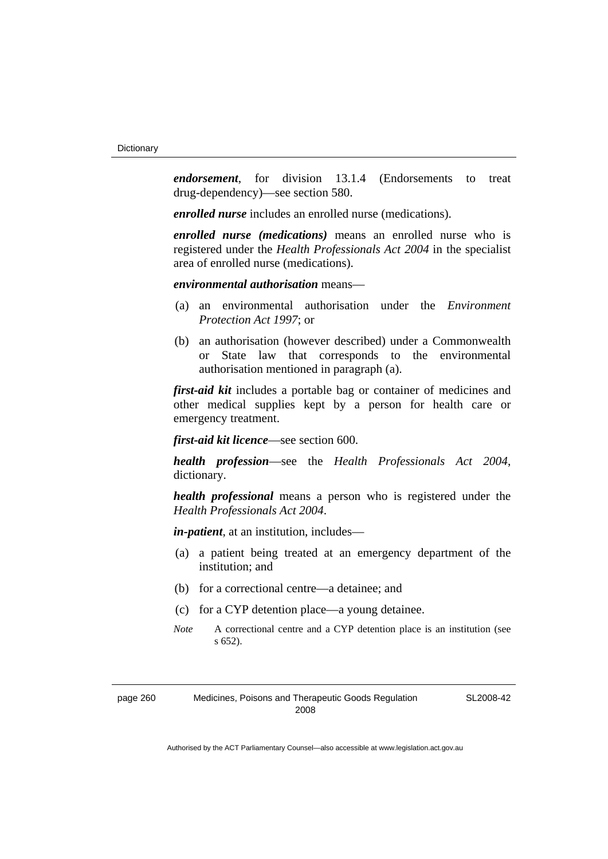*endorsement*, for division 13.1.4 (Endorsements to treat drug-dependency)—see section 580.

*enrolled nurse* includes an enrolled nurse (medications).

*enrolled nurse (medications)* means an enrolled nurse who is registered under the *Health Professionals Act 2004* in the specialist area of enrolled nurse (medications).

### *environmental authorisation* means—

- (a) an environmental authorisation under the *Environment Protection Act 1997*; or
- (b) an authorisation (however described) under a Commonwealth or State law that corresponds to the environmental authorisation mentioned in paragraph (a).

*first-aid kit* includes a portable bag or container of medicines and other medical supplies kept by a person for health care or emergency treatment.

*first-aid kit licence*—see section 600.

*health profession*—see the *Health Professionals Act 2004*, dictionary.

*health professional* means a person who is registered under the *Health Professionals Act 2004*.

*in-patient*, at an institution, includes—

- (a) a patient being treated at an emergency department of the institution; and
- (b) for a correctional centre—a detainee; and
- (c) for a CYP detention place—a young detainee.
- *Note* A correctional centre and a CYP detention place is an institution (see s 652).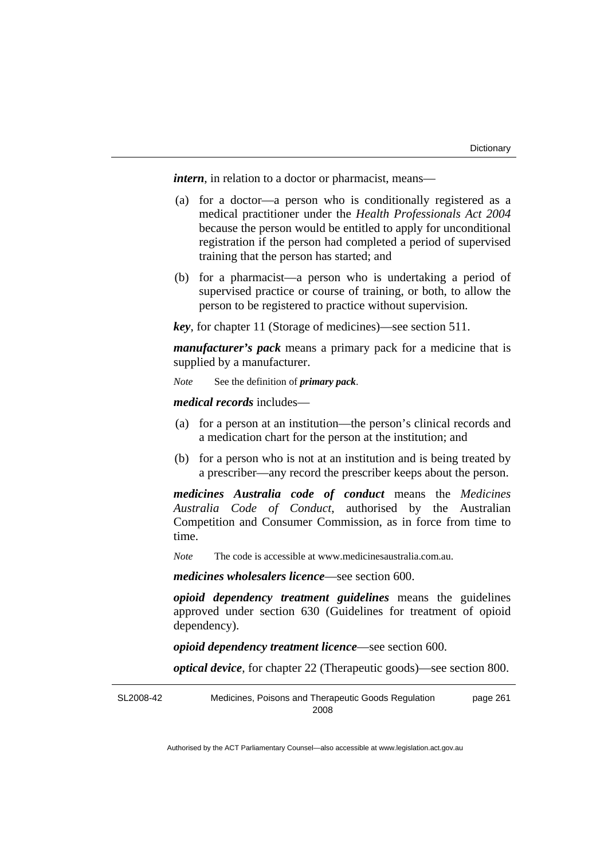*intern*, in relation to a doctor or pharmacist, means—

- (a) for a doctor—a person who is conditionally registered as a medical practitioner under the *Health Professionals Act 2004* because the person would be entitled to apply for unconditional registration if the person had completed a period of supervised training that the person has started; and
- (b) for a pharmacist—a person who is undertaking a period of supervised practice or course of training, or both, to allow the person to be registered to practice without supervision.

*key*, for chapter 11 (Storage of medicines)—see section 511.

*manufacturer's pack* means a primary pack for a medicine that is supplied by a manufacturer.

*Note* See the definition of *primary pack*.

*medical records* includes—

- (a) for a person at an institution—the person's clinical records and a medication chart for the person at the institution; and
- (b) for a person who is not at an institution and is being treated by a prescriber—any record the prescriber keeps about the person.

*medicines Australia code of conduct* means the *Medicines Australia Code of Conduct*, authorised by the Australian Competition and Consumer Commission, as in force from time to time.

*Note* The code is accessible at www.medicinesaustralia.com.au.

*medicines wholesalers licence*—see section 600.

*opioid dependency treatment guidelines* means the guidelines approved under section 630 (Guidelines for treatment of opioid dependency).

*opioid dependency treatment licence*—see section 600.

*optical device*, for chapter 22 (Therapeutic goods)—see section 800.

SL2008-42 Medicines, Poisons and Therapeutic Goods Regulation 2008 page 261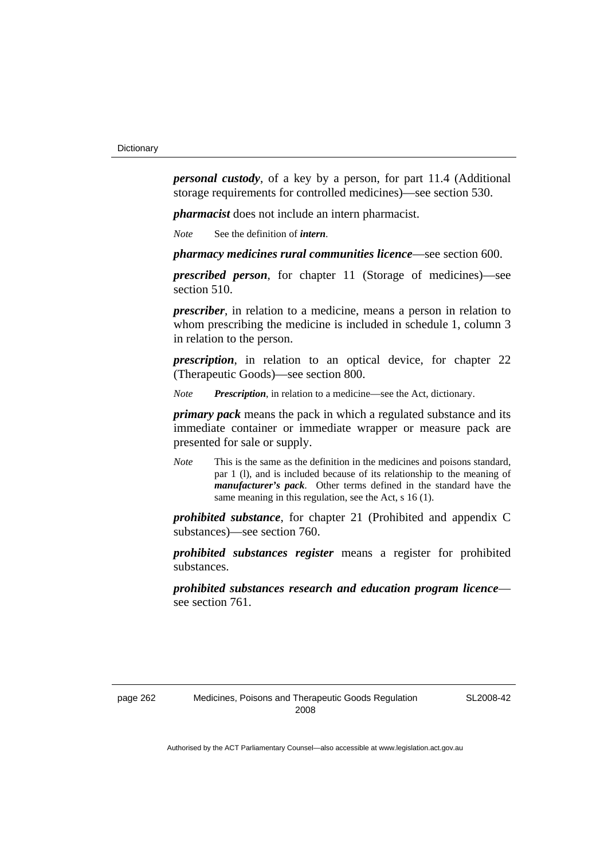*personal custody*, of a key by a person, for part 11.4 (Additional storage requirements for controlled medicines)—see section 530.

*pharmacist* does not include an intern pharmacist.

*Note* See the definition of *intern*.

*pharmacy medicines rural communities licence*—see section 600.

*prescribed person*, for chapter 11 (Storage of medicines)—see section 510.

*prescriber*, in relation to a medicine, means a person in relation to whom prescribing the medicine is included in schedule 1, column 3 in relation to the person.

*prescription*, in relation to an optical device, for chapter 22 (Therapeutic Goods)—see section 800.

*Note Prescription*, in relation to a medicine—see the Act, dictionary.

*primary pack* means the pack in which a regulated substance and its immediate container or immediate wrapper or measure pack are presented for sale or supply.

*Note* This is the same as the definition in the medicines and poisons standard, par 1 (l), and is included because of its relationship to the meaning of *manufacturer's pack*. Other terms defined in the standard have the same meaning in this regulation, see the Act, s 16 (1).

*prohibited substance*, for chapter 21 (Prohibited and appendix C substances)—see section 760.

*prohibited substances register* means a register for prohibited substances.

*prohibited substances research and education program licence* see section 761.

SL2008-42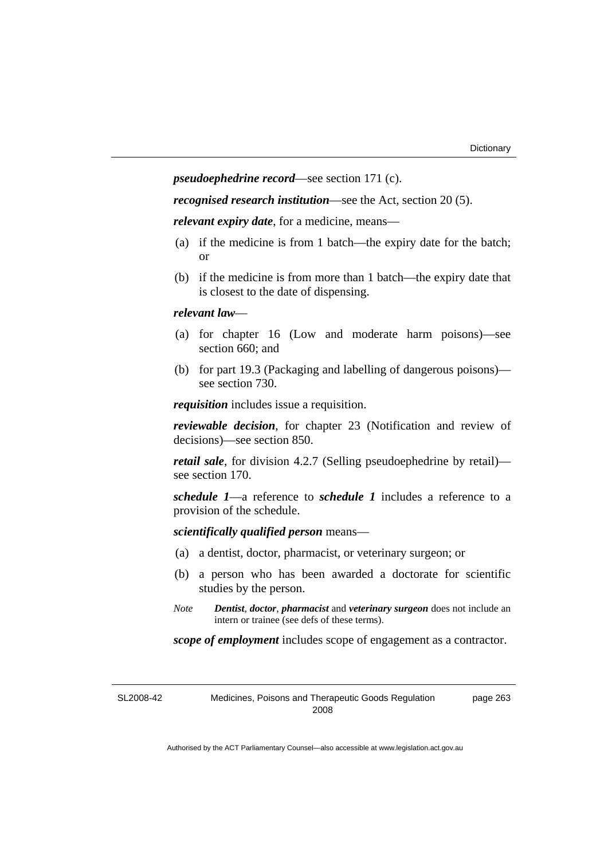*pseudoephedrine record*—see section 171 (c).

*recognised research institution*—see the Act, section 20 (5).

*relevant expiry date*, for a medicine, means—

- (a) if the medicine is from 1 batch—the expiry date for the batch; or
- (b) if the medicine is from more than 1 batch—the expiry date that is closest to the date of dispensing.

#### *relevant law*—

- (a) for chapter 16 (Low and moderate harm poisons)—see section 660; and
- (b) for part 19.3 (Packaging and labelling of dangerous poisons) see section 730.

*requisition* includes issue a requisition.

*reviewable decision*, for chapter 23 (Notification and review of decisions)—see section 850.

*retail sale*, for division 4.2.7 (Selling pseudoephedrine by retail) see section 170.

*schedule 1*—a reference to *schedule 1* includes a reference to a provision of the schedule.

*scientifically qualified person* means—

- (a) a dentist, doctor, pharmacist, or veterinary surgeon; or
- (b) a person who has been awarded a doctorate for scientific studies by the person.
- *Note Dentist*, *doctor*, *pharmacist* and *veterinary surgeon* does not include an intern or trainee (see defs of these terms).

*scope of employment* includes scope of engagement as a contractor.

SL2008-42 Medicines, Poisons and Therapeutic Goods Regulation 2008 page 263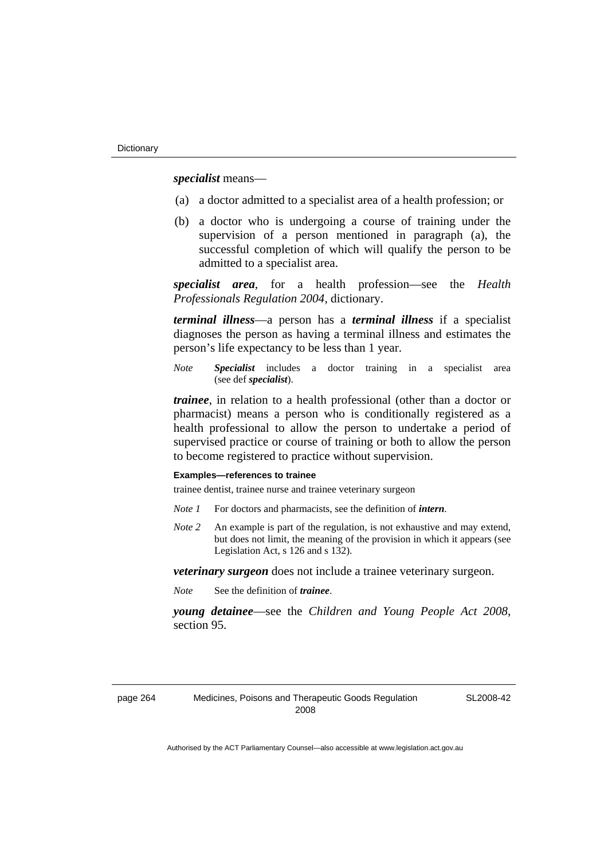*specialist* means—

- (a) a doctor admitted to a specialist area of a health profession; or
- (b) a doctor who is undergoing a course of training under the supervision of a person mentioned in paragraph (a), the successful completion of which will qualify the person to be admitted to a specialist area.

*specialist area*, for a health profession—see the *Health Professionals Regulation 2004*, dictionary.

*terminal illness*—a person has a *terminal illness* if a specialist diagnoses the person as having a terminal illness and estimates the person's life expectancy to be less than 1 year.

*Note Specialist* includes a doctor training in a specialist area (see def *specialist*).

*trainee*, in relation to a health professional (other than a doctor or pharmacist) means a person who is conditionally registered as a health professional to allow the person to undertake a period of supervised practice or course of training or both to allow the person to become registered to practice without supervision.

#### **Examples—references to trainee**

trainee dentist, trainee nurse and trainee veterinary surgeon

- *Note 1* For doctors and pharmacists, see the definition of *intern*.
- *Note 2* An example is part of the regulation, is not exhaustive and may extend, but does not limit, the meaning of the provision in which it appears (see Legislation Act, s 126 and s 132).

*veterinary surgeon* does not include a trainee veterinary surgeon.

*Note* See the definition of *trainee*.

*young detainee*—see the *Children and Young People Act 2008*, section 95.